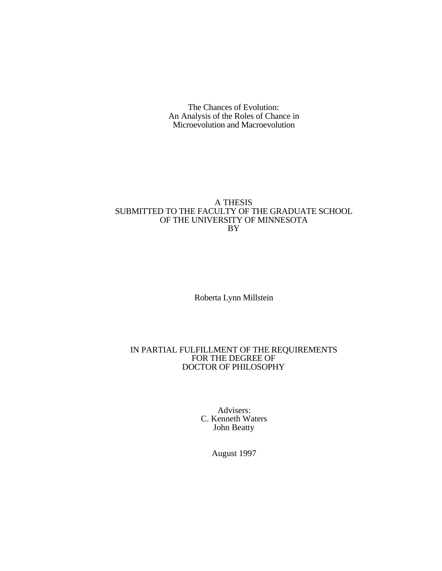The Chances of Evolution: An Analysis of the Roles of Chance in Microevolution and Macroevolution

## A THESIS SUBMITTED TO THE FACULTY OF THE GRADUATE SCHOOL OF THE UNIVERSITY OF MINNESOTA BY

Roberta Lynn Millstein

## IN PARTIAL FULFILLMENT OF THE REQUIREMENTS FOR THE DEGREE OF DOCTOR OF PHILOSOPHY

Advisers: C. Kenneth Waters John Beatty

August 1997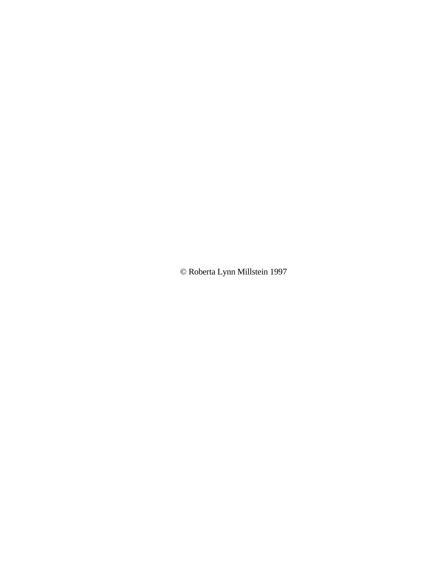© Roberta Lynn Millstein 1997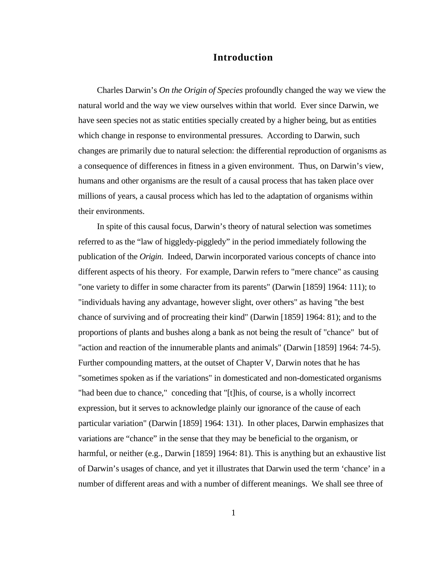# **Introduction**

Charles Darwin's *On the Origin of Species* profoundly changed the way we view the natural world and the way we view ourselves within that world. Ever since Darwin, we have seen species not as static entities specially created by a higher being, but as entities which change in response to environmental pressures. According to Darwin, such changes are primarily due to natural selection: the differential reproduction of organisms as a consequence of differences in fitness in a given environment. Thus, on Darwin's view, humans and other organisms are the result of a causal process that has taken place over millions of years, a causal process which has led to the adaptation of organisms within their environments.

In spite of this causal focus, Darwin's theory of natural selection was sometimes referred to as the "law of higgledy-piggledy" in the period immediately following the publication of the *Origin*. Indeed, Darwin incorporated various concepts of chance into different aspects of his theory. For example, Darwin refers to "mere chance" as causing "one variety to differ in some character from its parents" (Darwin [1859] 1964: 111); to "individuals having any advantage, however slight, over others" as having "the best chance of surviving and of procreating their kind" (Darwin [1859] 1964: 81); and to the proportions of plants and bushes along a bank as not being the result of "chance" but of "action and reaction of the innumerable plants and animals" (Darwin [1859] 1964: 74-5). Further compounding matters, at the outset of Chapter V, Darwin notes that he has "sometimes spoken as if the variations" in domesticated and non-domesticated organisms "had been due to chance," conceding that "[t]his, of course, is a wholly incorrect expression, but it serves to acknowledge plainly our ignorance of the cause of each particular variation" (Darwin [1859] 1964: 131). In other places, Darwin emphasizes that variations are "chance" in the sense that they may be beneficial to the organism, or harmful, or neither (e.g., Darwin [1859] 1964: 81). This is anything but an exhaustive list of Darwin's usages of chance, and yet it illustrates that Darwin used the term 'chance' in a number of different areas and with a number of different meanings. We shall see three of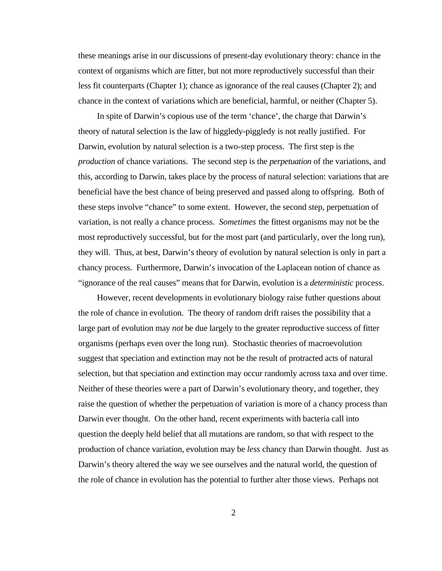these meanings arise in our discussions of present-day evolutionary theory: chance in the context of organisms which are fitter, but not more reproductively successful than their less fit counterparts (Chapter 1); chance as ignorance of the real causes (Chapter 2); and chance in the context of variations which are beneficial, harmful, or neither (Chapter 5).

In spite of Darwin's copious use of the term 'chance', the charge that Darwin's theory of natural selection is the law of higgledy-piggledy is not really justified. For Darwin, evolution by natural selection is a two-step process. The first step is the *production* of chance variations. The second step is the *perpetuation* of the variations, and this, according to Darwin, takes place by the process of natural selection: variations that are beneficial have the best chance of being preserved and passed along to offspring. Both of these steps involve "chance" to some extent. However, the second step, perpetuation of variation, is not really a chance process. *Sometimes* the fittest organisms may not be the most reproductively successful, but for the most part (and particularly, over the long run), they will. Thus, at best, Darwin's theory of evolution by natural selection is only in part a chancy process. Furthermore, Darwin's invocation of the Laplacean notion of chance as "ignorance of the real causes" means that for Darwin, evolution is a *deterministic* process.

However, recent developments in evolutionary biology raise futher questions about the role of chance in evolution. The theory of random drift raises the possibility that a large part of evolution may *not* be due largely to the greater reproductive success of fitter organisms (perhaps even over the long run). Stochastic theories of macroevolution suggest that speciation and extinction may not be the result of protracted acts of natural selection, but that speciation and extinction may occur randomly across taxa and over time. Neither of these theories were a part of Darwin's evolutionary theory, and together, they raise the question of whether the perpetuation of variation is more of a chancy process than Darwin ever thought. On the other hand, recent experiments with bacteria call into question the deeply held belief that all mutations are random, so that with respect to the production of chance variation, evolution may be *less* chancy than Darwin thought. Just as Darwin's theory altered the way we see ourselves and the natural world, the question of the role of chance in evolution has the potential to further alter those views. Perhaps not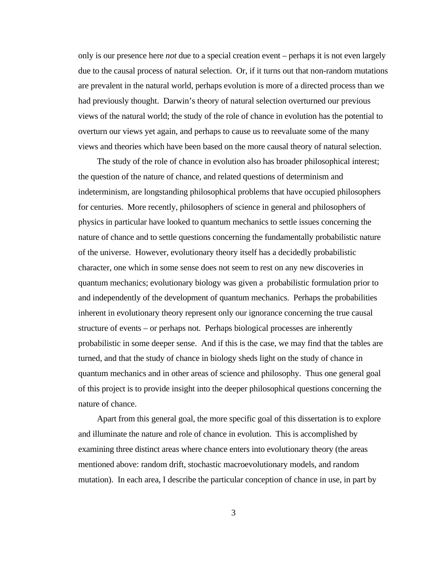only is our presence here *not* due to a special creation event – perhaps it is not even largely due to the causal process of natural selection. Or, if it turns out that non-random mutations are prevalent in the natural world, perhaps evolution is more of a directed process than we had previously thought. Darwin's theory of natural selection overturned our previous views of the natural world; the study of the role of chance in evolution has the potential to overturn our views yet again, and perhaps to cause us to reevaluate some of the many views and theories which have been based on the more causal theory of natural selection.

The study of the role of chance in evolution also has broader philosophical interest; the question of the nature of chance, and related questions of determinism and indeterminism, are longstanding philosophical problems that have occupied philosophers for centuries. More recently, philosophers of science in general and philosophers of physics in particular have looked to quantum mechanics to settle issues concerning the nature of chance and to settle questions concerning the fundamentally probabilistic nature of the universe. However, evolutionary theory itself has a decidedly probabilistic character, one which in some sense does not seem to rest on any new discoveries in quantum mechanics; evolutionary biology was given a probabilistic formulation prior to and independently of the development of quantum mechanics. Perhaps the probabilities inherent in evolutionary theory represent only our ignorance concerning the true causal structure of events – or perhaps not. Perhaps biological processes are inherently probabilistic in some deeper sense. And if this is the case, we may find that the tables are turned, and that the study of chance in biology sheds light on the study of chance in quantum mechanics and in other areas of science and philosophy. Thus one general goal of this project is to provide insight into the deeper philosophical questions concerning the nature of chance.

Apart from this general goal, the more specific goal of this dissertation is to explore and illuminate the nature and role of chance in evolution. This is accomplished by examining three distinct areas where chance enters into evolutionary theory (the areas mentioned above: random drift, stochastic macroevolutionary models, and random mutation). In each area, I describe the particular conception of chance in use, in part by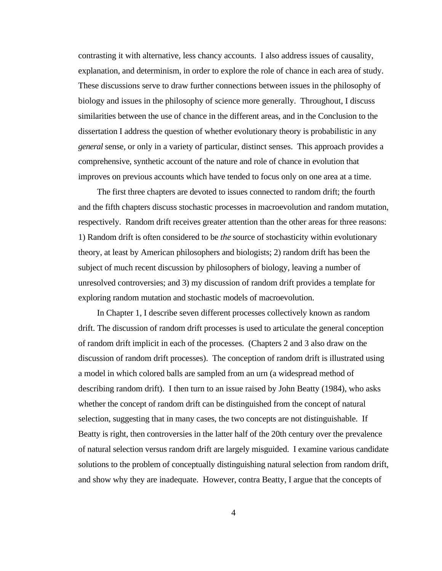contrasting it with alternative, less chancy accounts. I also address issues of causality, explanation, and determinism, in order to explore the role of chance in each area of study. These discussions serve to draw further connections between issues in the philosophy of biology and issues in the philosophy of science more generally. Throughout, I discuss similarities between the use of chance in the different areas, and in the Conclusion to the dissertation I address the question of whether evolutionary theory is probabilistic in any *general* sense, or only in a variety of particular, distinct senses. This approach provides a comprehensive, synthetic account of the nature and role of chance in evolution that improves on previous accounts which have tended to focus only on one area at a time.

The first three chapters are devoted to issues connected to random drift; the fourth and the fifth chapters discuss stochastic processes in macroevolution and random mutation, respectively. Random drift receives greater attention than the other areas for three reasons: 1) Random drift is often considered to be *the* source of stochasticity within evolutionary theory, at least by American philosophers and biologists; 2) random drift has been the subject of much recent discussion by philosophers of biology, leaving a number of unresolved controversies; and 3) my discussion of random drift provides a template for exploring random mutation and stochastic models of macroevolution.

In Chapter 1, I describe seven different processes collectively known as random drift. The discussion of random drift processes is used to articulate the general conception of random drift implicit in each of the processes. (Chapters 2 and 3 also draw on the discussion of random drift processes). The conception of random drift is illustrated using a model in which colored balls are sampled from an urn (a widespread method of describing random drift). I then turn to an issue raised by John Beatty (1984), who asks whether the concept of random drift can be distinguished from the concept of natural selection, suggesting that in many cases, the two concepts are not distinguishable. If Beatty is right, then controversies in the latter half of the 20th century over the prevalence of natural selection versus random drift are largely misguided. I examine various candidate solutions to the problem of conceptually distinguishing natural selection from random drift, and show why they are inadequate. However, contra Beatty, I argue that the concepts of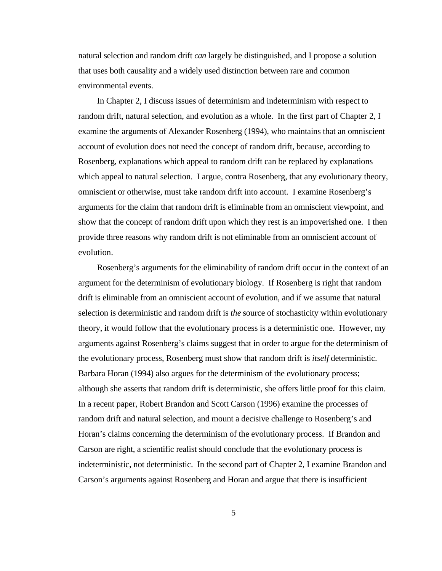natural selection and random drift *can* largely be distinguished, and I propose a solution that uses both causality and a widely used distinction between rare and common environmental events.

In Chapter 2, I discuss issues of determinism and indeterminism with respect to random drift, natural selection, and evolution as a whole. In the first part of Chapter 2, I examine the arguments of Alexander Rosenberg (1994), who maintains that an omniscient account of evolution does not need the concept of random drift, because, according to Rosenberg, explanations which appeal to random drift can be replaced by explanations which appeal to natural selection. I argue, contra Rosenberg, that any evolutionary theory, omniscient or otherwise, must take random drift into account. I examine Rosenberg's arguments for the claim that random drift is eliminable from an omniscient viewpoint, and show that the concept of random drift upon which they rest is an impoverished one. I then provide three reasons why random drift is not eliminable from an omniscient account of evolution.

Rosenberg's arguments for the eliminability of random drift occur in the context of an argument for the determinism of evolutionary biology. If Rosenberg is right that random drift is eliminable from an omniscient account of evolution, and if we assume that natural selection is deterministic and random drift is *the* source of stochasticity within evolutionary theory, it would follow that the evolutionary process is a deterministic one. However, my arguments against Rosenberg's claims suggest that in order to argue for the determinism of the evolutionary process, Rosenberg must show that random drift is *itself* deterministic. Barbara Horan (1994) also argues for the determinism of the evolutionary process; although she asserts that random drift is deterministic, she offers little proof for this claim. In a recent paper, Robert Brandon and Scott Carson (1996) examine the processes of random drift and natural selection, and mount a decisive challenge to Rosenberg's and Horan's claims concerning the determinism of the evolutionary process. If Brandon and Carson are right, a scientific realist should conclude that the evolutionary process is indeterministic, not deterministic. In the second part of Chapter 2, I examine Brandon and Carson's arguments against Rosenberg and Horan and argue that there is insufficient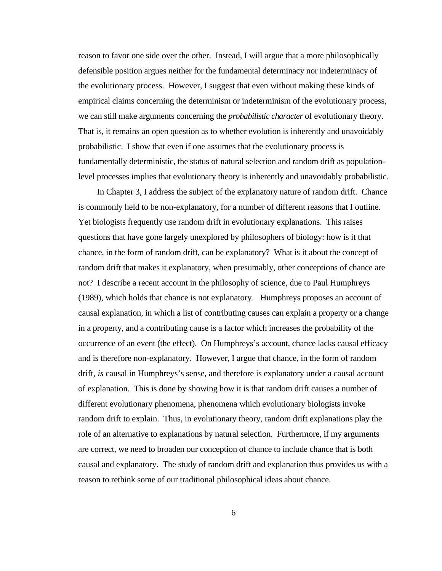reason to favor one side over the other. Instead, I will argue that a more philosophically defensible position argues neither for the fundamental determinacy nor indeterminacy of the evolutionary process. However, I suggest that even without making these kinds of empirical claims concerning the determinism or indeterminism of the evolutionary process, we can still make arguments concerning the *probabilistic character* of evolutionary theory. That is, it remains an open question as to whether evolution is inherently and unavoidably probabilistic. I show that even if one assumes that the evolutionary process is fundamentally deterministic, the status of natural selection and random drift as populationlevel processes implies that evolutionary theory is inherently and unavoidably probabilistic.

In Chapter 3, I address the subject of the explanatory nature of random drift. Chance is commonly held to be non-explanatory, for a number of different reasons that I outline. Yet biologists frequently use random drift in evolutionary explanations. This raises questions that have gone largely unexplored by philosophers of biology: how is it that chance, in the form of random drift, can be explanatory? What is it about the concept of random drift that makes it explanatory, when presumably, other conceptions of chance are not? I describe a recent account in the philosophy of science, due to Paul Humphreys (1989), which holds that chance is not explanatory. Humphreys proposes an account of causal explanation, in which a list of contributing causes can explain a property or a change in a property, and a contributing cause is a factor which increases the probability of the occurrence of an event (the effect). On Humphreys's account, chance lacks causal efficacy and is therefore non-explanatory. However, I argue that chance, in the form of random drift, *is* causal in Humphreys's sense, and therefore is explanatory under a causal account of explanation. This is done by showing how it is that random drift causes a number of different evolutionary phenomena, phenomena which evolutionary biologists invoke random drift to explain. Thus, in evolutionary theory, random drift explanations play the role of an alternative to explanations by natural selection. Furthermore, if my arguments are correct, we need to broaden our conception of chance to include chance that is both causal and explanatory. The study of random drift and explanation thus provides us with a reason to rethink some of our traditional philosophical ideas about chance.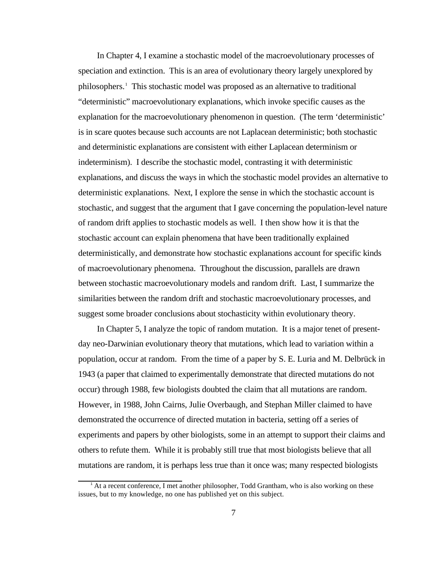In Chapter 4, I examine a stochastic model of the macroevolutionary processes of speciation and extinction. This is an area of evolutionary theory largely unexplored by philosophers.<sup>1</sup> This stochastic model was proposed as an alternative to traditional "deterministic" macroevolutionary explanations, which invoke specific causes as the explanation for the macroevolutionary phenomenon in question. (The term 'deterministic' is in scare quotes because such accounts are not Laplacean deterministic; both stochastic and deterministic explanations are consistent with either Laplacean determinism or indeterminism). I describe the stochastic model, contrasting it with deterministic explanations, and discuss the ways in which the stochastic model provides an alternative to deterministic explanations. Next, I explore the sense in which the stochastic account is stochastic, and suggest that the argument that I gave concerning the population-level nature of random drift applies to stochastic models as well. I then show how it is that the stochastic account can explain phenomena that have been traditionally explained deterministically, and demonstrate how stochastic explanations account for specific kinds of macroevolutionary phenomena. Throughout the discussion, parallels are drawn between stochastic macroevolutionary models and random drift. Last, I summarize the similarities between the random drift and stochastic macroevolutionary processes, and suggest some broader conclusions about stochasticity within evolutionary theory.

In Chapter 5, I analyze the topic of random mutation. It is a major tenet of presentday neo-Darwinian evolutionary theory that mutations, which lead to variation within a population, occur at random. From the time of a paper by S. E. Luria and M. Delbrück in 1943 (a paper that claimed to experimentally demonstrate that directed mutations do not occur) through 1988, few biologists doubted the claim that all mutations are random. However, in 1988, John Cairns, Julie Overbaugh, and Stephan Miller claimed to have demonstrated the occurrence of directed mutation in bacteria, setting off a series of experiments and papers by other biologists, some in an attempt to support their claims and others to refute them. While it is probably still true that most biologists believe that all mutations are random, it is perhaps less true than it once was; many respected biologists

At a recent conference, I met another philosopher, Todd Grantham, who is also working on these issues, but to my knowledge, no one has published yet on this subject.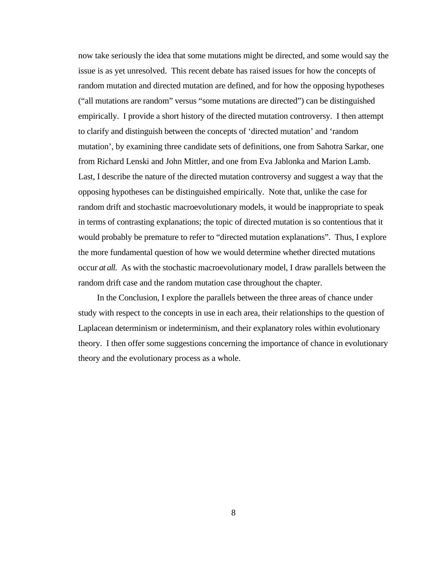now take seriously the idea that some mutations might be directed, and some would say the issue is as yet unresolved. This recent debate has raised issues for how the concepts of random mutation and directed mutation are defined, and for how the opposing hypotheses ("all mutations are random" versus "some mutations are directed") can be distinguished empirically. I provide a short history of the directed mutation controversy. I then attempt to clarify and distinguish between the concepts of 'directed mutation' and 'random mutation', by examining three candidate sets of definitions, one from Sahotra Sarkar, one from Richard Lenski and John Mittler, and one from Eva Jablonka and Marion Lamb. Last, I describe the nature of the directed mutation controversy and suggest a way that the opposing hypotheses can be distinguished empirically. Note that, unlike the case for random drift and stochastic macroevolutionary models, it would be inappropriate to speak in terms of contrasting explanations; the topic of directed mutation is so contentious that it would probably be premature to refer to "directed mutation explanations". Thus, I explore the more fundamental question of how we would determine whether directed mutations occur *at all*. As with the stochastic macroevolutionary model, I draw parallels between the random drift case and the random mutation case throughout the chapter.

In the Conclusion, I explore the parallels between the three areas of chance under study with respect to the concepts in use in each area, their relationships to the question of Laplacean determinism or indeterminism, and their explanatory roles within evolutionary theory. I then offer some suggestions concerning the importance of chance in evolutionary theory and the evolutionary process as a whole.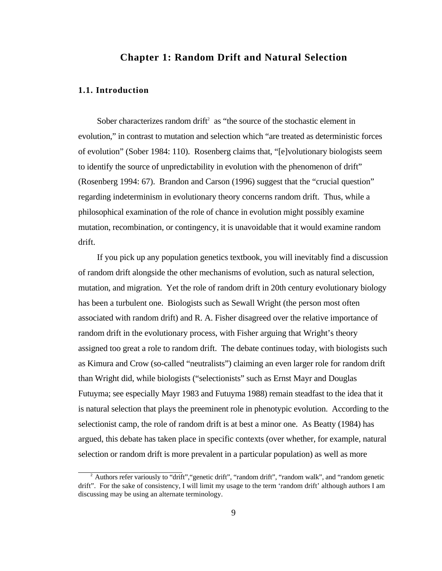## **Chapter 1: Random Drift and Natural Selection**

#### **1.1. Introduction**

Sober characterizes random drift<sup>2</sup> as "the source of the stochastic element in evolution," in contrast to mutation and selection which "are treated as deterministic forces of evolution" (Sober 1984: 110). Rosenberg claims that, "[e]volutionary biologists seem to identify the source of unpredictability in evolution with the phenomenon of drift" (Rosenberg 1994: 67). Brandon and Carson (1996) suggest that the "crucial question" regarding indeterminism in evolutionary theory concerns random drift. Thus, while a philosophical examination of the role of chance in evolution might possibly examine mutation, recombination, or contingency, it is unavoidable that it would examine random drift.

If you pick up any population genetics textbook, you will inevitably find a discussion of random drift alongside the other mechanisms of evolution, such as natural selection, mutation, and migration. Yet the role of random drift in 20th century evolutionary biology has been a turbulent one. Biologists such as Sewall Wright (the person most often associated with random drift) and R. A. Fisher disagreed over the relative importance of random drift in the evolutionary process, with Fisher arguing that Wright's theory assigned too great a role to random drift. The debate continues today, with biologists such as Kimura and Crow (so-called "neutralists") claiming an even larger role for random drift than Wright did, while biologists ("selectionists" such as Ernst Mayr and Douglas Futuyma; see especially Mayr 1983 and Futuyma 1988) remain steadfast to the idea that it is natural selection that plays the preeminent role in phenotypic evolution. According to the selectionist camp, the role of random drift is at best a minor one. As Beatty (1984) has argued, this debate has taken place in specific contexts (over whether, for example, natural selection or random drift is more prevalent in a particular population) as well as more

 $2^2$  Authors refer variously to "drift", "genetic drift", "random drift", "random walk", and "random genetic drift". For the sake of consistency, I will limit my usage to the term 'random drift' although authors I am discussing may be using an alternate terminology.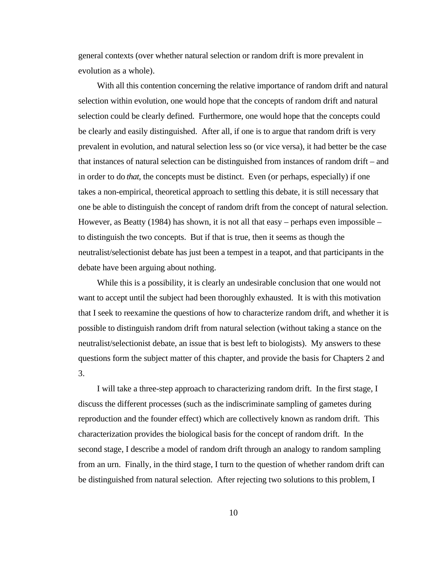general contexts (over whether natural selection or random drift is more prevalent in evolution as a whole).

With all this contention concerning the relative importance of random drift and natural selection within evolution, one would hope that the concepts of random drift and natural selection could be clearly defined. Furthermore, one would hope that the concepts could be clearly and easily distinguished. After all, if one is to argue that random drift is very prevalent in evolution, and natural selection less so (or vice versa), it had better be the case that instances of natural selection can be distinguished from instances of random drift – and in order to do *that*, the concepts must be distinct. Even (or perhaps, especially) if one takes a non-empirical, theoretical approach to settling this debate, it is still necessary that one be able to distinguish the concept of random drift from the concept of natural selection. However, as Beatty (1984) has shown, it is not all that easy – perhaps even impossible – to distinguish the two concepts. But if that is true, then it seems as though the neutralist/selectionist debate has just been a tempest in a teapot, and that participants in the debate have been arguing about nothing.

While this is a possibility, it is clearly an undesirable conclusion that one would not want to accept until the subject had been thoroughly exhausted. It is with this motivation that I seek to reexamine the questions of how to characterize random drift, and whether it is possible to distinguish random drift from natural selection (without taking a stance on the neutralist/selectionist debate, an issue that is best left to biologists). My answers to these questions form the subject matter of this chapter, and provide the basis for Chapters 2 and 3.

I will take a three-step approach to characterizing random drift. In the first stage, I discuss the different processes (such as the indiscriminate sampling of gametes during reproduction and the founder effect) which are collectively known as random drift. This characterization provides the biological basis for the concept of random drift. In the second stage, I describe a model of random drift through an analogy to random sampling from an urn. Finally, in the third stage, I turn to the question of whether random drift can be distinguished from natural selection. After rejecting two solutions to this problem, I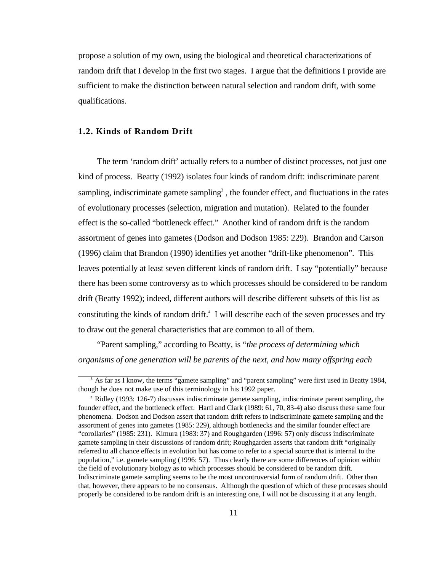propose a solution of my own, using the biological and theoretical characterizations of random drift that I develop in the first two stages. I argue that the definitions I provide are sufficient to make the distinction between natural selection and random drift, with some qualifications.

#### **1.2. Kinds of Random Drift**

The term 'random drift' actually refers to a number of distinct processes, not just one kind of process. Beatty (1992) isolates four kinds of random drift: indiscriminate parent sampling, indiscriminate gamete sampling<sup>3</sup>, the founder effect, and fluctuations in the rates of evolutionary processes (selection, migration and mutation). Related to the founder effect is the so-called "bottleneck effect." Another kind of random drift is the random assortment of genes into gametes (Dodson and Dodson 1985: 229). Brandon and Carson (1996) claim that Brandon (1990) identifies yet another "drift-like phenomenon". This leaves potentially at least seven different kinds of random drift. I say "potentially" because there has been some controversy as to which processes should be considered to be random drift (Beatty 1992); indeed, different authors will describe different subsets of this list as constituting the kinds of random drift.<sup>4</sup> I will describe each of the seven processes and try to draw out the general characteristics that are common to all of them.

"Parent sampling," according to Beatty, is "*the process of determining which organisms of one generation will be parents of the next, and how many offspring each*

<sup>&</sup>lt;sup>3</sup> As far as I know, the terms "gamete sampling" and "parent sampling" were first used in Beatty 1984, though he does not make use of this terminology in his 1992 paper.

<sup>4</sup> Ridley (1993: 126-7) discusses indiscriminate gamete sampling, indiscriminate parent sampling, the founder effect, and the bottleneck effect. Hartl and Clark (1989: 61, 70, 83-4) also discuss these same four phenomena. Dodson and Dodson assert that random drift refers to indiscriminate gamete sampling and the assortment of genes into gametes (1985: 229), although bottlenecks and the similar founder effect are "corollaries" (1985: 231). Kimura (1983: 37) and Roughgarden (1996: 57) only discuss indiscriminate gamete sampling in their discussions of random drift; Roughgarden asserts that random drift "originally referred to all chance effects in evolution but has come to refer to a special source that is internal to the population," i.e. gamete sampling (1996: 57). Thus clearly there are some differences of opinion within the field of evolutionary biology as to which processes should be considered to be random drift. Indiscriminate gamete sampling seems to be the most uncontroversial form of random drift. Other than that, however, there appears to be no consensus. Although the question of which of these processes should properly be considered to be random drift is an interesting one, I will not be discussing it at any length.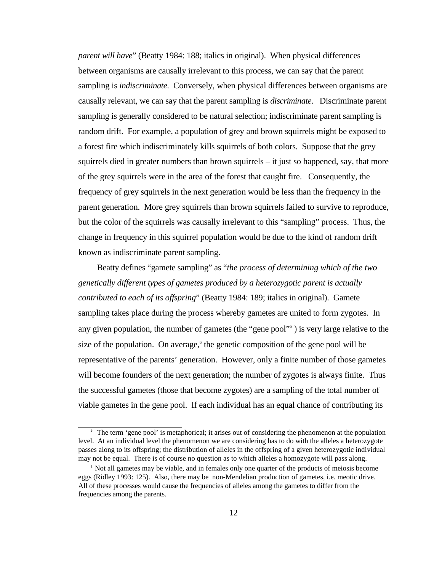*parent will have*" (Beatty 1984: 188; italics in original). When physical differences between organisms are causally irrelevant to this process, we can say that the parent sampling is *indiscriminate*. Conversely, when physical differences between organisms are causally relevant, we can say that the parent sampling is *discriminate*. Discriminate parent sampling is generally considered to be natural selection; indiscriminate parent sampling is random drift. For example, a population of grey and brown squirrels might be exposed to a forest fire which indiscriminately kills squirrels of both colors. Suppose that the grey squirrels died in greater numbers than brown squirrels – it just so happened, say, that more of the grey squirrels were in the area of the forest that caught fire. Consequently, the frequency of grey squirrels in the next generation would be less than the frequency in the parent generation. More grey squirrels than brown squirrels failed to survive to reproduce, but the color of the squirrels was causally irrelevant to this "sampling" process. Thus, the change in frequency in this squirrel population would be due to the kind of random drift known as indiscriminate parent sampling.

Beatty defines "gamete sampling" as "*the process of determining which of the two genetically different types of gametes produced by a heterozygotic parent is actually contributed to each of its offspring*" (Beatty 1984: 189; italics in original). Gamete sampling takes place during the process whereby gametes are united to form zygotes. In any given population, the number of gametes (the "gene pool"<sup>5</sup>) is very large relative to the size of the population. On average,<sup>6</sup> the genetic composition of the gene pool will be representative of the parents' generation. However, only a finite number of those gametes will become founders of the next generation; the number of zygotes is always finite. Thus the successful gametes (those that become zygotes) are a sampling of the total number of viable gametes in the gene pool. If each individual has an equal chance of contributing its

<sup>&</sup>lt;sup>5</sup> The term 'gene pool' is metaphorical; it arises out of considering the phenomenon at the population level. At an individual level the phenomenon we are considering has to do with the alleles a heterozygote passes along to its offspring; the distribution of alleles in the offspring of a given heterozygotic individual may not be equal. There is of course no question as to which alleles a homozygote will pass along.

<sup>&</sup>lt;sup>6</sup> Not all gametes may be viable, and in females only one quarter of the products of meiosis become eggs (Ridley 1993: 125). Also, there may be non-Mendelian production of gametes, i.e. meotic drive. All of these processes would cause the frequencies of alleles among the gametes to differ from the frequencies among the parents.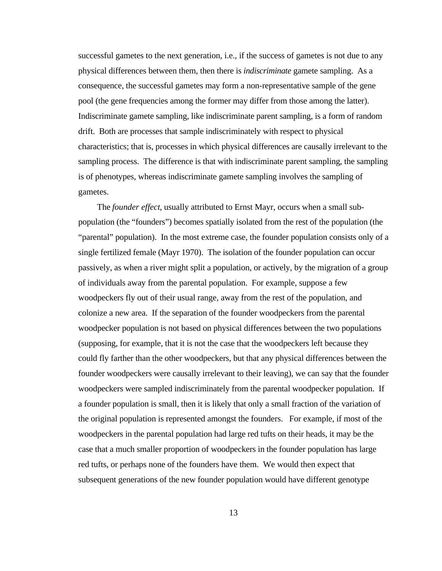successful gametes to the next generation, i.e., if the success of gametes is not due to any physical differences between them, then there is *indiscriminate* gamete sampling. As a consequence, the successful gametes may form a non-representative sample of the gene pool (the gene frequencies among the former may differ from those among the latter). Indiscriminate gamete sampling, like indiscriminate parent sampling, is a form of random drift. Both are processes that sample indiscriminately with respect to physical characteristics; that is, processes in which physical differences are causally irrelevant to the sampling process. The difference is that with indiscriminate parent sampling, the sampling is of phenotypes, whereas indiscriminate gamete sampling involves the sampling of gametes.

The *founder effect*, usually attributed to Ernst Mayr, occurs when a small subpopulation (the "founders") becomes spatially isolated from the rest of the population (the "parental" population). In the most extreme case, the founder population consists only of a single fertilized female (Mayr 1970). The isolation of the founder population can occur passively, as when a river might split a population, or actively, by the migration of a group of individuals away from the parental population. For example, suppose a few woodpeckers fly out of their usual range, away from the rest of the population, and colonize a new area. If the separation of the founder woodpeckers from the parental woodpecker population is not based on physical differences between the two populations (supposing, for example, that it is not the case that the woodpeckers left because they could fly farther than the other woodpeckers, but that any physical differences between the founder woodpeckers were causally irrelevant to their leaving), we can say that the founder woodpeckers were sampled indiscriminately from the parental woodpecker population. If a founder population is small, then it is likely that only a small fraction of the variation of the original population is represented amongst the founders. For example, if most of the woodpeckers in the parental population had large red tufts on their heads, it may be the case that a much smaller proportion of woodpeckers in the founder population has large red tufts, or perhaps none of the founders have them. We would then expect that subsequent generations of the new founder population would have different genotype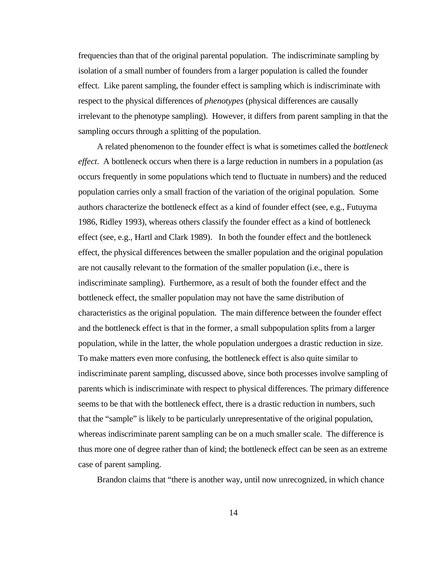frequencies than that of the original parental population. The indiscriminate sampling by isolation of a small number of founders from a larger population is called the founder effect. Like parent sampling, the founder effect is sampling which is indiscriminate with respect to the physical differences of *phenotypes* (physical differences are causally irrelevant to the phenotype sampling). However, it differs from parent sampling in that the sampling occurs through a splitting of the population.

A related phenomenon to the founder effect is what is sometimes called the *bottleneck effect*. A bottleneck occurs when there is a large reduction in numbers in a population (as occurs frequently in some populations which tend to fluctuate in numbers) and the reduced population carries only a small fraction of the variation of the original population. Some authors characterize the bottleneck effect as a kind of founder effect (see, e.g., Futuyma 1986, Ridley 1993), whereas others classify the founder effect as a kind of bottleneck effect (see, e.g., Hartl and Clark 1989). In both the founder effect and the bottleneck effect, the physical differences between the smaller population and the original population are not causally relevant to the formation of the smaller population (i.e., there is indiscriminate sampling). Furthermore, as a result of both the founder effect and the bottleneck effect, the smaller population may not have the same distribution of characteristics as the original population. The main difference between the founder effect and the bottleneck effect is that in the former, a small subpopulation splits from a larger population, while in the latter, the whole population undergoes a drastic reduction in size. To make matters even more confusing, the bottleneck effect is also quite similar to indiscriminate parent sampling, discussed above, since both processes involve sampling of parents which is indiscriminate with respect to physical differences. The primary difference seems to be that with the bottleneck effect, there is a drastic reduction in numbers, such that the "sample" is likely to be particularly unrepresentative of the original population, whereas indiscriminate parent sampling can be on a much smaller scale. The difference is thus more one of degree rather than of kind; the bottleneck effect can be seen as an extreme case of parent sampling.

Brandon claims that "there is another way, until now unrecognized, in which chance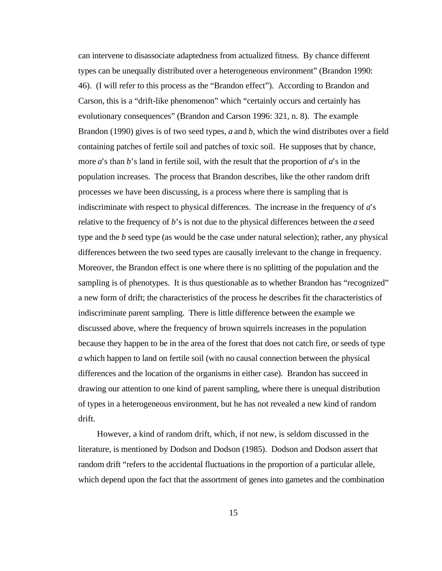can intervene to disassociate adaptedness from actualized fitness. By chance different types can be unequally distributed over a heterogeneous environment" (Brandon 1990: 46). (I will refer to this process as the "Brandon effect"). According to Brandon and Carson, this is a "drift-like phenomenon" which "certainly occurs and certainly has evolutionary consequences" (Brandon and Carson 1996: 321, n. 8). The example Brandon (1990) gives is of two seed types, *a* and *b*, which the wind distributes over a field containing patches of fertile soil and patches of toxic soil. He supposes that by chance, more *a*'s than *b*'s land in fertile soil, with the result that the proportion of *a*'s in the population increases. The process that Brandon describes, like the other random drift processes we have been discussing, is a process where there is sampling that is indiscriminate with respect to physical differences. The increase in the frequency of *a*'s relative to the frequency of *b*'s is not due to the physical differences between the *a* seed type and the *b* seed type (as would be the case under natural selection); rather, any physical differences between the two seed types are causally irrelevant to the change in frequency. Moreover, the Brandon effect is one where there is no splitting of the population and the sampling is of phenotypes. It is thus questionable as to whether Brandon has "recognized" a new form of drift; the characteristics of the process he describes fit the characteristics of indiscriminate parent sampling. There is little difference between the example we discussed above, where the frequency of brown squirrels increases in the population because they happen to be in the area of the forest that does not catch fire, or seeds of type *a* which happen to land on fertile soil (with no causal connection between the physical differences and the location of the organisms in either case). Brandon has succeed in drawing our attention to one kind of parent sampling, where there is unequal distribution of types in a heterogeneous environment, but he has not revealed a new kind of random drift.

However, a kind of random drift, which, if not new, is seldom discussed in the literature, is mentioned by Dodson and Dodson (1985). Dodson and Dodson assert that random drift "refers to the accidental fluctuations in the proportion of a particular allele, which depend upon the fact that the assortment of genes into gametes and the combination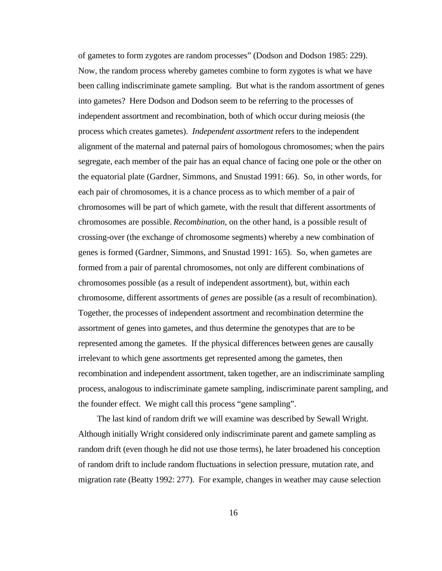of gametes to form zygotes are random processes" (Dodson and Dodson 1985: 229). Now, the random process whereby gametes combine to form zygotes is what we have been calling indiscriminate gamete sampling. But what is the random assortment of genes into gametes? Here Dodson and Dodson seem to be referring to the processes of independent assortment and recombination, both of which occur during meiosis (the process which creates gametes). *Independent assortment* refers to the independent alignment of the maternal and paternal pairs of homologous chromosomes; when the pairs segregate, each member of the pair has an equal chance of facing one pole or the other on the equatorial plate (Gardner, Simmons, and Snustad 1991: 66). So, in other words, for each pair of chromosomes, it is a chance process as to which member of a pair of chromosomes will be part of which gamete, with the result that different assortments of chromosomes are possible. *Recombination*, on the other hand, is a possible result of crossing-over (the exchange of chromosome segments) whereby a new combination of genes is formed (Gardner, Simmons, and Snustad 1991: 165). So, when gametes are formed from a pair of parental chromosomes, not only are different combinations of chromosomes possible (as a result of independent assortment), but, within each chromosome, different assortments of *genes* are possible (as a result of recombination). Together, the processes of independent assortment and recombination determine the assortment of genes into gametes, and thus determine the genotypes that are to be represented among the gametes. If the physical differences between genes are causally irrelevant to which gene assortments get represented among the gametes, then recombination and independent assortment, taken together, are an indiscriminate sampling process, analogous to indiscriminate gamete sampling, indiscriminate parent sampling, and the founder effect. We might call this process "gene sampling".

The last kind of random drift we will examine was described by Sewall Wright. Although initially Wright considered only indiscriminate parent and gamete sampling as random drift (even though he did not use those terms), he later broadened his conception of random drift to include random fluctuations in selection pressure, mutation rate, and migration rate (Beatty 1992: 277). For example, changes in weather may cause selection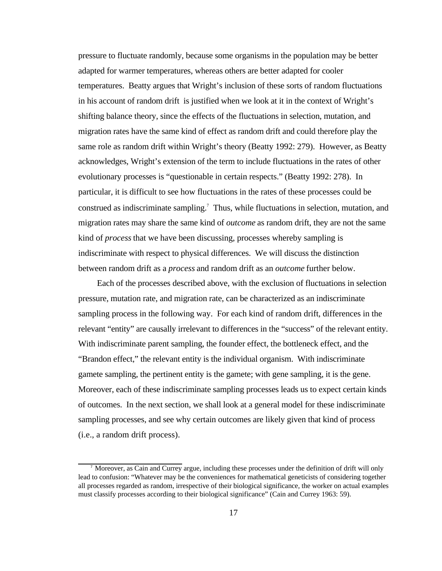pressure to fluctuate randomly, because some organisms in the population may be better adapted for warmer temperatures, whereas others are better adapted for cooler temperatures. Beatty argues that Wright's inclusion of these sorts of random fluctuations in his account of random drift is justified when we look at it in the context of Wright's shifting balance theory, since the effects of the fluctuations in selection, mutation, and migration rates have the same kind of effect as random drift and could therefore play the same role as random drift within Wright's theory (Beatty 1992: 279). However, as Beatty acknowledges, Wright's extension of the term to include fluctuations in the rates of other evolutionary processes is "questionable in certain respects." (Beatty 1992: 278). In particular, it is difficult to see how fluctuations in the rates of these processes could be construed as indiscriminate sampling.<sup>7</sup> Thus, while fluctuations in selection, mutation, and migration rates may share the same kind of *outcome* as random drift, they are not the same kind of *process* that we have been discussing, processes whereby sampling is indiscriminate with respect to physical differences. We will discuss the distinction between random drift as a *process* and random drift as an *outcome* further below.

Each of the processes described above, with the exclusion of fluctuations in selection pressure, mutation rate, and migration rate, can be characterized as an indiscriminate sampling process in the following way. For each kind of random drift, differences in the relevant "entity" are causally irrelevant to differences in the "success" of the relevant entity. With indiscriminate parent sampling, the founder effect, the bottleneck effect, and the "Brandon effect," the relevant entity is the individual organism. With indiscriminate gamete sampling, the pertinent entity is the gamete; with gene sampling, it is the gene. Moreover, each of these indiscriminate sampling processes leads us to expect certain kinds of outcomes. In the next section, we shall look at a general model for these indiscriminate sampling processes, and see why certain outcomes are likely given that kind of process (i.e., a random drift process).

<sup>7</sup> Moreover, as Cain and Currey argue, including these processes under the definition of drift will only lead to confusion: "Whatever may be the conveniences for mathematical geneticists of considering together all processes regarded as random, irrespective of their biological significance, the worker on actual examples must classify processes according to their biological significance" (Cain and Currey 1963: 59).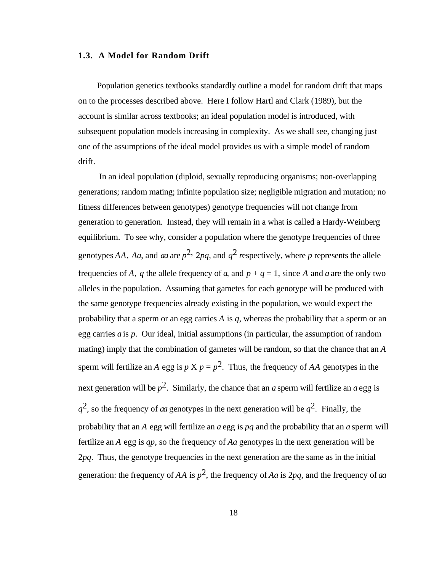## **1.3. A Model for Random Drift**

Population genetics textbooks standardly outline a model for random drift that maps on to the processes described above. Here I follow Hartl and Clark (1989), but the account is similar across textbooks; an ideal population model is introduced, with subsequent population models increasing in complexity. As we shall see, changing just one of the assumptions of the ideal model provides us with a simple model of random drift.

In an ideal population (diploid, sexually reproducing organisms; non-overlapping generations; random mating; infinite population size; negligible migration and mutation; no fitness differences between genotypes) genotype frequencies will not change from generation to generation. Instead, they will remain in a what is called a Hardy-Weinberg equilibrium. To see why, consider a population where the genotype frequencies of three genotypes AA, Aa, and aa are  $p^2$ , 2pq, and  $q^2$  respectively, where p represents the allele frequencies of *A*, *q* the allele frequency of *a*, and  $p + q = 1$ , since *A* and *a* are the only two alleles in the population. Assuming that gametes for each genotype will be produced with the same genotype frequencies already existing in the population, we would expect the probability that a sperm or an egg carries *A* is *q*, whereas the probability that a sperm or an egg carries *a* is *p*. Our ideal, initial assumptions (in particular, the assumption of random mating) imply that the combination of gametes will be random, so that the chance that an *A* sperm will fertilize an *A* egg is  $p \times p = p^2$ . Thus, the frequency of *AA* genotypes in the next generation will be  $p^2$ . Similarly, the chance that an *a* sperm will fertilize an *a* egg is  $q^2$ , so the frequency of *aa* genotypes in the next generation will be  $q^2$ . Finally, the probability that an *A* egg will fertilize an *a* egg is *pq* and the probability that an *a* sperm will fertilize an *A* egg is *qp*, so the frequency of *Aa* genotypes in the next generation will be 2*pq*. Thus, the genotype frequencies in the next generation are the same as in the initial generation: the frequency of *AA* is *p* 2, the frequency of *Aa* is 2*pq*, and the frequency of *aa*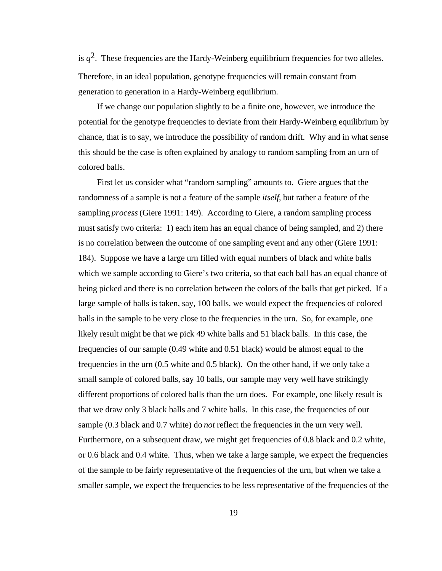is  $q^2$ . These frequencies are the Hardy-Weinberg equilibrium frequencies for two alleles. Therefore, in an ideal population, genotype frequencies will remain constant from generation to generation in a Hardy-Weinberg equilibrium.

If we change our population slightly to be a finite one, however, we introduce the potential for the genotype frequencies to deviate from their Hardy-Weinberg equilibrium by chance, that is to say, we introduce the possibility of random drift. Why and in what sense this should be the case is often explained by analogy to random sampling from an urn of colored balls.

First let us consider what "random sampling" amounts to. Giere argues that the randomness of a sample is not a feature of the sample *itself*, but rather a feature of the sampling *process* (Giere 1991: 149). According to Giere, a random sampling process must satisfy two criteria: 1) each item has an equal chance of being sampled, and 2) there is no correlation between the outcome of one sampling event and any other (Giere 1991: 184). Suppose we have a large urn filled with equal numbers of black and white balls which we sample according to Giere's two criteria, so that each ball has an equal chance of being picked and there is no correlation between the colors of the balls that get picked. If a large sample of balls is taken, say, 100 balls, we would expect the frequencies of colored balls in the sample to be very close to the frequencies in the urn. So, for example, one likely result might be that we pick 49 white balls and 51 black balls. In this case, the frequencies of our sample (0.49 white and 0.51 black) would be almost equal to the frequencies in the urn (0.5 white and 0.5 black). On the other hand, if we only take a small sample of colored balls, say 10 balls, our sample may very well have strikingly different proportions of colored balls than the urn does. For example, one likely result is that we draw only 3 black balls and 7 white balls. In this case, the frequencies of our sample (0.3 black and 0.7 white) do *not* reflect the frequencies in the urn very well. Furthermore, on a subsequent draw, we might get frequencies of 0.8 black and 0.2 white, or 0.6 black and 0.4 white. Thus, when we take a large sample, we expect the frequencies of the sample to be fairly representative of the frequencies of the urn, but when we take a smaller sample, we expect the frequencies to be less representative of the frequencies of the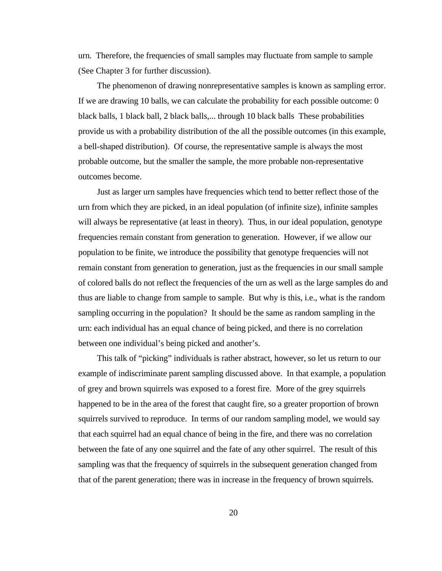urn. Therefore, the frequencies of small samples may fluctuate from sample to sample (See Chapter 3 for further discussion).

The phenomenon of drawing nonrepresentative samples is known as sampling error. If we are drawing 10 balls, we can calculate the probability for each possible outcome: 0 black balls, 1 black ball, 2 black balls,... through 10 black balls These probabilities provide us with a probability distribution of the all the possible outcomes (in this example, a bell-shaped distribution). Of course, the representative sample is always the most probable outcome, but the smaller the sample, the more probable non-representative outcomes become.

Just as larger urn samples have frequencies which tend to better reflect those of the urn from which they are picked, in an ideal population (of infinite size), infinite samples will always be representative (at least in theory). Thus, in our ideal population, genotype frequencies remain constant from generation to generation. However, if we allow our population to be finite, we introduce the possibility that genotype frequencies will not remain constant from generation to generation, just as the frequencies in our small sample of colored balls do not reflect the frequencies of the urn as well as the large samples do and thus are liable to change from sample to sample. But why is this, i.e., what is the random sampling occurring in the population? It should be the same as random sampling in the urn: each individual has an equal chance of being picked, and there is no correlation between one individual's being picked and another's.

This talk of "picking" individuals is rather abstract, however, so let us return to our example of indiscriminate parent sampling discussed above. In that example, a population of grey and brown squirrels was exposed to a forest fire. More of the grey squirrels happened to be in the area of the forest that caught fire, so a greater proportion of brown squirrels survived to reproduce. In terms of our random sampling model, we would say that each squirrel had an equal chance of being in the fire, and there was no correlation between the fate of any one squirrel and the fate of any other squirrel. The result of this sampling was that the frequency of squirrels in the subsequent generation changed from that of the parent generation; there was in increase in the frequency of brown squirrels.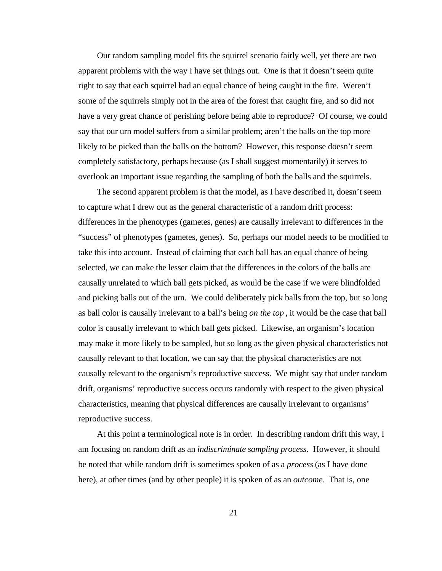Our random sampling model fits the squirrel scenario fairly well, yet there are two apparent problems with the way I have set things out. One is that it doesn't seem quite right to say that each squirrel had an equal chance of being caught in the fire. Weren't some of the squirrels simply not in the area of the forest that caught fire, and so did not have a very great chance of perishing before being able to reproduce? Of course, we could say that our urn model suffers from a similar problem; aren't the balls on the top more likely to be picked than the balls on the bottom? However, this response doesn't seem completely satisfactory, perhaps because (as I shall suggest momentarily) it serves to overlook an important issue regarding the sampling of both the balls and the squirrels.

The second apparent problem is that the model, as I have described it, doesn't seem to capture what I drew out as the general characteristic of a random drift process: differences in the phenotypes (gametes, genes) are causally irrelevant to differences in the "success" of phenotypes (gametes, genes). So, perhaps our model needs to be modified to take this into account. Instead of claiming that each ball has an equal chance of being selected, we can make the lesser claim that the differences in the colors of the balls are causally unrelated to which ball gets picked, as would be the case if we were blindfolded and picking balls out of the urn. We could deliberately pick balls from the top, but so long as ball color is causally irrelevant to a ball's being *on the top* , it would be the case that ball color is causally irrelevant to which ball gets picked. Likewise, an organism's location may make it more likely to be sampled, but so long as the given physical characteristics not causally relevant to that location, we can say that the physical characteristics are not causally relevant to the organism's reproductive success. We might say that under random drift, organisms' reproductive success occurs randomly with respect to the given physical characteristics, meaning that physical differences are causally irrelevant to organisms' reproductive success.

At this point a terminological note is in order. In describing random drift this way, I am focusing on random drift as an *indiscriminate sampling process*. However, it should be noted that while random drift is sometimes spoken of as a *process* (as I have done here), at other times (and by other people) it is spoken of as an *outcome*. That is, one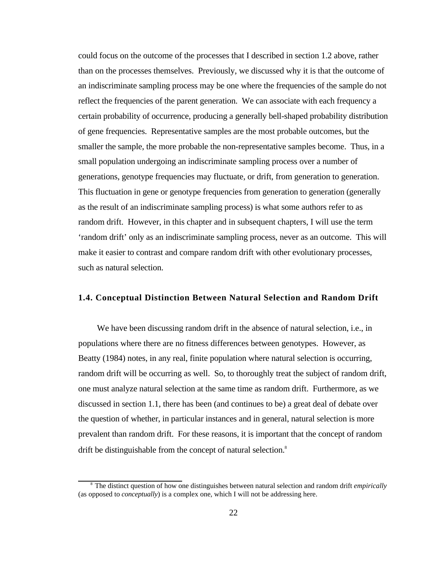could focus on the outcome of the processes that I described in section 1.2 above, rather than on the processes themselves. Previously, we discussed why it is that the outcome of an indiscriminate sampling process may be one where the frequencies of the sample do not reflect the frequencies of the parent generation. We can associate with each frequency a certain probability of occurrence, producing a generally bell-shaped probability distribution of gene frequencies. Representative samples are the most probable outcomes, but the smaller the sample, the more probable the non-representative samples become. Thus, in a small population undergoing an indiscriminate sampling process over a number of generations, genotype frequencies may fluctuate, or drift, from generation to generation. This fluctuation in gene or genotype frequencies from generation to generation (generally as the result of an indiscriminate sampling process) is what some authors refer to as random drift. However, in this chapter and in subsequent chapters, I will use the term 'random drift' only as an indiscriminate sampling process, never as an outcome. This will make it easier to contrast and compare random drift with other evolutionary processes, such as natural selection.

## **1.4. Conceptual Distinction Between Natural Selection and Random Drift**

We have been discussing random drift in the absence of natural selection, i.e., in populations where there are no fitness differences between genotypes. However, as Beatty (1984) notes, in any real, finite population where natural selection is occurring, random drift will be occurring as well. So, to thoroughly treat the subject of random drift, one must analyze natural selection at the same time as random drift. Furthermore, as we discussed in section 1.1, there has been (and continues to be) a great deal of debate over the question of whether, in particular instances and in general, natural selection is more prevalent than random drift. For these reasons, it is important that the concept of random drift be distinguishable from the concept of natural selection.<sup>8</sup>

<sup>8</sup> The distinct question of how one distinguishes between natural selection and random drift *empirically* (as opposed to *conceptually*) is a complex one, which I will not be addressing here.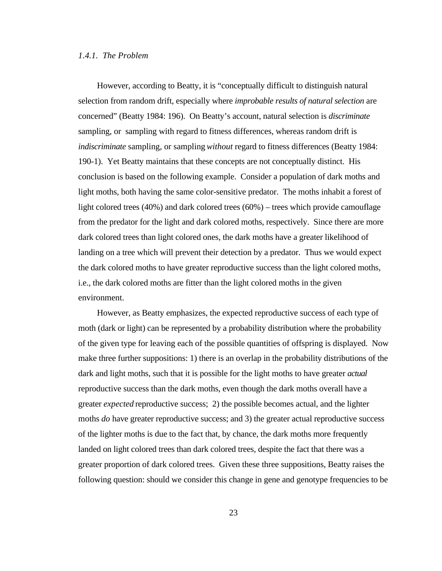## *1.4.1. The Problem*

However, according to Beatty, it is "conceptually difficult to distinguish natural selection from random drift, especially where *improbable results of natural selection* are concerned" (Beatty 1984: 196). On Beatty's account, natural selection is *discriminate* sampling, or sampling with regard to fitness differences, whereas random drift is *indiscriminate* sampling, or sampling *without* regard to fitness differences (Beatty 1984: 190-1). Yet Beatty maintains that these concepts are not conceptually distinct. His conclusion is based on the following example. Consider a population of dark moths and light moths, both having the same color-sensitive predator. The moths inhabit a forest of light colored trees (40%) and dark colored trees (60%) – trees which provide camouflage from the predator for the light and dark colored moths, respectively. Since there are more dark colored trees than light colored ones, the dark moths have a greater likelihood of landing on a tree which will prevent their detection by a predator. Thus we would expect the dark colored moths to have greater reproductive success than the light colored moths, i.e., the dark colored moths are fitter than the light colored moths in the given environment.

However, as Beatty emphasizes, the expected reproductive success of each type of moth (dark or light) can be represented by a probability distribution where the probability of the given type for leaving each of the possible quantities of offspring is displayed. Now make three further suppositions: 1) there is an overlap in the probability distributions of the dark and light moths, such that it is possible for the light moths to have greater *actual* reproductive success than the dark moths, even though the dark moths overall have a greater *expected* reproductive success; 2) the possible becomes actual, and the lighter moths *do* have greater reproductive success; and 3) the greater actual reproductive success of the lighter moths is due to the fact that, by chance, the dark moths more frequently landed on light colored trees than dark colored trees, despite the fact that there was a greater proportion of dark colored trees. Given these three suppositions, Beatty raises the following question: should we consider this change in gene and genotype frequencies to be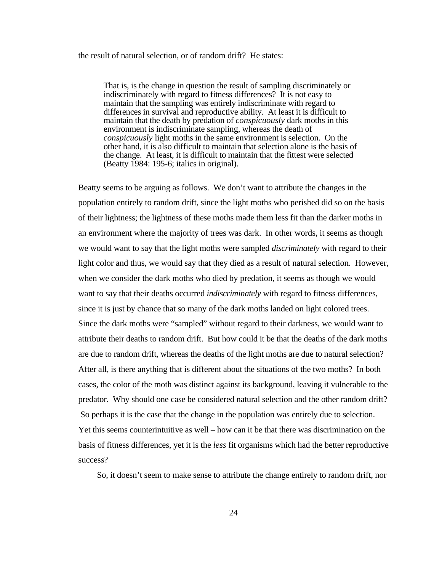#### the result of natural selection, or of random drift? He states:

That is, is the change in question the result of sampling discriminately or indiscriminately with regard to fitness differences? It is not easy to maintain that the sampling was entirely indiscriminate with regard to differences in survival and reproductive ability. At least it is difficult to maintain that the death by predation of *conspicuously* dark moths in this environment is indiscriminate sampling, whereas the death of *conspicuously* light moths in the same environment is selection. On the other hand, it is also difficult to maintain that selection alone is the basis of the change. At least, it is difficult to maintain that the fittest were selected (Beatty 1984: 195-6; italics in original).

Beatty seems to be arguing as follows. We don't want to attribute the changes in the population entirely to random drift, since the light moths who perished did so on the basis of their lightness; the lightness of these moths made them less fit than the darker moths in an environment where the majority of trees was dark. In other words, it seems as though we would want to say that the light moths were sampled *discriminately* with regard to their light color and thus, we would say that they died as a result of natural selection. However, when we consider the dark moths who died by predation, it seems as though we would want to say that their deaths occurred *indiscriminately* with regard to fitness differences, since it is just by chance that so many of the dark moths landed on light colored trees. Since the dark moths were "sampled" without regard to their darkness, we would want to attribute their deaths to random drift. But how could it be that the deaths of the dark moths are due to random drift, whereas the deaths of the light moths are due to natural selection? After all, is there anything that is different about the situations of the two moths? In both cases, the color of the moth was distinct against its background, leaving it vulnerable to the predator. Why should one case be considered natural selection and the other random drift? So perhaps it is the case that the change in the population was entirely due to selection. Yet this seems counterintuitive as well – how can it be that there was discrimination on the basis of fitness differences, yet it is the *less* fit organisms which had the better reproductive success?

So, it doesn't seem to make sense to attribute the change entirely to random drift, nor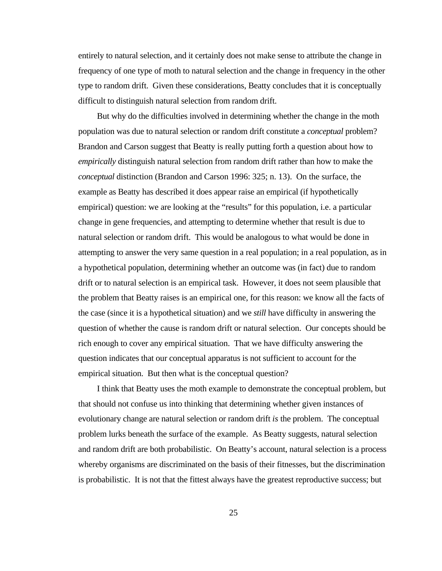entirely to natural selection, and it certainly does not make sense to attribute the change in frequency of one type of moth to natural selection and the change in frequency in the other type to random drift. Given these considerations, Beatty concludes that it is conceptually difficult to distinguish natural selection from random drift.

But why do the difficulties involved in determining whether the change in the moth population was due to natural selection or random drift constitute a *conceptual* problem? Brandon and Carson suggest that Beatty is really putting forth a question about how to *empirically* distinguish natural selection from random drift rather than how to make the *conceptual* distinction (Brandon and Carson 1996: 325; n. 13). On the surface, the example as Beatty has described it does appear raise an empirical (if hypothetically empirical) question: we are looking at the "results" for this population, i.e. a particular change in gene frequencies, and attempting to determine whether that result is due to natural selection or random drift. This would be analogous to what would be done in attempting to answer the very same question in a real population; in a real population, as in a hypothetical population, determining whether an outcome was (in fact) due to random drift or to natural selection is an empirical task. However, it does not seem plausible that the problem that Beatty raises is an empirical one, for this reason: we know all the facts of the case (since it is a hypothetical situation) and we *still* have difficulty in answering the question of whether the cause is random drift or natural selection. Our concepts should be rich enough to cover any empirical situation. That we have difficulty answering the question indicates that our conceptual apparatus is not sufficient to account for the empirical situation. But then what is the conceptual question?

I think that Beatty uses the moth example to demonstrate the conceptual problem, but that should not confuse us into thinking that determining whether given instances of evolutionary change are natural selection or random drift *is* the problem. The conceptual problem lurks beneath the surface of the example. As Beatty suggests, natural selection and random drift are both probabilistic. On Beatty's account, natural selection is a process whereby organisms are discriminated on the basis of their fitnesses, but the discrimination is probabilistic. It is not that the fittest always have the greatest reproductive success; but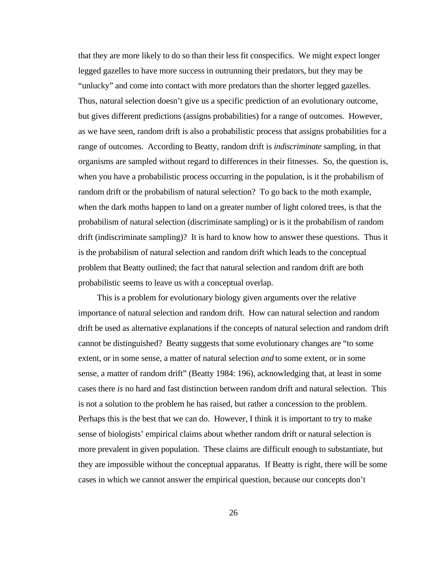that they are more likely to do so than their less fit conspecifics. We might expect longer legged gazelles to have more success in outrunning their predators, but they may be "unlucky" and come into contact with more predators than the shorter legged gazelles. Thus, natural selection doesn't give us a specific prediction of an evolutionary outcome, but gives different predictions (assigns probabilities) for a range of outcomes. However, as we have seen, random drift is also a probabilistic process that assigns probabilities for a range of outcomes. According to Beatty, random drift is *indiscriminate* sampling, in that organisms are sampled without regard to differences in their fitnesses. So, the question is, when you have a probabilistic process occurring in the population, is it the probabilism of random drift or the probabilism of natural selection? To go back to the moth example, when the dark moths happen to land on a greater number of light colored trees, is that the probabilism of natural selection (discriminate sampling) or is it the probabilism of random drift (indiscriminate sampling)? It is hard to know how to answer these questions. Thus it is the probabilism of natural selection and random drift which leads to the conceptual problem that Beatty outlined; the fact that natural selection and random drift are both probabilistic seems to leave us with a conceptual overlap.

This is a problem for evolutionary biology given arguments over the relative importance of natural selection and random drift. How can natural selection and random drift be used as alternative explanations if the concepts of natural selection and random drift cannot be distinguished? Beatty suggests that some evolutionary changes are "to some extent, or in some sense, a matter of natural selection *and* to some extent, or in some sense, a matter of random drift" (Beatty 1984: 196), acknowledging that, at least in some cases there *is* no hard and fast distinction between random drift and natural selection. This is not a solution to the problem he has raised, but rather a concession to the problem. Perhaps this is the best that we can do. However, I think it is important to try to make sense of biologists' empirical claims about whether random drift or natural selection is more prevalent in given population. These claims are difficult enough to substantiate, but they are impossible without the conceptual apparatus. If Beatty is right, there will be some cases in which we cannot answer the empirical question, because our concepts don't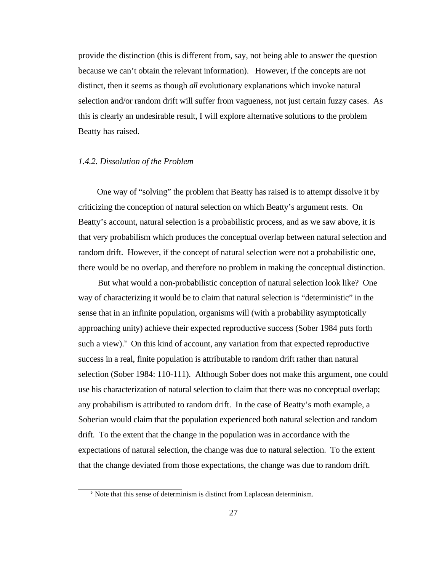provide the distinction (this is different from, say, not being able to answer the question because we can't obtain the relevant information). However, if the concepts are not distinct, then it seems as though *all* evolutionary explanations which invoke natural selection and/or random drift will suffer from vagueness, not just certain fuzzy cases. As this is clearly an undesirable result, I will explore alternative solutions to the problem Beatty has raised.

#### *1.4.2. Dissolution of the Problem*

One way of "solving" the problem that Beatty has raised is to attempt dissolve it by criticizing the conception of natural selection on which Beatty's argument rests. On Beatty's account, natural selection is a probabilistic process, and as we saw above, it is that very probabilism which produces the conceptual overlap between natural selection and random drift. However, if the concept of natural selection were not a probabilistic one, there would be no overlap, and therefore no problem in making the conceptual distinction.

But what would a non-probabilistic conception of natural selection look like? One way of characterizing it would be to claim that natural selection is "deterministic" in the sense that in an infinite population, organisms will (with a probability asymptotically approaching unity) achieve their expected reproductive success (Sober 1984 puts forth such a view). $\degree$  On this kind of account, any variation from that expected reproductive success in a real, finite population is attributable to random drift rather than natural selection (Sober 1984: 110-111). Although Sober does not make this argument, one could use his characterization of natural selection to claim that there was no conceptual overlap; any probabilism is attributed to random drift. In the case of Beatty's moth example, a Soberian would claim that the population experienced both natural selection and random drift. To the extent that the change in the population was in accordance with the expectations of natural selection, the change was due to natural selection. To the extent that the change deviated from those expectations, the change was due to random drift.

<sup>&</sup>lt;sup>9</sup> Note that this sense of determinism is distinct from Laplacean determinism.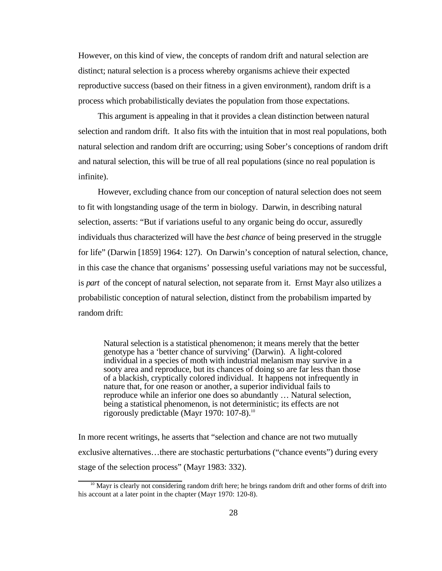However, on this kind of view, the concepts of random drift and natural selection are distinct; natural selection is a process whereby organisms achieve their expected reproductive success (based on their fitness in a given environment), random drift is a process which probabilistically deviates the population from those expectations.

This argument is appealing in that it provides a clean distinction between natural selection and random drift. It also fits with the intuition that in most real populations, both natural selection and random drift are occurring; using Sober's conceptions of random drift and natural selection, this will be true of all real populations (since no real population is infinite).

However, excluding chance from our conception of natural selection does not seem to fit with longstanding usage of the term in biology. Darwin, in describing natural selection, asserts: "But if variations useful to any organic being do occur, assuredly individuals thus characterized will have the *best chance* of being preserved in the struggle for life" (Darwin [1859] 1964: 127). On Darwin's conception of natural selection, chance, in this case the chance that organisms' possessing useful variations may not be successful, is *part* of the concept of natural selection, not separate from it. Ernst Mayr also utilizes a probabilistic conception of natural selection, distinct from the probabilism imparted by random drift:

Natural selection is a statistical phenomenon; it means merely that the better genotype has a 'better chance of surviving' (Darwin). A light-colored individual in a species of moth with industrial melanism may survive in a sooty area and reproduce, but its chances of doing so are far less than those of a blackish, cryptically colored individual. It happens not infrequently in nature that, for one reason or another, a superior individual fails to reproduce while an inferior one does so abundantly … Natural selection, being a statistical phenomenon, is not deterministic; its effects are not rigorously predictable (Mayr 1970: 107-8).<sup>10</sup>

In more recent writings, he asserts that "selection and chance are not two mutually exclusive alternatives…there are stochastic perturbations ("chance events") during every stage of the selection process" (Mayr 1983: 332).

<sup>&</sup>lt;sup>10</sup> Mayr is clearly not considering random drift here; he brings random drift and other forms of drift into his account at a later point in the chapter (Mayr 1970: 120-8).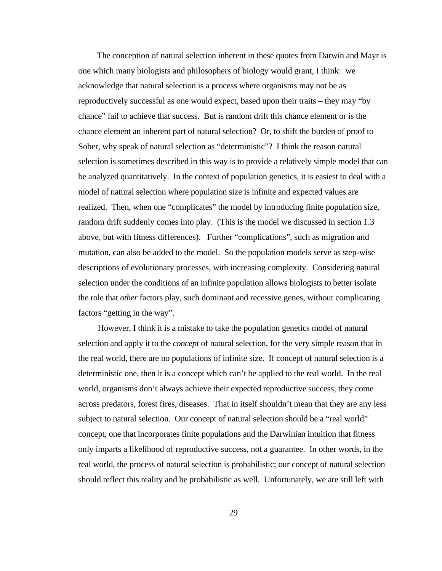The conception of natural selection inherent in these quotes from Darwin and Mayr is one which many biologists and philosophers of biology would grant, I think: we acknowledge that natural selection is a process where organisms may not be as reproductively successful as one would expect, based upon their traits – they may "by chance" fail to achieve that success. But is random drift this chance element or is the chance element an inherent part of natural selection? Or, to shift the burden of proof to Sober, why speak of natural selection as "deterministic"? I think the reason natural selection is sometimes described in this way is to provide a relatively simple model that can be analyzed quantitatively. In the context of population genetics, it is easiest to deal with a model of natural selection where population size is infinite and expected values are realized. Then, when one "complicates" the model by introducing finite population size, random drift suddenly comes into play. (This is the model we discussed in section 1.3 above, but with fitness differences). Further "complications", such as migration and mutation, can also be added to the model. So the population models serve as step-wise descriptions of evolutionary processes, with increasing complexity. Considering natural selection under the conditions of an infinite population allows biologists to better isolate the role that *other* factors play, such dominant and recessive genes, without complicating factors "getting in the way".

However, I think it is a mistake to take the population genetics model of natural selection and apply it to the *concept* of natural selection, for the very simple reason that in the real world, there are no populations of infinite size. If concept of natural selection is a deterministic one, then it is a concept which can't be applied to the real world. In the real world, organisms don't always achieve their expected reproductive success; they come across predators, forest fires, diseases. That in itself shouldn't mean that they are any less subject to natural selection. Our concept of natural selection should be a "real world" concept, one that incorporates finite populations and the Darwinian intuition that fitness only imparts a likelihood of reproductive success, not a guarantee. In other words, in the real world, the process of natural selection is probabilistic; our concept of natural selection should reflect this reality and be probabilistic as well. Unfortunately, we are still left with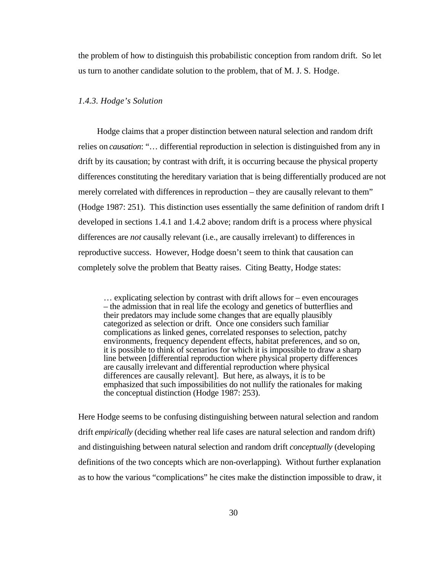the problem of how to distinguish this probabilistic conception from random drift. So let us turn to another candidate solution to the problem, that of M. J. S. Hodge.

#### *1.4.3. Hodge's Solution*

Hodge claims that a proper distinction between natural selection and random drift relies on *causation*: "… differential reproduction in selection is distinguished from any in drift by its causation; by contrast with drift, it is occurring because the physical property differences constituting the hereditary variation that is being differentially produced are not merely correlated with differences in reproduction – they are causally relevant to them" (Hodge 1987: 251). This distinction uses essentially the same definition of random drift I developed in sections 1.4.1 and 1.4.2 above; random drift is a process where physical differences are *not* causally relevant (i.e., are causally irrelevant) to differences in reproductive success. However, Hodge doesn't seem to think that causation can completely solve the problem that Beatty raises. Citing Beatty, Hodge states:

… explicating selection by contrast with drift allows for – even encourages – the admission that in real life the ecology and genetics of butterflies and their predators may include some changes that are equally plausibly categorized as selection or drift. Once one considers such familiar complications as linked genes, correlated responses to selection, patchy environments, frequency dependent effects, habitat preferences, and so on, it is possible to think of scenarios for which it is impossible to draw a sharp line between [differential reproduction where physical property differences are causally irrelevant and differential reproduction where physical differences are causally relevant]. But here, as always, it is to be emphasized that such impossibilities do not nullify the rationales for making the conceptual distinction (Hodge 1987: 253).

Here Hodge seems to be confusing distinguishing between natural selection and random drift *empirically* (deciding whether real life cases are natural selection and random drift) and distinguishing between natural selection and random drift *conceptually* (developing definitions of the two concepts which are non-overlapping). Without further explanation as to how the various "complications" he cites make the distinction impossible to draw, it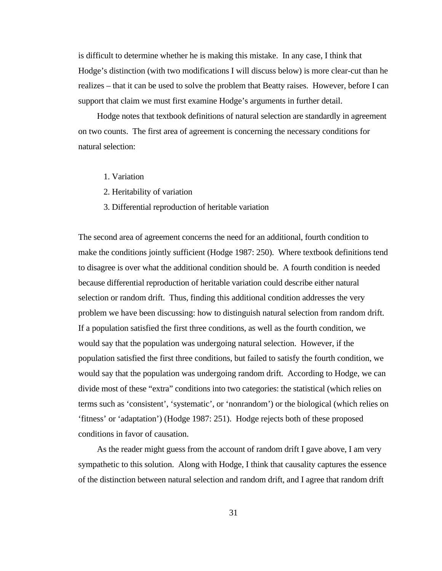is difficult to determine whether he is making this mistake. In any case, I think that Hodge's distinction (with two modifications I will discuss below) is more clear-cut than he realizes – that it can be used to solve the problem that Beatty raises. However, before I can support that claim we must first examine Hodge's arguments in further detail.

Hodge notes that textbook definitions of natural selection are standardly in agreement on two counts. The first area of agreement is concerning the necessary conditions for natural selection:

- 1. Variation
- 2. Heritability of variation
- 3. Differential reproduction of heritable variation

The second area of agreement concerns the need for an additional, fourth condition to make the conditions jointly sufficient (Hodge 1987: 250). Where textbook definitions tend to disagree is over what the additional condition should be. A fourth condition is needed because differential reproduction of heritable variation could describe either natural selection or random drift. Thus, finding this additional condition addresses the very problem we have been discussing: how to distinguish natural selection from random drift. If a population satisfied the first three conditions, as well as the fourth condition, we would say that the population was undergoing natural selection. However, if the population satisfied the first three conditions, but failed to satisfy the fourth condition, we would say that the population was undergoing random drift. According to Hodge, we can divide most of these "extra" conditions into two categories: the statistical (which relies on terms such as 'consistent', 'systematic', or 'nonrandom') or the biological (which relies on 'fitness' or 'adaptation') (Hodge 1987: 251). Hodge rejects both of these proposed conditions in favor of causation.

As the reader might guess from the account of random drift I gave above, I am very sympathetic to this solution. Along with Hodge, I think that causality captures the essence of the distinction between natural selection and random drift, and I agree that random drift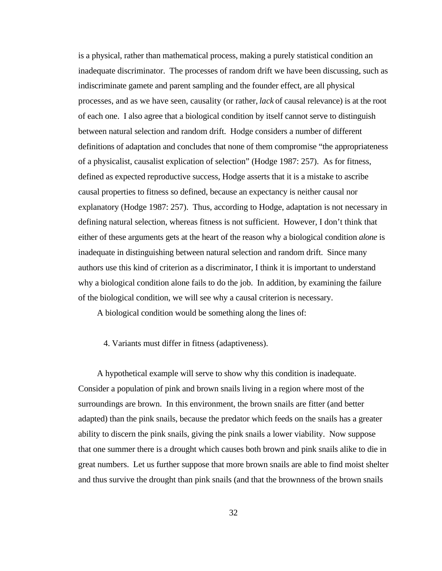is a physical, rather than mathematical process, making a purely statistical condition an inadequate discriminator. The processes of random drift we have been discussing, such as indiscriminate gamete and parent sampling and the founder effect, are all physical processes, and as we have seen, causality (or rather, *lack* of causal relevance) is at the root of each one. I also agree that a biological condition by itself cannot serve to distinguish between natural selection and random drift. Hodge considers a number of different definitions of adaptation and concludes that none of them compromise "the appropriateness of a physicalist, causalist explication of selection" (Hodge 1987: 257). As for fitness, defined as expected reproductive success, Hodge asserts that it is a mistake to ascribe causal properties to fitness so defined, because an expectancy is neither causal nor explanatory (Hodge 1987: 257). Thus, according to Hodge, adaptation is not necessary in defining natural selection, whereas fitness is not sufficient. However, I don't think that either of these arguments gets at the heart of the reason why a biological condition *alone* is inadequate in distinguishing between natural selection and random drift. Since many authors use this kind of criterion as a discriminator, I think it is important to understand why a biological condition alone fails to do the job. In addition, by examining the failure of the biological condition, we will see why a causal criterion is necessary.

A biological condition would be something along the lines of:

4. Variants must differ in fitness (adaptiveness).

A hypothetical example will serve to show why this condition is inadequate. Consider a population of pink and brown snails living in a region where most of the surroundings are brown. In this environment, the brown snails are fitter (and better adapted) than the pink snails, because the predator which feeds on the snails has a greater ability to discern the pink snails, giving the pink snails a lower viability. Now suppose that one summer there is a drought which causes both brown and pink snails alike to die in great numbers. Let us further suppose that more brown snails are able to find moist shelter and thus survive the drought than pink snails (and that the brownness of the brown snails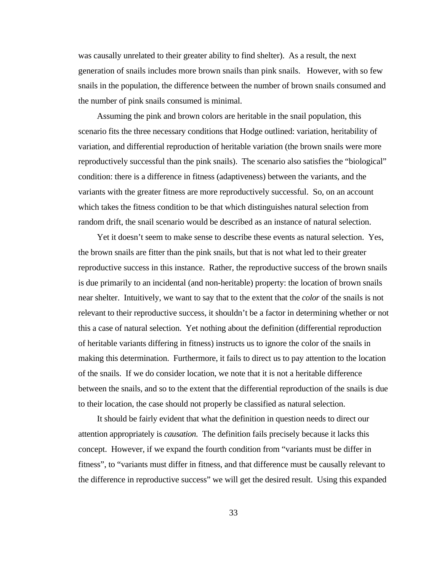was causally unrelated to their greater ability to find shelter). As a result, the next generation of snails includes more brown snails than pink snails. However, with so few snails in the population, the difference between the number of brown snails consumed and the number of pink snails consumed is minimal.

Assuming the pink and brown colors are heritable in the snail population, this scenario fits the three necessary conditions that Hodge outlined: variation, heritability of variation, and differential reproduction of heritable variation (the brown snails were more reproductively successful than the pink snails). The scenario also satisfies the "biological" condition: there is a difference in fitness (adaptiveness) between the variants, and the variants with the greater fitness are more reproductively successful. So, on an account which takes the fitness condition to be that which distinguishes natural selection from random drift, the snail scenario would be described as an instance of natural selection.

Yet it doesn't seem to make sense to describe these events as natural selection. Yes, the brown snails are fitter than the pink snails, but that is not what led to their greater reproductive success in this instance. Rather, the reproductive success of the brown snails is due primarily to an incidental (and non-heritable) property: the location of brown snails near shelter. Intuitively, we want to say that to the extent that the *color* of the snails is not relevant to their reproductive success, it shouldn't be a factor in determining whether or not this a case of natural selection. Yet nothing about the definition (differential reproduction of heritable variants differing in fitness) instructs us to ignore the color of the snails in making this determination. Furthermore, it fails to direct us to pay attention to the location of the snails. If we do consider location, we note that it is not a heritable difference between the snails, and so to the extent that the differential reproduction of the snails is due to their location, the case should not properly be classified as natural selection.

It should be fairly evident that what the definition in question needs to direct our attention appropriately is *causation*. The definition fails precisely because it lacks this concept. However, if we expand the fourth condition from "variants must be differ in fitness", to "variants must differ in fitness, and that difference must be causally relevant to the difference in reproductive success" we will get the desired result. Using this expanded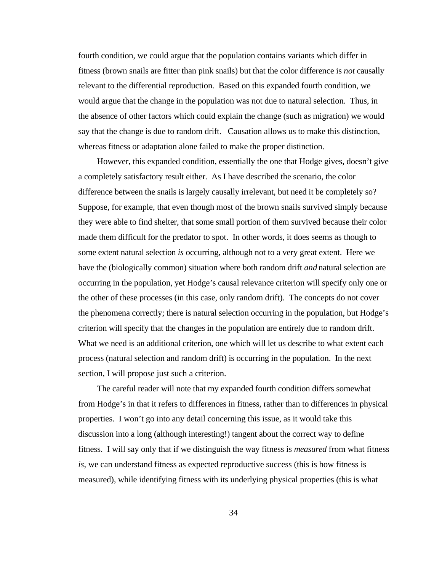fourth condition, we could argue that the population contains variants which differ in fitness (brown snails are fitter than pink snails) but that the color difference is *not* causally relevant to the differential reproduction. Based on this expanded fourth condition, we would argue that the change in the population was not due to natural selection. Thus, in the absence of other factors which could explain the change (such as migration) we would say that the change is due to random drift. Causation allows us to make this distinction, whereas fitness or adaptation alone failed to make the proper distinction.

However, this expanded condition, essentially the one that Hodge gives, doesn't give a completely satisfactory result either. As I have described the scenario, the color difference between the snails is largely causally irrelevant, but need it be completely so? Suppose, for example, that even though most of the brown snails survived simply because they were able to find shelter, that some small portion of them survived because their color made them difficult for the predator to spot. In other words, it does seems as though to some extent natural selection *is* occurring, although not to a very great extent. Here we have the (biologically common) situation where both random drift *and* natural selection are occurring in the population, yet Hodge's causal relevance criterion will specify only one or the other of these processes (in this case, only random drift). The concepts do not cover the phenomena correctly; there is natural selection occurring in the population, but Hodge's criterion will specify that the changes in the population are entirely due to random drift. What we need is an additional criterion, one which will let us describe to what extent each process (natural selection and random drift) is occurring in the population. In the next section, I will propose just such a criterion.

The careful reader will note that my expanded fourth condition differs somewhat from Hodge's in that it refers to differences in fitness, rather than to differences in physical properties. I won't go into any detail concerning this issue, as it would take this discussion into a long (although interesting!) tangent about the correct way to define fitness. I will say only that if we distinguish the way fitness is *measured* from what fitness *is*, we can understand fitness as expected reproductive success (this is how fitness is measured), while identifying fitness with its underlying physical properties (this is what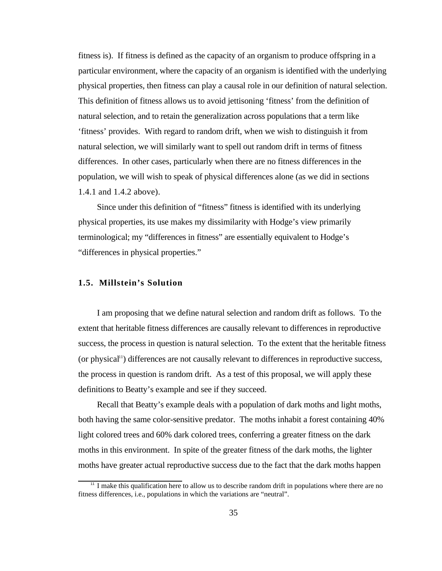fitness is). If fitness is defined as the capacity of an organism to produce offspring in a particular environment, where the capacity of an organism is identified with the underlying physical properties, then fitness can play a causal role in our definition of natural selection. This definition of fitness allows us to avoid jettisoning 'fitness' from the definition of natural selection, and to retain the generalization across populations that a term like 'fitness' provides. With regard to random drift, when we wish to distinguish it from natural selection, we will similarly want to spell out random drift in terms of fitness differences. In other cases, particularly when there are no fitness differences in the population, we will wish to speak of physical differences alone (as we did in sections 1.4.1 and 1.4.2 above).

Since under this definition of "fitness" fitness is identified with its underlying physical properties, its use makes my dissimilarity with Hodge's view primarily terminological; my "differences in fitness" are essentially equivalent to Hodge's "differences in physical properties."

## **1.5. Millstein's Solution**

I am proposing that we define natural selection and random drift as follows. To the extent that heritable fitness differences are causally relevant to differences in reproductive success, the process in question is natural selection. To the extent that the heritable fitness  $($ or physical $<sup>11</sup>$ ) differences are not causally relevant to differences in reproductive success,</sup> the process in question is random drift. As a test of this proposal, we will apply these definitions to Beatty's example and see if they succeed.

Recall that Beatty's example deals with a population of dark moths and light moths, both having the same color-sensitive predator. The moths inhabit a forest containing 40% light colored trees and 60% dark colored trees, conferring a greater fitness on the dark moths in this environment. In spite of the greater fitness of the dark moths, the lighter moths have greater actual reproductive success due to the fact that the dark moths happen

<sup>&</sup>lt;sup>11</sup> I make this qualification here to allow us to describe random drift in populations where there are no fitness differences, i.e., populations in which the variations are "neutral".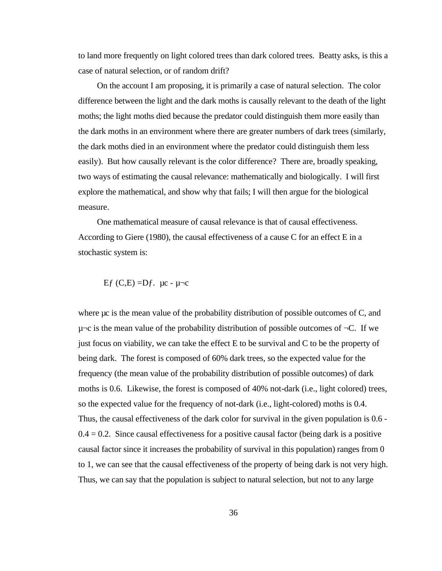to land more frequently on light colored trees than dark colored trees. Beatty asks, is this a case of natural selection, or of random drift?

On the account I am proposing, it is primarily a case of natural selection. The color difference between the light and the dark moths is causally relevant to the death of the light moths; the light moths died because the predator could distinguish them more easily than the dark moths in an environment where there are greater numbers of dark trees (similarly, the dark moths died in an environment where the predator could distinguish them less easily). But how causally relevant is the color difference? There are, broadly speaking, two ways of estimating the causal relevance: mathematically and biologically. I will first explore the mathematical, and show why that fails; I will then argue for the biological measure.

One mathematical measure of causal relevance is that of causal effectiveness. According to Giere (1980), the causal effectiveness of a cause C for an effect E in a stochastic system is:

Ef  $(C,E) = Df$ .  $\mu$ c -  $\mu$  $\neg$ c

where  $\mu c$  is the mean value of the probability distribution of possible outcomes of C, and  $\mu$  $\sim$  is the mean value of the probability distribution of possible outcomes of  $\neg$ C. If we just focus on viability, we can take the effect E to be survival and C to be the property of being dark. The forest is composed of 60% dark trees, so the expected value for the frequency (the mean value of the probability distribution of possible outcomes) of dark moths is 0.6. Likewise, the forest is composed of 40% not-dark (i.e., light colored) trees, so the expected value for the frequency of not-dark (i.e., light-colored) moths is 0.4. Thus, the causal effectiveness of the dark color for survival in the given population is 0.6 -  $0.4 = 0.2$ . Since causal effectiveness for a positive causal factor (being dark is a positive causal factor since it increases the probability of survival in this population) ranges from 0 to 1, we can see that the causal effectiveness of the property of being dark is not very high. Thus, we can say that the population is subject to natural selection, but not to any large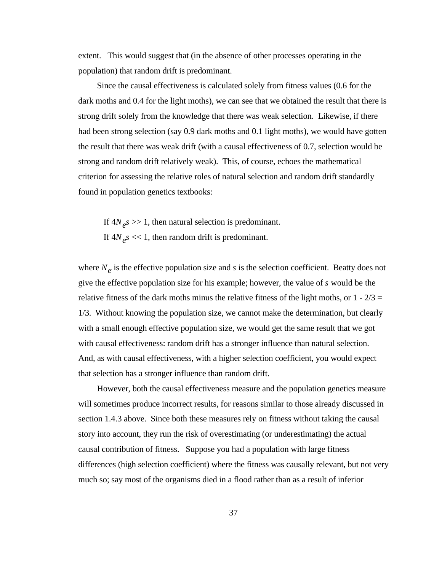extent. This would suggest that (in the absence of other processes operating in the population) that random drift is predominant.

Since the causal effectiveness is calculated solely from fitness values (0.6 for the dark moths and 0.4 for the light moths), we can see that we obtained the result that there is strong drift solely from the knowledge that there was weak selection. Likewise, if there had been strong selection (say 0.9 dark moths and 0.1 light moths), we would have gotten the result that there was weak drift (with a causal effectiveness of 0.7, selection would be strong and random drift relatively weak). This, of course, echoes the mathematical criterion for assessing the relative roles of natural selection and random drift standardly found in population genetics textbooks:

If  $4N_e s \gg 1$ , then natural selection is predominant. If  $4N_e s \ll 1$ , then random drift is predominant.

where  $N_e$  is the effective population size and  $s$  is the selection coefficient. Beatty does not give the effective population size for his example; however, the value of *s* would be the relative fitness of the dark moths minus the relative fitness of the light moths, or  $1 - 2/3 =$ 1/3. Without knowing the population size, we cannot make the determination, but clearly with a small enough effective population size, we would get the same result that we got with causal effectiveness: random drift has a stronger influence than natural selection. And, as with causal effectiveness, with a higher selection coefficient, you would expect that selection has a stronger influence than random drift.

However, both the causal effectiveness measure and the population genetics measure will sometimes produce incorrect results, for reasons similar to those already discussed in section 1.4.3 above. Since both these measures rely on fitness without taking the causal story into account, they run the risk of overestimating (or underestimating) the actual causal contribution of fitness. Suppose you had a population with large fitness differences (high selection coefficient) where the fitness was causally relevant, but not very much so; say most of the organisms died in a flood rather than as a result of inferior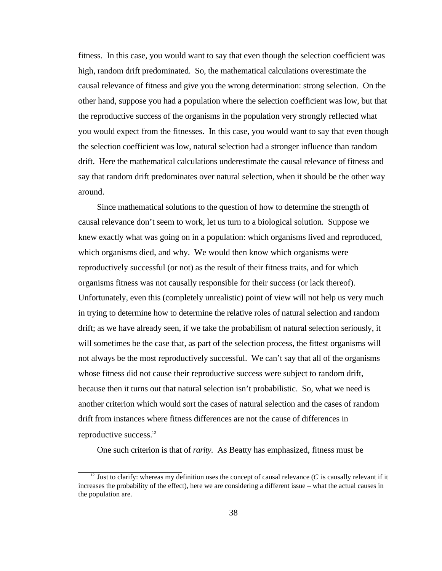fitness. In this case, you would want to say that even though the selection coefficient was high, random drift predominated. So, the mathematical calculations overestimate the causal relevance of fitness and give you the wrong determination: strong selection. On the other hand, suppose you had a population where the selection coefficient was low, but that the reproductive success of the organisms in the population very strongly reflected what you would expect from the fitnesses. In this case, you would want to say that even though the selection coefficient was low, natural selection had a stronger influence than random drift. Here the mathematical calculations underestimate the causal relevance of fitness and say that random drift predominates over natural selection, when it should be the other way around.

Since mathematical solutions to the question of how to determine the strength of causal relevance don't seem to work, let us turn to a biological solution. Suppose we knew exactly what was going on in a population: which organisms lived and reproduced, which organisms died, and why. We would then know which organisms were reproductively successful (or not) as the result of their fitness traits, and for which organisms fitness was not causally responsible for their success (or lack thereof). Unfortunately, even this (completely unrealistic) point of view will not help us very much in trying to determine how to determine the relative roles of natural selection and random drift; as we have already seen, if we take the probabilism of natural selection seriously, it will sometimes be the case that, as part of the selection process, the fittest organisms will not always be the most reproductively successful. We can't say that all of the organisms whose fitness did not cause their reproductive success were subject to random drift, because then it turns out that natural selection isn't probabilistic. So, what we need is another criterion which would sort the cases of natural selection and the cases of random drift from instances where fitness differences are not the cause of differences in reproductive success. $12$ 

One such criterion is that of *rarity*. As Beatty has emphasized, fitness must be

<sup>&</sup>lt;sup>12</sup> Just to clarify: whereas my definition uses the concept of causal relevance ( $C$  is causally relevant if it increases the probability of the effect), here we are considering a different issue – what the actual causes in the population are.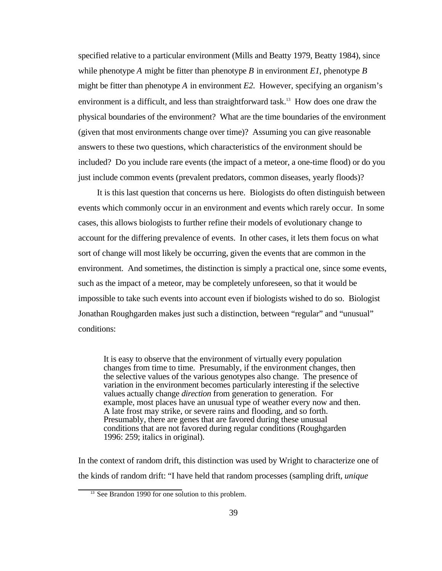specified relative to a particular environment (Mills and Beatty 1979, Beatty 1984), since while phenotype *A* might be fitter than phenotype *B* in environment *E1*, phenotype *B* might be fitter than phenotype *A* in environment *E2*. However, specifying an organism's environment is a difficult, and less than straightforward task.<sup>13</sup> How does one draw the physical boundaries of the environment? What are the time boundaries of the environment (given that most environments change over time)? Assuming you can give reasonable answers to these two questions, which characteristics of the environment should be included? Do you include rare events (the impact of a meteor, a one-time flood) or do you just include common events (prevalent predators, common diseases, yearly floods)?

It is this last question that concerns us here. Biologists do often distinguish between events which commonly occur in an environment and events which rarely occur. In some cases, this allows biologists to further refine their models of evolutionary change to account for the differing prevalence of events. In other cases, it lets them focus on what sort of change will most likely be occurring, given the events that are common in the environment. And sometimes, the distinction is simply a practical one, since some events, such as the impact of a meteor, may be completely unforeseen, so that it would be impossible to take such events into account even if biologists wished to do so. Biologist Jonathan Roughgarden makes just such a distinction, between "regular" and "unusual" conditions:

It is easy to observe that the environment of virtually every population changes from time to time. Presumably, if the environment changes, then the selective values of the various genotypes also change. The presence of variation in the environment becomes particularly interesting if the selective values actually change *direction* from generation to generation. For example, most places have an unusual type of weather every now and then. A late frost may strike, or severe rains and flooding, and so forth. Presumably, there are genes that are favored during these unusual conditions that are not favored during regular conditions (Roughgarden 1996: 259; italics in original).

In the context of random drift, this distinction was used by Wright to characterize one of the kinds of random drift: "I have held that random processes (sampling drift, *unique*

<sup>&</sup>lt;sup>13</sup> See Brandon 1990 for one solution to this problem.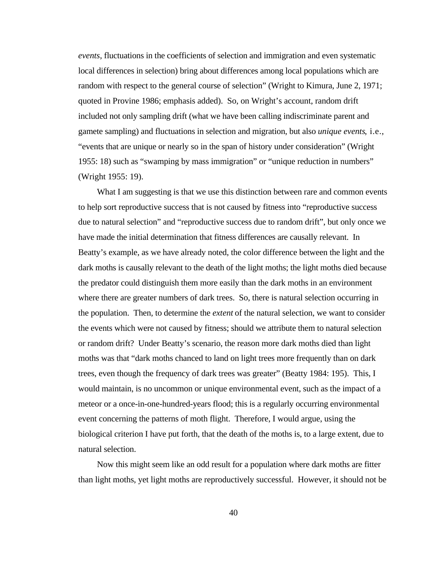*events*, fluctuations in the coefficients of selection and immigration and even systematic local differences in selection) bring about differences among local populations which are random with respect to the general course of selection" (Wright to Kimura, June 2, 1971; quoted in Provine 1986; emphasis added). So, on Wright's account, random drift included not only sampling drift (what we have been calling indiscriminate parent and gamete sampling) and fluctuations in selection and migration, but also *unique events*, i.e., "events that are unique or nearly so in the span of history under consideration" (Wright 1955: 18) such as "swamping by mass immigration" or "unique reduction in numbers" (Wright 1955: 19).

What I am suggesting is that we use this distinction between rare and common events to help sort reproductive success that is not caused by fitness into "reproductive success due to natural selection" and "reproductive success due to random drift", but only once we have made the initial determination that fitness differences are causally relevant. In Beatty's example, as we have already noted, the color difference between the light and the dark moths is causally relevant to the death of the light moths; the light moths died because the predator could distinguish them more easily than the dark moths in an environment where there are greater numbers of dark trees. So, there is natural selection occurring in the population. Then, to determine the *extent* of the natural selection, we want to consider the events which were not caused by fitness; should we attribute them to natural selection or random drift? Under Beatty's scenario, the reason more dark moths died than light moths was that "dark moths chanced to land on light trees more frequently than on dark trees, even though the frequency of dark trees was greater" (Beatty 1984: 195). This, I would maintain, is no uncommon or unique environmental event, such as the impact of a meteor or a once-in-one-hundred-years flood; this is a regularly occurring environmental event concerning the patterns of moth flight. Therefore, I would argue, using the biological criterion I have put forth, that the death of the moths is, to a large extent, due to natural selection.

Now this might seem like an odd result for a population where dark moths are fitter than light moths, yet light moths are reproductively successful. However, it should not be

40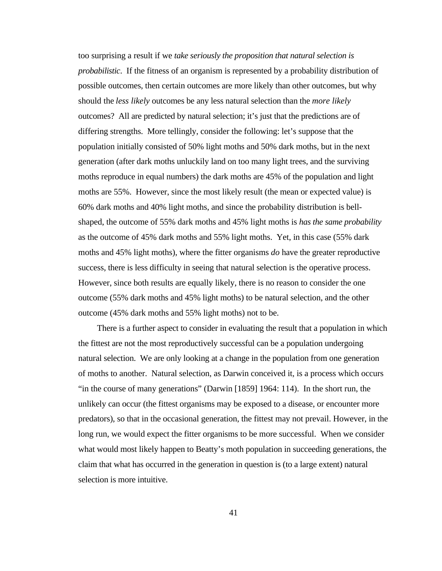too surprising a result if we *take seriously the proposition that natural selection is probabilistic*. If the fitness of an organism is represented by a probability distribution of possible outcomes, then certain outcomes are more likely than other outcomes, but why should the *less likely* outcomes be any less natural selection than the *more likely* outcomes? All are predicted by natural selection; it's just that the predictions are of differing strengths. More tellingly, consider the following: let's suppose that the population initially consisted of 50% light moths and 50% dark moths, but in the next generation (after dark moths unluckily land on too many light trees, and the surviving moths reproduce in equal numbers) the dark moths are 45% of the population and light moths are 55%. However, since the most likely result (the mean or expected value) is 60% dark moths and 40% light moths, and since the probability distribution is bellshaped, the outcome of 55% dark moths and 45% light moths is *has the same probability* as the outcome of 45% dark moths and 55% light moths. Yet, in this case (55% dark moths and 45% light moths), where the fitter organisms *do* have the greater reproductive success, there is less difficulty in seeing that natural selection is the operative process. However, since both results are equally likely, there is no reason to consider the one outcome (55% dark moths and 45% light moths) to be natural selection, and the other outcome (45% dark moths and 55% light moths) not to be.

There is a further aspect to consider in evaluating the result that a population in which the fittest are not the most reproductively successful can be a population undergoing natural selection. We are only looking at a change in the population from one generation of moths to another. Natural selection, as Darwin conceived it, is a process which occurs "in the course of many generations" (Darwin [1859] 1964: 114). In the short run, the unlikely can occur (the fittest organisms may be exposed to a disease, or encounter more predators), so that in the occasional generation, the fittest may not prevail. However, in the long run, we would expect the fitter organisms to be more successful. When we consider what would most likely happen to Beatty's moth population in succeeding generations, the claim that what has occurred in the generation in question is (to a large extent) natural selection is more intuitive.

41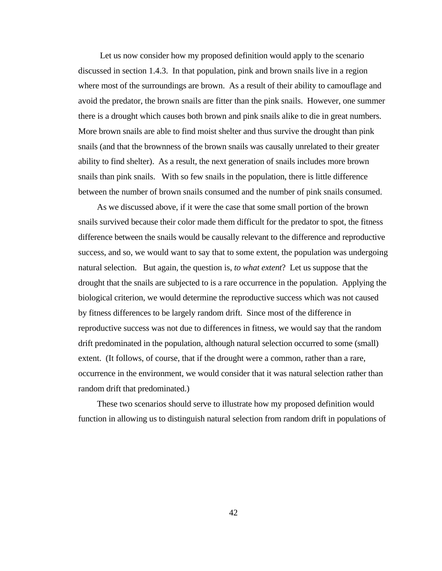Let us now consider how my proposed definition would apply to the scenario discussed in section 1.4.3. In that population, pink and brown snails live in a region where most of the surroundings are brown. As a result of their ability to camouflage and avoid the predator, the brown snails are fitter than the pink snails. However, one summer there is a drought which causes both brown and pink snails alike to die in great numbers. More brown snails are able to find moist shelter and thus survive the drought than pink snails (and that the brownness of the brown snails was causally unrelated to their greater ability to find shelter). As a result, the next generation of snails includes more brown snails than pink snails. With so few snails in the population, there is little difference between the number of brown snails consumed and the number of pink snails consumed.

As we discussed above, if it were the case that some small portion of the brown snails survived because their color made them difficult for the predator to spot, the fitness difference between the snails would be causally relevant to the difference and reproductive success, and so, we would want to say that to some extent, the population was undergoing natural selection. But again, the question is, *to what extent*? Let us suppose that the drought that the snails are subjected to is a rare occurrence in the population. Applying the biological criterion, we would determine the reproductive success which was not caused by fitness differences to be largely random drift. Since most of the difference in reproductive success was not due to differences in fitness, we would say that the random drift predominated in the population, although natural selection occurred to some (small) extent. (It follows, of course, that if the drought were a common, rather than a rare, occurrence in the environment, we would consider that it was natural selection rather than random drift that predominated.)

These two scenarios should serve to illustrate how my proposed definition would function in allowing us to distinguish natural selection from random drift in populations of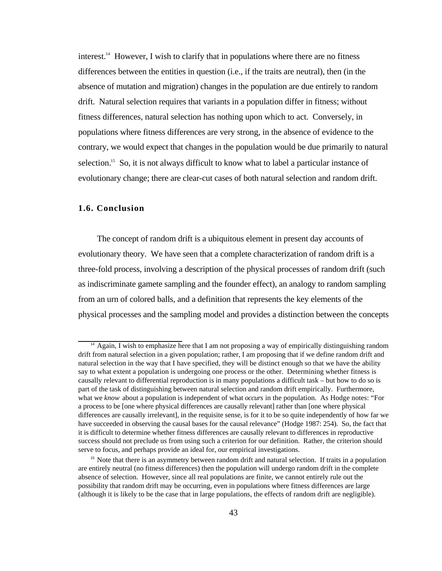interest.<sup>14</sup> However, I wish to clarify that in populations where there are no fitness differences between the entities in question (i.e., if the traits are neutral), then (in the absence of mutation and migration) changes in the population are due entirely to random drift. Natural selection requires that variants in a population differ in fitness; without fitness differences, natural selection has nothing upon which to act. Conversely, in populations where fitness differences are very strong, in the absence of evidence to the contrary, we would expect that changes in the population would be due primarily to natural selection.<sup>15</sup> So, it is not always difficult to know what to label a particular instance of evolutionary change; there are clear-cut cases of both natural selection and random drift.

### **1.6. Conclusion**

The concept of random drift is a ubiquitous element in present day accounts of evolutionary theory. We have seen that a complete characterization of random drift is a three-fold process, involving a description of the physical processes of random drift (such as indiscriminate gamete sampling and the founder effect), an analogy to random sampling from an urn of colored balls, and a definition that represents the key elements of the physical processes and the sampling model and provides a distinction between the concepts

<sup>&</sup>lt;sup>14</sup> Again, I wish to emphasize here that I am not proposing a way of empirically distinguishing random drift from natural selection in a given population; rather, I am proposing that if we define random drift and natural selection in the way that I have specified, they will be distinct enough so that we have the ability say to what extent a population is undergoing one process or the other. Determining whether fitness is causally relevant to differential reproduction is in many populations a difficult task – but how to do so is part of the task of distinguishing between natural selection and random drift empirically. Furthermore, what we *know* about a population is independent of what *occurs* in the population. As Hodge notes: "For a process to be [one where physical differences are causally relevant] rather than [one where physical differences are causally irrelevant], in the requisite sense, is for it to be so quite independently of how far we have succeeded in observing the causal bases for the causal relevance" (Hodge 1987: 254). So, the fact that it is difficult to determine whether fitness differences are causally relevant to differences in reproductive success should not preclude us from using such a criterion for our definition. Rather, the criterion should serve to focus, and perhaps provide an ideal for, our empirical investigations.

<sup>&</sup>lt;sup>15</sup> Note that there is an asymmetry between random drift and natural selection. If traits in a population are entirely neutral (no fitness differences) then the population will undergo random drift in the complete absence of selection. However, since all real populations are finite, we cannot entirely rule out the possibility that random drift may be occurring, even in populations where fitness differences are large (although it is likely to be the case that in large populations, the effects of random drift are negligible).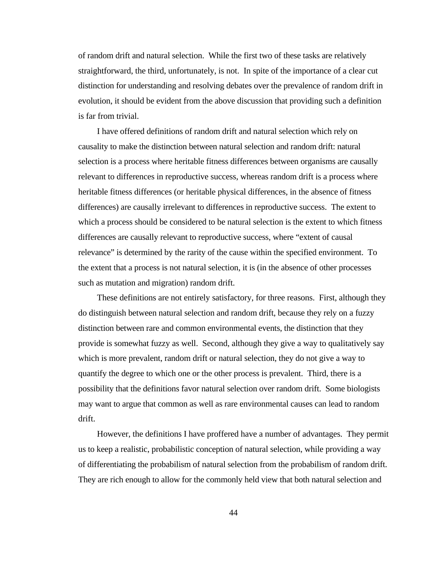of random drift and natural selection. While the first two of these tasks are relatively straightforward, the third, unfortunately, is not. In spite of the importance of a clear cut distinction for understanding and resolving debates over the prevalence of random drift in evolution, it should be evident from the above discussion that providing such a definition is far from trivial.

I have offered definitions of random drift and natural selection which rely on causality to make the distinction between natural selection and random drift: natural selection is a process where heritable fitness differences between organisms are causally relevant to differences in reproductive success, whereas random drift is a process where heritable fitness differences (or heritable physical differences, in the absence of fitness differences) are causally irrelevant to differences in reproductive success. The extent to which a process should be considered to be natural selection is the extent to which fitness differences are causally relevant to reproductive success, where "extent of causal relevance" is determined by the rarity of the cause within the specified environment. To the extent that a process is not natural selection, it is (in the absence of other processes such as mutation and migration) random drift.

These definitions are not entirely satisfactory, for three reasons. First, although they do distinguish between natural selection and random drift, because they rely on a fuzzy distinction between rare and common environmental events, the distinction that they provide is somewhat fuzzy as well. Second, although they give a way to qualitatively say which is more prevalent, random drift or natural selection, they do not give a way to quantify the degree to which one or the other process is prevalent. Third, there is a possibility that the definitions favor natural selection over random drift. Some biologists may want to argue that common as well as rare environmental causes can lead to random drift.

However, the definitions I have proffered have a number of advantages. They permit us to keep a realistic, probabilistic conception of natural selection, while providing a way of differentiating the probabilism of natural selection from the probabilism of random drift. They are rich enough to allow for the commonly held view that both natural selection and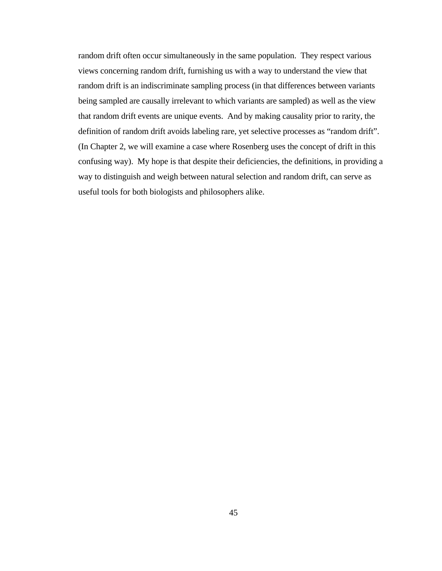random drift often occur simultaneously in the same population. They respect various views concerning random drift, furnishing us with a way to understand the view that random drift is an indiscriminate sampling process (in that differences between variants being sampled are causally irrelevant to which variants are sampled) as well as the view that random drift events are unique events. And by making causality prior to rarity, the definition of random drift avoids labeling rare, yet selective processes as "random drift". (In Chapter 2, we will examine a case where Rosenberg uses the concept of drift in this confusing way). My hope is that despite their deficiencies, the definitions, in providing a way to distinguish and weigh between natural selection and random drift, can serve as useful tools for both biologists and philosophers alike.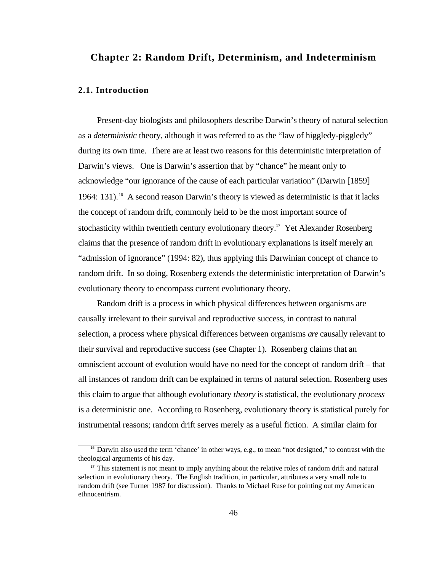# **Chapter 2: Random Drift, Determinism, and Indeterminism**

## **2.1. Introduction**

Present-day biologists and philosophers describe Darwin's theory of natural selection as a *deterministic* theory, although it was referred to as the "law of higgledy-piggledy" during its own time. There are at least two reasons for this deterministic interpretation of Darwin's views. One is Darwin's assertion that by "chance" he meant only to acknowledge "our ignorance of the cause of each particular variation" (Darwin [1859] 1964: 131).<sup>16</sup> A second reason Darwin's theory is viewed as deterministic is that it lacks the concept of random drift, commonly held to be the most important source of stochasticity within twentieth century evolutionary theory.<sup>17</sup> Yet Alexander Rosenberg claims that the presence of random drift in evolutionary explanations is itself merely an "admission of ignorance" (1994: 82), thus applying this Darwinian concept of chance to random drift. In so doing, Rosenberg extends the deterministic interpretation of Darwin's evolutionary theory to encompass current evolutionary theory.

Random drift is a process in which physical differences between organisms are causally irrelevant to their survival and reproductive success, in contrast to natural selection, a process where physical differences between organisms *are* causally relevant to their survival and reproductive success (see Chapter 1). Rosenberg claims that an omniscient account of evolution would have no need for the concept of random drift – that all instances of random drift can be explained in terms of natural selection. Rosenberg uses this claim to argue that although evolutionary *theory* is statistical, the evolutionary *process* is a deterministic one. According to Rosenberg, evolutionary theory is statistical purely for instrumental reasons; random drift serves merely as a useful fiction. A similar claim for

<sup>16</sup> Darwin also used the term 'chance' in other ways, e.g., to mean "not designed," to contrast with the theological arguments of his day.

<sup>&</sup>lt;sup>17</sup> This statement is not meant to imply anything about the relative roles of random drift and natural selection in evolutionary theory. The English tradition, in particular, attributes a very small role to random drift (see Turner 1987 for discussion). Thanks to Michael Ruse for pointing out my American ethnocentrism.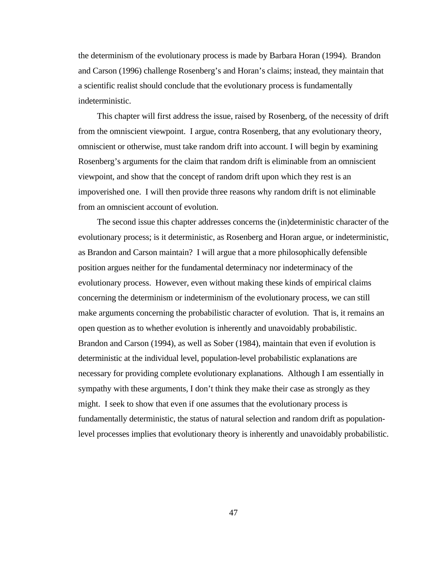the determinism of the evolutionary process is made by Barbara Horan (1994). Brandon and Carson (1996) challenge Rosenberg's and Horan's claims; instead, they maintain that a scientific realist should conclude that the evolutionary process is fundamentally indeterministic.

This chapter will first address the issue, raised by Rosenberg, of the necessity of drift from the omniscient viewpoint. I argue, contra Rosenberg, that any evolutionary theory, omniscient or otherwise, must take random drift into account. I will begin by examining Rosenberg's arguments for the claim that random drift is eliminable from an omniscient viewpoint, and show that the concept of random drift upon which they rest is an impoverished one. I will then provide three reasons why random drift is not eliminable from an omniscient account of evolution.

The second issue this chapter addresses concerns the (in)deterministic character of the evolutionary process; is it deterministic, as Rosenberg and Horan argue, or indeterministic, as Brandon and Carson maintain? I will argue that a more philosophically defensible position argues neither for the fundamental determinacy nor indeterminacy of the evolutionary process. However, even without making these kinds of empirical claims concerning the determinism or indeterminism of the evolutionary process, we can still make arguments concerning the probabilistic character of evolution. That is, it remains an open question as to whether evolution is inherently and unavoidably probabilistic. Brandon and Carson (1994), as well as Sober (1984), maintain that even if evolution is deterministic at the individual level, population-level probabilistic explanations are necessary for providing complete evolutionary explanations. Although I am essentially in sympathy with these arguments, I don't think they make their case as strongly as they might. I seek to show that even if one assumes that the evolutionary process is fundamentally deterministic, the status of natural selection and random drift as populationlevel processes implies that evolutionary theory is inherently and unavoidably probabilistic.

47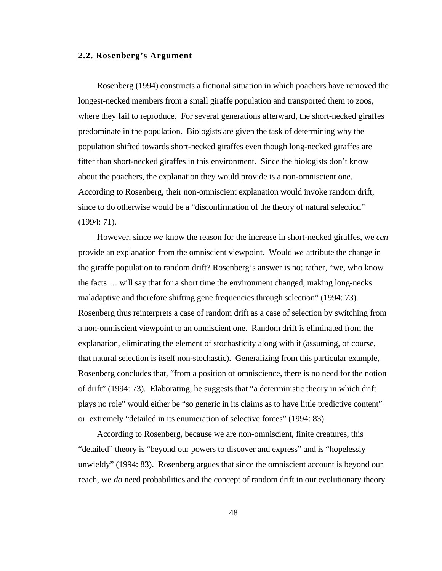## **2.2. Rosenberg's Argument**

Rosenberg (1994) constructs a fictional situation in which poachers have removed the longest-necked members from a small giraffe population and transported them to zoos, where they fail to reproduce. For several generations afterward, the short-necked giraffes predominate in the population. Biologists are given the task of determining why the population shifted towards short-necked giraffes even though long-necked giraffes are fitter than short-necked giraffes in this environment. Since the biologists don't know about the poachers, the explanation they would provide is a non-omniscient one. According to Rosenberg, their non-omniscient explanation would invoke random drift, since to do otherwise would be a "disconfirmation of the theory of natural selection" (1994: 71).

However, since *we* know the reason for the increase in short-necked giraffes, we *can* provide an explanation from the omniscient viewpoint. Would *we* attribute the change in the giraffe population to random drift? Rosenberg's answer is no; rather, "we, who know the facts … will say that for a short time the environment changed, making long-necks maladaptive and therefore shifting gene frequencies through selection" (1994: 73). Rosenberg thus reinterprets a case of random drift as a case of selection by switching from a non-omniscient viewpoint to an omniscient one. Random drift is eliminated from the explanation, eliminating the element of stochasticity along with it (assuming, of course, that natural selection is itself non-stochastic). Generalizing from this particular example, Rosenberg concludes that, "from a position of omniscience, there is no need for the notion of drift" (1994: 73). Elaborating, he suggests that "a deterministic theory in which drift plays no role" would either be "so generic in its claims as to have little predictive content" or extremely "detailed in its enumeration of selective forces" (1994: 83).

According to Rosenberg, because we are non-omniscient, finite creatures, this "detailed" theory is "beyond our powers to discover and express" and is "hopelessly unwieldy" (1994: 83). Rosenberg argues that since the omniscient account is beyond our reach, we *do* need probabilities and the concept of random drift in our evolutionary theory.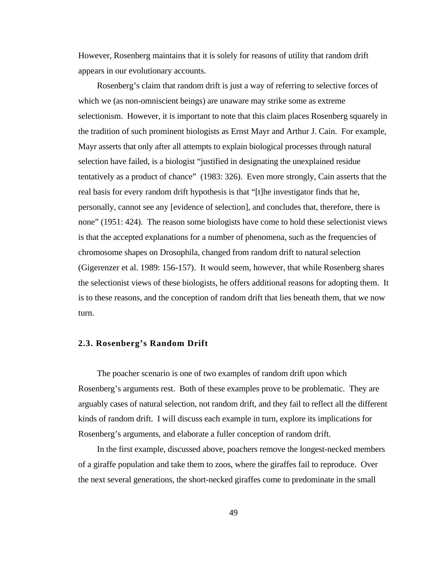However, Rosenberg maintains that it is solely for reasons of utility that random drift appears in our evolutionary accounts.

Rosenberg's claim that random drift is just a way of referring to selective forces of which we (as non-omniscient beings) are unaware may strike some as extreme selectionism. However, it is important to note that this claim places Rosenberg squarely in the tradition of such prominent biologists as Ernst Mayr and Arthur J. Cain. For example, Mayr asserts that only after all attempts to explain biological processes through natural selection have failed, is a biologist "justified in designating the unexplained residue tentatively as a product of chance" (1983: 326). Even more strongly, Cain asserts that the real basis for every random drift hypothesis is that "[t]he investigator finds that he, personally, cannot see any [evidence of selection], and concludes that, therefore, there is none" (1951: 424). The reason some biologists have come to hold these selectionist views is that the accepted explanations for a number of phenomena, such as the frequencies of chromosome shapes on Drosophila, changed from random drift to natural selection (Gigerenzer et al. 1989: 156-157). It would seem, however, that while Rosenberg shares the selectionist views of these biologists, he offers additional reasons for adopting them. It is to these reasons, and the conception of random drift that lies beneath them, that we now turn.

## **2.3. Rosenberg's Random Drift**

The poacher scenario is one of two examples of random drift upon which Rosenberg's arguments rest. Both of these examples prove to be problematic. They are arguably cases of natural selection, not random drift, and they fail to reflect all the different kinds of random drift. I will discuss each example in turn, explore its implications for Rosenberg's arguments, and elaborate a fuller conception of random drift.

In the first example, discussed above, poachers remove the longest-necked members of a giraffe population and take them to zoos, where the giraffes fail to reproduce. Over the next several generations, the short-necked giraffes come to predominate in the small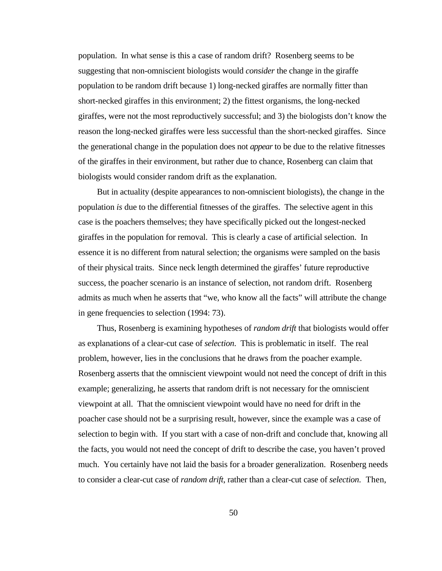population. In what sense is this a case of random drift? Rosenberg seems to be suggesting that non-omniscient biologists would *consider* the change in the giraffe population to be random drift because 1) long-necked giraffes are normally fitter than short-necked giraffes in this environment; 2) the fittest organisms, the long-necked giraffes, were not the most reproductively successful; and 3) the biologists don't know the reason the long-necked giraffes were less successful than the short-necked giraffes. Since the generational change in the population does not *appear* to be due to the relative fitnesses of the giraffes in their environment, but rather due to chance, Rosenberg can claim that biologists would consider random drift as the explanation.

But in actuality (despite appearances to non-omniscient biologists), the change in the population *is* due to the differential fitnesses of the giraffes. The selective agent in this case is the poachers themselves; they have specifically picked out the longest-necked giraffes in the population for removal. This is clearly a case of artificial selection. In essence it is no different from natural selection; the organisms were sampled on the basis of their physical traits. Since neck length determined the giraffes' future reproductive success, the poacher scenario is an instance of selection, not random drift. Rosenberg admits as much when he asserts that "we, who know all the facts" will attribute the change in gene frequencies to selection (1994: 73).

Thus, Rosenberg is examining hypotheses of *random drift* that biologists would offer as explanations of a clear-cut case of *selection*. This is problematic in itself. The real problem, however, lies in the conclusions that he draws from the poacher example. Rosenberg asserts that the omniscient viewpoint would not need the concept of drift in this example; generalizing, he asserts that random drift is not necessary for the omniscient viewpoint at all. That the omniscient viewpoint would have no need for drift in the poacher case should not be a surprising result, however, since the example was a case of selection to begin with. If you start with a case of non-drift and conclude that, knowing all the facts, you would not need the concept of drift to describe the case, you haven't proved much. You certainly have not laid the basis for a broader generalization. Rosenberg needs to consider a clear-cut case of *random drift*, rather than a clear-cut case of *selection*. Then,

50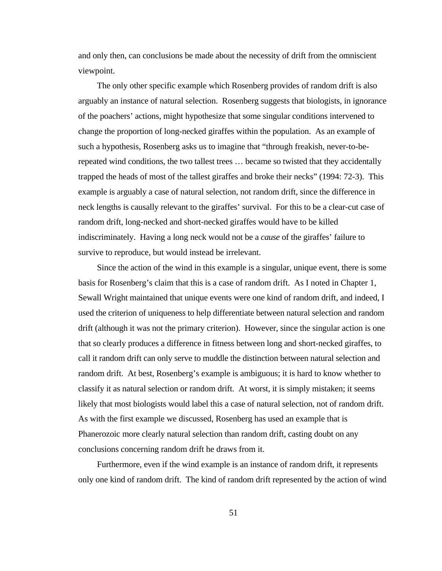and only then, can conclusions be made about the necessity of drift from the omniscient viewpoint.

The only other specific example which Rosenberg provides of random drift is also arguably an instance of natural selection. Rosenberg suggests that biologists, in ignorance of the poachers' actions, might hypothesize that some singular conditions intervened to change the proportion of long-necked giraffes within the population. As an example of such a hypothesis, Rosenberg asks us to imagine that "through freakish, never-to-berepeated wind conditions, the two tallest trees … became so twisted that they accidentally trapped the heads of most of the tallest giraffes and broke their necks" (1994: 72-3). This example is arguably a case of natural selection, not random drift, since the difference in neck lengths is causally relevant to the giraffes' survival. For this to be a clear-cut case of random drift, long-necked and short-necked giraffes would have to be killed indiscriminately. Having a long neck would not be a *cause* of the giraffes' failure to survive to reproduce, but would instead be irrelevant.

Since the action of the wind in this example is a singular, unique event, there is some basis for Rosenberg's claim that this is a case of random drift. As I noted in Chapter 1, Sewall Wright maintained that unique events were one kind of random drift, and indeed, I used the criterion of uniqueness to help differentiate between natural selection and random drift (although it was not the primary criterion). However, since the singular action is one that so clearly produces a difference in fitness between long and short-necked giraffes, to call it random drift can only serve to muddle the distinction between natural selection and random drift. At best, Rosenberg's example is ambiguous; it is hard to know whether to classify it as natural selection or random drift. At worst, it is simply mistaken; it seems likely that most biologists would label this a case of natural selection, not of random drift. As with the first example we discussed, Rosenberg has used an example that is Phanerozoic more clearly natural selection than random drift, casting doubt on any conclusions concerning random drift he draws from it.

Furthermore, even if the wind example is an instance of random drift, it represents only one kind of random drift. The kind of random drift represented by the action of wind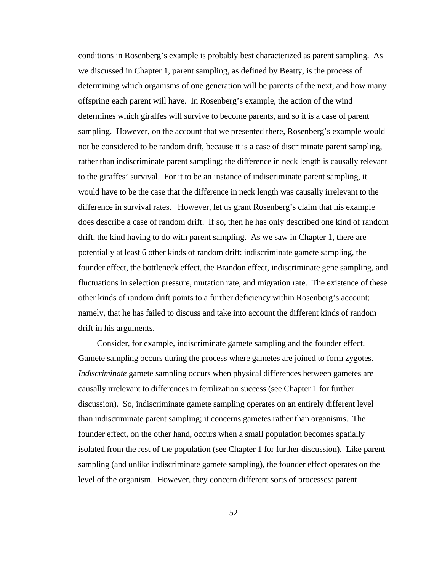conditions in Rosenberg's example is probably best characterized as parent sampling. As we discussed in Chapter 1, parent sampling, as defined by Beatty, is the process of determining which organisms of one generation will be parents of the next, and how many offspring each parent will have. In Rosenberg's example, the action of the wind determines which giraffes will survive to become parents, and so it is a case of parent sampling. However, on the account that we presented there, Rosenberg's example would not be considered to be random drift, because it is a case of discriminate parent sampling, rather than indiscriminate parent sampling; the difference in neck length is causally relevant to the giraffes' survival. For it to be an instance of indiscriminate parent sampling, it would have to be the case that the difference in neck length was causally irrelevant to the difference in survival rates. However, let us grant Rosenberg's claim that his example does describe a case of random drift. If so, then he has only described one kind of random drift, the kind having to do with parent sampling. As we saw in Chapter 1, there are potentially at least 6 other kinds of random drift: indiscriminate gamete sampling, the founder effect, the bottleneck effect, the Brandon effect, indiscriminate gene sampling, and fluctuations in selection pressure, mutation rate, and migration rate. The existence of these other kinds of random drift points to a further deficiency within Rosenberg's account; namely, that he has failed to discuss and take into account the different kinds of random drift in his arguments.

Consider, for example, indiscriminate gamete sampling and the founder effect. Gamete sampling occurs during the process where gametes are joined to form zygotes. *Indiscriminate* gamete sampling occurs when physical differences between gametes are causally irrelevant to differences in fertilization success (see Chapter 1 for further discussion). So, indiscriminate gamete sampling operates on an entirely different level than indiscriminate parent sampling; it concerns gametes rather than organisms. The founder effect, on the other hand, occurs when a small population becomes spatially isolated from the rest of the population (see Chapter 1 for further discussion). Like parent sampling (and unlike indiscriminate gamete sampling), the founder effect operates on the level of the organism. However, they concern different sorts of processes: parent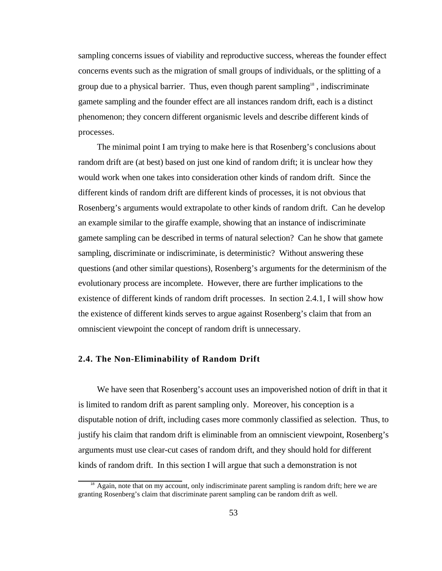sampling concerns issues of viability and reproductive success, whereas the founder effect concerns events such as the migration of small groups of individuals, or the splitting of a group due to a physical barrier. Thus, even though parent sampling<sup>18</sup>, indiscriminate gamete sampling and the founder effect are all instances random drift, each is a distinct phenomenon; they concern different organismic levels and describe different kinds of processes.

The minimal point I am trying to make here is that Rosenberg's conclusions about random drift are (at best) based on just one kind of random drift; it is unclear how they would work when one takes into consideration other kinds of random drift. Since the different kinds of random drift are different kinds of processes, it is not obvious that Rosenberg's arguments would extrapolate to other kinds of random drift. Can he develop an example similar to the giraffe example, showing that an instance of indiscriminate gamete sampling can be described in terms of natural selection? Can he show that gamete sampling, discriminate or indiscriminate, is deterministic? Without answering these questions (and other similar questions), Rosenberg's arguments for the determinism of the evolutionary process are incomplete. However, there are further implications to the existence of different kinds of random drift processes. In section 2.4.1, I will show how the existence of different kinds serves to argue against Rosenberg's claim that from an omniscient viewpoint the concept of random drift is unnecessary.

## **2.4. The Non-Eliminability of Random Drift**

We have seen that Rosenberg's account uses an impoverished notion of drift in that it is limited to random drift as parent sampling only. Moreover, his conception is a disputable notion of drift, including cases more commonly classified as selection. Thus, to justify his claim that random drift is eliminable from an omniscient viewpoint, Rosenberg's arguments must use clear-cut cases of random drift, and they should hold for different kinds of random drift. In this section I will argue that such a demonstration is not

<sup>&</sup>lt;sup>18</sup> Again, note that on my account, only indiscriminate parent sampling is random drift; here we are granting Rosenberg's claim that discriminate parent sampling can be random drift as well.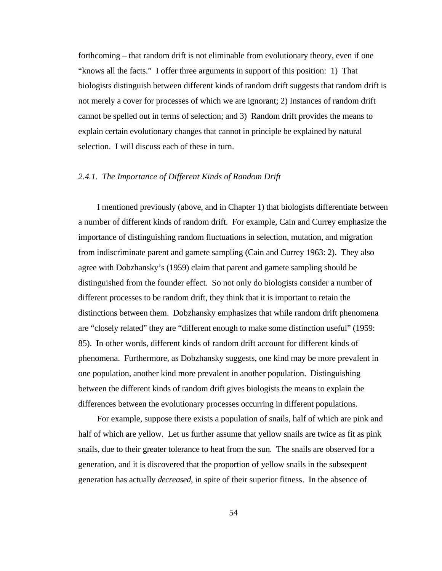forthcoming – that random drift is not eliminable from evolutionary theory, even if one "knows all the facts." I offer three arguments in support of this position: 1) That biologists distinguish between different kinds of random drift suggests that random drift is not merely a cover for processes of which we are ignorant; 2) Instances of random drift cannot be spelled out in terms of selection; and 3) Random drift provides the means to explain certain evolutionary changes that cannot in principle be explained by natural selection. I will discuss each of these in turn.

#### *2.4.1. The Importance of Different Kinds of Random Drift*

I mentioned previously (above, and in Chapter 1) that biologists differentiate between a number of different kinds of random drift. For example, Cain and Currey emphasize the importance of distinguishing random fluctuations in selection, mutation, and migration from indiscriminate parent and gamete sampling (Cain and Currey 1963: 2). They also agree with Dobzhansky's (1959) claim that parent and gamete sampling should be distinguished from the founder effect. So not only do biologists consider a number of different processes to be random drift, they think that it is important to retain the distinctions between them. Dobzhansky emphasizes that while random drift phenomena are "closely related" they are "different enough to make some distinction useful" (1959: 85). In other words, different kinds of random drift account for different kinds of phenomena. Furthermore, as Dobzhansky suggests, one kind may be more prevalent in one population, another kind more prevalent in another population. Distinguishing between the different kinds of random drift gives biologists the means to explain the differences between the evolutionary processes occurring in different populations.

For example, suppose there exists a population of snails, half of which are pink and half of which are yellow. Let us further assume that yellow snails are twice as fit as pink snails, due to their greater tolerance to heat from the sun. The snails are observed for a generation, and it is discovered that the proportion of yellow snails in the subsequent generation has actually *decreased*, in spite of their superior fitness. In the absence of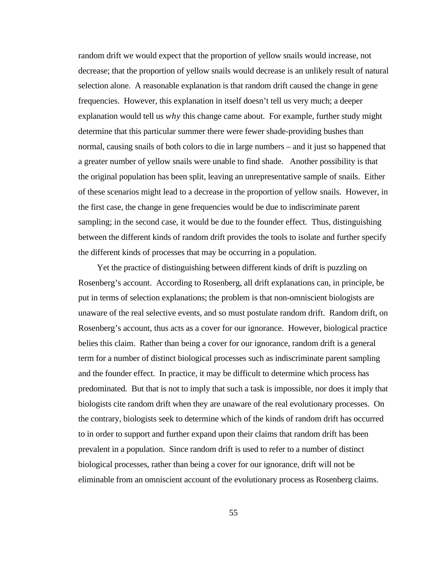random drift we would expect that the proportion of yellow snails would increase, not decrease; that the proportion of yellow snails would decrease is an unlikely result of natural selection alone. A reasonable explanation is that random drift caused the change in gene frequencies. However, this explanation in itself doesn't tell us very much; a deeper explanation would tell us *why* this change came about. For example, further study might determine that this particular summer there were fewer shade-providing bushes than normal, causing snails of both colors to die in large numbers – and it just so happened that a greater number of yellow snails were unable to find shade. Another possibility is that the original population has been split, leaving an unrepresentative sample of snails. Either of these scenarios might lead to a decrease in the proportion of yellow snails. However, in the first case, the change in gene frequencies would be due to indiscriminate parent sampling; in the second case, it would be due to the founder effect. Thus, distinguishing between the different kinds of random drift provides the tools to isolate and further specify the different kinds of processes that may be occurring in a population.

Yet the practice of distinguishing between different kinds of drift is puzzling on Rosenberg's account. According to Rosenberg, all drift explanations can, in principle, be put in terms of selection explanations; the problem is that non-omniscient biologists are unaware of the real selective events, and so must postulate random drift. Random drift, on Rosenberg's account, thus acts as a cover for our ignorance. However, biological practice belies this claim. Rather than being a cover for our ignorance, random drift is a general term for a number of distinct biological processes such as indiscriminate parent sampling and the founder effect. In practice, it may be difficult to determine which process has predominated. But that is not to imply that such a task is impossible, nor does it imply that biologists cite random drift when they are unaware of the real evolutionary processes. On the contrary, biologists seek to determine which of the kinds of random drift has occurred to in order to support and further expand upon their claims that random drift has been prevalent in a population. Since random drift is used to refer to a number of distinct biological processes, rather than being a cover for our ignorance, drift will not be eliminable from an omniscient account of the evolutionary process as Rosenberg claims.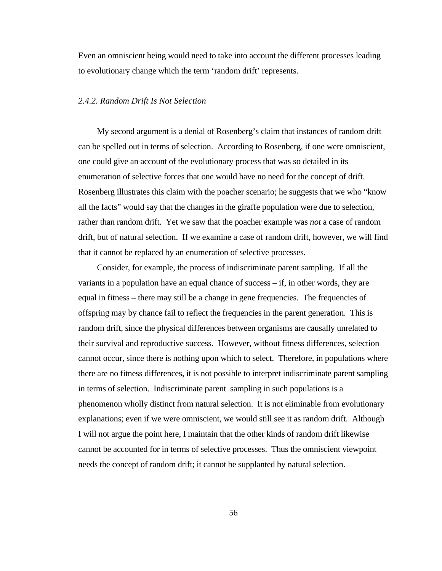Even an omniscient being would need to take into account the different processes leading to evolutionary change which the term 'random drift' represents.

## *2.4.2. Random Drift Is Not Selection*

My second argument is a denial of Rosenberg's claim that instances of random drift can be spelled out in terms of selection. According to Rosenberg, if one were omniscient, one could give an account of the evolutionary process that was so detailed in its enumeration of selective forces that one would have no need for the concept of drift. Rosenberg illustrates this claim with the poacher scenario; he suggests that we who "know all the facts" would say that the changes in the giraffe population were due to selection, rather than random drift. Yet we saw that the poacher example was *not* a case of random drift, but of natural selection. If we examine a case of random drift, however, we will find that it cannot be replaced by an enumeration of selective processes.

Consider, for example, the process of indiscriminate parent sampling. If all the variants in a population have an equal chance of success – if, in other words, they are equal in fitness – there may still be a change in gene frequencies. The frequencies of offspring may by chance fail to reflect the frequencies in the parent generation. This is random drift, since the physical differences between organisms are causally unrelated to their survival and reproductive success. However, without fitness differences, selection cannot occur, since there is nothing upon which to select. Therefore, in populations where there are no fitness differences, it is not possible to interpret indiscriminate parent sampling in terms of selection. Indiscriminate parent sampling in such populations is a phenomenon wholly distinct from natural selection. It is not eliminable from evolutionary explanations; even if we were omniscient, we would still see it as random drift. Although I will not argue the point here, I maintain that the other kinds of random drift likewise cannot be accounted for in terms of selective processes. Thus the omniscient viewpoint needs the concept of random drift; it cannot be supplanted by natural selection.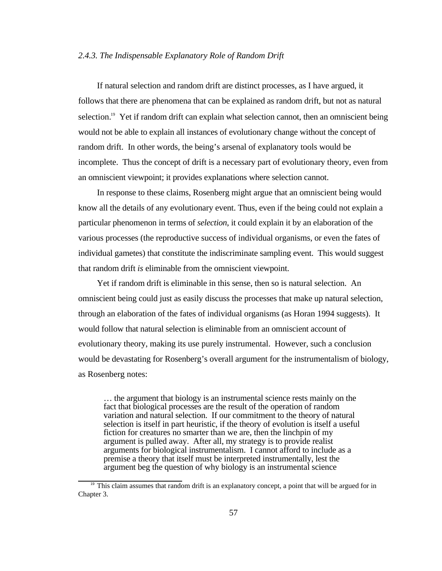### *2.4.3. The Indispensable Explanatory Role of Random Drift*

If natural selection and random drift are distinct processes, as I have argued, it follows that there are phenomena that can be explained as random drift, but not as natural selection.<sup>19</sup> Yet if random drift can explain what selection cannot, then an omniscient being would not be able to explain all instances of evolutionary change without the concept of random drift. In other words, the being's arsenal of explanatory tools would be incomplete. Thus the concept of drift is a necessary part of evolutionary theory, even from an omniscient viewpoint; it provides explanations where selection cannot.

In response to these claims, Rosenberg might argue that an omniscient being would know all the details of any evolutionary event. Thus, even if the being could not explain a particular phenomenon in terms of *selection*, it could explain it by an elaboration of the various processes (the reproductive success of individual organisms, or even the fates of individual gametes) that constitute the indiscriminate sampling event. This would suggest that random drift *is* eliminable from the omniscient viewpoint.

Yet if random drift is eliminable in this sense, then so is natural selection. An omniscient being could just as easily discuss the processes that make up natural selection, through an elaboration of the fates of individual organisms (as Horan 1994 suggests). It would follow that natural selection is eliminable from an omniscient account of evolutionary theory, making its use purely instrumental. However, such a conclusion would be devastating for Rosenberg's overall argument for the instrumentalism of biology, as Rosenberg notes:

… the argument that biology is an instrumental science rests mainly on the fact that biological processes are the result of the operation of random variation and natural selection. If our commitment to the theory of natural selection is itself in part heuristic, if the theory of evolution is itself a useful fiction for creatures no smarter than we are, then the linchpin of my argument is pulled away. After all, my strategy is to provide realist arguments for biological instrumentalism. I cannot afford to include as a premise a theory that itself must be interpreted instrumentally, lest the argument beg the question of why biology is an instrumental science

<sup>&</sup>lt;sup>19</sup> This claim assumes that random drift is an explanatory concept, a point that will be argued for in Chapter 3.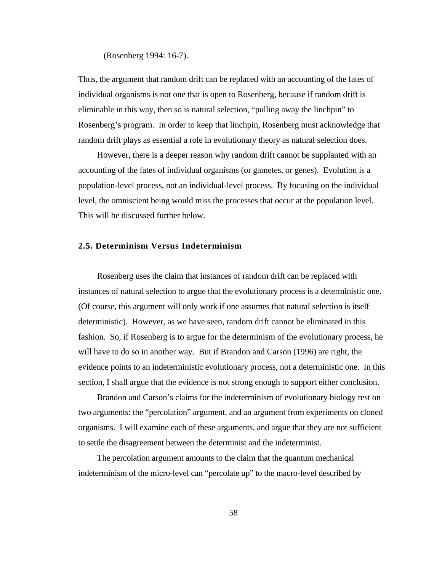### (Rosenberg 1994: 16-7).

Thus, the argument that random drift can be replaced with an accounting of the fates of individual organisms is not one that is open to Rosenberg, because if random drift is eliminable in this way, then so is natural selection, "pulling away the linchpin" to Rosenberg's program. In order to keep that linchpin, Rosenberg must acknowledge that random drift plays as essential a role in evolutionary theory as natural selection does.

However, there is a deeper reason why random drift cannot be supplanted with an accounting of the fates of individual organisms (or gametes, or genes). Evolution is a population-level process, not an individual-level process. By focusing on the individual level, the omniscient being would miss the processes that occur at the population level. This will be discussed further below.

## **2.5. Determinism Versus Indeterminism**

Rosenberg uses the claim that instances of random drift can be replaced with instances of natural selection to argue that the evolutionary process is a deterministic one. (Of course, this argument will only work if one assumes that natural selection is itself deterministic). However, as we have seen, random drift cannot be eliminated in this fashion. So, if Rosenberg is to argue for the determinism of the evolutionary process, he will have to do so in another way. But if Brandon and Carson (1996) are right, the evidence points to an indeterministic evolutionary process, not a deterministic one. In this section, I shall argue that the evidence is not strong enough to support either conclusion.

Brandon and Carson's claims for the indeterminism of evolutionary biology rest on two arguments: the "percolation" argument, and an argument from experiments on cloned organisms. I will examine each of these arguments, and argue that they are not sufficient to settle the disagreement between the determinist and the indeterminist.

The percolation argument amounts to the claim that the quantum mechanical indeterminism of the micro-level can "percolate up" to the macro-level described by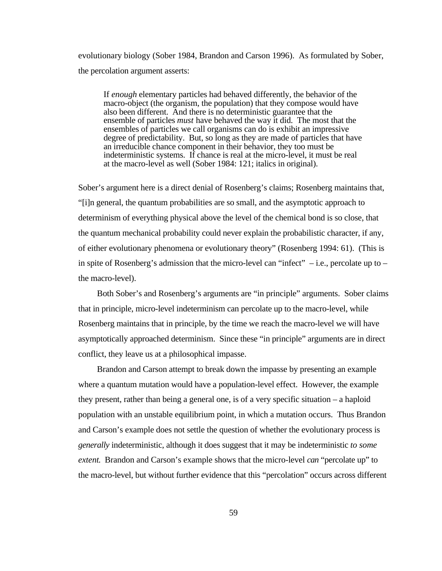evolutionary biology (Sober 1984, Brandon and Carson 1996). As formulated by Sober, the percolation argument asserts:

If *enough* elementary particles had behaved differently, the behavior of the macro-object (the organism, the population) that they compose would have also been different. And there is no deterministic guarantee that the ensemble of particles *must* have behaved the way it did. The most that the ensembles of particles we call organisms can do is exhibit an impressive degree of predictability. But, so long as they are made of particles that have an irreducible chance component in their behavior, they too must be indeterministic systems. If chance is real at the micro-level, it must be real at the macro-level as well (Sober 1984: 121; italics in original).

Sober's argument here is a direct denial of Rosenberg's claims; Rosenberg maintains that, "[i]n general, the quantum probabilities are so small, and the asymptotic approach to determinism of everything physical above the level of the chemical bond is so close, that the quantum mechanical probability could never explain the probabilistic character, if any, of either evolutionary phenomena or evolutionary theory" (Rosenberg 1994: 61). (This is in spite of Rosenberg's admission that the micro-level can "infect"  $-$  i.e., percolate up to  $$ the macro-level).

Both Sober's and Rosenberg's arguments are "in principle" arguments. Sober claims that in principle, micro-level indeterminism can percolate up to the macro-level, while Rosenberg maintains that in principle, by the time we reach the macro-level we will have asymptotically approached determinism. Since these "in principle" arguments are in direct conflict, they leave us at a philosophical impasse.

Brandon and Carson attempt to break down the impasse by presenting an example where a quantum mutation would have a population-level effect. However, the example they present, rather than being a general one, is of a very specific situation – a haploid population with an unstable equilibrium point, in which a mutation occurs. Thus Brandon and Carson's example does not settle the question of whether the evolutionary process is *generally* indeterministic, although it does suggest that it may be indeterministic *to some extent*. Brandon and Carson's example shows that the micro-level *can* "percolate up" to the macro-level, but without further evidence that this "percolation" occurs across different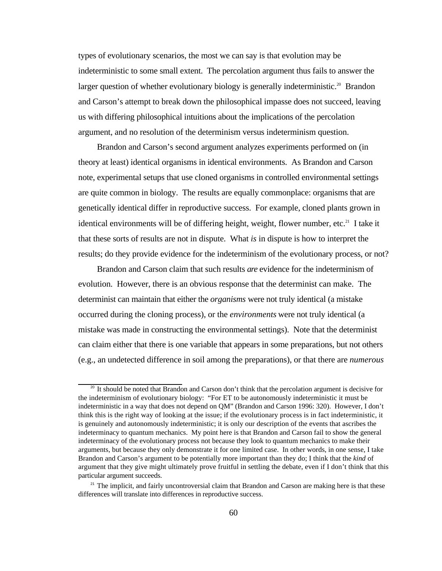types of evolutionary scenarios, the most we can say is that evolution may be indeterministic to some small extent. The percolation argument thus fails to answer the larger question of whether evolutionary biology is generally indeterministic.<sup>20</sup> Brandon and Carson's attempt to break down the philosophical impasse does not succeed, leaving us with differing philosophical intuitions about the implications of the percolation argument, and no resolution of the determinism versus indeterminism question.

Brandon and Carson's second argument analyzes experiments performed on (in theory at least) identical organisms in identical environments. As Brandon and Carson note, experimental setups that use cloned organisms in controlled environmental settings are quite common in biology. The results are equally commonplace: organisms that are genetically identical differ in reproductive success. For example, cloned plants grown in identical environments will be of differing height, weight, flower number, etc.<sup>21</sup> I take it that these sorts of results are not in dispute. What *is* in dispute is how to interpret the results; do they provide evidence for the indeterminism of the evolutionary process, or not?

Brandon and Carson claim that such results *are* evidence for the indeterminism of evolution. However, there is an obvious response that the determinist can make. The determinist can maintain that either the *organisms* were not truly identical (a mistake occurred during the cloning process), or the *environments* were not truly identical (a mistake was made in constructing the environmental settings). Note that the determinist can claim either that there is one variable that appears in some preparations, but not others (e.g., an undetected difference in soil among the preparations), or that there are *numerous*

<sup>&</sup>lt;sup>20</sup> It should be noted that Brandon and Carson don't think that the percolation argument is decisive for the indeterminism of evolutionary biology: "For ET to be autonomously indeterministic it must be indeterministic in a way that does not depend on QM" (Brandon and Carson 1996: 320). However, I don't think this is the right way of looking at the issue; if the evolutionary process is in fact indeterministic, it is genuinely and autonomously indeterministic; it is only our description of the events that ascribes the indeterminacy to quantum mechanics. My point here is that Brandon and Carson fail to show the general indeterminacy of the evolutionary process not because they look to quantum mechanics to make their arguments, but because they only demonstrate it for one limited case. In other words, in one sense, I take Brandon and Carson's argument to be potentially more important than they do; I think that the *kind* of argument that they give might ultimately prove fruitful in settling the debate, even if I don't think that this particular argument succeeds.

<sup>&</sup>lt;sup>21</sup> The implicit, and fairly uncontroversial claim that Brandon and Carson are making here is that these differences will translate into differences in reproductive success.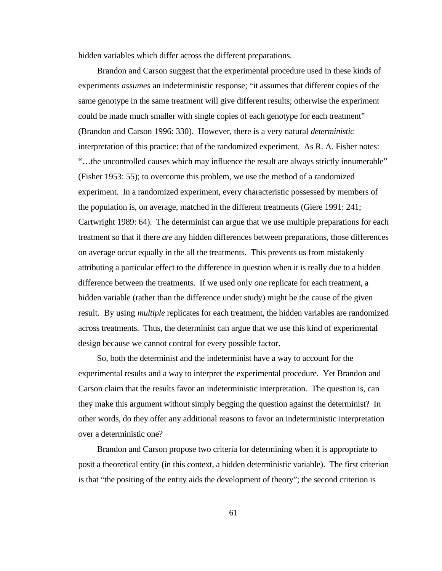hidden variables which differ across the different preparations.

Brandon and Carson suggest that the experimental procedure used in these kinds of experiments *assumes* an indeterministic response; "it assumes that different copies of the same genotype in the same treatment will give different results; otherwise the experiment could be made much smaller with single copies of each genotype for each treatment" (Brandon and Carson 1996: 330). However, there is a very natural *deterministic* interpretation of this practice: that of the randomized experiment. As R. A. Fisher notes: "…the uncontrolled causes which may influence the result are always strictly innumerable" (Fisher 1953: 55); to overcome this problem, we use the method of a randomized experiment. In a randomized experiment, every characteristic possessed by members of the population is, on average, matched in the different treatments (Giere 1991: 241; Cartwright 1989: 64). The determinist can argue that we use multiple preparations for each treatment so that if there *are* any hidden differences between preparations, those differences on average occur equally in the all the treatments. This prevents us from mistakenly attributing a particular effect to the difference in question when it is really due to a hidden difference between the treatments. If we used only *one* replicate for each treatment, a hidden variable (rather than the difference under study) might be the cause of the given result. By using *multiple* replicates for each treatment, the hidden variables are randomized across treatments. Thus, the determinist can argue that we use this kind of experimental design because we cannot control for every possible factor.

So, both the determinist and the indeterminist have a way to account for the experimental results and a way to interpret the experimental procedure. Yet Brandon and Carson claim that the results favor an indeterministic interpretation. The question is, can they make this argument without simply begging the question against the determinist? In other words, do they offer any additional reasons to favor an indeterministic interpretation over a deterministic one?

Brandon and Carson propose two criteria for determining when it is appropriate to posit a theoretical entity (in this context, a hidden deterministic variable). The first criterion is that "the positing of the entity aids the development of theory"; the second criterion is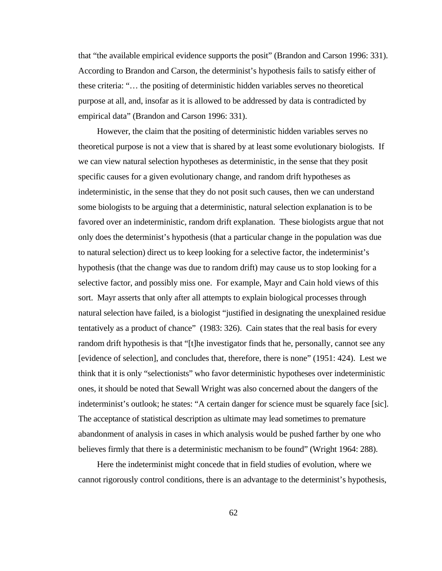that "the available empirical evidence supports the posit" (Brandon and Carson 1996: 331). According to Brandon and Carson, the determinist's hypothesis fails to satisfy either of these criteria: "… the positing of deterministic hidden variables serves no theoretical purpose at all, and, insofar as it is allowed to be addressed by data is contradicted by empirical data" (Brandon and Carson 1996: 331).

However, the claim that the positing of deterministic hidden variables serves no theoretical purpose is not a view that is shared by at least some evolutionary biologists. If we can view natural selection hypotheses as deterministic, in the sense that they posit specific causes for a given evolutionary change, and random drift hypotheses as indeterministic, in the sense that they do not posit such causes, then we can understand some biologists to be arguing that a deterministic, natural selection explanation is to be favored over an indeterministic, random drift explanation. These biologists argue that not only does the determinist's hypothesis (that a particular change in the population was due to natural selection) direct us to keep looking for a selective factor, the indeterminist's hypothesis (that the change was due to random drift) may cause us to stop looking for a selective factor, and possibly miss one. For example, Mayr and Cain hold views of this sort. Mayr asserts that only after all attempts to explain biological processes through natural selection have failed, is a biologist "justified in designating the unexplained residue tentatively as a product of chance" (1983: 326). Cain states that the real basis for every random drift hypothesis is that "[t]he investigator finds that he, personally, cannot see any [evidence of selection], and concludes that, therefore, there is none" (1951: 424). Lest we think that it is only "selectionists" who favor deterministic hypotheses over indeterministic ones, it should be noted that Sewall Wright was also concerned about the dangers of the indeterminist's outlook; he states: "A certain danger for science must be squarely face [sic]. The acceptance of statistical description as ultimate may lead sometimes to premature abandonment of analysis in cases in which analysis would be pushed farther by one who believes firmly that there is a deterministic mechanism to be found" (Wright 1964: 288).

Here the indeterminist might concede that in field studies of evolution, where we cannot rigorously control conditions, there is an advantage to the determinist's hypothesis,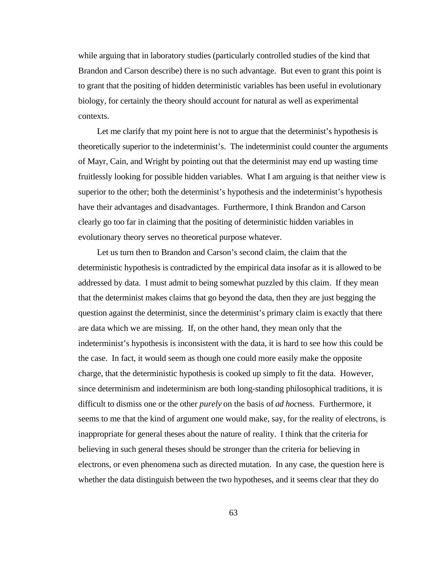while arguing that in laboratory studies (particularly controlled studies of the kind that Brandon and Carson describe) there is no such advantage. But even to grant this point is to grant that the positing of hidden deterministic variables has been useful in evolutionary biology, for certainly the theory should account for natural as well as experimental contexts.

Let me clarify that my point here is not to argue that the determinist's hypothesis is theoretically superior to the indeterminist's. The indeterminist could counter the arguments of Mayr, Cain, and Wright by pointing out that the determinist may end up wasting time fruitlessly looking for possible hidden variables. What I am arguing is that neither view is superior to the other; both the determinist's hypothesis and the indeterminist's hypothesis have their advantages and disadvantages. Furthermore, I think Brandon and Carson clearly go too far in claiming that the positing of deterministic hidden variables in evolutionary theory serves no theoretical purpose whatever.

Let us turn then to Brandon and Carson's second claim, the claim that the deterministic hypothesis is contradicted by the empirical data insofar as it is allowed to be addressed by data. I must admit to being somewhat puzzled by this claim. If they mean that the determinist makes claims that go beyond the data, then they are just begging the question against the determinist, since the determinist's primary claim is exactly that there are data which we are missing. If, on the other hand, they mean only that the indeterminist's hypothesis is inconsistent with the data, it is hard to see how this could be the case. In fact, it would seem as though one could more easily make the opposite charge, that the deterministic hypothesis is cooked up simply to fit the data. However, since determinism and indeterminism are both long-standing philosophical traditions, it is difficult to dismiss one or the other *purely* on the basis of *ad hoc*ness. Furthermore, it seems to me that the kind of argument one would make, say, for the reality of electrons, is inappropriate for general theses about the nature of reality. I think that the criteria for believing in such general theses should be stronger than the criteria for believing in electrons, or even phenomena such as directed mutation. In any case, the question here is whether the data distinguish between the two hypotheses, and it seems clear that they do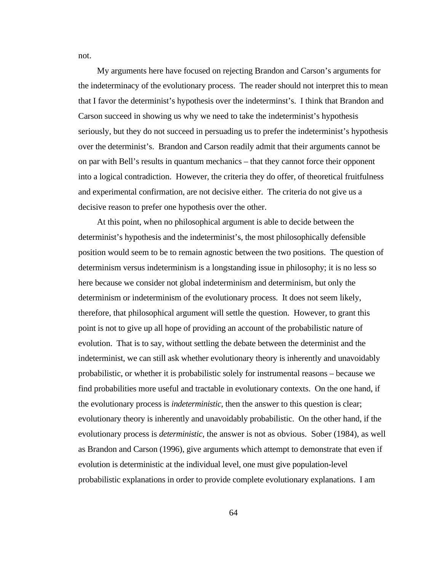My arguments here have focused on rejecting Brandon and Carson's arguments for the indeterminacy of the evolutionary process. The reader should not interpret this to mean that I favor the determinist's hypothesis over the indeterminst's. I think that Brandon and Carson succeed in showing us why we need to take the indeterminist's hypothesis seriously, but they do not succeed in persuading us to prefer the indeterminist's hypothesis over the determinist's. Brandon and Carson readily admit that their arguments cannot be on par with Bell's results in quantum mechanics – that they cannot force their opponent into a logical contradiction. However, the criteria they do offer, of theoretical fruitfulness and experimental confirmation, are not decisive either. The criteria do not give us a decisive reason to prefer one hypothesis over the other.

At this point, when no philosophical argument is able to decide between the determinist's hypothesis and the indeterminist's, the most philosophically defensible position would seem to be to remain agnostic between the two positions. The question of determinism versus indeterminism is a longstanding issue in philosophy; it is no less so here because we consider not global indeterminism and determinism, but only the determinism or indeterminism of the evolutionary process. It does not seem likely, therefore, that philosophical argument will settle the question. However, to grant this point is not to give up all hope of providing an account of the probabilistic nature of evolution. That is to say, without settling the debate between the determinist and the indeterminist, we can still ask whether evolutionary theory is inherently and unavoidably probabilistic, or whether it is probabilistic solely for instrumental reasons – because we find probabilities more useful and tractable in evolutionary contexts. On the one hand, if the evolutionary process is *indeterministic*, then the answer to this question is clear; evolutionary theory is inherently and unavoidably probabilistic. On the other hand, if the evolutionary process is *deterministic*, the answer is not as obvious. Sober (1984), as well as Brandon and Carson (1996), give arguments which attempt to demonstrate that even if evolution is deterministic at the individual level, one must give population-level probabilistic explanations in order to provide complete evolutionary explanations. I am

not.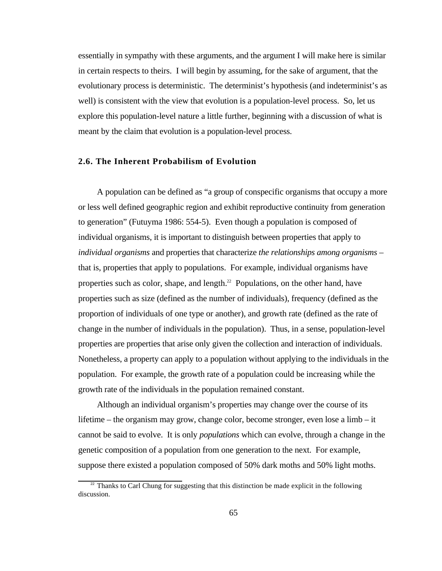essentially in sympathy with these arguments, and the argument I will make here is similar in certain respects to theirs. I will begin by assuming, for the sake of argument, that the evolutionary process is deterministic. The determinist's hypothesis (and indeterminist's as well) is consistent with the view that evolution is a population-level process. So, let us explore this population-level nature a little further, beginning with a discussion of what is meant by the claim that evolution is a population-level process.

#### **2.6. The Inherent Probabilism of Evolution**

A population can be defined as "a group of conspecific organisms that occupy a more or less well defined geographic region and exhibit reproductive continuity from generation to generation" (Futuyma 1986: 554-5). Even though a population is composed of individual organisms, it is important to distinguish between properties that apply to *individual organisms* and properties that characterize *the relationships among organisms* – that is, properties that apply to populations. For example, individual organisms have properties such as color, shape, and length.<sup>22</sup> Populations, on the other hand, have properties such as size (defined as the number of individuals), frequency (defined as the proportion of individuals of one type or another), and growth rate (defined as the rate of change in the number of individuals in the population). Thus, in a sense, population-level properties are properties that arise only given the collection and interaction of individuals. Nonetheless, a property can apply to a population without applying to the individuals in the population. For example, the growth rate of a population could be increasing while the growth rate of the individuals in the population remained constant.

Although an individual organism's properties may change over the course of its lifetime – the organism may grow, change color, become stronger, even lose a limb – it cannot be said to evolve. It is only *populations* which can evolve, through a change in the genetic composition of a population from one generation to the next. For example, suppose there existed a population composed of 50% dark moths and 50% light moths.

 $22$  Thanks to Carl Chung for suggesting that this distinction be made explicit in the following discussion.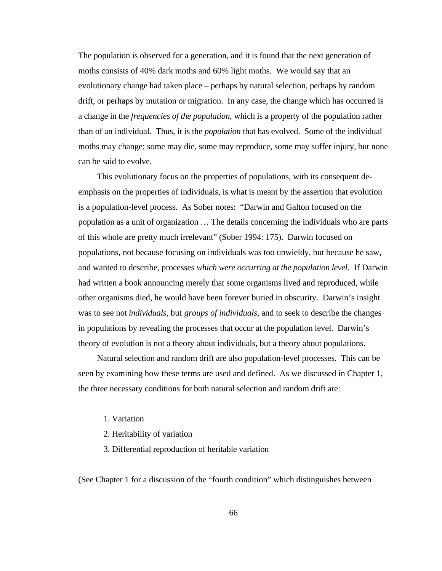The population is observed for a generation, and it is found that the next generation of moths consists of 40% dark moths and 60% light moths. We would say that an evolutionary change had taken place – perhaps by natural selection, perhaps by random drift, or perhaps by mutation or migration. In any case, the change which has occurred is a change in the *frequencies of the population*, which is a property of the population rather than of an individual. Thus, it is the *population* that has evolved. Some of the individual moths may change; some may die, some may reproduce, some may suffer injury, but none can be said to evolve.

This evolutionary focus on the properties of populations, with its consequent deemphasis on the properties of individuals, is what is meant by the assertion that evolution is a population-level process. As Sober notes: "Darwin and Galton focused on the population as a unit of organization … The details concerning the individuals who are parts of this whole are pretty much irrelevant" (Sober 1994: 175). Darwin focused on populations, not because focusing on individuals was too unwieldy, but because he saw, and wanted to describe, processes *which were occurring at the population level*. If Darwin had written a book announcing merely that some organisms lived and reproduced, while other organisms died, he would have been forever buried in obscurity. Darwin's insight was to see not *individuals*, but *groups of individuals*, and to seek to describe the changes in populations by revealing the processes that occur at the population level. Darwin's theory of evolution is not a theory about individuals, but a theory about populations.

Natural selection and random drift are also population-level processes. This can be seen by examining how these terms are used and defined. As we discussed in Chapter 1, the three necessary conditions for both natural selection and random drift are:

- 1. Variation
- 2. Heritability of variation
- 3. Differential reproduction of heritable variation

(See Chapter 1 for a discussion of the "fourth condition" which distinguishes between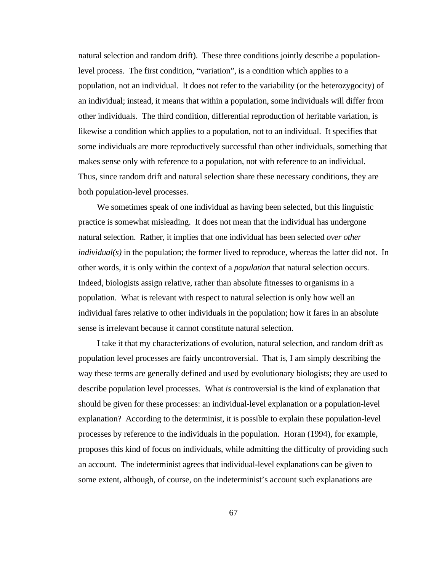natural selection and random drift). These three conditions jointly describe a populationlevel process. The first condition, "variation", is a condition which applies to a population, not an individual. It does not refer to the variability (or the heterozygocity) of an individual; instead, it means that within a population, some individuals will differ from other individuals. The third condition, differential reproduction of heritable variation, is likewise a condition which applies to a population, not to an individual. It specifies that some individuals are more reproductively successful than other individuals, something that makes sense only with reference to a population, not with reference to an individual. Thus, since random drift and natural selection share these necessary conditions, they are both population-level processes.

We sometimes speak of one individual as having been selected, but this linguistic practice is somewhat misleading. It does not mean that the individual has undergone natural selection. Rather, it implies that one individual has been selected *over other individual(s)* in the population; the former lived to reproduce, whereas the latter did not. In other words, it is only within the context of a *population* that natural selection occurs. Indeed, biologists assign relative, rather than absolute fitnesses to organisms in a population. What is relevant with respect to natural selection is only how well an individual fares relative to other individuals in the population; how it fares in an absolute sense is irrelevant because it cannot constitute natural selection.

I take it that my characterizations of evolution, natural selection, and random drift as population level processes are fairly uncontroversial. That is, I am simply describing the way these terms are generally defined and used by evolutionary biologists; they are used to describe population level processes. What *is* controversial is the kind of explanation that should be given for these processes: an individual-level explanation or a population-level explanation? According to the determinist, it is possible to explain these population-level processes by reference to the individuals in the population. Horan (1994), for example, proposes this kind of focus on individuals, while admitting the difficulty of providing such an account. The indeterminist agrees that individual-level explanations can be given to some extent, although, of course, on the indeterminist's account such explanations are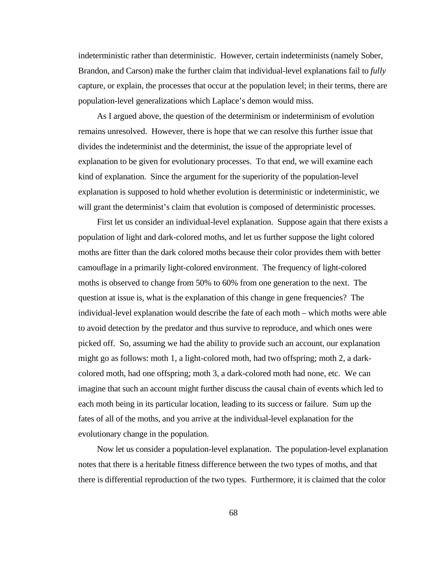indeterministic rather than deterministic. However, certain indeterminists (namely Sober, Brandon, and Carson) make the further claim that individual-level explanations fail to *fully* capture, or explain, the processes that occur at the population level; in their terms, there are population-level generalizations which Laplace's demon would miss.

As I argued above, the question of the determinism or indeterminism of evolution remains unresolved. However, there is hope that we can resolve this further issue that divides the indeterminist and the determinist, the issue of the appropriate level of explanation to be given for evolutionary processes. To that end, we will examine each kind of explanation. Since the argument for the superiority of the population-level explanation is supposed to hold whether evolution is deterministic or indeterministic, we will grant the determinist's claim that evolution is composed of deterministic processes.

First let us consider an individual-level explanation. Suppose again that there exists a population of light and dark-colored moths, and let us further suppose the light colored moths are fitter than the dark colored moths because their color provides them with better camouflage in a primarily light-colored environment. The frequency of light-colored moths is observed to change from 50% to 60% from one generation to the next. The question at issue is, what is the explanation of this change in gene frequencies? The individual-level explanation would describe the fate of each moth – which moths were able to avoid detection by the predator and thus survive to reproduce, and which ones were picked off. So, assuming we had the ability to provide such an account, our explanation might go as follows: moth 1, a light-colored moth, had two offspring; moth 2, a darkcolored moth, had one offspring; moth 3, a dark-colored moth had none, etc. We can imagine that such an account might further discuss the causal chain of events which led to each moth being in its particular location, leading to its success or failure. Sum up the fates of all of the moths, and you arrive at the individual-level explanation for the evolutionary change in the population.

Now let us consider a population-level explanation. The population-level explanation notes that there is a heritable fitness difference between the two types of moths, and that there is differential reproduction of the two types. Furthermore, it is claimed that the color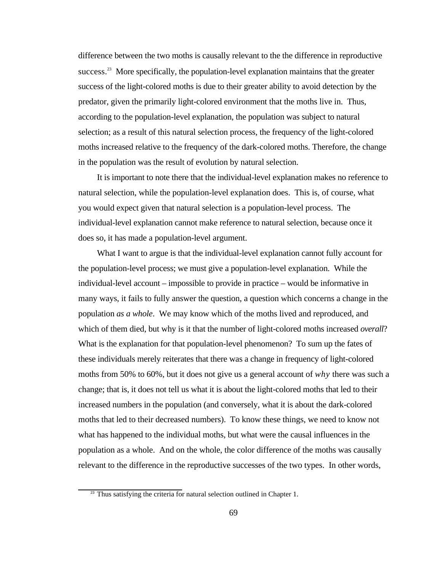difference between the two moths is causally relevant to the the difference in reproductive success.<sup>23</sup> More specifically, the population-level explanation maintains that the greater success of the light-colored moths is due to their greater ability to avoid detection by the predator, given the primarily light-colored environment that the moths live in. Thus, according to the population-level explanation, the population was subject to natural selection; as a result of this natural selection process, the frequency of the light-colored moths increased relative to the frequency of the dark-colored moths. Therefore, the change in the population was the result of evolution by natural selection.

It is important to note there that the individual-level explanation makes no reference to natural selection, while the population-level explanation does. This is, of course, what you would expect given that natural selection is a population-level process. The individual-level explanation cannot make reference to natural selection, because once it does so, it has made a population-level argument.

What I want to argue is that the individual-level explanation cannot fully account for the population-level process; we must give a population-level explanation. While the individual-level account – impossible to provide in practice – would be informative in many ways, it fails to fully answer the question, a question which concerns a change in the population *as a whole*. We may know which of the moths lived and reproduced, and which of them died, but why is it that the number of light-colored moths increased *overall*? What is the explanation for that population-level phenomenon? To sum up the fates of these individuals merely reiterates that there was a change in frequency of light-colored moths from 50% to 60%, but it does not give us a general account of *why* there was such a change; that is, it does not tell us what it is about the light-colored moths that led to their increased numbers in the population (and conversely, what it is about the dark-colored moths that led to their decreased numbers). To know these things, we need to know not what has happened to the individual moths, but what were the causal influences in the population as a whole. And on the whole, the color difference of the moths was causally relevant to the difference in the reproductive successes of the two types. In other words,

 $23$  Thus satisfying the criteria for natural selection outlined in Chapter 1.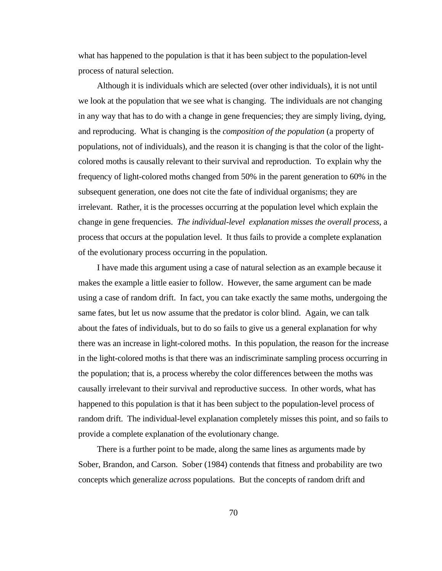what has happened to the population is that it has been subject to the population-level process of natural selection.

Although it is individuals which are selected (over other individuals), it is not until we look at the population that we see what is changing. The individuals are not changing in any way that has to do with a change in gene frequencies; they are simply living, dying, and reproducing. What is changing is the *composition of the population* (a property of populations, not of individuals), and the reason it is changing is that the color of the lightcolored moths is causally relevant to their survival and reproduction. To explain why the frequency of light-colored moths changed from 50% in the parent generation to 60% in the subsequent generation, one does not cite the fate of individual organisms; they are irrelevant. Rather, it is the processes occurring at the population level which explain the change in gene frequencies. *The individual-level explanation misses the overall process*, a process that occurs at the population level. It thus fails to provide a complete explanation of the evolutionary process occurring in the population.

I have made this argument using a case of natural selection as an example because it makes the example a little easier to follow. However, the same argument can be made using a case of random drift. In fact, you can take exactly the same moths, undergoing the same fates, but let us now assume that the predator is color blind. Again, we can talk about the fates of individuals, but to do so fails to give us a general explanation for why there was an increase in light-colored moths. In this population, the reason for the increase in the light-colored moths is that there was an indiscriminate sampling process occurring in the population; that is, a process whereby the color differences between the moths was causally irrelevant to their survival and reproductive success. In other words, what has happened to this population is that it has been subject to the population-level process of random drift. The individual-level explanation completely misses this point, and so fails to provide a complete explanation of the evolutionary change.

There is a further point to be made, along the same lines as arguments made by Sober, Brandon, and Carson. Sober (1984) contends that fitness and probability are two concepts which generalize *across* populations. But the concepts of random drift and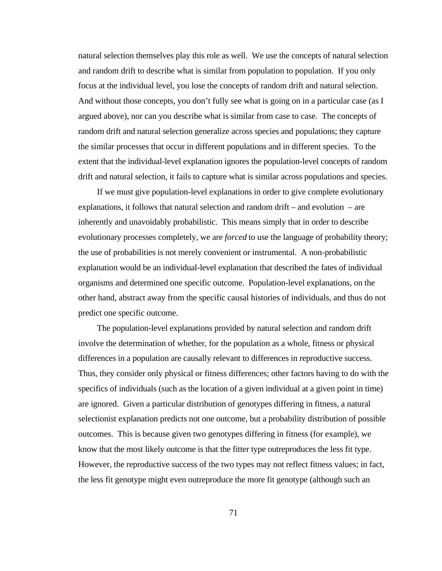natural selection themselves play this role as well. We use the concepts of natural selection and random drift to describe what is similar from population to population. If you only focus at the individual level, you lose the concepts of random drift and natural selection. And without those concepts, you don't fully see what is going on in a particular case (as I argued above), nor can you describe what is similar from case to case. The concepts of random drift and natural selection generalize across species and populations; they capture the similar processes that occur in different populations and in different species. To the extent that the individual-level explanation ignores the population-level concepts of random drift and natural selection, it fails to capture what is similar across populations and species.

If we must give population-level explanations in order to give complete evolutionary explanations, it follows that natural selection and random drift – and evolution – are inherently and unavoidably probabilistic. This means simply that in order to describe evolutionary processes completely, we are *forced* to use the language of probability theory; the use of probabilities is not merely convenient or instrumental. A non-probabilistic explanation would be an individual-level explanation that described the fates of individual organisms and determined one specific outcome. Population-level explanations, on the other hand, abstract away from the specific causal histories of individuals, and thus do not predict one specific outcome.

The population-level explanations provided by natural selection and random drift involve the determination of whether, for the population as a whole, fitness or physical differences in a population are causally relevant to differences in reproductive success. Thus, they consider only physical or fitness differences; other factors having to do with the specifics of individuals (such as the location of a given individual at a given point in time) are ignored. Given a particular distribution of genotypes differing in fitness, a natural selectionist explanation predicts not one outcome, but a probability distribution of possible outcomes. This is because given two genotypes differing in fitness (for example), we know that the most likely outcome is that the fitter type outreproduces the less fit type. However, the reproductive success of the two types may not reflect fitness values; in fact, the less fit genotype might even outreproduce the more fit genotype (although such an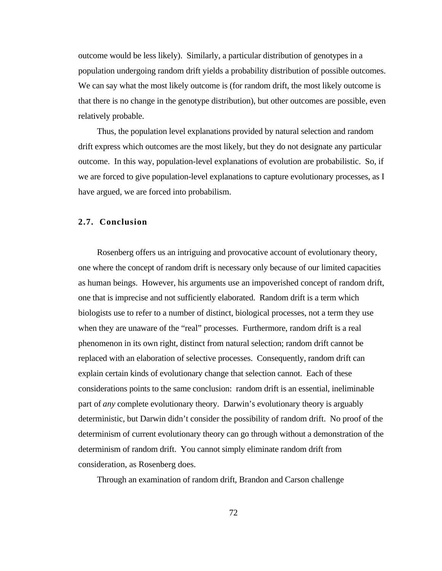outcome would be less likely). Similarly, a particular distribution of genotypes in a population undergoing random drift yields a probability distribution of possible outcomes. We can say what the most likely outcome is (for random drift, the most likely outcome is that there is no change in the genotype distribution), but other outcomes are possible, even relatively probable.

Thus, the population level explanations provided by natural selection and random drift express which outcomes are the most likely, but they do not designate any particular outcome. In this way, population-level explanations of evolution are probabilistic. So, if we are forced to give population-level explanations to capture evolutionary processes, as I have argued, we are forced into probabilism.

### **2.7. Conclusion**

Rosenberg offers us an intriguing and provocative account of evolutionary theory, one where the concept of random drift is necessary only because of our limited capacities as human beings. However, his arguments use an impoverished concept of random drift, one that is imprecise and not sufficiently elaborated. Random drift is a term which biologists use to refer to a number of distinct, biological processes, not a term they use when they are unaware of the "real" processes. Furthermore, random drift is a real phenomenon in its own right, distinct from natural selection; random drift cannot be replaced with an elaboration of selective processes. Consequently, random drift can explain certain kinds of evolutionary change that selection cannot. Each of these considerations points to the same conclusion: random drift is an essential, ineliminable part of *any* complete evolutionary theory. Darwin's evolutionary theory is arguably deterministic, but Darwin didn't consider the possibility of random drift. No proof of the determinism of current evolutionary theory can go through without a demonstration of the determinism of random drift. You cannot simply eliminate random drift from consideration, as Rosenberg does.

Through an examination of random drift, Brandon and Carson challenge

72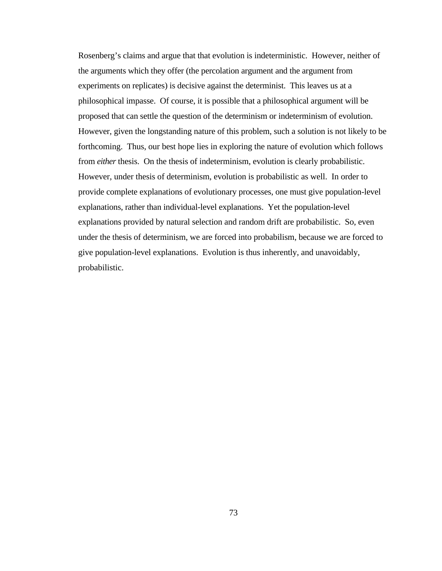Rosenberg's claims and argue that that evolution is indeterministic. However, neither of the arguments which they offer (the percolation argument and the argument from experiments on replicates) is decisive against the determinist. This leaves us at a philosophical impasse. Of course, it is possible that a philosophical argument will be proposed that can settle the question of the determinism or indeterminism of evolution. However, given the longstanding nature of this problem, such a solution is not likely to be forthcoming. Thus, our best hope lies in exploring the nature of evolution which follows from *either* thesis. On the thesis of indeterminism, evolution is clearly probabilistic. However, under thesis of determinism, evolution is probabilistic as well. In order to provide complete explanations of evolutionary processes, one must give population-level explanations, rather than individual-level explanations. Yet the population-level explanations provided by natural selection and random drift are probabilistic. So, even under the thesis of determinism, we are forced into probabilism, because we are forced to give population-level explanations. Evolution is thus inherently, and unavoidably, probabilistic.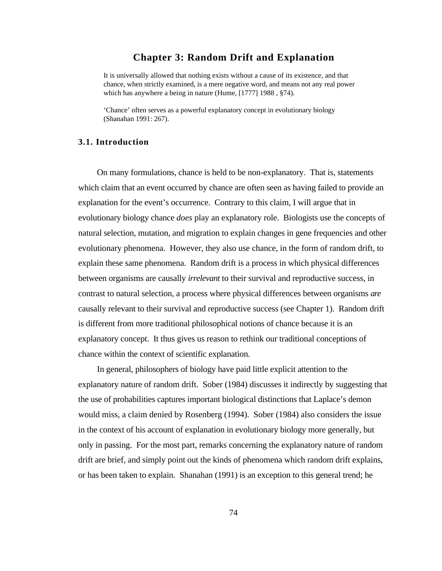# **Chapter 3: Random Drift and Explanation**

It is universally allowed that nothing exists without a cause of its existence, and that chance, when strictly examined, is a mere negative word, and means not any real power which has anywhere a being in nature (Hume, [1777] 1988 , §74).

'Chance' often serves as a powerful explanatory concept in evolutionary biology (Shanahan 1991: 267).

## **3.1. Introduction**

On many formulations, chance is held to be non-explanatory. That is, statements which claim that an event occurred by chance are often seen as having failed to provide an explanation for the event's occurrence. Contrary to this claim, I will argue that in evolutionary biology chance *does* play an explanatory role. Biologists use the concepts of natural selection, mutation, and migration to explain changes in gene frequencies and other evolutionary phenomena. However, they also use chance, in the form of random drift, to explain these same phenomena. Random drift is a process in which physical differences between organisms are causally *irrelevant* to their survival and reproductive success, in contrast to natural selection, a process where physical differences between organisms *are* causally relevant to their survival and reproductive success (see Chapter 1). Random drift is different from more traditional philosophical notions of chance because it is an explanatory concept. It thus gives us reason to rethink our traditional conceptions of chance within the context of scientific explanation.

In general, philosophers of biology have paid little explicit attention to the explanatory nature of random drift. Sober (1984) discusses it indirectly by suggesting that the use of probabilities captures important biological distinctions that Laplace's demon would miss, a claim denied by Rosenberg (1994). Sober (1984) also considers the issue in the context of his account of explanation in evolutionary biology more generally, but only in passing. For the most part, remarks concerning the explanatory nature of random drift are brief, and simply point out the kinds of phenomena which random drift explains, or has been taken to explain. Shanahan (1991) is an exception to this general trend; he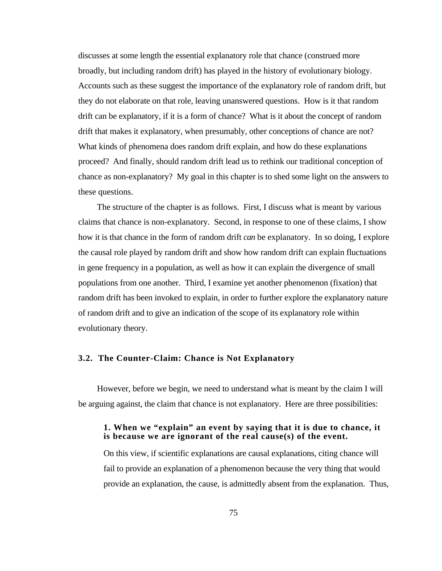discusses at some length the essential explanatory role that chance (construed more broadly, but including random drift) has played in the history of evolutionary biology. Accounts such as these suggest the importance of the explanatory role of random drift, but they do not elaborate on that role, leaving unanswered questions. How is it that random drift can be explanatory, if it is a form of chance? What is it about the concept of random drift that makes it explanatory, when presumably, other conceptions of chance are not? What kinds of phenomena does random drift explain, and how do these explanations proceed? And finally, should random drift lead us to rethink our traditional conception of chance as non-explanatory? My goal in this chapter is to shed some light on the answers to these questions.

The structure of the chapter is as follows. First, I discuss what is meant by various claims that chance is non-explanatory. Second, in response to one of these claims, I show how it is that chance in the form of random drift *can* be explanatory. In so doing, I explore the causal role played by random drift and show how random drift can explain fluctuations in gene frequency in a population, as well as how it can explain the divergence of small populations from one another. Third, I examine yet another phenomenon (fixation) that random drift has been invoked to explain, in order to further explore the explanatory nature of random drift and to give an indication of the scope of its explanatory role within evolutionary theory.

### **3.2. The Counter-Claim: Chance is Not Explanatory**

However, before we begin, we need to understand what is meant by the claim I will be arguing against, the claim that chance is not explanatory. Here are three possibilities:

### **1. When we "explain" an event by saying that it is due to chance, it is because we are ignorant of the real cause(s) of the event.**

On this view, if scientific explanations are causal explanations, citing chance will fail to provide an explanation of a phenomenon because the very thing that would provide an explanation, the cause, is admittedly absent from the explanation. Thus,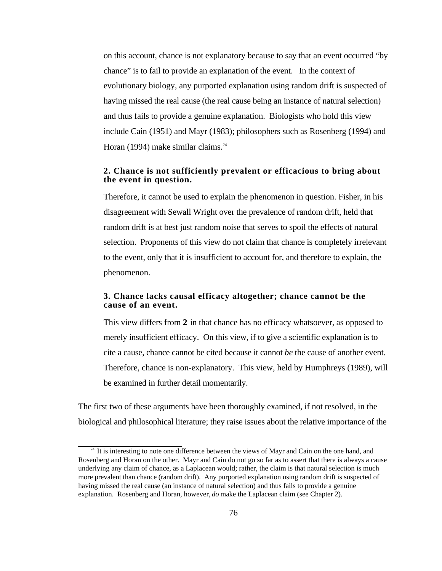on this account, chance is not explanatory because to say that an event occurred "by chance" is to fail to provide an explanation of the event. In the context of evolutionary biology, any purported explanation using random drift is suspected of having missed the real cause (the real cause being an instance of natural selection) and thus fails to provide a genuine explanation. Biologists who hold this view include Cain (1951) and Mayr (1983); philosophers such as Rosenberg (1994) and Horan (1994) make similar claims. $24$ 

## **2. Chance is not sufficiently prevalent or efficacious to bring about the event in question.**

Therefore, it cannot be used to explain the phenomenon in question. Fisher, in his disagreement with Sewall Wright over the prevalence of random drift, held that random drift is at best just random noise that serves to spoil the effects of natural selection. Proponents of this view do not claim that chance is completely irrelevant to the event, only that it is insufficient to account for, and therefore to explain, the phenomenon.

### **3. Chance lacks causal efficacy altogether; chance cannot be the cause of an event.**

This view differs from **2** in that chance has no efficacy whatsoever, as opposed to merely insufficient efficacy. On this view, if to give a scientific explanation is to cite a cause, chance cannot be cited because it cannot *be* the cause of another event. Therefore, chance is non-explanatory. This view, held by Humphreys (1989), will be examined in further detail momentarily.

The first two of these arguments have been thoroughly examined, if not resolved, in the biological and philosophical literature; they raise issues about the relative importance of the

<sup>&</sup>lt;sup>24</sup> It is interesting to note one difference between the views of Mayr and Cain on the one hand, and Rosenberg and Horan on the other. Mayr and Cain do not go so far as to assert that there is always a cause underlying any claim of chance, as a Laplacean would; rather, the claim is that natural selection is much more prevalent than chance (random drift). Any purported explanation using random drift is suspected of having missed the real cause (an instance of natural selection) and thus fails to provide a genuine explanation. Rosenberg and Horan, however, *do* make the Laplacean claim (see Chapter 2).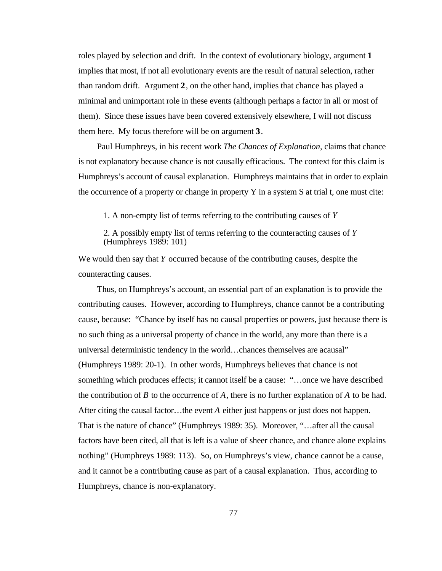roles played by selection and drift. In the context of evolutionary biology, argument **1** implies that most, if not all evolutionary events are the result of natural selection, rather than random drift. Argument **2**, on the other hand, implies that chance has played a minimal and unimportant role in these events (although perhaps a factor in all or most of them). Since these issues have been covered extensively elsewhere, I will not discuss them here. My focus therefore will be on argument **3**.

Paul Humphreys, in his recent work *The Chances of Explanation,* claims that chance is not explanatory because chance is not causally efficacious. The context for this claim is Humphreys's account of causal explanation. Humphreys maintains that in order to explain the occurrence of a property or change in property Y in a system S at trial t, one must cite:

1. A non-empty list of terms referring to the contributing causes of *Y*

2. A possibly empty list of terms referring to the counteracting causes of *Y* (Humphreys 1989: 101)

We would then say that *Y* occurred because of the contributing causes, despite the counteracting causes.

Thus, on Humphreys's account, an essential part of an explanation is to provide the contributing causes. However, according to Humphreys, chance cannot be a contributing cause, because: "Chance by itself has no causal properties or powers, just because there is no such thing as a universal property of chance in the world, any more than there is a universal deterministic tendency in the world…chances themselves are acausal" (Humphreys 1989: 20-1). In other words, Humphreys believes that chance is not something which produces effects; it cannot itself be a cause: "…once we have described the contribution of *B* to the occurrence of *A*, there is no further explanation of *A* to be had. After citing the causal factor…the event *A* either just happens or just does not happen. That is the nature of chance" (Humphreys 1989: 35). Moreover, "…after all the causal factors have been cited, all that is left is a value of sheer chance, and chance alone explains nothing" (Humphreys 1989: 113). So, on Humphreys's view, chance cannot be a cause, and it cannot be a contributing cause as part of a causal explanation. Thus, according to Humphreys, chance is non-explanatory.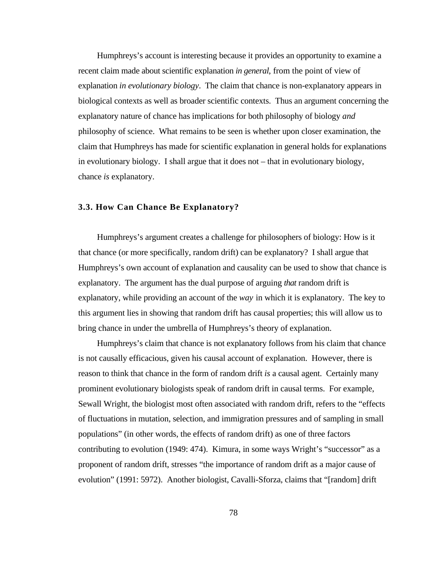Humphreys's account is interesting because it provides an opportunity to examine a recent claim made about scientific explanation *in general*, from the point of view of explanation *in evolutionary biology*. The claim that chance is non-explanatory appears in biological contexts as well as broader scientific contexts. Thus an argument concerning the explanatory nature of chance has implications for both philosophy of biology *and* philosophy of science. What remains to be seen is whether upon closer examination, the claim that Humphreys has made for scientific explanation in general holds for explanations in evolutionary biology. I shall argue that it does not – that in evolutionary biology, chance *is* explanatory.

#### **3.3. How Can Chance Be Explanatory?**

Humphreys's argument creates a challenge for philosophers of biology: How is it that chance (or more specifically, random drift) can be explanatory? I shall argue that Humphreys's own account of explanation and causality can be used to show that chance is explanatory. The argument has the dual purpose of arguing *that* random drift is explanatory, while providing an account of the *way* in which it is explanatory. The key to this argument lies in showing that random drift has causal properties; this will allow us to bring chance in under the umbrella of Humphreys's theory of explanation.

Humphreys's claim that chance is not explanatory follows from his claim that chance is not causally efficacious, given his causal account of explanation. However, there is reason to think that chance in the form of random drift *is* a causal agent. Certainly many prominent evolutionary biologists speak of random drift in causal terms. For example, Sewall Wright, the biologist most often associated with random drift, refers to the "effects of fluctuations in mutation, selection, and immigration pressures and of sampling in small populations" (in other words, the effects of random drift) as one of three factors contributing to evolution (1949: 474). Kimura, in some ways Wright's "successor" as a proponent of random drift, stresses "the importance of random drift as a major cause of evolution" (1991: 5972). Another biologist, Cavalli-Sforza, claims that "[random] drift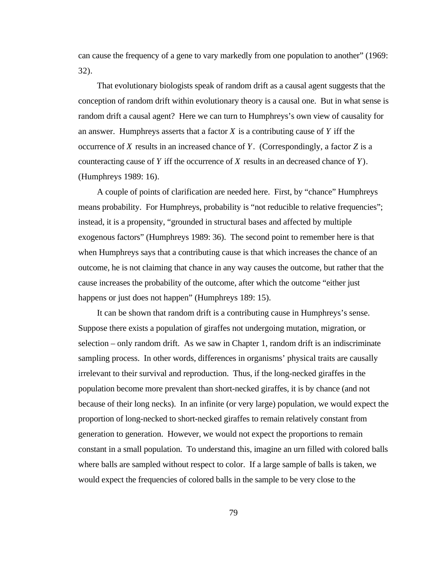can cause the frequency of a gene to vary markedly from one population to another" (1969: 32).

That evolutionary biologists speak of random drift as a causal agent suggests that the conception of random drift within evolutionary theory is a causal one. But in what sense is random drift a causal agent? Here we can turn to Humphreys's own view of causality for an answer. Humphreys asserts that a factor *X* is a contributing cause of *Y* iff the occurrence of *X* results in an increased chance of *Y*. (Correspondingly, a factor *Z* is a counteracting cause of *Y* iff the occurrence of *X* results in an decreased chance of *Y*). (Humphreys 1989: 16).

A couple of points of clarification are needed here. First, by "chance" Humphreys means probability. For Humphreys, probability is "not reducible to relative frequencies"; instead, it is a propensity, "grounded in structural bases and affected by multiple exogenous factors" (Humphreys 1989: 36). The second point to remember here is that when Humphreys says that a contributing cause is that which increases the chance of an outcome, he is not claiming that chance in any way causes the outcome, but rather that the cause increases the probability of the outcome, after which the outcome "either just happens or just does not happen" (Humphreys 189: 15).

It can be shown that random drift is a contributing cause in Humphreys's sense. Suppose there exists a population of giraffes not undergoing mutation, migration, or selection – only random drift. As we saw in Chapter 1, random drift is an indiscriminate sampling process. In other words, differences in organisms' physical traits are causally irrelevant to their survival and reproduction. Thus, if the long-necked giraffes in the population become more prevalent than short-necked giraffes, it is by chance (and not because of their long necks). In an infinite (or very large) population, we would expect the proportion of long-necked to short-necked giraffes to remain relatively constant from generation to generation. However, we would not expect the proportions to remain constant in a small population. To understand this, imagine an urn filled with colored balls where balls are sampled without respect to color. If a large sample of balls is taken, we would expect the frequencies of colored balls in the sample to be very close to the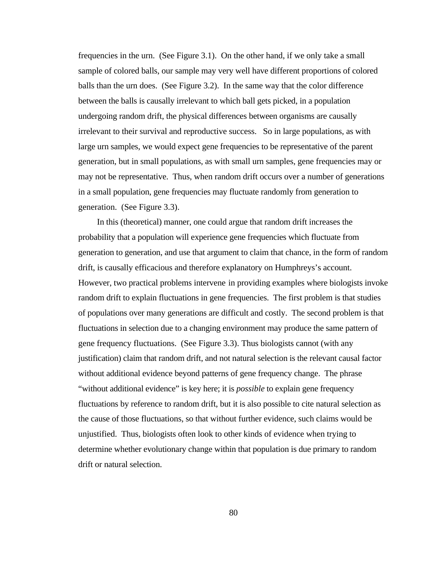frequencies in the urn. (See Figure 3.1). On the other hand, if we only take a small sample of colored balls, our sample may very well have different proportions of colored balls than the urn does. (See Figure 3.2). In the same way that the color difference between the balls is causally irrelevant to which ball gets picked, in a population undergoing random drift, the physical differences between organisms are causally irrelevant to their survival and reproductive success. So in large populations, as with large urn samples, we would expect gene frequencies to be representative of the parent generation, but in small populations, as with small urn samples, gene frequencies may or may not be representative. Thus, when random drift occurs over a number of generations in a small population, gene frequencies may fluctuate randomly from generation to generation. (See Figure 3.3).

In this (theoretical) manner, one could argue that random drift increases the probability that a population will experience gene frequencies which fluctuate from generation to generation, and use that argument to claim that chance, in the form of random drift, is causally efficacious and therefore explanatory on Humphreys's account. However, two practical problems intervene in providing examples where biologists invoke random drift to explain fluctuations in gene frequencies. The first problem is that studies of populations over many generations are difficult and costly. The second problem is that fluctuations in selection due to a changing environment may produce the same pattern of gene frequency fluctuations. (See Figure 3.3). Thus biologists cannot (with any justification) claim that random drift, and not natural selection is the relevant causal factor without additional evidence beyond patterns of gene frequency change. The phrase "without additional evidence" is key here; it is *possible* to explain gene frequency fluctuations by reference to random drift, but it is also possible to cite natural selection as the cause of those fluctuations, so that without further evidence, such claims would be unjustified. Thus, biologists often look to other kinds of evidence when trying to determine whether evolutionary change within that population is due primary to random drift or natural selection.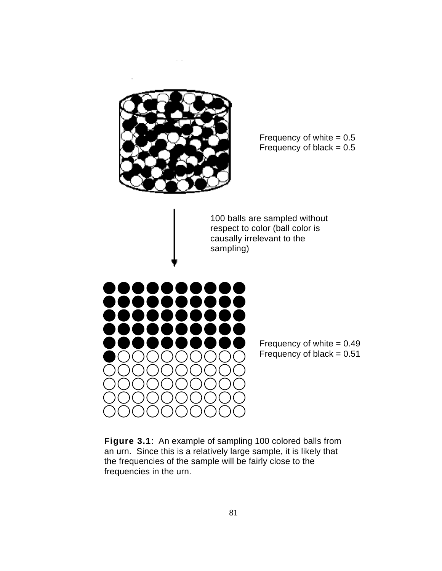

Frequency of white  $= 0.5$ Frequency of black  $= 0.5$ 

100 balls are sampled without respect to color (ball color is causally irrelevant to the sampling)



Frequency of white  $= 0.49$ Frequency of black  $= 0.51$ 

**Figure 3.1**: An example of sampling 100 colored balls from an urn. Since this is a relatively large sample, it is likely that the frequencies of the sample will be fairly close to the frequencies in the urn.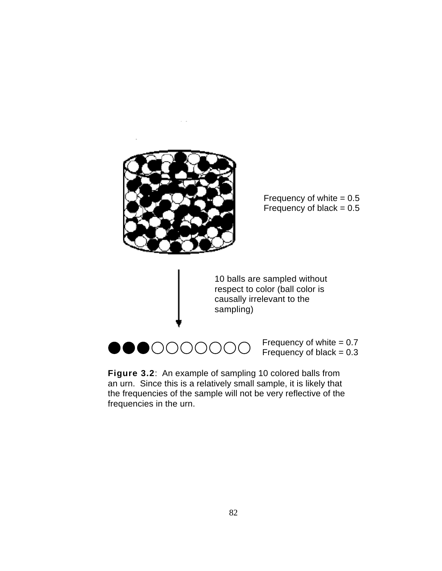

Frequency of white  $= 0.5$ Frequency of black  $= 0.5$ 

10 balls are sampled without respect to color (ball color is causally irrelevant to the sampling)



Frequency of white  $= 0.7$ Frequency of black  $= 0.3$ 

**Figure 3.2**: An example of sampling 10 colored balls from an urn. Since this is a relatively small sample, it is likely that the frequencies of the sample will not be very reflective of the frequencies in the urn.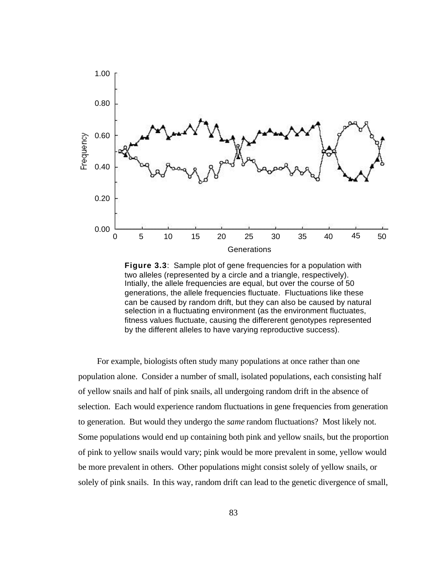

**Figure 3.3**: Sample plot of gene frequencies for a population with two alleles (represented by a circle and a triangle, respectively). Intially, the allele frequencies are equal, but over the course of 50 generations, the allele frequencies fluctuate. Fluctuations like these can be caused by random drift, but they can also be caused by natural selection in a fluctuating environment (as the environment fluctuates, fitness values fluctuate, causing the differerent genotypes represented by the different alleles to have varying reproductive success).

For example, biologists often study many populations at once rather than one population alone. Consider a number of small, isolated populations, each consisting half of yellow snails and half of pink snails, all undergoing random drift in the absence of selection. Each would experience random fluctuations in gene frequencies from generation to generation. But would they undergo the *same* random fluctuations? Most likely not. Some populations would end up containing both pink and yellow snails, but the proportion of pink to yellow snails would vary; pink would be more prevalent in some, yellow would be more prevalent in others. Other populations might consist solely of yellow snails, or solely of pink snails. In this way, random drift can lead to the genetic divergence of small,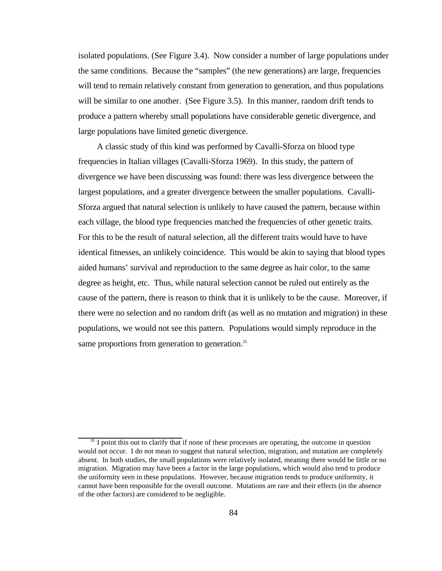isolated populations. (See Figure 3.4). Now consider a number of large populations under the same conditions. Because the "samples" (the new generations) are large, frequencies will tend to remain relatively constant from generation to generation, and thus populations will be similar to one another. (See Figure 3.5). In this manner, random drift tends to produce a pattern whereby small populations have considerable genetic divergence, and large populations have limited genetic divergence.

A classic study of this kind was performed by Cavalli-Sforza on blood type frequencies in Italian villages (Cavalli-Sforza 1969). In this study, the pattern of divergence we have been discussing was found: there was less divergence between the largest populations, and a greater divergence between the smaller populations. Cavalli-Sforza argued that natural selection is unlikely to have caused the pattern, because within each village, the blood type frequencies matched the frequencies of other genetic traits. For this to be the result of natural selection, all the different traits would have to have identical fitnesses, an unlikely coincidence. This would be akin to saying that blood types aided humans' survival and reproduction to the same degree as hair color, to the same degree as height, etc. Thus, while natural selection cannot be ruled out entirely as the cause of the pattern, there is reason to think that it is unlikely to be the cause. Moreover, if there were no selection and no random drift (as well as no mutation and migration) in these populations, we would not see this pattern. Populations would simply reproduce in the same proportions from generation to generation. $^{25}$ 

<sup>&</sup>lt;sup>25</sup> I point this out to clarify that if none of these processes are operating, the outcome in question would not occur. I do not mean to suggest that natural selection, migration, and mutation are completely absent. In both studies, the small populations were relatively isolated, meaning there would be little or no migration. Migration may have been a factor in the large populations, which would also tend to produce the uniformity seen in these populations. However, because migration tends to produce uniformity, it cannot have been responsible for the overall outcome. Mutations are rare and their effects (in the absence of the other factors) are considered to be negligible.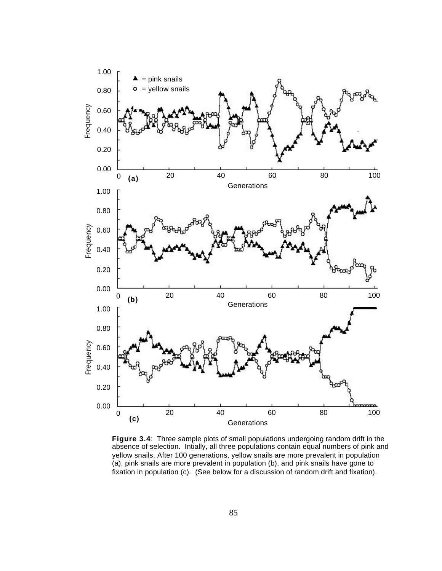

**Figure 3.4**: Three sample plots of small populations undergoing random drift in the absence of selection. Intially, all three populations contain equal numbers of pink and yellow snails. After 100 generations, yellow snails are more prevalent in population (a), pink snails are more prevalent in population (b), and pink snails have gone to fixation in population (c). (See below for a discussion of random drift and fixation).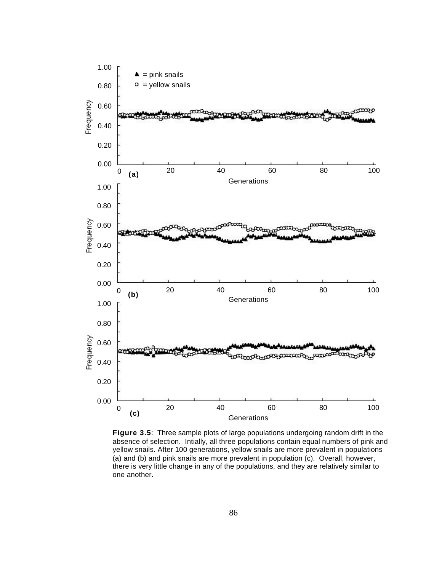

**Figure 3.5**: Three sample plots of large populations undergoing random drift in the absence of selection. Intially, all three populations contain equal numbers of pink and yellow snails. After 100 generations, yellow snails are more prevalent in populations (a) and (b) and pink snails are more prevalent in population (c). Overall, however, there is very little change in any of the populations, and they are relatively similar to one another.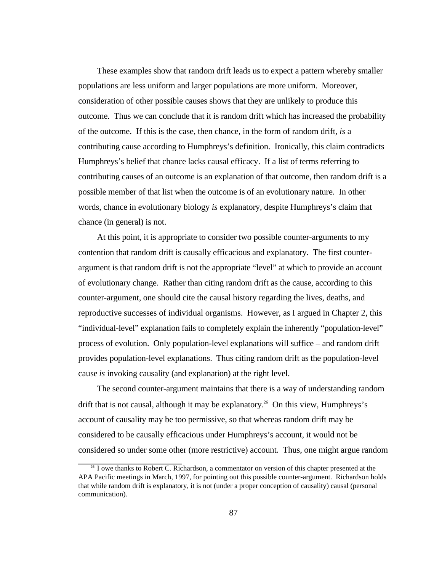These examples show that random drift leads us to expect a pattern whereby smaller populations are less uniform and larger populations are more uniform. Moreover, consideration of other possible causes shows that they are unlikely to produce this outcome. Thus we can conclude that it is random drift which has increased the probability of the outcome. If this is the case, then chance, in the form of random drift, *is* a contributing cause according to Humphreys's definition. Ironically, this claim contradicts Humphreys's belief that chance lacks causal efficacy. If a list of terms referring to contributing causes of an outcome is an explanation of that outcome, then random drift is a possible member of that list when the outcome is of an evolutionary nature. In other words, chance in evolutionary biology *is* explanatory, despite Humphreys's claim that chance (in general) is not.

At this point, it is appropriate to consider two possible counter-arguments to my contention that random drift is causally efficacious and explanatory. The first counterargument is that random drift is not the appropriate "level" at which to provide an account of evolutionary change. Rather than citing random drift as the cause, according to this counter-argument, one should cite the causal history regarding the lives, deaths, and reproductive successes of individual organisms. However, as I argued in Chapter 2, this "individual-level" explanation fails to completely explain the inherently "population-level" process of evolution. Only population-level explanations will suffice – and random drift provides population-level explanations. Thus citing random drift as the population-level cause *is* invoking causality (and explanation) at the right level.

The second counter-argument maintains that there is a way of understanding random drift that is not causal, although it may be explanatory.<sup>26</sup> On this view, Humphreys's account of causality may be too permissive, so that whereas random drift may be considered to be causally efficacious under Humphreys's account, it would not be considered so under some other (more restrictive) account. Thus, one might argue random

<sup>&</sup>lt;sup>26</sup> I owe thanks to Robert C. Richardson, a commentator on version of this chapter presented at the APA Pacific meetings in March, 1997, for pointing out this possible counter-argument. Richardson holds that while random drift is explanatory, it is not (under a proper conception of causality) causal (personal communication).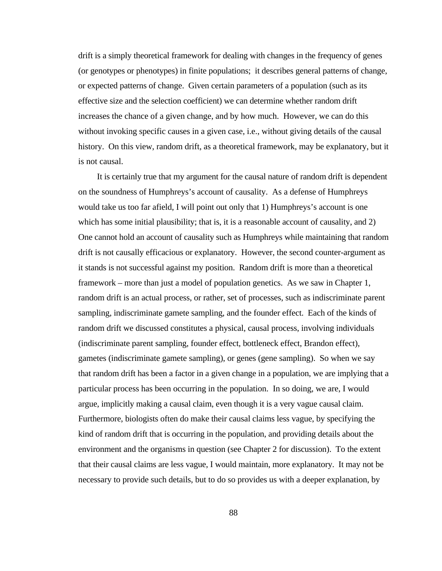drift is a simply theoretical framework for dealing with changes in the frequency of genes (or genotypes or phenotypes) in finite populations; it describes general patterns of change, or expected patterns of change. Given certain parameters of a population (such as its effective size and the selection coefficient) we can determine whether random drift increases the chance of a given change, and by how much. However, we can do this without invoking specific causes in a given case, i.e., without giving details of the causal history. On this view, random drift, as a theoretical framework, may be explanatory, but it is not causal.

It is certainly true that my argument for the causal nature of random drift is dependent on the soundness of Humphreys's account of causality. As a defense of Humphreys would take us too far afield, I will point out only that 1) Humphreys's account is one which has some initial plausibility; that is, it is a reasonable account of causality, and 2) One cannot hold an account of causality such as Humphreys while maintaining that random drift is not causally efficacious or explanatory. However, the second counter-argument as it stands is not successful against my position. Random drift is more than a theoretical framework – more than just a model of population genetics. As we saw in Chapter 1, random drift is an actual process, or rather, set of processes, such as indiscriminate parent sampling, indiscriminate gamete sampling, and the founder effect. Each of the kinds of random drift we discussed constitutes a physical, causal process, involving individuals (indiscriminate parent sampling, founder effect, bottleneck effect, Brandon effect), gametes (indiscriminate gamete sampling), or genes (gene sampling). So when we say that random drift has been a factor in a given change in a population, we are implying that a particular process has been occurring in the population. In so doing, we are, I would argue, implicitly making a causal claim, even though it is a very vague causal claim. Furthermore, biologists often do make their causal claims less vague, by specifying the kind of random drift that is occurring in the population, and providing details about the environment and the organisms in question (see Chapter 2 for discussion). To the extent that their causal claims are less vague, I would maintain, more explanatory. It may not be necessary to provide such details, but to do so provides us with a deeper explanation, by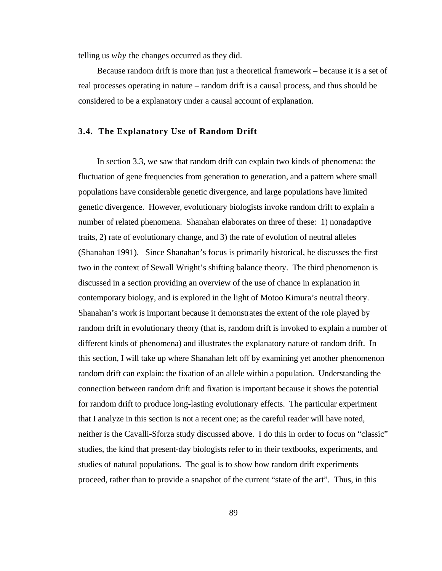telling us *why* the changes occurred as they did.

Because random drift is more than just a theoretical framework – because it is a set of real processes operating in nature – random drift is a causal process, and thus should be considered to be a explanatory under a causal account of explanation.

#### **3.4. The Explanatory Use of Random Drift**

In section 3.3, we saw that random drift can explain two kinds of phenomena: the fluctuation of gene frequencies from generation to generation, and a pattern where small populations have considerable genetic divergence, and large populations have limited genetic divergence. However, evolutionary biologists invoke random drift to explain a number of related phenomena. Shanahan elaborates on three of these: 1) nonadaptive traits, 2) rate of evolutionary change, and 3) the rate of evolution of neutral alleles (Shanahan 1991). Since Shanahan's focus is primarily historical, he discusses the first two in the context of Sewall Wright's shifting balance theory. The third phenomenon is discussed in a section providing an overview of the use of chance in explanation in contemporary biology, and is explored in the light of Motoo Kimura's neutral theory. Shanahan's work is important because it demonstrates the extent of the role played by random drift in evolutionary theory (that is, random drift is invoked to explain a number of different kinds of phenomena) and illustrates the explanatory nature of random drift. In this section, I will take up where Shanahan left off by examining yet another phenomenon random drift can explain: the fixation of an allele within a population. Understanding the connection between random drift and fixation is important because it shows the potential for random drift to produce long-lasting evolutionary effects. The particular experiment that I analyze in this section is not a recent one; as the careful reader will have noted, neither is the Cavalli-Sforza study discussed above. I do this in order to focus on "classic" studies, the kind that present-day biologists refer to in their textbooks, experiments, and studies of natural populations. The goal is to show how random drift experiments proceed, rather than to provide a snapshot of the current "state of the art". Thus, in this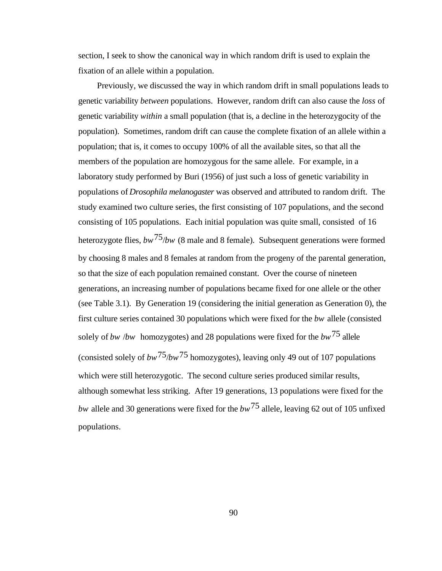section, I seek to show the canonical way in which random drift is used to explain the fixation of an allele within a population.

Previously, we discussed the way in which random drift in small populations leads to genetic variability *between* populations. However, random drift can also cause the *loss* of genetic variability *within* a small population (that is, a decline in the heterozygocity of the population). Sometimes, random drift can cause the complete fixation of an allele within a population; that is, it comes to occupy 100% of all the available sites, so that all the members of the population are homozygous for the same allele. For example, in a laboratory study performed by Buri (1956) of just such a loss of genetic variability in populations of *Drosophila melanogaster* was observed and attributed to random drift. The study examined two culture series, the first consisting of 107 populations, and the second consisting of 105 populations. Each initial population was quite small, consisted of 16 heterozygote flies, *bw*75/*bw* (8 male and 8 female). Subsequent generations were formed by choosing 8 males and 8 females at random from the progeny of the parental generation, so that the size of each population remained constant. Over the course of nineteen generations, an increasing number of populations became fixed for one allele or the other (see Table 3.1). By Generation 19 (considering the initial generation as Generation 0), the first culture series contained 30 populations which were fixed for the *bw* allele (consisted solely of *bw* /*bw* homozygotes) and 28 populations were fixed for the *bw*75 allele (consisted solely of  $bw^{75}/bw^{75}$  homozygotes), leaving only 49 out of 107 populations which were still heterozygotic. The second culture series produced similar results, although somewhat less striking. After 19 generations, 13 populations were fixed for the *bw* allele and 30 generations were fixed for the *bw*75 allele, leaving 62 out of 105 unfixed populations.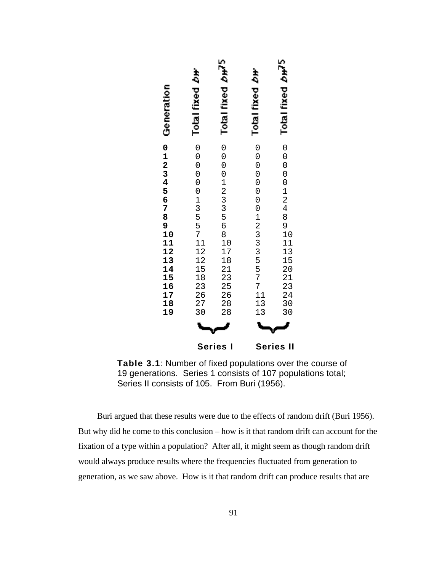| Generation             | Total fixed <i>b</i> H    | Total fixed bud <sup>5</sup> | Total fixed <i>b</i> H                    | Total fixed $bH5$<br>$\circ$<br>$\overline{O}$ |
|------------------------|---------------------------|------------------------------|-------------------------------------------|------------------------------------------------|
| 0123456789111111111111 | 0000000135571111112258323 | 0000123356811122222222       | $0 0 0 0 0 0 0 1 2 3 3 5 5 7 7 1 1 3 1 3$ | 00012489011350134000113502223400               |
|                        | <b>Series</b>             | Series                       | Ш                                         |                                                |

**Table 3.1**: Number of fixed populations over the course of 19 generations. Series 1 consists of 107 populations total; Series II consists of 105. From Buri (1956).

Buri argued that these results were due to the effects of random drift (Buri 1956). But why did he come to this conclusion – how is it that random drift can account for the fixation of a type within a population? After all, it might seem as though random drift would always produce results where the frequencies fluctuated from generation to generation, as we saw above. How is it that random drift can produce results that are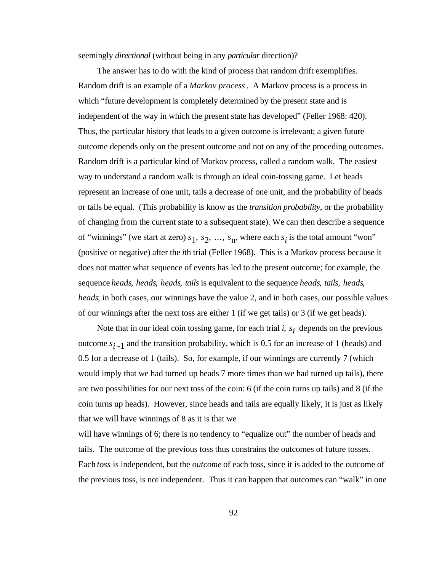#### seemingly *directional* (without being in any *particular* direction)?

The answer has to do with the kind of process that random drift exemplifies. Random drift is an example of a *Markov process*. A Markov process is a process in which "future development is completely determined by the present state and is independent of the way in which the present state has developed" (Feller 1968: 420). Thus, the particular history that leads to a given outcome is irrelevant; a given future outcome depends only on the present outcome and not on any of the proceding outcomes. Random drift is a particular kind of Markov process, called a random walk. The easiest way to understand a random walk is through an ideal coin-tossing game. Let heads represent an increase of one unit, tails a decrease of one unit, and the probability of heads or tails be equal. (This probability is know as the *transition probability*, or the probability of changing from the current state to a subsequent state). We can then describe a sequence of "winnings" (we start at zero)  $s_1$ ,  $s_2$ , ...,  $s_n$ , where each  $s_i$  is the total amount "won" (positive or negative) after the *i*th trial (Feller 1968). This is a Markov process because it does not matter what sequence of events has led to the present outcome; for example, the sequence *heads*, *heads*, *heads*, *tails* is equivalent to the sequence *heads*, *tails*, *heads*, *heads*; in both cases, our winnings have the value 2, and in both cases, our possible values of our winnings after the next toss are either 1 (if we get tails) or 3 (if we get heads).

Note that in our ideal coin tossing game, for each trial *i*, *s i* depends on the previous outcome  $s_{i-1}$  and the transition probability, which is 0.5 for an increase of 1 (heads) and 0.5 for a decrease of 1 (tails). So, for example, if our winnings are currently 7 (which would imply that we had turned up heads 7 more times than we had turned up tails), there are two possibilities for our next toss of the coin: 6 (if the coin turns up tails) and 8 (if the coin turns up heads). However, since heads and tails are equally likely, it is just as likely that we will have winnings of 8 as it is that we

will have winnings of 6; there is no tendency to "equalize out" the number of heads and tails. The outcome of the previous toss thus constrains the outcomes of future tosses. Each *toss* is independent, but the *outcome* of each toss, since it is added to the outcome of the previous toss, is not independent. Thus it can happen that outcomes can "walk" in one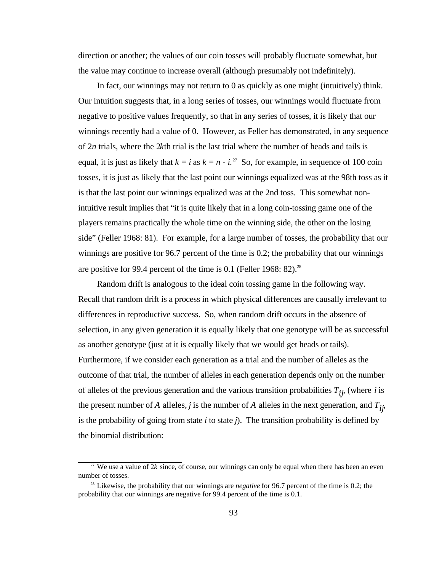direction or another; the values of our coin tosses will probably fluctuate somewhat, but the value may continue to increase overall (although presumably not indefinitely).

In fact, our winnings may not return to 0 as quickly as one might (intuitively) think. Our intuition suggests that, in a long series of tosses, our winnings would fluctuate from negative to positive values frequently, so that in any series of tosses, it is likely that our winnings recently had a value of 0. However, as Feller has demonstrated, in any sequence of 2*n* trials, where the 2*k*th trial is the last trial where the number of heads and tails is equal, it is just as likely that  $k = i$  as  $k = n - i$ .<sup>27</sup> So, for example, in sequence of 100 coin tosses, it is just as likely that the last point our winnings equalized was at the 98th toss as it is that the last point our winnings equalized was at the 2nd toss. This somewhat nonintuitive result implies that "it is quite likely that in a long coin-tossing game one of the players remains practically the whole time on the winning side, the other on the losing side" (Feller 1968: 81). For example, for a large number of tosses, the probability that our winnings are positive for 96.7 percent of the time is 0.2; the probability that our winnings are positive for 99.4 percent of the time is 0.1 (Feller 1968: 82).<sup>28</sup>

Random drift is analogous to the ideal coin tossing game in the following way. Recall that random drift is a process in which physical differences are causally irrelevant to differences in reproductive success. So, when random drift occurs in the absence of selection, in any given generation it is equally likely that one genotype will be as successful as another genotype (just at it is equally likely that we would get heads or tails). Furthermore, if we consider each generation as a trial and the number of alleles as the outcome of that trial, the number of alleles in each generation depends only on the number of alleles of the previous generation and the various transition probabilities  $T_{ij}$ , (where *i* is the present number of *A* alleles, *j* is the number of *A* alleles in the next generation, and  $T_{ij}$ , is the probability of going from state *i* to state *j*). The transition probability is defined by the binomial distribution:

<sup>&</sup>lt;sup>27</sup> We use a value of  $2k$  since, of course, our winnings can only be equal when there has been an even number of tosses.

<sup>&</sup>lt;sup>28</sup> Likewise, the probability that our winnings are *negative* for 96.7 percent of the time is 0.2; the probability that our winnings are negative for 99.4 percent of the time is 0.1.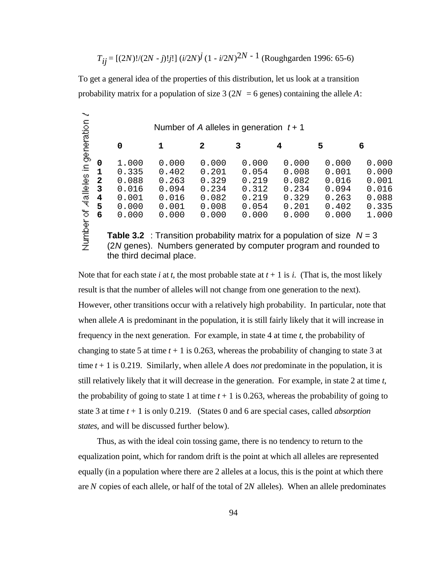*Tij* = [(2*N*)!/(2*N* - *j*)!*j*!] (*i*/2*N*) *j* (1 - *i*/2*N*) 2*N* - 1 (Roughgarden 1996: 65-6)

To get a general idea of the properties of this distribution, let us look at a transition probability matrix for a population of size  $3(2N = 6$  genes) containing the allele A:

|                      |                                              | Number of A alleles in generation $t + 1$                                                                                                             |                                                             |                                                             |                                                             |                                                             |                                                             |                                                             |  |  |
|----------------------|----------------------------------------------|-------------------------------------------------------------------------------------------------------------------------------------------------------|-------------------------------------------------------------|-------------------------------------------------------------|-------------------------------------------------------------|-------------------------------------------------------------|-------------------------------------------------------------|-------------------------------------------------------------|--|--|
| in generation        |                                              | 0                                                                                                                                                     | 1                                                           | 2                                                           | 3                                                           |                                                             | 5                                                           | 6                                                           |  |  |
| <b>Aalleles</b><br>ঠ | 0<br>1<br>$\overline{2}$<br>3<br>4<br>5<br>6 | 1.000<br>0.335<br>0.088<br>0.016<br>0.001<br>0.000<br>0.000                                                                                           | 0.000<br>0.402<br>0.263<br>0.094<br>0.016<br>0.001<br>0.000 | 0.000<br>0.201<br>0.329<br>0.234<br>0.082<br>0.008<br>0.000 | 0.000<br>0.054<br>0.219<br>0.312<br>0.219<br>0.054<br>0.000 | 0.000<br>0.008<br>0.082<br>0.234<br>0.329<br>0.201<br>0.000 | 0.000<br>0.001<br>0.016<br>0.094<br>0.263<br>0.402<br>0.000 | 0.000<br>0.000<br>0.001<br>0.016<br>0.088<br>0.335<br>1.000 |  |  |
| Number               |                                              | <b>Table 3.2</b> : Transition probability matrix for a population of size $N = 3$<br>(2N genes). Numbers generated by computer program and rounded to |                                                             |                                                             |                                                             |                                                             |                                                             |                                                             |  |  |

the third decimal place.

Note that for each state *i* at *t*, the most probable state at  $t + 1$  is *i*. (That is, the most likely result is that the number of alleles will not change from one generation to the next). However, other transitions occur with a relatively high probability. In particular, note that when allele *A* is predominant in the population, it is still fairly likely that it will increase in frequency in the next generation. For example, in state 4 at time *t*, the probability of changing to state 5 at time  $t + 1$  is 0.263, whereas the probability of changing to state 3 at time  $t + 1$  is 0.219. Similarly, when allele *A* does *not* predominate in the population, it is still relatively likely that it will decrease in the generation. For example, in state 2 at time *t*, the probability of going to state 1 at time  $t + 1$  is 0.263, whereas the probability of going to state 3 at time *t* + 1 is only 0.219. (States 0 and 6 are special cases, called *absorption states*, and will be discussed further below).

Thus, as with the ideal coin tossing game, there is no tendency to return to the equalization point, which for random drift is the point at which all alleles are represented equally (in a population where there are 2 alleles at a locus, this is the point at which there are *N* copies of each allele, or half of the total of 2*N* alleles). When an allele predominates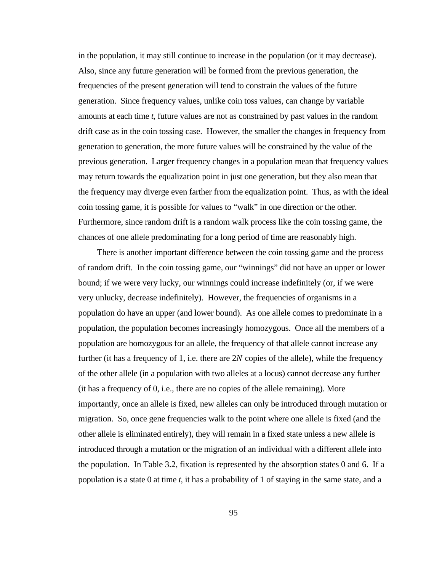in the population, it may still continue to increase in the population (or it may decrease). Also, since any future generation will be formed from the previous generation, the frequencies of the present generation will tend to constrain the values of the future generation. Since frequency values, unlike coin toss values, can change by variable amounts at each time *t*, future values are not as constrained by past values in the random drift case as in the coin tossing case. However, the smaller the changes in frequency from generation to generation, the more future values will be constrained by the value of the previous generation. Larger frequency changes in a population mean that frequency values may return towards the equalization point in just one generation, but they also mean that the frequency may diverge even farther from the equalization point. Thus, as with the ideal coin tossing game, it is possible for values to "walk" in one direction or the other. Furthermore, since random drift is a random walk process like the coin tossing game, the chances of one allele predominating for a long period of time are reasonably high.

There is another important difference between the coin tossing game and the process of random drift. In the coin tossing game, our "winnings" did not have an upper or lower bound; if we were very lucky, our winnings could increase indefinitely (or, if we were very unlucky, decrease indefinitely). However, the frequencies of organisms in a population do have an upper (and lower bound). As one allele comes to predominate in a population, the population becomes increasingly homozygous. Once all the members of a population are homozygous for an allele, the frequency of that allele cannot increase any further (it has a frequency of 1, i.e. there are 2*N* copies of the allele), while the frequency of the other allele (in a population with two alleles at a locus) cannot decrease any further (it has a frequency of 0, i.e., there are no copies of the allele remaining). More importantly, once an allele is fixed, new alleles can only be introduced through mutation or migration. So, once gene frequencies walk to the point where one allele is fixed (and the other allele is eliminated entirely), they will remain in a fixed state unless a new allele is introduced through a mutation or the migration of an individual with a different allele into the population. In Table 3.2, fixation is represented by the absorption states 0 and 6. If a population is a state 0 at time *t*, it has a probability of 1 of staying in the same state, and a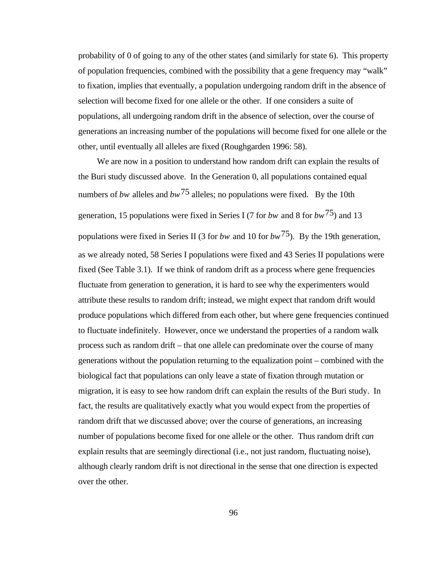probability of 0 of going to any of the other states (and similarly for state 6). This property of population frequencies, combined with the possibility that a gene frequency may "walk" to fixation, implies that eventually, a population undergoing random drift in the absence of selection will become fixed for one allele or the other. If one considers a suite of populations, all undergoing random drift in the absence of selection, over the course of generations an increasing number of the populations will become fixed for one allele or the other, until eventually all alleles are fixed (Roughgarden 1996: 58).

We are now in a position to understand how random drift can explain the results of the Buri study discussed above. In the Generation 0, all populations contained equal numbers of *bw* alleles and  $bw^{75}$  alleles; no populations were fixed. By the 10th generation, 15 populations were fixed in Series I (7 for *bw* and 8 for *bw*75) and 13 populations were fixed in Series II (3 for *bw* and 10 for *bw*75). By the 19th generation, as we already noted, 58 Series I populations were fixed and 43 Series II populations were fixed (See Table 3.1). If we think of random drift as a process where gene frequencies fluctuate from generation to generation, it is hard to see why the experimenters would attribute these results to random drift; instead, we might expect that random drift would produce populations which differed from each other, but where gene frequencies continued to fluctuate indefinitely. However, once we understand the properties of a random walk process such as random drift – that one allele can predominate over the course of many generations without the population returning to the equalization point – combined with the biological fact that populations can only leave a state of fixation through mutation or migration, it is easy to see how random drift can explain the results of the Buri study. In fact, the results are qualitatively exactly what you would expect from the properties of random drift that we discussed above; over the course of generations, an increasing number of populations become fixed for one allele or the other. Thus random drift *can* explain results that are seemingly directional (i.e., not just random, fluctuating noise), although clearly random drift is not directional in the sense that one direction is expected over the other.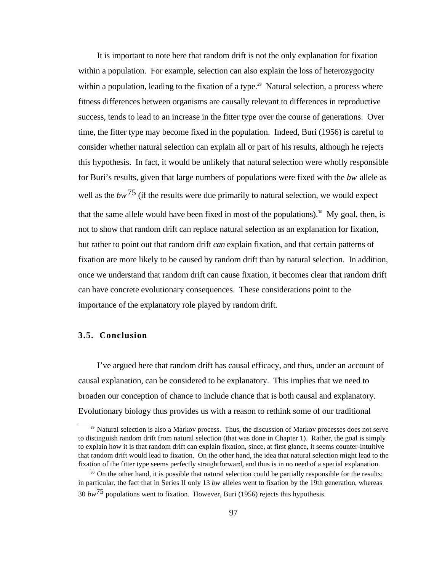It is important to note here that random drift is not the only explanation for fixation within a population. For example, selection can also explain the loss of heterozygocity within a population, leading to the fixation of a type.<sup>29</sup> Natural selection, a process where fitness differences between organisms are causally relevant to differences in reproductive success, tends to lead to an increase in the fitter type over the course of generations. Over time, the fitter type may become fixed in the population. Indeed, Buri (1956) is careful to consider whether natural selection can explain all or part of his results, although he rejects this hypothesis. In fact, it would be unlikely that natural selection were wholly responsible for Buri's results, given that large numbers of populations were fixed with the *bw* allele as well as the  $bw^{75}$  (if the results were due primarily to natural selection, we would expect that the same allele would have been fixed in most of the populations).<sup>30</sup> My goal, then, is not to show that random drift can replace natural selection as an explanation for fixation, but rather to point out that random drift *can* explain fixation, and that certain patterns of fixation are more likely to be caused by random drift than by natural selection. In addition, once we understand that random drift can cause fixation, it becomes clear that random drift can have concrete evolutionary consequences. These considerations point to the importance of the explanatory role played by random drift.

### **3.5. Conclusion**

I've argued here that random drift has causal efficacy, and thus, under an account of causal explanation, can be considered to be explanatory. This implies that we need to broaden our conception of chance to include chance that is both causal and explanatory. Evolutionary biology thus provides us with a reason to rethink some of our traditional

 $29$  Natural selection is also a Markov process. Thus, the discussion of Markov processes does not serve to distinguish random drift from natural selection (that was done in Chapter 1). Rather, the goal is simply to explain how it is that random drift can explain fixation, since, at first glance, it seems counter-intuitive that random drift would lead to fixation. On the other hand, the idea that natural selection might lead to the fixation of the fitter type seems perfectly straightforward, and thus is in no need of a special explanation.

<sup>&</sup>lt;sup>30</sup> On the other hand, it is possible that natural selection could be partially responsible for the results; in particular, the fact that in Series II only 13 *bw* alleles went to fixation by the 19th generation, whereas 30 *bw*75 populations went to fixation. However, Buri (1956) rejects this hypothesis.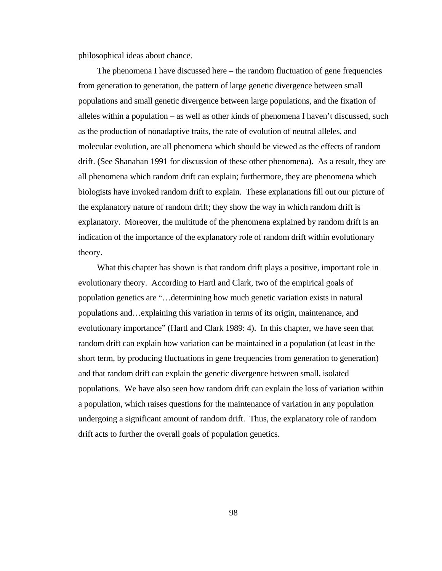philosophical ideas about chance.

The phenomena I have discussed here – the random fluctuation of gene frequencies from generation to generation, the pattern of large genetic divergence between small populations and small genetic divergence between large populations, and the fixation of alleles within a population – as well as other kinds of phenomena I haven't discussed, such as the production of nonadaptive traits, the rate of evolution of neutral alleles, and molecular evolution, are all phenomena which should be viewed as the effects of random drift. (See Shanahan 1991 for discussion of these other phenomena). As a result, they are all phenomena which random drift can explain; furthermore, they are phenomena which biologists have invoked random drift to explain. These explanations fill out our picture of the explanatory nature of random drift; they show the way in which random drift is explanatory. Moreover, the multitude of the phenomena explained by random drift is an indication of the importance of the explanatory role of random drift within evolutionary theory.

What this chapter has shown is that random drift plays a positive, important role in evolutionary theory. According to Hartl and Clark, two of the empirical goals of population genetics are "…determining how much genetic variation exists in natural populations and…explaining this variation in terms of its origin, maintenance, and evolutionary importance" (Hartl and Clark 1989: 4). In this chapter, we have seen that random drift can explain how variation can be maintained in a population (at least in the short term, by producing fluctuations in gene frequencies from generation to generation) and that random drift can explain the genetic divergence between small, isolated populations. We have also seen how random drift can explain the loss of variation within a population, which raises questions for the maintenance of variation in any population undergoing a significant amount of random drift. Thus, the explanatory role of random drift acts to further the overall goals of population genetics.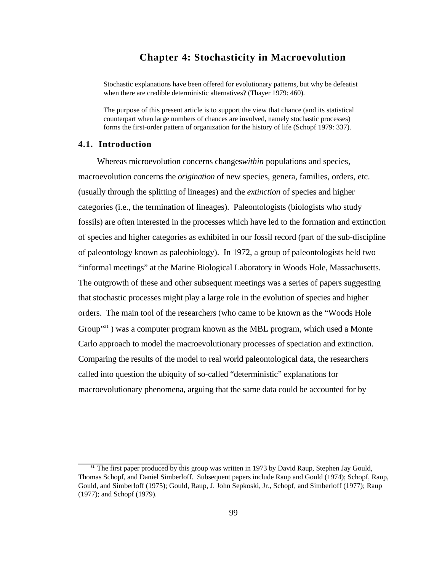# **Chapter 4: Stochasticity in Macroevolution**

Stochastic explanations have been offered for evolutionary patterns, but why be defeatist when there are credible deterministic alternatives? (Thayer 1979: 460).

The purpose of this present article is to support the view that chance (and its statistical counterpart when large numbers of chances are involved, namely stochastic processes) forms the first-order pattern of organization for the history of life (Schopf 1979: 337).

#### **4.1. Introduction**

Whereas microevolution concerns changes*within* populations and species, macroevolution concerns the *origination* of new species, genera, families, orders, etc. (usually through the splitting of lineages) and the *extinction* of species and higher categories (i.e., the termination of lineages). Paleontologists (biologists who study fossils) are often interested in the processes which have led to the formation and extinction of species and higher categories as exhibited in our fossil record (part of the sub-discipline of paleontology known as paleobiology). In 1972, a group of paleontologists held two "informal meetings" at the Marine Biological Laboratory in Woods Hole, Massachusetts. The outgrowth of these and other subsequent meetings was a series of papers suggesting that stochastic processes might play a large role in the evolution of species and higher orders. The main tool of the researchers (who came to be known as the "Woods Hole Group<sup>"31</sup>) was a computer program known as the MBL program, which used a Monte Carlo approach to model the macroevolutionary processes of speciation and extinction. Comparing the results of the model to real world paleontological data, the researchers called into question the ubiquity of so-called "deterministic" explanations for macroevolutionary phenomena, arguing that the same data could be accounted for by

<sup>&</sup>lt;sup>31</sup> The first paper produced by this group was written in 1973 by David Raup, Stephen Jay Gould, Thomas Schopf, and Daniel Simberloff. Subsequent papers include Raup and Gould (1974); Schopf, Raup, Gould, and Simberloff (1975); Gould, Raup, J. John Sepkoski, Jr., Schopf, and Simberloff (1977); Raup (1977); and Schopf (1979).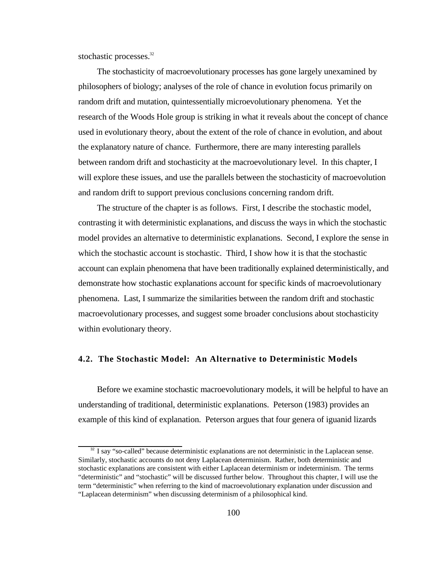stochastic processes.<sup>32</sup>

The stochasticity of macroevolutionary processes has gone largely unexamined by philosophers of biology; analyses of the role of chance in evolution focus primarily on random drift and mutation, quintessentially microevolutionary phenomena. Yet the research of the Woods Hole group is striking in what it reveals about the concept of chance used in evolutionary theory, about the extent of the role of chance in evolution, and about the explanatory nature of chance. Furthermore, there are many interesting parallels between random drift and stochasticity at the macroevolutionary level. In this chapter, I will explore these issues, and use the parallels between the stochasticity of macroevolution and random drift to support previous conclusions concerning random drift.

The structure of the chapter is as follows. First, I describe the stochastic model, contrasting it with deterministic explanations, and discuss the ways in which the stochastic model provides an alternative to deterministic explanations. Second, I explore the sense in which the stochastic account is stochastic. Third, I show how it is that the stochastic account can explain phenomena that have been traditionally explained deterministically, and demonstrate how stochastic explanations account for specific kinds of macroevolutionary phenomena. Last, I summarize the similarities between the random drift and stochastic macroevolutionary processes, and suggest some broader conclusions about stochasticity within evolutionary theory.

### **4.2. The Stochastic Model: An Alternative to Deterministic Models**

Before we examine stochastic macroevolutionary models, it will be helpful to have an understanding of traditional, deterministic explanations. Peterson (1983) provides an example of this kind of explanation. Peterson argues that four genera of iguanid lizards

<sup>&</sup>lt;sup>32</sup> I say "so-called" because deterministic explanations are not deterministic in the Laplacean sense. Similarly, stochastic accounts do not deny Laplacean determinism. Rather, both deterministic and stochastic explanations are consistent with either Laplacean determinism or indeterminism. The terms "deterministic" and "stochastic" will be discussed further below. Throughout this chapter, I will use the term "deterministic" when referring to the kind of macroevolutionary explanation under discussion and "Laplacean determinism" when discussing determinism of a philosophical kind.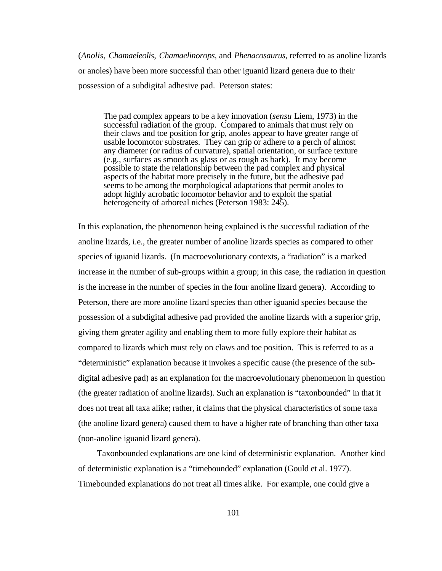(*Anolis*, *Chamaeleolis*, *Chamaelinorops*, and *Phenacosaurus*, referred to as anoline lizards or anoles) have been more successful than other iguanid lizard genera due to their possession of a subdigital adhesive pad. Peterson states:

The pad complex appears to be a key innovation (*sensu* Liem, 1973) in the successful radiation of the group. Compared to animals that must rely on their claws and toe position for grip, anoles appear to have greater range of usable locomotor substrates. They can grip or adhere to a perch of almost any diameter (or radius of curvature), spatial orientation, or surface texture (e.g., surfaces as smooth as glass or as rough as bark). It may become possible to state the relationship between the pad complex and physical aspects of the habitat more precisely in the future, but the adhesive pad seems to be among the morphological adaptations that permit anoles to adopt highly acrobatic locomotor behavior and to exploit the spatial heterogeneity of arboreal niches (Peterson 1983: 245).

In this explanation, the phenomenon being explained is the successful radiation of the anoline lizards, i.e., the greater number of anoline lizards species as compared to other species of iguanid lizards. (In macroevolutionary contexts, a "radiation" is a marked increase in the number of sub-groups within a group; in this case, the radiation in question is the increase in the number of species in the four anoline lizard genera). According to Peterson, there are more anoline lizard species than other iguanid species because the possession of a subdigital adhesive pad provided the anoline lizards with a superior grip, giving them greater agility and enabling them to more fully explore their habitat as compared to lizards which must rely on claws and toe position. This is referred to as a "deterministic" explanation because it invokes a specific cause (the presence of the subdigital adhesive pad) as an explanation for the macroevolutionary phenomenon in question (the greater radiation of anoline lizards). Such an explanation is "taxonbounded" in that it does not treat all taxa alike; rather, it claims that the physical characteristics of some taxa (the anoline lizard genera) caused them to have a higher rate of branching than other taxa (non-anoline iguanid lizard genera).

Taxonbounded explanations are one kind of deterministic explanation. Another kind of deterministic explanation is a "timebounded" explanation (Gould et al. 1977). Timebounded explanations do not treat all times alike. For example, one could give a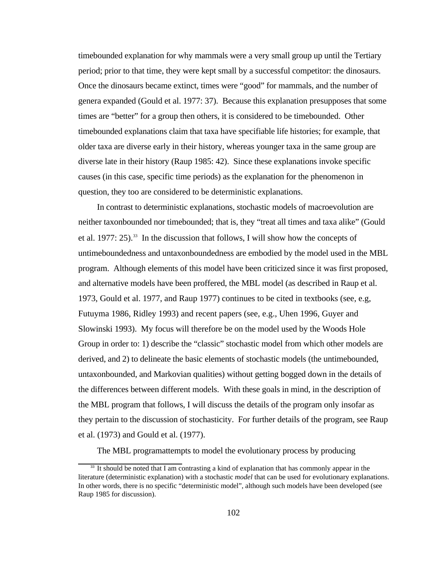timebounded explanation for why mammals were a very small group up until the Tertiary period; prior to that time, they were kept small by a successful competitor: the dinosaurs. Once the dinosaurs became extinct, times were "good" for mammals, and the number of genera expanded (Gould et al. 1977: 37). Because this explanation presupposes that some times are "better" for a group then others, it is considered to be timebounded. Other timebounded explanations claim that taxa have specifiable life histories; for example, that older taxa are diverse early in their history, whereas younger taxa in the same group are diverse late in their history (Raup 1985: 42). Since these explanations invoke specific causes (in this case, specific time periods) as the explanation for the phenomenon in question, they too are considered to be deterministic explanations.

In contrast to deterministic explanations, stochastic models of macroevolution are neither taxonbounded nor timebounded; that is, they "treat all times and taxa alike" (Gould et al. 1977:  $25$ ).<sup>33</sup> In the discussion that follows, I will show how the concepts of untimeboundedness and untaxonboundedness are embodied by the model used in the MBL program. Although elements of this model have been criticized since it was first proposed, and alternative models have been proffered, the MBL model (as described in Raup et al. 1973, Gould et al. 1977, and Raup 1977) continues to be cited in textbooks (see, e.g, Futuyma 1986, Ridley 1993) and recent papers (see, e.g., Uhen 1996, Guyer and Slowinski 1993). My focus will therefore be on the model used by the Woods Hole Group in order to: 1) describe the "classic" stochastic model from which other models are derived, and 2) to delineate the basic elements of stochastic models (the untimebounded, untaxonbounded, and Markovian qualities) without getting bogged down in the details of the differences between different models. With these goals in mind, in the description of the MBL program that follows, I will discuss the details of the program only insofar as they pertain to the discussion of stochasticity. For further details of the program, see Raup et al. (1973) and Gould et al. (1977).

The MBL programattempts to model the evolutionary process by producing

<sup>&</sup>lt;sup>33</sup> It should be noted that I am contrasting a kind of explanation that has commonly appear in the literature (deterministic explanation) with a stochastic *model* that can be used for evolutionary explanations. In other words, there is no specific "deterministic model", although such models have been developed (see Raup 1985 for discussion).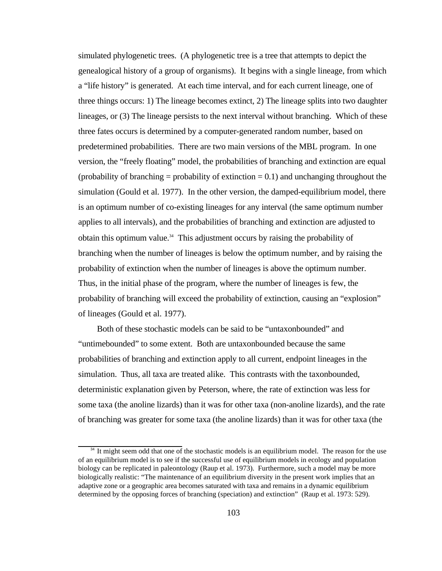simulated phylogenetic trees. (A phylogenetic tree is a tree that attempts to depict the genealogical history of a group of organisms). It begins with a single lineage, from which a "life history" is generated. At each time interval, and for each current lineage, one of three things occurs: 1) The lineage becomes extinct, 2) The lineage splits into two daughter lineages, or (3) The lineage persists to the next interval without branching. Which of these three fates occurs is determined by a computer-generated random number, based on predetermined probabilities. There are two main versions of the MBL program. In one version, the "freely floating" model, the probabilities of branching and extinction are equal (probability of branching  $=$  probability of extinction  $= 0.1$ ) and unchanging throughout the simulation (Gould et al. 1977). In the other version, the damped-equilibrium model, there is an optimum number of co-existing lineages for any interval (the same optimum number applies to all intervals), and the probabilities of branching and extinction are adjusted to obtain this optimum value.<sup>34</sup> This adjustment occurs by raising the probability of branching when the number of lineages is below the optimum number, and by raising the probability of extinction when the number of lineages is above the optimum number. Thus, in the initial phase of the program, where the number of lineages is few, the probability of branching will exceed the probability of extinction, causing an "explosion" of lineages (Gould et al. 1977).

Both of these stochastic models can be said to be "untaxonbounded" and "untimebounded" to some extent. Both are untaxonbounded because the same probabilities of branching and extinction apply to all current, endpoint lineages in the simulation. Thus, all taxa are treated alike. This contrasts with the taxonbounded, deterministic explanation given by Peterson, where, the rate of extinction was less for some taxa (the anoline lizards) than it was for other taxa (non-anoline lizards), and the rate of branching was greater for some taxa (the anoline lizards) than it was for other taxa (the

<sup>&</sup>lt;sup>34</sup> It might seem odd that one of the stochastic models is an equilibrium model. The reason for the use of an equilibrium model is to see if the successful use of equilibrium models in ecology and population biology can be replicated in paleontology (Raup et al. 1973). Furthermore, such a model may be more biologically realistic: "The maintenance of an equilibrium diversity in the present work implies that an adaptive zone or a geographic area becomes saturated with taxa and remains in a dynamic equilibrium determined by the opposing forces of branching (speciation) and extinction" (Raup et al. 1973: 529).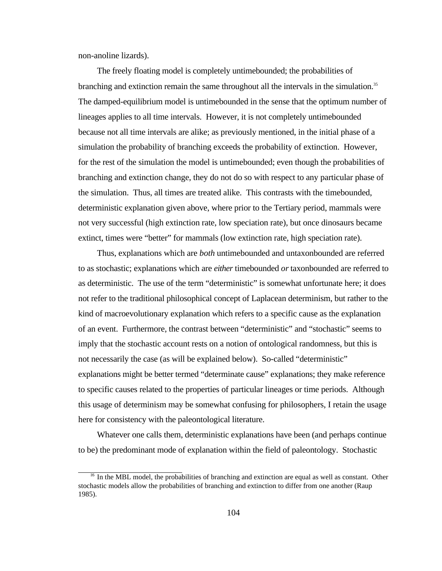non-anoline lizards).

The freely floating model is completely untimebounded; the probabilities of branching and extinction remain the same throughout all the intervals in the simulation.<sup>35</sup> The damped-equilibrium model is untimebounded in the sense that the optimum number of lineages applies to all time intervals. However, it is not completely untimebounded because not all time intervals are alike; as previously mentioned, in the initial phase of a simulation the probability of branching exceeds the probability of extinction. However, for the rest of the simulation the model is untimebounded; even though the probabilities of branching and extinction change, they do not do so with respect to any particular phase of the simulation. Thus, all times are treated alike. This contrasts with the timebounded, deterministic explanation given above, where prior to the Tertiary period, mammals were not very successful (high extinction rate, low speciation rate), but once dinosaurs became extinct, times were "better" for mammals (low extinction rate, high speciation rate).

Thus, explanations which are *both* untimebounded and untaxonbounded are referred to as stochastic; explanations which are *either* timebounded *or*taxonbounded are referred to as deterministic. The use of the term "deterministic" is somewhat unfortunate here; it does not refer to the traditional philosophical concept of Laplacean determinism, but rather to the kind of macroevolutionary explanation which refers to a specific cause as the explanation of an event. Furthermore, the contrast between "deterministic" and "stochastic" seems to imply that the stochastic account rests on a notion of ontological randomness, but this is not necessarily the case (as will be explained below). So-called "deterministic" explanations might be better termed "determinate cause" explanations; they make reference to specific causes related to the properties of particular lineages or time periods. Although this usage of determinism may be somewhat confusing for philosophers, I retain the usage here for consistency with the paleontological literature.

Whatever one calls them, deterministic explanations have been (and perhaps continue to be) the predominant mode of explanation within the field of paleontology. Stochastic

<sup>&</sup>lt;sup>35</sup> In the MBL model, the probabilities of branching and extinction are equal as well as constant. Other stochastic models allow the probabilities of branching and extinction to differ from one another (Raup 1985).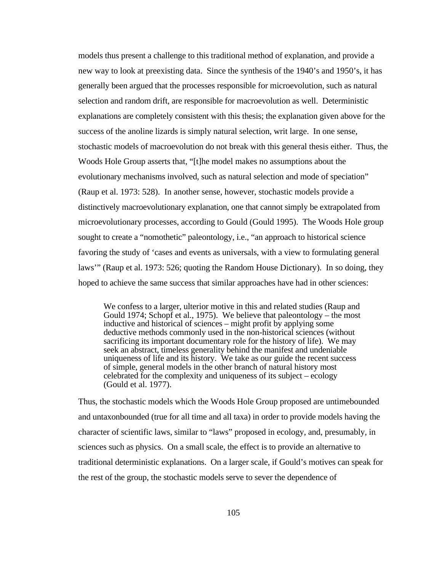models thus present a challenge to this traditional method of explanation, and provide a new way to look at preexisting data. Since the synthesis of the 1940's and 1950's, it has generally been argued that the processes responsible for microevolution, such as natural selection and random drift, are responsible for macroevolution as well. Deterministic explanations are completely consistent with this thesis; the explanation given above for the success of the anoline lizards is simply natural selection, writ large. In one sense, stochastic models of macroevolution do not break with this general thesis either. Thus, the Woods Hole Group asserts that, "[t]he model makes no assumptions about the evolutionary mechanisms involved, such as natural selection and mode of speciation" (Raup et al. 1973: 528). In another sense, however, stochastic models provide a distinctively macroevolutionary explanation, one that cannot simply be extrapolated from microevolutionary processes, according to Gould (Gould 1995). The Woods Hole group sought to create a "nomothetic" paleontology, i.e., "an approach to historical science favoring the study of 'cases and events as universals, with a view to formulating general laws'" (Raup et al. 1973: 526; quoting the Random House Dictionary). In so doing, they hoped to achieve the same success that similar approaches have had in other sciences:

We confess to a larger, ulterior motive in this and related studies (Raup and Gould 1974; Schopf et al., 1975). We believe that paleontology – the most inductive and historical of sciences – might profit by applying some deductive methods commonly used in the non-historical sciences (without sacrificing its important documentary role for the history of life). We may seek an abstract, timeless generality behind the manifest and undeniable uniqueness of life and its history. We take as our guide the recent success of simple, general models in the other branch of natural history most celebrated for the complexity and uniqueness of its subject – ecology (Gould et al. 1977).

Thus, the stochastic models which the Woods Hole Group proposed are untimebounded and untaxonbounded (true for all time and all taxa) in order to provide models having the character of scientific laws, similar to "laws" proposed in ecology, and, presumably, in sciences such as physics. On a small scale, the effect is to provide an alternative to traditional deterministic explanations. On a larger scale, if Gould's motives can speak for the rest of the group, the stochastic models serve to sever the dependence of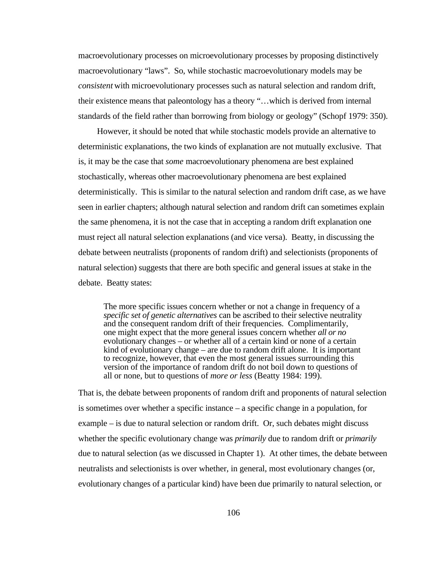macroevolutionary processes on microevolutionary processes by proposing distinctively macroevolutionary "laws". So, while stochastic macroevolutionary models may be *consistent* with microevolutionary processes such as natural selection and random drift, their existence means that paleontology has a theory "…which is derived from internal standards of the field rather than borrowing from biology or geology" (Schopf 1979: 350).

However, it should be noted that while stochastic models provide an alternative to deterministic explanations, the two kinds of explanation are not mutually exclusive. That is, it may be the case that *some* macroevolutionary phenomena are best explained stochastically, whereas other macroevolutionary phenomena are best explained deterministically. This is similar to the natural selection and random drift case, as we have seen in earlier chapters; although natural selection and random drift can sometimes explain the same phenomena, it is not the case that in accepting a random drift explanation one must reject all natural selection explanations (and vice versa). Beatty, in discussing the debate between neutralists (proponents of random drift) and selectionists (proponents of natural selection) suggests that there are both specific and general issues at stake in the debate. Beatty states:

The more specific issues concern whether or not a change in frequency of a *specific set of genetic alternatives* can be ascribed to their selective neutrality and the consequent random drift of their frequencies. Complimentarily, one might expect that the more general issues concern whether *all or no* evolutionary changes – or whether all of a certain kind or none of a certain kind of evolutionary change – are due to random drift alone. It is important to recognize, however, that even the most general issues surrounding this version of the importance of random drift do not boil down to questions of all or none, but to questions of *more or less* (Beatty 1984: 199).

That is, the debate between proponents of random drift and proponents of natural selection is sometimes over whether a specific instance – a specific change in a population, for example – is due to natural selection or random drift. Or, such debates might discuss whether the specific evolutionary change was *primarily* due to random drift or *primarily* due to natural selection (as we discussed in Chapter 1). At other times, the debate between neutralists and selectionists is over whether, in general, most evolutionary changes (or, evolutionary changes of a particular kind) have been due primarily to natural selection, or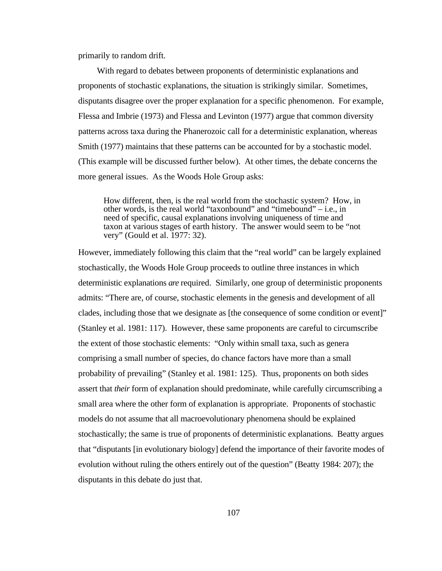primarily to random drift.

With regard to debates between proponents of deterministic explanations and proponents of stochastic explanations, the situation is strikingly similar. Sometimes, disputants disagree over the proper explanation for a specific phenomenon. For example, Flessa and Imbrie (1973) and Flessa and Levinton (1977) argue that common diversity patterns across taxa during the Phanerozoic call for a deterministic explanation, whereas Smith (1977) maintains that these patterns can be accounted for by a stochastic model. (This example will be discussed further below). At other times, the debate concerns the more general issues. As the Woods Hole Group asks:

How different, then, is the real world from the stochastic system? How, in other words, is the real world "taxonbound" and "timebound" – i.e., in need of specific, causal explanations involving uniqueness of time and taxon at various stages of earth history. The answer would seem to be "not very" (Gould et al. 1977: 32).

However, immediately following this claim that the "real world" can be largely explained stochastically, the Woods Hole Group proceeds to outline three instances in which deterministic explanations *are* required. Similarly, one group of deterministic proponents admits: "There are, of course, stochastic elements in the genesis and development of all clades, including those that we designate as [the consequence of some condition or event]" (Stanley et al. 1981: 117). However, these same proponents are careful to circumscribe the extent of those stochastic elements: "Only within small taxa, such as genera comprising a small number of species, do chance factors have more than a small probability of prevailing" (Stanley et al. 1981: 125). Thus, proponents on both sides assert that *their* form of explanation should predominate, while carefully circumscribing a small area where the other form of explanation is appropriate. Proponents of stochastic models do not assume that all macroevolutionary phenomena should be explained stochastically; the same is true of proponents of deterministic explanations. Beatty argues that "disputants [in evolutionary biology] defend the importance of their favorite modes of evolution without ruling the others entirely out of the question" (Beatty 1984: 207); the disputants in this debate do just that.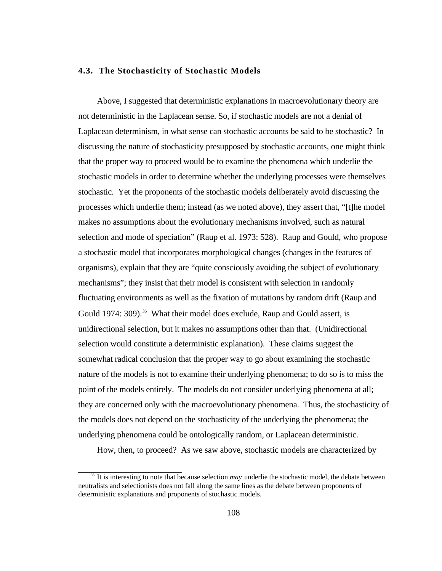## **4.3. The Stochasticity of Stochastic Models**

Above, I suggested that deterministic explanations in macroevolutionary theory are not deterministic in the Laplacean sense. So, if stochastic models are not a denial of Laplacean determinism, in what sense can stochastic accounts be said to be stochastic? In discussing the nature of stochasticity presupposed by stochastic accounts, one might think that the proper way to proceed would be to examine the phenomena which underlie the stochastic models in order to determine whether the underlying processes were themselves stochastic. Yet the proponents of the stochastic models deliberately avoid discussing the processes which underlie them; instead (as we noted above), they assert that, "[t]he model makes no assumptions about the evolutionary mechanisms involved, such as natural selection and mode of speciation" (Raup et al. 1973: 528). Raup and Gould, who propose a stochastic model that incorporates morphological changes (changes in the features of organisms), explain that they are "quite consciously avoiding the subject of evolutionary mechanisms"; they insist that their model is consistent with selection in randomly fluctuating environments as well as the fixation of mutations by random drift (Raup and Gould 1974: 309).<sup>36</sup> What their model does exclude, Raup and Gould assert, is unidirectional selection, but it makes no assumptions other than that. (Unidirectional selection would constitute a deterministic explanation). These claims suggest the somewhat radical conclusion that the proper way to go about examining the stochastic nature of the models is not to examine their underlying phenomena; to do so is to miss the point of the models entirely. The models do not consider underlying phenomena at all; they are concerned only with the macroevolutionary phenomena. Thus, the stochasticity of the models does not depend on the stochasticity of the underlying the phenomena; the underlying phenomena could be ontologically random, or Laplacean deterministic.

How, then, to proceed? As we saw above, stochastic models are characterized by

<sup>36</sup> It is interesting to note that because selection *may* underlie the stochastic model, the debate between neutralists and selectionists does not fall along the same lines as the debate between proponents of deterministic explanations and proponents of stochastic models.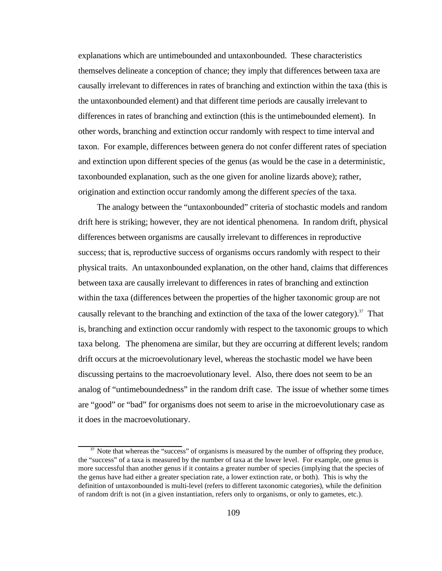explanations which are untimebounded and untaxonbounded. These characteristics themselves delineate a conception of chance; they imply that differences between taxa are causally irrelevant to differences in rates of branching and extinction within the taxa (this is the untaxonbounded element) and that different time periods are causally irrelevant to differences in rates of branching and extinction (this is the untimebounded element). In other words, branching and extinction occur randomly with respect to time interval and taxon. For example, differences between genera do not confer different rates of speciation and extinction upon different species of the genus (as would be the case in a deterministic, taxonbounded explanation, such as the one given for anoline lizards above); rather, origination and extinction occur randomly among the different *species* of the taxa.

The analogy between the "untaxonbounded" criteria of stochastic models and random drift here is striking; however, they are not identical phenomena. In random drift, physical differences between organisms are causally irrelevant to differences in reproductive success; that is, reproductive success of organisms occurs randomly with respect to their physical traits. An untaxonbounded explanation, on the other hand, claims that differences between taxa are causally irrelevant to differences in rates of branching and extinction within the taxa (differences between the properties of the higher taxonomic group are not causally relevant to the branching and extinction of the taxa of the lower category).<sup>37</sup> That is, branching and extinction occur randomly with respect to the taxonomic groups to which taxa belong. The phenomena are similar, but they are occurring at different levels; random drift occurs at the microevolutionary level, whereas the stochastic model we have been discussing pertains to the macroevolutionary level. Also, there does not seem to be an analog of "untimeboundedness" in the random drift case. The issue of whether some times are "good" or "bad" for organisms does not seem to arise in the microevolutionary case as it does in the macroevolutionary.

<sup>&</sup>lt;sup>37</sup> Note that whereas the "success" of organisms is measured by the number of offspring they produce, the "success" of a taxa is measured by the number of taxa at the lower level. For example, one genus is more successful than another genus if it contains a greater number of species (implying that the species of the genus have had either a greater speciation rate, a lower extinction rate, or both). This is why the definition of untaxonbounded is multi-level (refers to different taxonomic categories), while the definition of random drift is not (in a given instantiation, refers only to organisms, or only to gametes, etc.).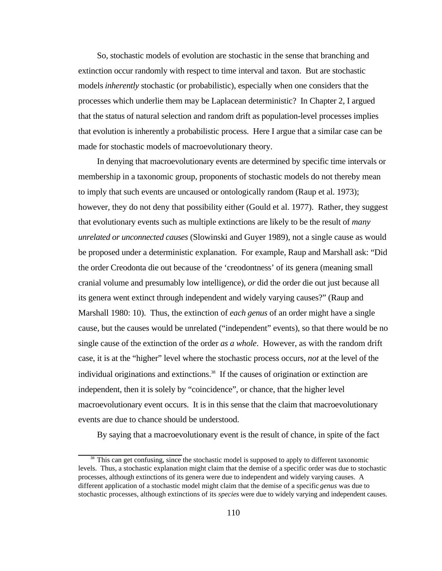So, stochastic models of evolution are stochastic in the sense that branching and extinction occur randomly with respect to time interval and taxon. But are stochastic models *inherently* stochastic (or probabilistic), especially when one considers that the processes which underlie them may be Laplacean deterministic? In Chapter 2, I argued that the status of natural selection and random drift as population-level processes implies that evolution is inherently a probabilistic process. Here I argue that a similar case can be made for stochastic models of macroevolutionary theory.

In denying that macroevolutionary events are determined by specific time intervals or membership in a taxonomic group, proponents of stochastic models do not thereby mean to imply that such events are uncaused or ontologically random (Raup et al. 1973); however, they do not deny that possibility either (Gould et al. 1977). Rather, they suggest that evolutionary events such as multiple extinctions are likely to be the result of *many unrelated or unconnected causes* (Slowinski and Guyer 1989), not a single cause as would be proposed under a deterministic explanation. For example, Raup and Marshall ask: "Did the order Creodonta die out because of the 'creodontness' of its genera (meaning small cranial volume and presumably low intelligence), *or* did the order die out just because all its genera went extinct through independent and widely varying causes?" (Raup and Marshall 1980: 10). Thus, the extinction of *each genus* of an order might have a single cause, but the causes would be unrelated ("independent" events), so that there would be no single cause of the extinction of the order *as a whole*. However, as with the random drift case, it is at the "higher" level where the stochastic process occurs, *not* at the level of the individual originations and extinctions.<sup>38</sup> If the causes of origination or extinction are independent, then it is solely by "coincidence", or chance, that the higher level macroevolutionary event occurs. It is in this sense that the claim that macroevolutionary events are due to chance should be understood.

By saying that a macroevolutionary event is the result of chance, in spite of the fact

<sup>&</sup>lt;sup>38</sup> This can get confusing, since the stochastic model is supposed to apply to different taxonomic levels. Thus, a stochastic explanation might claim that the demise of a specific order was due to stochastic processes, although extinctions of its genera were due to independent and widely varying causes. A different application of a stochastic model might claim that the demise of a specific *genus* was due to stochastic processes, although extinctions of its *species* were due to widely varying and independent causes.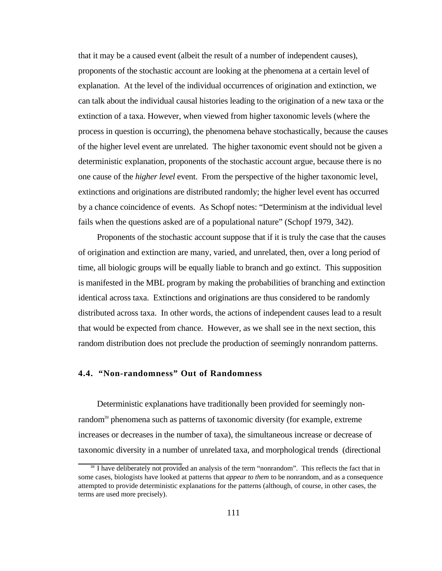that it may be a caused event (albeit the result of a number of independent causes), proponents of the stochastic account are looking at the phenomena at a certain level of explanation. At the level of the individual occurrences of origination and extinction, we can talk about the individual causal histories leading to the origination of a new taxa or the extinction of a taxa. However, when viewed from higher taxonomic levels (where the process in question is occurring), the phenomena behave stochastically, because the causes of the higher level event are unrelated. The higher taxonomic event should not be given a deterministic explanation, proponents of the stochastic account argue, because there is no one cause of the *higher level* event. From the perspective of the higher taxonomic level, extinctions and originations are distributed randomly; the higher level event has occurred by a chance coincidence of events. As Schopf notes: "Determinism at the individual level fails when the questions asked are of a populational nature" (Schopf 1979, 342).

Proponents of the stochastic account suppose that if it is truly the case that the causes of origination and extinction are many, varied, and unrelated, then, over a long period of time, all biologic groups will be equally liable to branch and go extinct. This supposition is manifested in the MBL program by making the probabilities of branching and extinction identical across taxa. Extinctions and originations are thus considered to be randomly distributed across taxa. In other words, the actions of independent causes lead to a result that would be expected from chance. However, as we shall see in the next section, this random distribution does not preclude the production of seemingly nonrandom patterns.

## **4.4. "Non-randomness" Out of Randomness**

Deterministic explanations have traditionally been provided for seemingly nonrandom<sup>39</sup> phenomena such as patterns of taxonomic diversity (for example, extreme increases or decreases in the number of taxa), the simultaneous increase or decrease of taxonomic diversity in a number of unrelated taxa, and morphological trends (directional

<sup>&</sup>lt;sup>39</sup> I have deliberately not provided an analysis of the term "nonrandom". This reflects the fact that in some cases, biologists have looked at patterns that *appear to them* to be nonrandom, and as a consequence attempted to provide deterministic explanations for the patterns (although, of course, in other cases, the terms are used more precisely).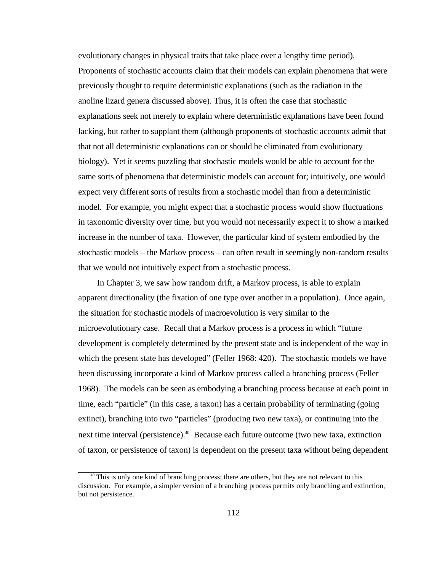evolutionary changes in physical traits that take place over a lengthy time period). Proponents of stochastic accounts claim that their models can explain phenomena that were previously thought to require deterministic explanations (such as the radiation in the anoline lizard genera discussed above). Thus, it is often the case that stochastic explanations seek not merely to explain where deterministic explanations have been found lacking, but rather to supplant them (although proponents of stochastic accounts admit that that not all deterministic explanations can or should be eliminated from evolutionary biology). Yet it seems puzzling that stochastic models would be able to account for the same sorts of phenomena that deterministic models can account for; intuitively, one would expect very different sorts of results from a stochastic model than from a deterministic model. For example, you might expect that a stochastic process would show fluctuations in taxonomic diversity over time, but you would not necessarily expect it to show a marked increase in the number of taxa. However, the particular kind of system embodied by the stochastic models – the Markov process – can often result in seemingly non-random results that we would not intuitively expect from a stochastic process.

In Chapter 3, we saw how random drift, a Markov process, is able to explain apparent directionality (the fixation of one type over another in a population). Once again, the situation for stochastic models of macroevolution is very similar to the microevolutionary case. Recall that a Markov process is a process in which "future development is completely determined by the present state and is independent of the way in which the present state has developed" (Feller 1968: 420). The stochastic models we have been discussing incorporate a kind of Markov process called a branching process (Feller 1968). The models can be seen as embodying a branching process because at each point in time, each "particle" (in this case, a taxon) has a certain probability of terminating (going extinct), branching into two "particles" (producing two new taxa), or continuing into the next time interval (persistence).<sup>40</sup> Because each future outcome (two new taxa, extinction of taxon, or persistence of taxon) is dependent on the present taxa without being dependent

<sup>&</sup>lt;sup>40</sup> This is only one kind of branching process; there are others, but they are not relevant to this discussion. For example, a simpler version of a branching process permits only branching and extinction, but not persistence.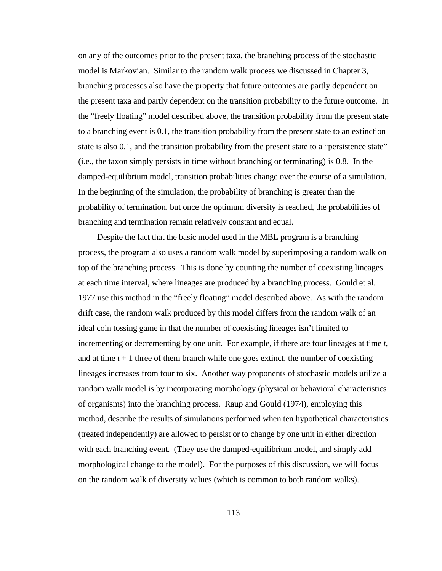on any of the outcomes prior to the present taxa, the branching process of the stochastic model is Markovian. Similar to the random walk process we discussed in Chapter 3, branching processes also have the property that future outcomes are partly dependent on the present taxa and partly dependent on the transition probability to the future outcome. In the "freely floating" model described above, the transition probability from the present state to a branching event is 0.1, the transition probability from the present state to an extinction state is also 0.1, and the transition probability from the present state to a "persistence state" (i.e., the taxon simply persists in time without branching or terminating) is 0.8. In the damped-equilibrium model, transition probabilities change over the course of a simulation. In the beginning of the simulation, the probability of branching is greater than the probability of termination, but once the optimum diversity is reached, the probabilities of branching and termination remain relatively constant and equal.

Despite the fact that the basic model used in the MBL program is a branching process, the program also uses a random walk model by superimposing a random walk on top of the branching process. This is done by counting the number of coexisting lineages at each time interval, where lineages are produced by a branching process. Gould et al. 1977 use this method in the "freely floating" model described above. As with the random drift case, the random walk produced by this model differs from the random walk of an ideal coin tossing game in that the number of coexisting lineages isn't limited to incrementing or decrementing by one unit. For example, if there are four lineages at time *t*, and at time  $t + 1$  three of them branch while one goes extinct, the number of coexisting lineages increases from four to six. Another way proponents of stochastic models utilize a random walk model is by incorporating morphology (physical or behavioral characteristics of organisms) into the branching process. Raup and Gould (1974), employing this method, describe the results of simulations performed when ten hypothetical characteristics (treated independently) are allowed to persist or to change by one unit in either direction with each branching event. (They use the damped-equilibrium model, and simply add morphological change to the model). For the purposes of this discussion, we will focus on the random walk of diversity values (which is common to both random walks).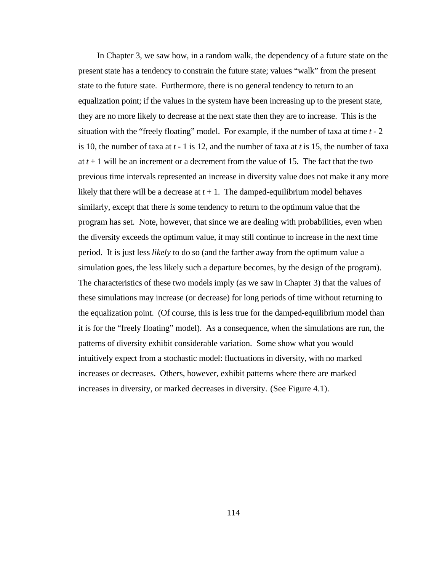In Chapter 3, we saw how, in a random walk, the dependency of a future state on the present state has a tendency to constrain the future state; values "walk" from the present state to the future state. Furthermore, there is no general tendency to return to an equalization point; if the values in the system have been increasing up to the present state, they are no more likely to decrease at the next state then they are to increase. This is the situation with the "freely floating" model. For example, if the number of taxa at time *t* - 2 is 10, the number of taxa at *t* - 1 is 12, and the number of taxa at *t* is 15, the number of taxa at  $t + 1$  will be an increment or a decrement from the value of 15. The fact that the two previous time intervals represented an increase in diversity value does not make it any more likely that there will be a decrease at  $t + 1$ . The damped-equilibrium model behaves similarly, except that there *is* some tendency to return to the optimum value that the program has set. Note, however, that since we are dealing with probabilities, even when the diversity exceeds the optimum value, it may still continue to increase in the next time period. It is just less *likely* to do so (and the farther away from the optimum value a simulation goes, the less likely such a departure becomes, by the design of the program). The characteristics of these two models imply (as we saw in Chapter 3) that the values of these simulations may increase (or decrease) for long periods of time without returning to the equalization point. (Of course, this is less true for the damped-equilibrium model than it is for the "freely floating" model). As a consequence, when the simulations are run, the patterns of diversity exhibit considerable variation. Some show what you would intuitively expect from a stochastic model: fluctuations in diversity, with no marked increases or decreases. Others, however, exhibit patterns where there are marked increases in diversity, or marked decreases in diversity. (See Figure 4.1).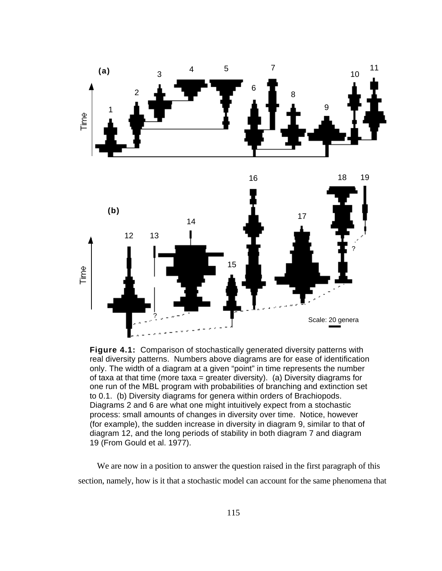

**Figure 4.1:** Comparison of stochastically generated diversity patterns with real diversity patterns. Numbers above diagrams are for ease of identification only. The width of a diagram at a given "point" in time represents the number of taxa at that time (more taxa = greater diversity). (a) Diversity diagrams for one run of the MBL program with probabilities of branching and extinction set to 0.1. (b) Diversity diagrams for genera within orders of Brachiopods. Diagrams 2 and 6 are what one might intuitively expect from a stochastic process: small amounts of changes in diversity over time. Notice, however (for example), the sudden increase in diversity in diagram 9, similar to that of diagram 12, and the long periods of stability in both diagram 7 and diagram 19 (From Gould et al. 1977).

We are now in a position to answer the question raised in the first paragraph of this section, namely, how is it that a stochastic model can account for the same phenomena that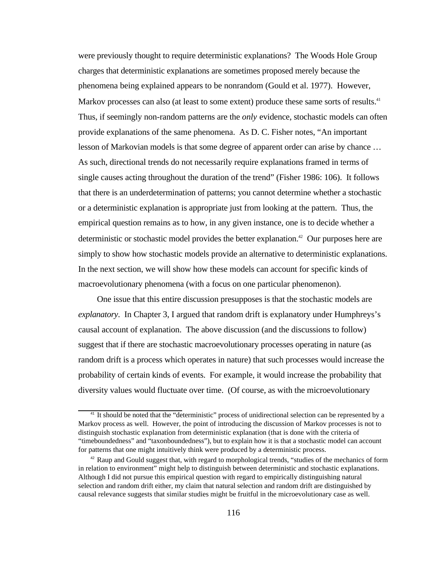were previously thought to require deterministic explanations? The Woods Hole Group charges that deterministic explanations are sometimes proposed merely because the phenomena being explained appears to be nonrandom (Gould et al. 1977). However, Markov processes can also (at least to some extent) produce these same sorts of results.<sup>41</sup> Thus, if seemingly non-random patterns are the *only* evidence, stochastic models can often provide explanations of the same phenomena. As D. C. Fisher notes, "An important lesson of Markovian models is that some degree of apparent order can arise by chance … As such, directional trends do not necessarily require explanations framed in terms of single causes acting throughout the duration of the trend" (Fisher 1986: 106). It follows that there is an underdetermination of patterns; you cannot determine whether a stochastic or a deterministic explanation is appropriate just from looking at the pattern. Thus, the empirical question remains as to how, in any given instance, one is to decide whether a deterministic or stochastic model provides the better explanation.<sup>42</sup> Our purposes here are simply to show how stochastic models provide an alternative to deterministic explanations. In the next section, we will show how these models can account for specific kinds of macroevolutionary phenomena (with a focus on one particular phenomenon).

One issue that this entire discussion presupposes is that the stochastic models are *explanatory*. In Chapter 3, I argued that random drift is explanatory under Humphreys's causal account of explanation. The above discussion (and the discussions to follow) suggest that if there are stochastic macroevolutionary processes operating in nature (as random drift is a process which operates in nature) that such processes would increase the probability of certain kinds of events. For example, it would increase the probability that diversity values would fluctuate over time. (Of course, as with the microevolutionary

<sup>&</sup>lt;sup>41</sup> It should be noted that the "deterministic" process of unidirectional selection can be represented by a Markov process as well. However, the point of introducing the discussion of Markov processes is not to distinguish stochastic explanation from deterministic explanation (that is done with the criteria of "timeboundedness" and "taxonboundedness"), but to explain how it is that a stochastic model can account for patterns that one might intuitively think were produced by a deterministic process.

<sup>&</sup>lt;sup>42</sup> Raup and Gould suggest that, with regard to morphological trends, "studies of the mechanics of form in relation to environment" might help to distinguish between deterministic and stochastic explanations. Although I did not pursue this empirical question with regard to empirically distinguishing natural selection and random drift either, my claim that natural selection and random drift are distinguished by causal relevance suggests that similar studies might be fruitful in the microevolutionary case as well.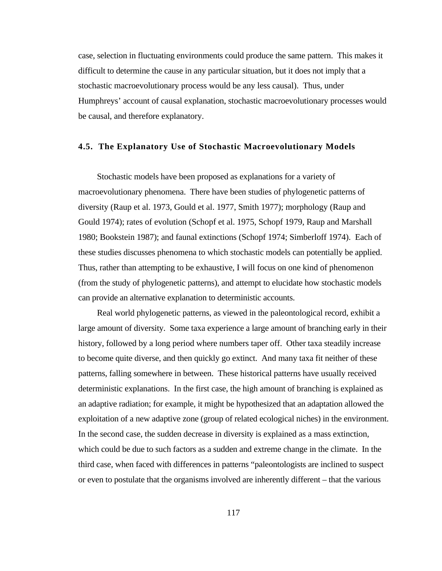case, selection in fluctuating environments could produce the same pattern. This makes it difficult to determine the cause in any particular situation, but it does not imply that a stochastic macroevolutionary process would be any less causal). Thus, under Humphreys' account of causal explanation, stochastic macroevolutionary processes would be causal, and therefore explanatory.

## **4.5. The Explanatory Use of Stochastic Macroevolutionary Models**

Stochastic models have been proposed as explanations for a variety of macroevolutionary phenomena. There have been studies of phylogenetic patterns of diversity (Raup et al. 1973, Gould et al. 1977, Smith 1977); morphology (Raup and Gould 1974); rates of evolution (Schopf et al. 1975, Schopf 1979, Raup and Marshall 1980; Bookstein 1987); and faunal extinctions (Schopf 1974; Simberloff 1974). Each of these studies discusses phenomena to which stochastic models can potentially be applied. Thus, rather than attempting to be exhaustive, I will focus on one kind of phenomenon (from the study of phylogenetic patterns), and attempt to elucidate how stochastic models can provide an alternative explanation to deterministic accounts.

Real world phylogenetic patterns, as viewed in the paleontological record, exhibit a large amount of diversity. Some taxa experience a large amount of branching early in their history, followed by a long period where numbers taper off. Other taxa steadily increase to become quite diverse, and then quickly go extinct. And many taxa fit neither of these patterns, falling somewhere in between. These historical patterns have usually received deterministic explanations. In the first case, the high amount of branching is explained as an adaptive radiation; for example, it might be hypothesized that an adaptation allowed the exploitation of a new adaptive zone (group of related ecological niches) in the environment. In the second case, the sudden decrease in diversity is explained as a mass extinction, which could be due to such factors as a sudden and extreme change in the climate. In the third case, when faced with differences in patterns "paleontologists are inclined to suspect or even to postulate that the organisms involved are inherently different – that the various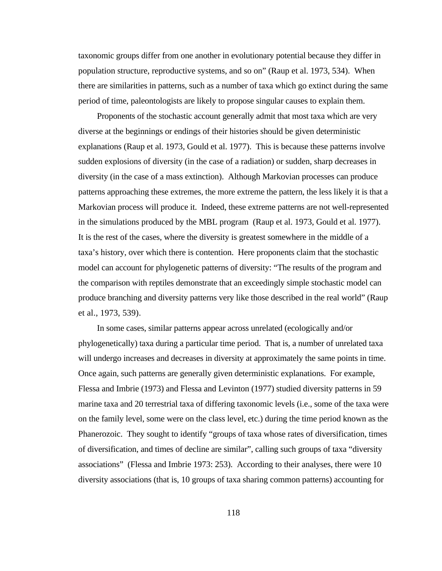taxonomic groups differ from one another in evolutionary potential because they differ in population structure, reproductive systems, and so on" (Raup et al. 1973, 534). When there are similarities in patterns, such as a number of taxa which go extinct during the same period of time, paleontologists are likely to propose singular causes to explain them.

Proponents of the stochastic account generally admit that most taxa which are very diverse at the beginnings or endings of their histories should be given deterministic explanations (Raup et al. 1973, Gould et al. 1977). This is because these patterns involve sudden explosions of diversity (in the case of a radiation) or sudden, sharp decreases in diversity (in the case of a mass extinction). Although Markovian processes can produce patterns approaching these extremes, the more extreme the pattern, the less likely it is that a Markovian process will produce it. Indeed, these extreme patterns are not well-represented in the simulations produced by the MBL program (Raup et al. 1973, Gould et al. 1977). It is the rest of the cases, where the diversity is greatest somewhere in the middle of a taxa's history, over which there is contention. Here proponents claim that the stochastic model can account for phylogenetic patterns of diversity: "The results of the program and the comparison with reptiles demonstrate that an exceedingly simple stochastic model can produce branching and diversity patterns very like those described in the real world" (Raup et al., 1973, 539).

In some cases, similar patterns appear across unrelated (ecologically and/or phylogenetically) taxa during a particular time period. That is, a number of unrelated taxa will undergo increases and decreases in diversity at approximately the same points in time. Once again, such patterns are generally given deterministic explanations. For example, Flessa and Imbrie (1973) and Flessa and Levinton (1977) studied diversity patterns in 59 marine taxa and 20 terrestrial taxa of differing taxonomic levels (i.e., some of the taxa were on the family level, some were on the class level, etc.) during the time period known as the Phanerozoic. They sought to identify "groups of taxa whose rates of diversification, times of diversification, and times of decline are similar", calling such groups of taxa "diversity associations" (Flessa and Imbrie 1973: 253). According to their analyses, there were 10 diversity associations (that is, 10 groups of taxa sharing common patterns) accounting for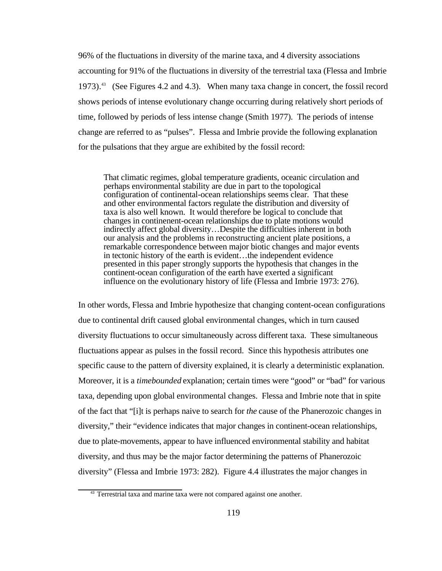96% of the fluctuations in diversity of the marine taxa, and 4 diversity associations accounting for 91% of the fluctuations in diversity of the terrestrial taxa (Flessa and Imbrie 1973).<sup>43</sup> (See Figures 4.2 and 4.3). When many taxa change in concert, the fossil record shows periods of intense evolutionary change occurring during relatively short periods of time, followed by periods of less intense change (Smith 1977). The periods of intense change are referred to as "pulses". Flessa and Imbrie provide the following explanation for the pulsations that they argue are exhibited by the fossil record:

That climatic regimes, global temperature gradients, oceanic circulation and perhaps environmental stability are due in part to the topological configuration of continental-ocean relationships seems clear. That these and other environmental factors regulate the distribution and diversity of taxa is also well known. It would therefore be logical to conclude that changes in continenent-ocean relationships due to plate motions would indirectly affect global diversity…Despite the difficulties inherent in both our analysis and the problems in reconstructing ancient plate positions, a remarkable correspondence between major biotic changes and major events in tectonic history of the earth is evident…the independent evidence presented in this paper strongly supports the hypothesis that changes in the continent-ocean configuration of the earth have exerted a significant influence on the evolutionary history of life (Flessa and Imbrie 1973: 276).

In other words, Flessa and Imbrie hypothesize that changing content-ocean configurations due to continental drift caused global environmental changes, which in turn caused diversity fluctuations to occur simultaneously across different taxa. These simultaneous fluctuations appear as pulses in the fossil record. Since this hypothesis attributes one specific cause to the pattern of diversity explained, it is clearly a deterministic explanation. Moreover, it is a *timebounded* explanation; certain times were "good" or "bad" for various taxa, depending upon global environmental changes. Flessa and Imbrie note that in spite of the fact that "[i]t is perhaps naive to search for *the* cause of the Phanerozoic changes in diversity," their "evidence indicates that major changes in continent-ocean relationships, due to plate-movements, appear to have influenced environmental stability and habitat diversity, and thus may be the major factor determining the patterns of Phanerozoic diversity" (Flessa and Imbrie 1973: 282). Figure 4.4 illustrates the major changes in

<sup>&</sup>lt;sup>43</sup> Terrestrial taxa and marine taxa were not compared against one another.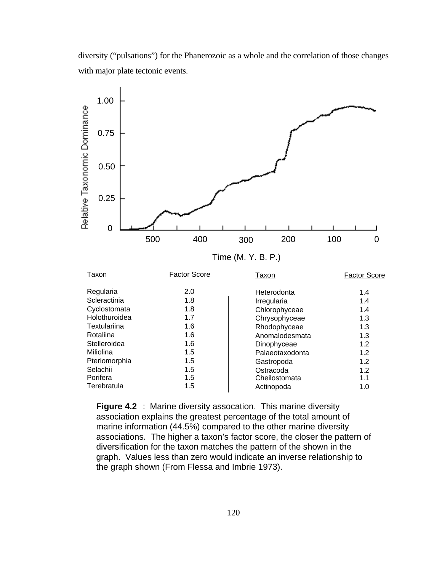diversity ("pulsations") for the Phanerozoic as a whole and the correlation of those changes with major plate tectonic events.



**Figure 4.2** : Marine diversity assocation. This marine diversity association explains the greatest percentage of the total amount of marine information (44.5%) compared to the other marine diversity associations. The higher a taxon's factor score, the closer the pattern of diversification for the taxon matches the pattern of the shown in the graph. Values less than zero would indicate an inverse relationship to the graph shown (From Flessa and Imbrie 1973).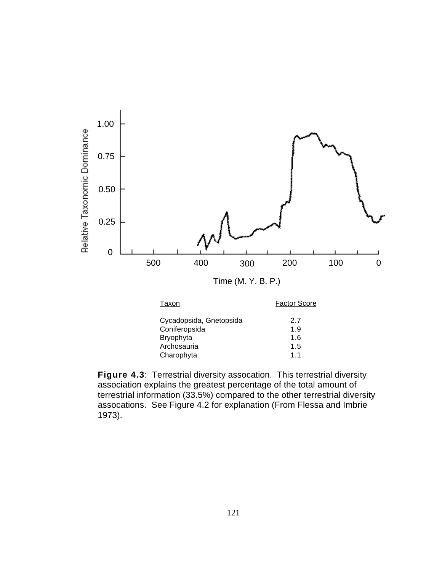

**Figure 4.3**: Terrestrial diversity assocation. This terrestrial diversity association explains the greatest percentage of the total amount of terrestrial information (33.5%) compared to the other terrestrial diversity assocations. See Figure 4.2 for explanation (From Flessa and Imbrie 1973).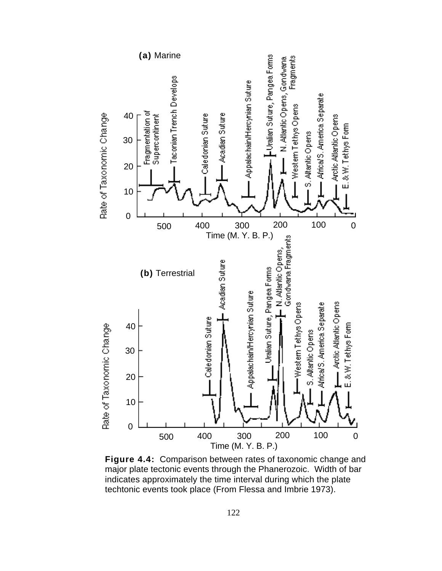

**Figure 4.4:** Comparison between rates of taxonomic change and major plate tectonic events through the Phanerozoic. Width of bar indicates approximately the time interval during which the plate techtonic events took place (From Flessa and Imbrie 1973).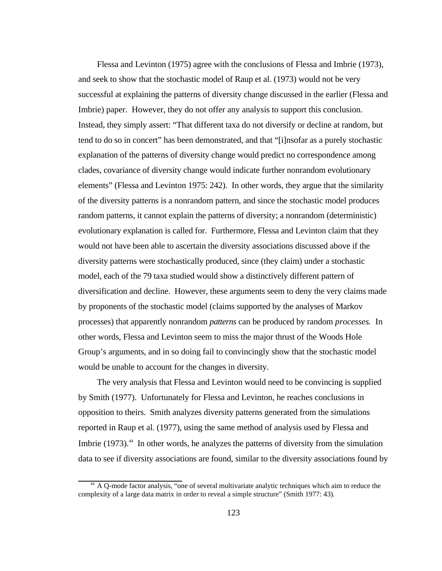Flessa and Levinton (1975) agree with the conclusions of Flessa and Imbrie (1973), and seek to show that the stochastic model of Raup et al. (1973) would not be very successful at explaining the patterns of diversity change discussed in the earlier (Flessa and Imbrie) paper. However, they do not offer any analysis to support this conclusion. Instead, they simply assert: "That different taxa do not diversify or decline at random, but tend to do so in concert" has been demonstrated, and that "[i]nsofar as a purely stochastic explanation of the patterns of diversity change would predict no correspondence among clades, covariance of diversity change would indicate further nonrandom evolutionary elements" (Flessa and Levinton 1975: 242). In other words, they argue that the similarity of the diversity patterns is a nonrandom pattern, and since the stochastic model produces random patterns, it cannot explain the patterns of diversity; a nonrandom (deterministic) evolutionary explanation is called for. Furthermore, Flessa and Levinton claim that they would not have been able to ascertain the diversity associations discussed above if the diversity patterns were stochastically produced, since (they claim) under a stochastic model, each of the 79 taxa studied would show a distinctively different pattern of diversification and decline. However, these arguments seem to deny the very claims made by proponents of the stochastic model (claims supported by the analyses of Markov processes) that apparently nonrandom *patterns* can be produced by random *processes*. In other words, Flessa and Levinton seem to miss the major thrust of the Woods Hole Group's arguments, and in so doing fail to convincingly show that the stochastic model would be unable to account for the changes in diversity.

The very analysis that Flessa and Levinton would need to be convincing is supplied by Smith (1977). Unfortunately for Flessa and Levinton, he reaches conclusions in opposition to theirs. Smith analyzes diversity patterns generated from the simulations reported in Raup et al. (1977), using the same method of analysis used by Flessa and Imbrie (1973).<sup>44</sup> In other words, he analyzes the patterns of diversity from the simulation data to see if diversity associations are found, similar to the diversity associations found by

<sup>44</sup> A Q-mode factor analysis, "one of several multivariate analytic techniques which aim to reduce the complexity of a large data matrix in order to reveal a simple structure" (Smith 1977: 43).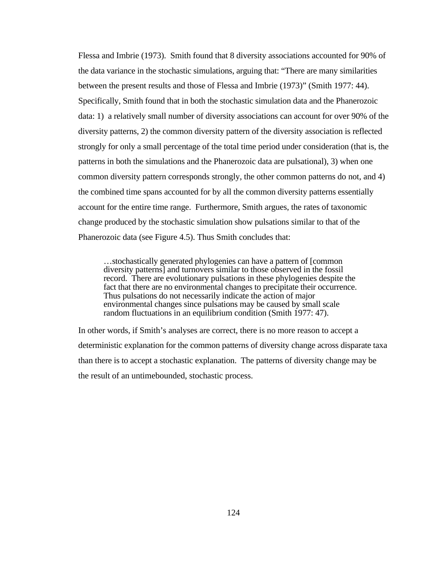Flessa and Imbrie (1973). Smith found that 8 diversity associations accounted for 90% of the data variance in the stochastic simulations, arguing that: "There are many similarities between the present results and those of Flessa and Imbrie (1973)" (Smith 1977: 44). Specifically, Smith found that in both the stochastic simulation data and the Phanerozoic data: 1) a relatively small number of diversity associations can account for over 90% of the diversity patterns, 2) the common diversity pattern of the diversity association is reflected strongly for only a small percentage of the total time period under consideration (that is, the patterns in both the simulations and the Phanerozoic data are pulsational), 3) when one common diversity pattern corresponds strongly, the other common patterns do not, and 4) the combined time spans accounted for by all the common diversity patterns essentially account for the entire time range. Furthermore, Smith argues, the rates of taxonomic change produced by the stochastic simulation show pulsations similar to that of the Phanerozoic data (see Figure 4.5). Thus Smith concludes that:

…stochastically generated phylogenies can have a pattern of [common diversity patterns] and turnovers similar to those observed in the fossil record. There are evolutionary pulsations in these phylogenies despite the fact that there are no environmental changes to precipitate their occurrence. Thus pulsations do not necessarily indicate the action of major environmental changes since pulsations may be caused by small scale random fluctuations in an equilibrium condition (Smith 1977: 47).

In other words, if Smith's analyses are correct, there is no more reason to accept a deterministic explanation for the common patterns of diversity change across disparate taxa than there is to accept a stochastic explanation. The patterns of diversity change may be the result of an untimebounded, stochastic process.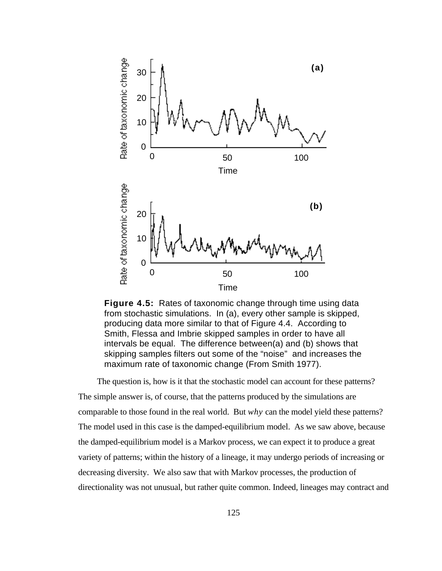

**Figure 4.5:** Rates of taxonomic change through time using data from stochastic simulations. In (a), every other sample is skipped, producing data more similar to that of Figure 4.4. According to Smith, Flessa and Imbrie skipped samples in order to have all intervals be equal. The difference between(a) and (b) shows that skipping samples filters out some of the "noise" and increases the maximum rate of taxonomic change (From Smith 1977).

The question is, how is it that the stochastic model can account for these patterns? The simple answer is, of course, that the patterns produced by the simulations are comparable to those found in the real world. But *why* can the model yield these patterns? The model used in this case is the damped-equilibrium model. As we saw above, because the damped-equilibrium model is a Markov process, we can expect it to produce a great variety of patterns; within the history of a lineage, it may undergo periods of increasing or decreasing diversity. We also saw that with Markov processes, the production of directionality was not unusual, but rather quite common. Indeed, lineages may contract and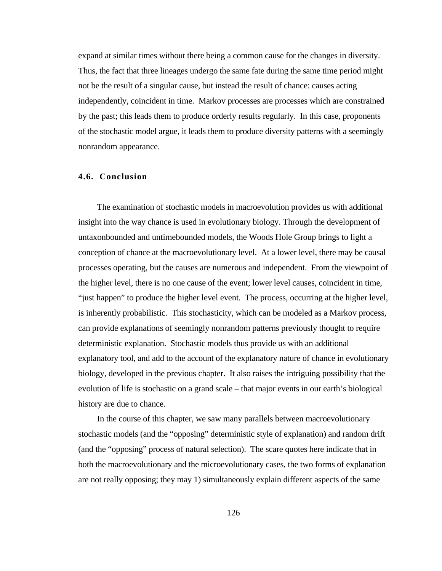expand at similar times without there being a common cause for the changes in diversity. Thus, the fact that three lineages undergo the same fate during the same time period might not be the result of a singular cause, but instead the result of chance: causes acting independently, coincident in time. Markov processes are processes which are constrained by the past; this leads them to produce orderly results regularly. In this case, proponents of the stochastic model argue, it leads them to produce diversity patterns with a seemingly nonrandom appearance.

## **4.6. Conclusion**

The examination of stochastic models in macroevolution provides us with additional insight into the way chance is used in evolutionary biology. Through the development of untaxonbounded and untimebounded models, the Woods Hole Group brings to light a conception of chance at the macroevolutionary level. At a lower level, there may be causal processes operating, but the causes are numerous and independent. From the viewpoint of the higher level, there is no one cause of the event; lower level causes, coincident in time, "just happen" to produce the higher level event. The process, occurring at the higher level, is inherently probabilistic. This stochasticity, which can be modeled as a Markov process, can provide explanations of seemingly nonrandom patterns previously thought to require deterministic explanation. Stochastic models thus provide us with an additional explanatory tool, and add to the account of the explanatory nature of chance in evolutionary biology, developed in the previous chapter. It also raises the intriguing possibility that the evolution of life is stochastic on a grand scale – that major events in our earth's biological history are due to chance.

In the course of this chapter, we saw many parallels between macroevolutionary stochastic models (and the "opposing" deterministic style of explanation) and random drift (and the "opposing" process of natural selection). The scare quotes here indicate that in both the macroevolutionary and the microevolutionary cases, the two forms of explanation are not really opposing; they may 1) simultaneously explain different aspects of the same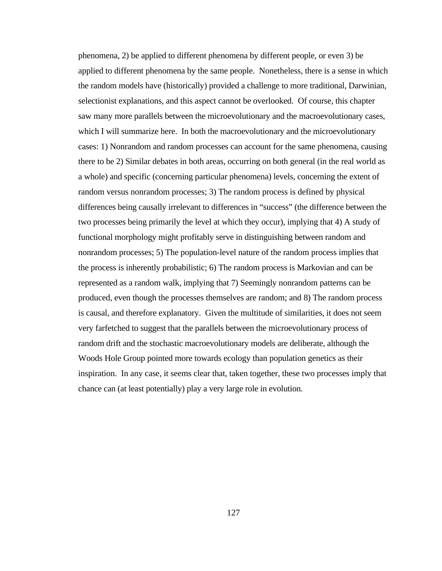phenomena, 2) be applied to different phenomena by different people, or even 3) be applied to different phenomena by the same people. Nonetheless, there is a sense in which the random models have (historically) provided a challenge to more traditional, Darwinian, selectionist explanations, and this aspect cannot be overlooked. Of course, this chapter saw many more parallels between the microevolutionary and the macroevolutionary cases, which I will summarize here. In both the macroevolutionary and the microevolutionary cases: 1) Nonrandom and random processes can account for the same phenomena, causing there to be 2) Similar debates in both areas, occurring on both general (in the real world as a whole) and specific (concerning particular phenomena) levels, concerning the extent of random versus nonrandom processes; 3) The random process is defined by physical differences being causally irrelevant to differences in "success" (the difference between the two processes being primarily the level at which they occur), implying that 4) A study of functional morphology might profitably serve in distinguishing between random and nonrandom processes; 5) The population-level nature of the random process implies that the process is inherently probabilistic; 6) The random process is Markovian and can be represented as a random walk, implying that 7) Seemingly nonrandom patterns can be produced, even though the processes themselves are random; and 8) The random process is causal, and therefore explanatory. Given the multitude of similarities, it does not seem very farfetched to suggest that the parallels between the microevolutionary process of random drift and the stochastic macroevolutionary models are deliberate, although the Woods Hole Group pointed more towards ecology than population genetics as their inspiration. In any case, it seems clear that, taken together, these two processes imply that chance can (at least potentially) play a very large role in evolution.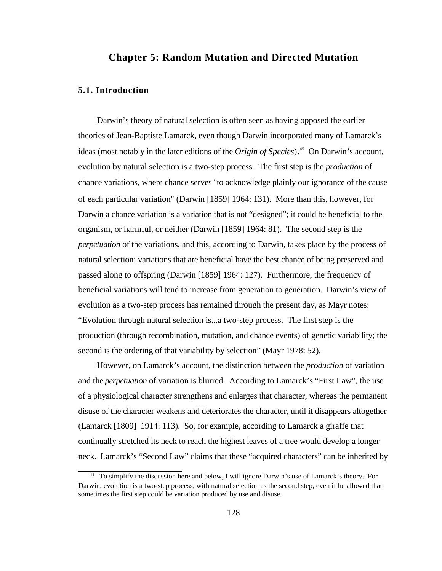# **Chapter 5: Random Mutation and Directed Mutation**

## **5.1. Introduction**

Darwin's theory of natural selection is often seen as having opposed the earlier theories of Jean-Baptiste Lamarck, even though Darwin incorporated many of Lamarck's ideas (most notably in the later editions of the *Origin of Species*).<sup>45</sup> On Darwin's account, evolution by natural selection is a two-step process. The first step is the *production* of chance variations, where chance serves "to acknowledge plainly our ignorance of the cause of each particular variation" (Darwin [1859] 1964: 131). More than this, however, for Darwin a chance variation is a variation that is not "designed"; it could be beneficial to the organism, or harmful, or neither (Darwin [1859] 1964: 81). The second step is the *perpetuation* of the variations, and this, according to Darwin, takes place by the process of natural selection: variations that are beneficial have the best chance of being preserved and passed along to offspring (Darwin [1859] 1964: 127). Furthermore, the frequency of beneficial variations will tend to increase from generation to generation. Darwin's view of evolution as a two-step process has remained through the present day, as Mayr notes: "Evolution through natural selection is...a two-step process. The first step is the production (through recombination, mutation, and chance events) of genetic variability; the second is the ordering of that variability by selection" (Mayr 1978: 52).

However, on Lamarck's account, the distinction between the *production* of variation and the *perpetuation* of variation is blurred. According to Lamarck's "First Law", the use of a physiological character strengthens and enlarges that character, whereas the permanent disuse of the character weakens and deteriorates the character, until it disappears altogether (Lamarck [1809] 1914: 113). So, for example, according to Lamarck a giraffe that continually stretched its neck to reach the highest leaves of a tree would develop a longer neck. Lamarck's "Second Law" claims that these "acquired characters" can be inherited by

<sup>&</sup>lt;sup>45</sup> To simplify the discussion here and below, I will ignore Darwin's use of Lamarck's theory. For Darwin, evolution is a two-step process, with natural selection as the second step, even if he allowed that sometimes the first step could be variation produced by use and disuse.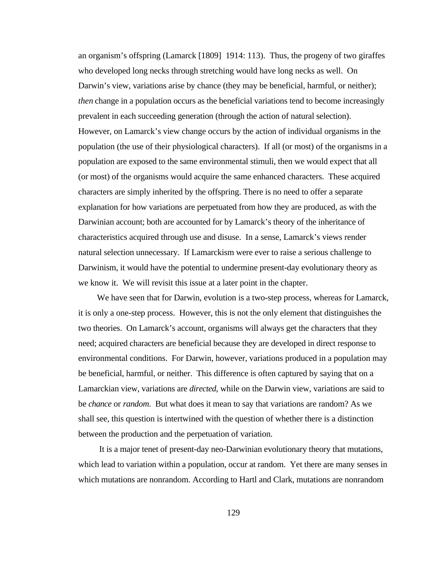an organism's offspring (Lamarck [1809] 1914: 113). Thus, the progeny of two giraffes who developed long necks through stretching would have long necks as well. On Darwin's view, variations arise by chance (they may be beneficial, harmful, or neither); *then* change in a population occurs as the beneficial variations tend to become increasingly prevalent in each succeeding generation (through the action of natural selection). However, on Lamarck's view change occurs by the action of individual organisms in the population (the use of their physiological characters). If all (or most) of the organisms in a population are exposed to the same environmental stimuli, then we would expect that all (or most) of the organisms would acquire the same enhanced characters. These acquired characters are simply inherited by the offspring. There is no need to offer a separate explanation for how variations are perpetuated from how they are produced, as with the Darwinian account; both are accounted for by Lamarck's theory of the inheritance of characteristics acquired through use and disuse. In a sense, Lamarck's views render natural selection unnecessary. If Lamarckism were ever to raise a serious challenge to Darwinism, it would have the potential to undermine present-day evolutionary theory as we know it. We will revisit this issue at a later point in the chapter.

We have seen that for Darwin, evolution is a two-step process, whereas for Lamarck, it is only a one-step process. However, this is not the only element that distinguishes the two theories. On Lamarck's account, organisms will always get the characters that they need; acquired characters are beneficial because they are developed in direct response to environmental conditions. For Darwin, however, variations produced in a population may be beneficial, harmful, or neither. This difference is often captured by saying that on a Lamarckian view, variations are *directed*, while on the Darwin view, variations are said to be *chance* or *random*. But what does it mean to say that variations are random? As we shall see, this question is intertwined with the question of whether there is a distinction between the production and the perpetuation of variation.

It is a major tenet of present-day neo-Darwinian evolutionary theory that mutations, which lead to variation within a population, occur at random. Yet there are many senses in which mutations are nonrandom. According to Hartl and Clark, mutations are nonrandom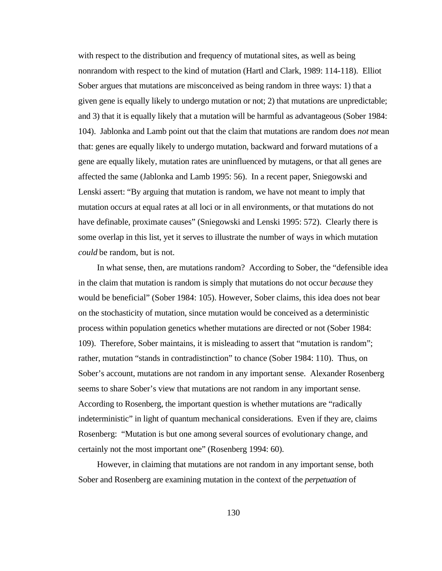with respect to the distribution and frequency of mutational sites, as well as being nonrandom with respect to the kind of mutation (Hartl and Clark, 1989: 114-118). Elliot Sober argues that mutations are misconceived as being random in three ways: 1) that a given gene is equally likely to undergo mutation or not; 2) that mutations are unpredictable; and 3) that it is equally likely that a mutation will be harmful as advantageous (Sober 1984: 104). Jablonka and Lamb point out that the claim that mutations are random does *not* mean that: genes are equally likely to undergo mutation, backward and forward mutations of a gene are equally likely, mutation rates are uninfluenced by mutagens, or that all genes are affected the same (Jablonka and Lamb 1995: 56). In a recent paper, Sniegowski and Lenski assert: "By arguing that mutation is random, we have not meant to imply that mutation occurs at equal rates at all loci or in all environments, or that mutations do not have definable, proximate causes" (Sniegowski and Lenski 1995: 572). Clearly there is some overlap in this list, yet it serves to illustrate the number of ways in which mutation *could* be random, but is not.

In what sense, then, are mutations random? According to Sober, the "defensible idea in the claim that mutation is random is simply that mutations do not occur *because* they would be beneficial" (Sober 1984: 105). However, Sober claims, this idea does not bear on the stochasticity of mutation, since mutation would be conceived as a deterministic process within population genetics whether mutations are directed or not (Sober 1984: 109). Therefore, Sober maintains, it is misleading to assert that "mutation is random"; rather, mutation "stands in contradistinction" to chance (Sober 1984: 110). Thus, on Sober's account, mutations are not random in any important sense. Alexander Rosenberg seems to share Sober's view that mutations are not random in any important sense. According to Rosenberg, the important question is whether mutations are "radically indeterministic" in light of quantum mechanical considerations. Even if they are, claims Rosenberg: "Mutation is but one among several sources of evolutionary change, and certainly not the most important one" (Rosenberg 1994: 60).

However, in claiming that mutations are not random in any important sense, both Sober and Rosenberg are examining mutation in the context of the *perpetuation* of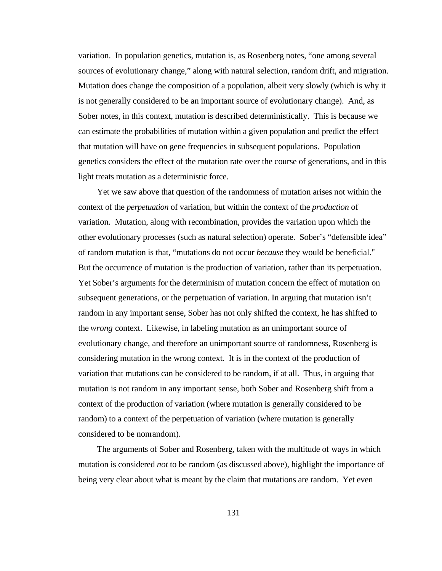variation. In population genetics, mutation is, as Rosenberg notes, "one among several sources of evolutionary change," along with natural selection, random drift, and migration. Mutation does change the composition of a population, albeit very slowly (which is why it is not generally considered to be an important source of evolutionary change). And, as Sober notes, in this context, mutation is described deterministically. This is because we can estimate the probabilities of mutation within a given population and predict the effect that mutation will have on gene frequencies in subsequent populations. Population genetics considers the effect of the mutation rate over the course of generations, and in this light treats mutation as a deterministic force.

Yet we saw above that question of the randomness of mutation arises not within the context of the *perpetuation* of variation, but within the context of the *production* of variation. Mutation, along with recombination, provides the variation upon which the other evolutionary processes (such as natural selection) operate. Sober's "defensible idea" of random mutation is that, "mutations do not occur *because* they would be beneficial." But the occurrence of mutation is the production of variation, rather than its perpetuation. Yet Sober's arguments for the determinism of mutation concern the effect of mutation on subsequent generations, or the perpetuation of variation. In arguing that mutation isn't random in any important sense, Sober has not only shifted the context, he has shifted to the *wrong* context. Likewise, in labeling mutation as an unimportant source of evolutionary change, and therefore an unimportant source of randomness, Rosenberg is considering mutation in the wrong context. It is in the context of the production of variation that mutations can be considered to be random, if at all. Thus, in arguing that mutation is not random in any important sense, both Sober and Rosenberg shift from a context of the production of variation (where mutation is generally considered to be random) to a context of the perpetuation of variation (where mutation is generally considered to be nonrandom).

The arguments of Sober and Rosenberg, taken with the multitude of ways in which mutation is considered *not* to be random (as discussed above), highlight the importance of being very clear about what is meant by the claim that mutations are random. Yet even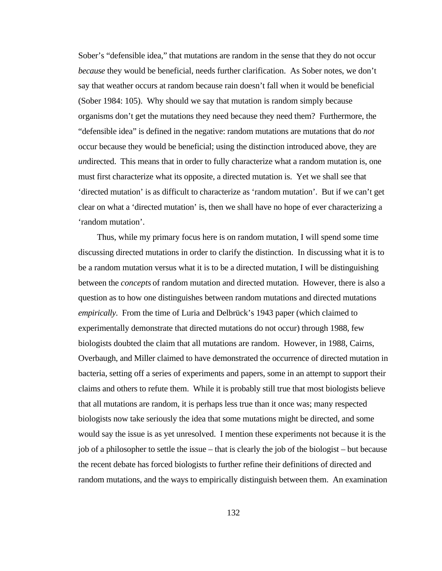Sober's "defensible idea," that mutations are random in the sense that they do not occur *because* they would be beneficial, needs further clarification. As Sober notes, we don't say that weather occurs at random because rain doesn't fall when it would be beneficial (Sober 1984: 105). Why should we say that mutation is random simply because organisms don't get the mutations they need because they need them? Furthermore, the "defensible idea" is defined in the negative: random mutations are mutations that do *not* occur because they would be beneficial; using the distinction introduced above, they are *un*directed. This means that in order to fully characterize what a random mutation is, one must first characterize what its opposite, a directed mutation is. Yet we shall see that 'directed mutation' is as difficult to characterize as 'random mutation'. But if we can't get clear on what a 'directed mutation' is, then we shall have no hope of ever characterizing a 'random mutation'.

Thus, while my primary focus here is on random mutation, I will spend some time discussing directed mutations in order to clarify the distinction. In discussing what it is to be a random mutation versus what it is to be a directed mutation, I will be distinguishing between the *concepts* of random mutation and directed mutation. However, there is also a question as to how one distinguishes between random mutations and directed mutations *empirically*. From the time of Luria and Delbrück's 1943 paper (which claimed to experimentally demonstrate that directed mutations do not occur) through 1988, few biologists doubted the claim that all mutations are random. However, in 1988, Cairns, Overbaugh, and Miller claimed to have demonstrated the occurrence of directed mutation in bacteria, setting off a series of experiments and papers, some in an attempt to support their claims and others to refute them. While it is probably still true that most biologists believe that all mutations are random, it is perhaps less true than it once was; many respected biologists now take seriously the idea that some mutations might be directed, and some would say the issue is as yet unresolved. I mention these experiments not because it is the job of a philosopher to settle the issue – that is clearly the job of the biologist – but because the recent debate has forced biologists to further refine their definitions of directed and random mutations, and the ways to empirically distinguish between them. An examination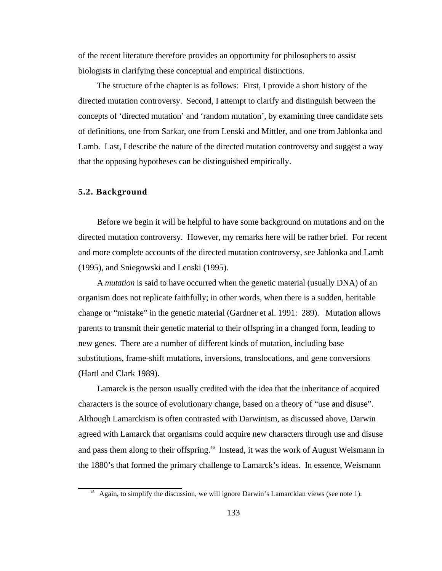of the recent literature therefore provides an opportunity for philosophers to assist biologists in clarifying these conceptual and empirical distinctions.

The structure of the chapter is as follows: First, I provide a short history of the directed mutation controversy. Second, I attempt to clarify and distinguish between the concepts of 'directed mutation' and 'random mutation', by examining three candidate sets of definitions, one from Sarkar, one from Lenski and Mittler, and one from Jablonka and Lamb. Last, I describe the nature of the directed mutation controversy and suggest a way that the opposing hypotheses can be distinguished empirically.

# **5.2. Background**

Before we begin it will be helpful to have some background on mutations and on the directed mutation controversy. However, my remarks here will be rather brief. For recent and more complete accounts of the directed mutation controversy, see Jablonka and Lamb (1995), and Sniegowski and Lenski (1995).

A *mutation* is said to have occurred when the genetic material (usually DNA) of an organism does not replicate faithfully; in other words, when there is a sudden, heritable change or "mistake" in the genetic material (Gardner et al. 1991: 289). Mutation allows parents to transmit their genetic material to their offspring in a changed form, leading to new genes. There are a number of different kinds of mutation, including base substitutions, frame-shift mutations, inversions, translocations, and gene conversions (Hartl and Clark 1989).

Lamarck is the person usually credited with the idea that the inheritance of acquired characters is the source of evolutionary change, based on a theory of "use and disuse". Although Lamarckism is often contrasted with Darwinism, as discussed above, Darwin agreed with Lamarck that organisms could acquire new characters through use and disuse and pass them along to their offspring.<sup>46</sup> Instead, it was the work of August Weismann in the 1880's that formed the primary challenge to Lamarck's ideas. In essence, Weismann

<sup>&</sup>lt;sup>46</sup> Again, to simplify the discussion, we will ignore Darwin's Lamarckian views (see note 1).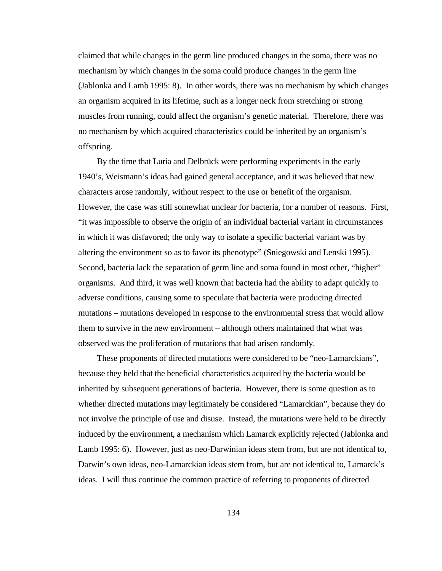claimed that while changes in the germ line produced changes in the soma, there was no mechanism by which changes in the soma could produce changes in the germ line (Jablonka and Lamb 1995: 8). In other words, there was no mechanism by which changes an organism acquired in its lifetime, such as a longer neck from stretching or strong muscles from running, could affect the organism's genetic material. Therefore, there was no mechanism by which acquired characteristics could be inherited by an organism's offspring.

By the time that Luria and Delbrück were performing experiments in the early 1940's, Weismann's ideas had gained general acceptance, and it was believed that new characters arose randomly, without respect to the use or benefit of the organism. However, the case was still somewhat unclear for bacteria, for a number of reasons. First, "it was impossible to observe the origin of an individual bacterial variant in circumstances in which it was disfavored; the only way to isolate a specific bacterial variant was by altering the environment so as to favor its phenotype" (Sniegowski and Lenski 1995). Second, bacteria lack the separation of germ line and soma found in most other, "higher" organisms. And third, it was well known that bacteria had the ability to adapt quickly to adverse conditions, causing some to speculate that bacteria were producing directed mutations – mutations developed in response to the environmental stress that would allow them to survive in the new environment – although others maintained that what was observed was the proliferation of mutations that had arisen randomly.

These proponents of directed mutations were considered to be "neo-Lamarckians", because they held that the beneficial characteristics acquired by the bacteria would be inherited by subsequent generations of bacteria. However, there is some question as to whether directed mutations may legitimately be considered "Lamarckian", because they do not involve the principle of use and disuse. Instead, the mutations were held to be directly induced by the environment, a mechanism which Lamarck explicitly rejected (Jablonka and Lamb 1995: 6). However, just as neo-Darwinian ideas stem from, but are not identical to, Darwin's own ideas, neo-Lamarckian ideas stem from, but are not identical to, Lamarck's ideas. I will thus continue the common practice of referring to proponents of directed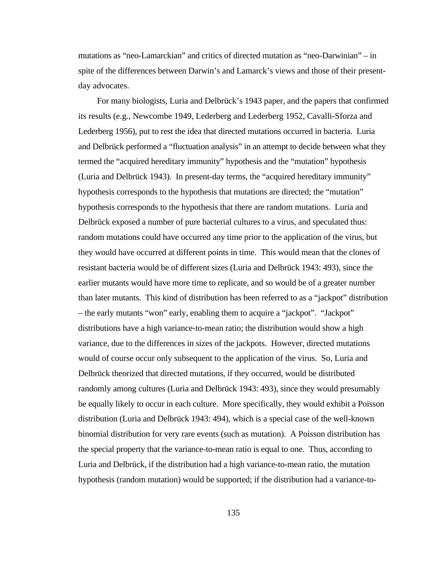mutations as "neo-Lamarckian" and critics of directed mutation as "neo-Darwinian" – in spite of the differences between Darwin's and Lamarck's views and those of their presentday advocates.

For many biologists, Luria and Delbrück's 1943 paper, and the papers that confirmed its results (e.g., Newcombe 1949, Lederberg and Lederberg 1952, Cavalli-Sforza and Lederberg 1956), put to rest the idea that directed mutations occurred in bacteria. Luria and Delbrück performed a "fluctuation analysis" in an attempt to decide between what they termed the "acquired hereditary immunity" hypothesis and the "mutation" hypothesis (Luria and Delbrück 1943). In present-day terms, the "acquired hereditary immunity" hypothesis corresponds to the hypothesis that mutations are directed; the "mutation" hypothesis corresponds to the hypothesis that there are random mutations. Luria and Delbrück exposed a number of pure bacterial cultures to a virus, and speculated thus: random mutations could have occurred any time prior to the application of the virus, but they would have occurred at different points in time. This would mean that the clones of resistant bacteria would be of different sizes (Luria and Delbrück 1943: 493), since the earlier mutants would have more time to replicate, and so would be of a greater number than later mutants. This kind of distribution has been referred to as a "jackpot" distribution – the early mutants "won" early, enabling them to acquire a "jackpot". "Jackpot" distributions have a high variance-to-mean ratio; the distribution would show a high variance, due to the differences in sizes of the jackpots. However, directed mutations would of course occur only subsequent to the application of the virus. So, Luria and Delbrück theorized that directed mutations, if they occurred, would be distributed randomly among cultures (Luria and Delbrück 1943: 493), since they would presumably be equally likely to occur in each culture. More specifically, they would exhibit a Poisson distribution (Luria and Delbrück 1943: 494), which is a special case of the well-known binomial distribution for very rare events (such as mutation). A Poisson distribution has the special property that the variance-to-mean ratio is equal to one. Thus, according to Luria and Delbrück, if the distribution had a high variance-to-mean ratio, the mutation hypothesis (random mutation) would be supported; if the distribution had a variance-to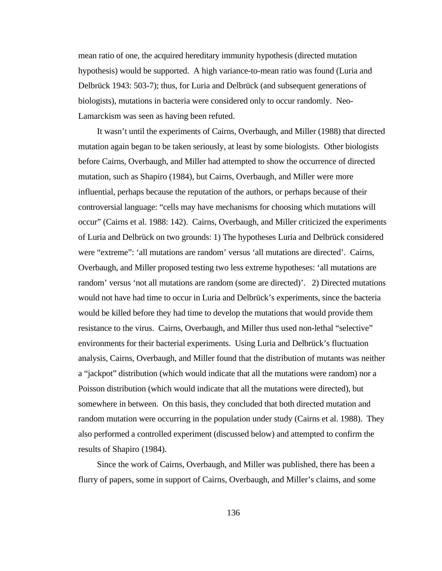mean ratio of one, the acquired hereditary immunity hypothesis (directed mutation hypothesis) would be supported. A high variance-to-mean ratio was found (Luria and Delbrück 1943: 503-7); thus, for Luria and Delbrück (and subsequent generations of biologists), mutations in bacteria were considered only to occur randomly. Neo-Lamarckism was seen as having been refuted.

It wasn't until the experiments of Cairns, Overbaugh, and Miller (1988) that directed mutation again began to be taken seriously, at least by some biologists. Other biologists before Cairns, Overbaugh, and Miller had attempted to show the occurrence of directed mutation, such as Shapiro (1984), but Cairns, Overbaugh, and Miller were more influential, perhaps because the reputation of the authors, or perhaps because of their controversial language: "cells may have mechanisms for choosing which mutations will occur" (Cairns et al. 1988: 142). Cairns, Overbaugh, and Miller criticized the experiments of Luria and Delbrück on two grounds: 1) The hypotheses Luria and Delbrück considered were "extreme": 'all mutations are random' versus 'all mutations are directed'. Cairns, Overbaugh, and Miller proposed testing two less extreme hypotheses: 'all mutations are random' versus 'not all mutations are random (some are directed)'. 2) Directed mutations would not have had time to occur in Luria and Delbrück's experiments, since the bacteria would be killed before they had time to develop the mutations that would provide them resistance to the virus. Cairns, Overbaugh, and Miller thus used non-lethal "selective" environments for their bacterial experiments. Using Luria and Delbrück's fluctuation analysis, Cairns, Overbaugh, and Miller found that the distribution of mutants was neither a "jackpot" distribution (which would indicate that all the mutations were random) nor a Poisson distribution (which would indicate that all the mutations were directed), but somewhere in between. On this basis, they concluded that both directed mutation and random mutation were occurring in the population under study (Cairns et al. 1988). They also performed a controlled experiment (discussed below) and attempted to confirm the results of Shapiro (1984).

Since the work of Cairns, Overbaugh, and Miller was published, there has been a flurry of papers, some in support of Cairns, Overbaugh, and Miller's claims, and some

136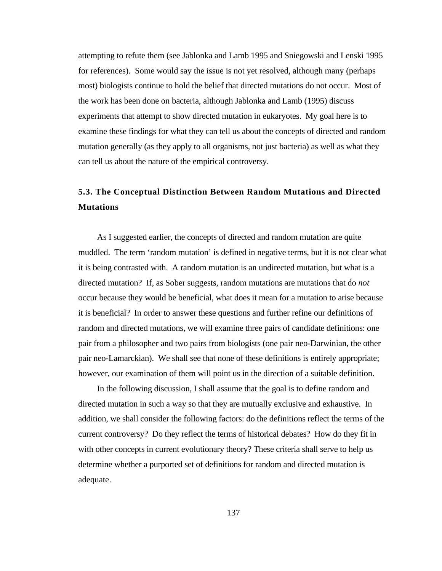attempting to refute them (see Jablonka and Lamb 1995 and Sniegowski and Lenski 1995 for references). Some would say the issue is not yet resolved, although many (perhaps most) biologists continue to hold the belief that directed mutations do not occur. Most of the work has been done on bacteria, although Jablonka and Lamb (1995) discuss experiments that attempt to show directed mutation in eukaryotes. My goal here is to examine these findings for what they can tell us about the concepts of directed and random mutation generally (as they apply to all organisms, not just bacteria) as well as what they can tell us about the nature of the empirical controversy.

# **5.3. The Conceptual Distinction Between Random Mutations and Directed Mutations**

As I suggested earlier, the concepts of directed and random mutation are quite muddled. The term 'random mutation' is defined in negative terms, but it is not clear what it is being contrasted with. A random mutation is an undirected mutation, but what is a directed mutation? If, as Sober suggests, random mutations are mutations that do *not* occur because they would be beneficial, what does it mean for a mutation to arise because it is beneficial? In order to answer these questions and further refine our definitions of random and directed mutations, we will examine three pairs of candidate definitions: one pair from a philosopher and two pairs from biologists (one pair neo-Darwinian, the other pair neo-Lamarckian). We shall see that none of these definitions is entirely appropriate; however, our examination of them will point us in the direction of a suitable definition.

In the following discussion, I shall assume that the goal is to define random and directed mutation in such a way so that they are mutually exclusive and exhaustive. In addition, we shall consider the following factors: do the definitions reflect the terms of the current controversy? Do they reflect the terms of historical debates? How do they fit in with other concepts in current evolutionary theory? These criteria shall serve to help us determine whether a purported set of definitions for random and directed mutation is adequate.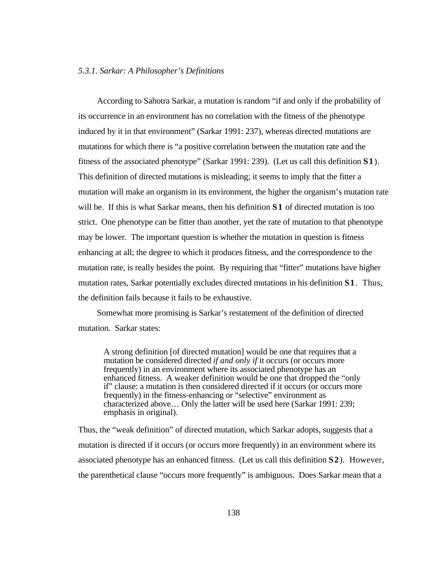According to Sahotra Sarkar, a mutation is random "if and only if the probability of its occurrence in an environment has no correlation with the fitness of the phenotype induced by it in that environment" (Sarkar 1991: 237), whereas directed mutations are mutations for which there is "a positive correlation between the mutation rate and the fitness of the associated phenotype" (Sarkar 1991: 239). (Let us call this definition **S1**). This definition of directed mutations is misleading; it seems to imply that the fitter a mutation will make an organism in its environment, the higher the organism's mutation rate will be. If this is what Sarkar means, then his definition **S1** of directed mutation is too strict. One phenotype can be fitter than another, yet the rate of mutation to that phenotype may be lower. The important question is whether the mutation in question is fitness enhancing at all; the degree to which it produces fitness, and the correspondence to the mutation rate, is really besides the point. By requiring that "fitter" mutations have higher mutation rates, Sarkar potentially excludes directed mutations in his definition **S1**. Thus, the definition fails because it fails to be exhaustive.

Somewhat more promising is Sarkar's restatement of the definition of directed mutation. Sarkar states:

A strong definition [of directed mutation] would be one that requires that a mutation be considered directed *if and only if* it occurs (or occurs more frequently) in an environment where its associated phenotype has an enhanced fitness. A weaker definition would be one that dropped the "only if" clause: a mutation is then considered directed if it occurs (or occurs more frequently) in the fitness-enhancing or "selective" environment as characterized above… Only the latter will be used here (Sarkar 1991: 239; emphasis in original).

Thus, the "weak definition" of directed mutation, which Sarkar adopts, suggests that a mutation is directed if it occurs (or occurs more frequently) in an environment where its associated phenotype has an enhanced fitness. (Let us call this definition **S2**). However, the parenthetical clause "occurs more frequently" is ambiguous. Does Sarkar mean that a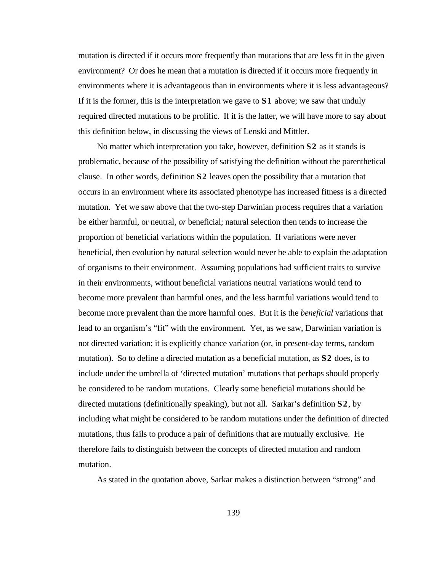mutation is directed if it occurs more frequently than mutations that are less fit in the given environment? Or does he mean that a mutation is directed if it occurs more frequently in environments where it is advantageous than in environments where it is less advantageous? If it is the former, this is the interpretation we gave to **S1** above; we saw that unduly required directed mutations to be prolific. If it is the latter, we will have more to say about this definition below, in discussing the views of Lenski and Mittler.

No matter which interpretation you take, however, definition **S2** as it stands is problematic, because of the possibility of satisfying the definition without the parenthetical clause. In other words, definition **S2** leaves open the possibility that a mutation that occurs in an environment where its associated phenotype has increased fitness is a directed mutation. Yet we saw above that the two-step Darwinian process requires that a variation be either harmful, or neutral, *or* beneficial; natural selection then tends to increase the proportion of beneficial variations within the population. If variations were never beneficial, then evolution by natural selection would never be able to explain the adaptation of organisms to their environment. Assuming populations had sufficient traits to survive in their environments, without beneficial variations neutral variations would tend to become more prevalent than harmful ones, and the less harmful variations would tend to become more prevalent than the more harmful ones. But it is the *beneficial* variations that lead to an organism's "fit" with the environment. Yet, as we saw, Darwinian variation is not directed variation; it is explicitly chance variation (or, in present-day terms, random mutation). So to define a directed mutation as a beneficial mutation, as **S2** does, is to include under the umbrella of 'directed mutation' mutations that perhaps should properly be considered to be random mutations. Clearly some beneficial mutations should be directed mutations (definitionally speaking), but not all. Sarkar's definition **S2**, by including what might be considered to be random mutations under the definition of directed mutations, thus fails to produce a pair of definitions that are mutually exclusive. He therefore fails to distinguish between the concepts of directed mutation and random mutation.

As stated in the quotation above, Sarkar makes a distinction between "strong" and

139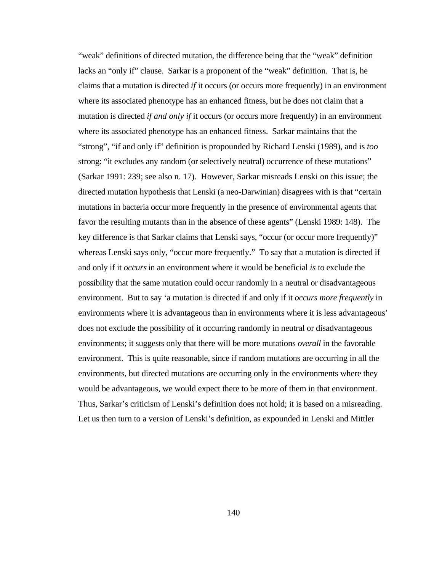"weak" definitions of directed mutation, the difference being that the "weak" definition lacks an "only if" clause. Sarkar is a proponent of the "weak" definition. That is, he claims that a mutation is directed *if* it occurs (or occurs more frequently) in an environment where its associated phenotype has an enhanced fitness, but he does not claim that a mutation is directed *if and only if* it occurs (or occurs more frequently) in an environment where its associated phenotype has an enhanced fitness. Sarkar maintains that the "strong", "if and only if" definition is propounded by Richard Lenski (1989), and is *too* strong: "it excludes any random (or selectively neutral) occurrence of these mutations" (Sarkar 1991: 239; see also n. 17). However, Sarkar misreads Lenski on this issue; the directed mutation hypothesis that Lenski (a neo-Darwinian) disagrees with is that "certain mutations in bacteria occur more frequently in the presence of environmental agents that favor the resulting mutants than in the absence of these agents" (Lenski 1989: 148). The key difference is that Sarkar claims that Lenski says, "occur (or occur more frequently)" whereas Lenski says only, "occur more frequently." To say that a mutation is directed if and only if it *occurs*in an environment where it would be beneficial *is* to exclude the possibility that the same mutation could occur randomly in a neutral or disadvantageous environment. But to say 'a mutation is directed if and only if it *occurs more frequently* in environments where it is advantageous than in environments where it is less advantageous' does not exclude the possibility of it occurring randomly in neutral or disadvantageous environments; it suggests only that there will be more mutations *overall* in the favorable environment. This is quite reasonable, since if random mutations are occurring in all the environments, but directed mutations are occurring only in the environments where they would be advantageous, we would expect there to be more of them in that environment. Thus, Sarkar's criticism of Lenski's definition does not hold; it is based on a misreading. Let us then turn to a version of Lenski's definition, as expounded in Lenski and Mittler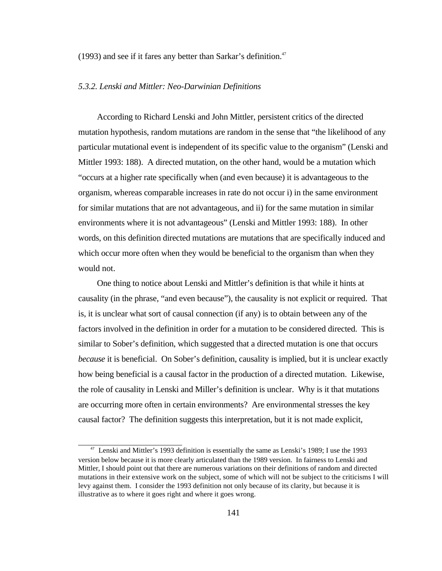(1993) and see if it fares any better than Sarkar's definition.<sup>47</sup>

#### *5.3.2. Lenski and Mittler: Neo-Darwinian Definitions*

According to Richard Lenski and John Mittler, persistent critics of the directed mutation hypothesis, random mutations are random in the sense that "the likelihood of any particular mutational event is independent of its specific value to the organism" (Lenski and Mittler 1993: 188). A directed mutation, on the other hand, would be a mutation which "occurs at a higher rate specifically when (and even because) it is advantageous to the organism, whereas comparable increases in rate do not occur i) in the same environment for similar mutations that are not advantageous, and ii) for the same mutation in similar environments where it is not advantageous" (Lenski and Mittler 1993: 188). In other words, on this definition directed mutations are mutations that are specifically induced and which occur more often when they would be beneficial to the organism than when they would not.

One thing to notice about Lenski and Mittler's definition is that while it hints at causality (in the phrase, "and even because"), the causality is not explicit or required. That is, it is unclear what sort of causal connection (if any) is to obtain between any of the factors involved in the definition in order for a mutation to be considered directed. This is similar to Sober's definition, which suggested that a directed mutation is one that occurs *because* it is beneficial. On Sober's definition, causality is implied, but it is unclear exactly how being beneficial is a causal factor in the production of a directed mutation. Likewise, the role of causality in Lenski and Miller's definition is unclear. Why is it that mutations are occurring more often in certain environments? Are environmental stresses the key causal factor? The definition suggests this interpretation, but it is not made explicit,

<sup>47</sup> Lenski and Mittler's 1993 definition is essentially the same as Lenski's 1989; I use the 1993 version below because it is more clearly articulated than the 1989 version. In fairness to Lenski and Mittler, I should point out that there are numerous variations on their definitions of random and directed mutations in their extensive work on the subject, some of which will not be subject to the criticisms I will levy against them. I consider the 1993 definition not only because of its clarity, but because it is illustrative as to where it goes right and where it goes wrong.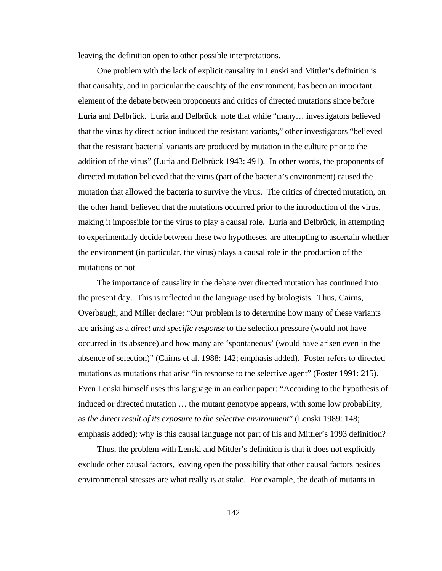leaving the definition open to other possible interpretations.

One problem with the lack of explicit causality in Lenski and Mittler's definition is that causality, and in particular the causality of the environment, has been an important element of the debate between proponents and critics of directed mutations since before Luria and Delbrück. Luria and Delbrück note that while "many… investigators believed that the virus by direct action induced the resistant variants," other investigators "believed that the resistant bacterial variants are produced by mutation in the culture prior to the addition of the virus" (Luria and Delbrück 1943: 491). In other words, the proponents of directed mutation believed that the virus (part of the bacteria's environment) caused the mutation that allowed the bacteria to survive the virus. The critics of directed mutation, on the other hand, believed that the mutations occurred prior to the introduction of the virus, making it impossible for the virus to play a causal role. Luria and Delbrück, in attempting to experimentally decide between these two hypotheses, are attempting to ascertain whether the environment (in particular, the virus) plays a causal role in the production of the mutations or not.

The importance of causality in the debate over directed mutation has continued into the present day. This is reflected in the language used by biologists. Thus, Cairns, Overbaugh, and Miller declare: "Our problem is to determine how many of these variants are arising as a *direct and specific response* to the selection pressure (would not have occurred in its absence) and how many are 'spontaneous' (would have arisen even in the absence of selection)" (Cairns et al. 1988: 142; emphasis added). Foster refers to directed mutations as mutations that arise "in response to the selective agent" (Foster 1991: 215). Even Lenski himself uses this language in an earlier paper: "According to the hypothesis of induced or directed mutation … the mutant genotype appears, with some low probability, as *the direct result of its exposure to the selective environment*" (Lenski 1989: 148; emphasis added); why is this causal language not part of his and Mittler's 1993 definition?

Thus, the problem with Lenski and Mittler's definition is that it does not explicitly exclude other causal factors, leaving open the possibility that other causal factors besides environmental stresses are what really is at stake. For example, the death of mutants in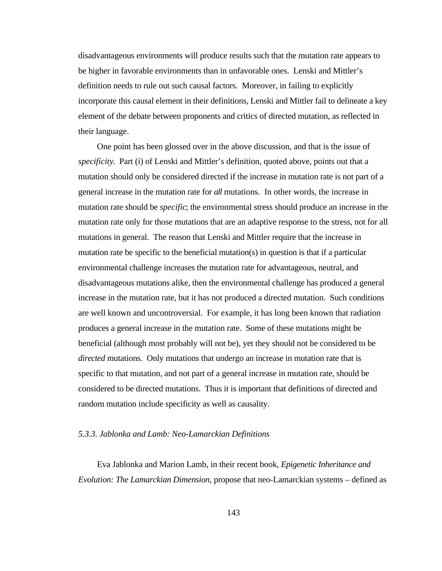disadvantageous environments will produce results such that the mutation rate appears to be higher in favorable environments than in unfavorable ones. Lenski and Mittler's definition needs to rule out such causal factors. Moreover, in failing to explicitly incorporate this causal element in their definitions, Lenski and Mittler fail to delineate a key element of the debate between proponents and critics of directed mutation, as reflected in their language.

One point has been glossed over in the above discussion, and that is the issue of *specificity*. Part (i) of Lenski and Mittler's definition, quoted above, points out that a mutation should only be considered directed if the increase in mutation rate is not part of a general increase in the mutation rate for *all* mutations. In other words, the increase in mutation rate should be *specific*; the environmental stress should produce an increase in the mutation rate only for those mutations that are an adaptive response to the stress, not for all mutations in general. The reason that Lenski and Mittler require that the increase in mutation rate be specific to the beneficial mutation(s) in question is that if a particular environmental challenge increases the mutation rate for advantageous, neutral, and disadvantageous mutations alike, then the environmental challenge has produced a general increase in the mutation rate, but it has not produced a directed mutation. Such conditions are well known and uncontroversial. For example, it has long been known that radiation produces a general increase in the mutation rate. Some of these mutations might be beneficial (although most probably will not be), yet they should not be considered to be *directed* mutations. Only mutations that undergo an increase in mutation rate that is specific to that mutation, and not part of a general increase in mutation rate, should be considered to be directed mutations. Thus it is important that definitions of directed and random mutation include specificity as well as causality.

#### *5.3.3. Jablonka and Lamb: Neo-Lamarckian Definitions*

Eva Jablonka and Marion Lamb, in their recent book, *Epigenetic Inheritance and Evolution: The Lamarckian Dimension*, propose that neo-Lamarckian systems – defined as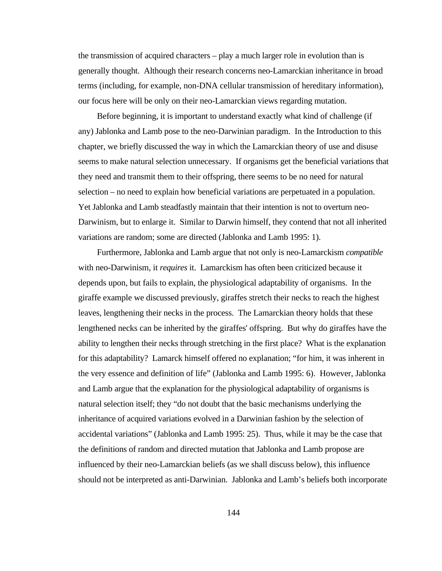the transmission of acquired characters – play a much larger role in evolution than is generally thought. Although their research concerns neo-Lamarckian inheritance in broad terms (including, for example, non-DNA cellular transmission of hereditary information), our focus here will be only on their neo-Lamarckian views regarding mutation.

Before beginning, it is important to understand exactly what kind of challenge (if any) Jablonka and Lamb pose to the neo-Darwinian paradigm. In the Introduction to this chapter, we briefly discussed the way in which the Lamarckian theory of use and disuse seems to make natural selection unnecessary. If organisms get the beneficial variations that they need and transmit them to their offspring, there seems to be no need for natural selection – no need to explain how beneficial variations are perpetuated in a population. Yet Jablonka and Lamb steadfastly maintain that their intention is not to overturn neo-Darwinism, but to enlarge it. Similar to Darwin himself, they contend that not all inherited variations are random; some are directed (Jablonka and Lamb 1995: 1).

Furthermore, Jablonka and Lamb argue that not only is neo-Lamarckism *compatible* with neo-Darwinism, it *requires* it. Lamarckism has often been criticized because it depends upon, but fails to explain, the physiological adaptability of organisms. In the giraffe example we discussed previously, giraffes stretch their necks to reach the highest leaves, lengthening their necks in the process. The Lamarckian theory holds that these lengthened necks can be inherited by the giraffes' offspring. But why do giraffes have the ability to lengthen their necks through stretching in the first place? What is the explanation for this adaptability? Lamarck himself offered no explanation; "for him, it was inherent in the very essence and definition of life" (Jablonka and Lamb 1995: 6). However, Jablonka and Lamb argue that the explanation for the physiological adaptability of organisms is natural selection itself; they "do not doubt that the basic mechanisms underlying the inheritance of acquired variations evolved in a Darwinian fashion by the selection of accidental variations" (Jablonka and Lamb 1995: 25). Thus, while it may be the case that the definitions of random and directed mutation that Jablonka and Lamb propose are influenced by their neo-Lamarckian beliefs (as we shall discuss below), this influence should not be interpreted as anti-Darwinian. Jablonka and Lamb's beliefs both incorporate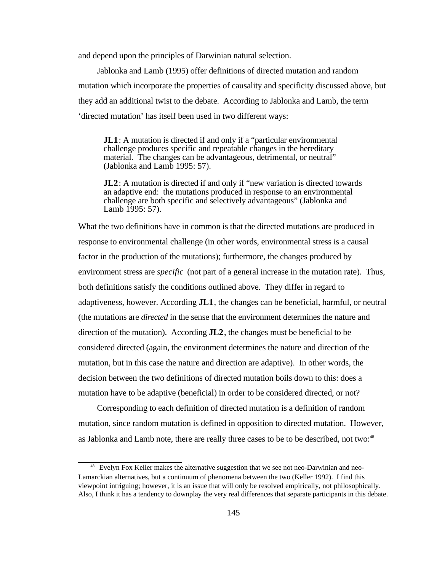and depend upon the principles of Darwinian natural selection.

Jablonka and Lamb (1995) offer definitions of directed mutation and random mutation which incorporate the properties of causality and specificity discussed above, but they add an additional twist to the debate. According to Jablonka and Lamb, the term 'directed mutation' has itself been used in two different ways:

**JL1**: A mutation is directed if and only if a "particular environmental" challenge produces specific and repeatable changes in the hereditary material. The changes can be advantageous, detrimental, or neutral" (Jablonka and Lamb 1995: 57).

**JL2**: A mutation is directed if and only if "new variation is directed towards" an adaptive end: the mutations produced in response to an environmental challenge are both specific and selectively advantageous" (Jablonka and Lamb 1995: 57).

What the two definitions have in common is that the directed mutations are produced in response to environmental challenge (in other words, environmental stress is a causal factor in the production of the mutations); furthermore, the changes produced by environment stress are *specific* (not part of a general increase in the mutation rate). Thus, both definitions satisfy the conditions outlined above. They differ in regard to adaptiveness, however. According **JL1**, the changes can be beneficial, harmful, or neutral (the mutations are *directed* in the sense that the environment determines the nature and direction of the mutation). According **JL2**, the changes must be beneficial to be considered directed (again, the environment determines the nature and direction of the mutation, but in this case the nature and direction are adaptive). In other words, the decision between the two definitions of directed mutation boils down to this: does a mutation have to be adaptive (beneficial) in order to be considered directed, or not?

Corresponding to each definition of directed mutation is a definition of random mutation, since random mutation is defined in opposition to directed mutation. However, as Jablonka and Lamb note, there are really three cases to be to be described, not two: $48^\circ$ 

<sup>&</sup>lt;sup>48</sup> Evelyn Fox Keller makes the alternative suggestion that we see not neo-Darwinian and neo-Lamarckian alternatives, but a continuum of phenomena between the two (Keller 1992). I find this viewpoint intriguing; however, it is an issue that will only be resolved empirically, not philosophically. Also, I think it has a tendency to downplay the very real differences that separate participants in this debate.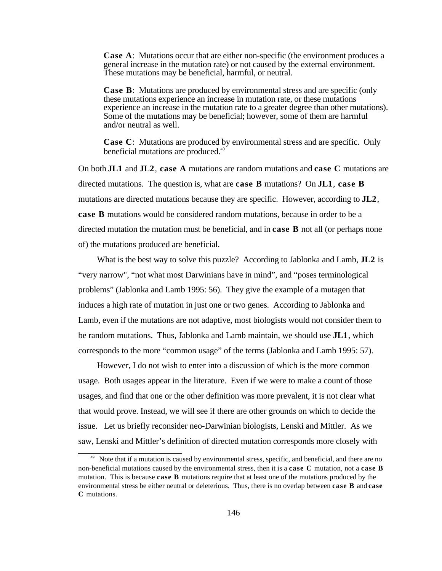**Case A**: Mutations occur that are either non-specific (the environment produces a general increase in the mutation rate) or not caused by the external environment. These mutations may be beneficial, harmful, or neutral.

**Case B**: Mutations are produced by environmental stress and are specific (only these mutations experience an increase in mutation rate, or these mutations experience an increase in the mutation rate to a greater degree than other mutations). Some of the mutations may be beneficial; however, some of them are harmful and/or neutral as well.

**Case C**: Mutations are produced by environmental stress and are specific. Only beneficial mutations are produced.<sup>49</sup>

On both **JL1** and **JL2**, **case A** mutations are random mutations and **case C** mutations are directed mutations. The question is, what are **case B** mutations? On **JL1**, **case B** mutations are directed mutations because they are specific. However, according to **JL2**, **case B** mutations would be considered random mutations, because in order to be a directed mutation the mutation must be beneficial, and in **case B** not all (or perhaps none of) the mutations produced are beneficial.

What is the best way to solve this puzzle? According to Jablonka and Lamb, **JL2** is "very narrow", "not what most Darwinians have in mind", and "poses terminological problems" (Jablonka and Lamb 1995: 56). They give the example of a mutagen that induces a high rate of mutation in just one or two genes. According to Jablonka and Lamb, even if the mutations are not adaptive, most biologists would not consider them to be random mutations. Thus, Jablonka and Lamb maintain, we should use **JL1**, which corresponds to the more "common usage" of the terms (Jablonka and Lamb 1995: 57).

However, I do not wish to enter into a discussion of which is the more common usage. Both usages appear in the literature. Even if we were to make a count of those usages, and find that one or the other definition was more prevalent, it is not clear what that would prove. Instead, we will see if there are other grounds on which to decide the issue. Let us briefly reconsider neo-Darwinian biologists, Lenski and Mittler. As we saw, Lenski and Mittler's definition of directed mutation corresponds more closely with

<sup>&</sup>lt;sup>49</sup> Note that if a mutation is caused by environmental stress, specific, and beneficial, and there are no non-beneficial mutations caused by the environmental stress, then it is a **case C** mutation, not a **case B** mutation. This is because **case B** mutations require that at least one of the mutations produced by the environmental stress be either neutral or deleterious. Thus, there is no overlap between **case B** and **case C** mutations.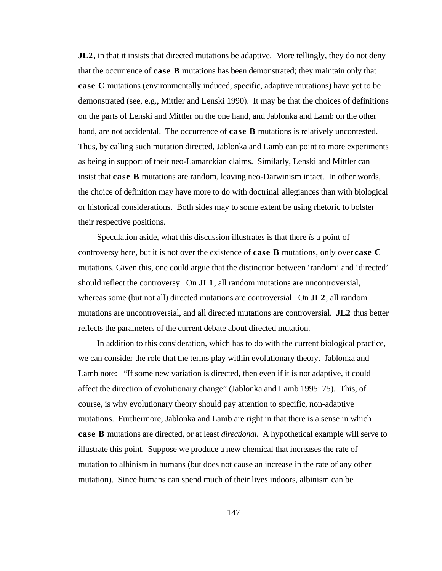**JL2**, in that it insists that directed mutations be adaptive. More tellingly, they do not deny that the occurrence of **case B** mutations has been demonstrated; they maintain only that **case C** mutations (environmentally induced, specific, adaptive mutations) have yet to be demonstrated (see, e.g., Mittler and Lenski 1990). It may be that the choices of definitions on the parts of Lenski and Mittler on the one hand, and Jablonka and Lamb on the other hand, are not accidental. The occurrence of **case B** mutations is relatively uncontested. Thus, by calling such mutation directed, Jablonka and Lamb can point to more experiments as being in support of their neo-Lamarckian claims. Similarly, Lenski and Mittler can insist that **case B** mutations are random, leaving neo-Darwinism intact. In other words, the choice of definition may have more to do with doctrinal allegiances than with biological or historical considerations. Both sides may to some extent be using rhetoric to bolster their respective positions.

Speculation aside, what this discussion illustrates is that there *is* a point of controversy here, but it is not over the existence of **case B** mutations, only over **case C** mutations. Given this, one could argue that the distinction between 'random' and 'directed' should reflect the controversy. On **JL1**, all random mutations are uncontroversial, whereas some (but not all) directed mutations are controversial. On **JL2**, all random mutations are uncontroversial, and all directed mutations are controversial. **JL2** thus better reflects the parameters of the current debate about directed mutation.

In addition to this consideration, which has to do with the current biological practice, we can consider the role that the terms play within evolutionary theory. Jablonka and Lamb note: "If some new variation is directed, then even if it is not adaptive, it could affect the direction of evolutionary change" (Jablonka and Lamb 1995: 75). This, of course, is why evolutionary theory should pay attention to specific, non-adaptive mutations. Furthermore, Jablonka and Lamb are right in that there is a sense in which **case B** mutations are directed, or at least *directional*. A hypothetical example will serve to illustrate this point. Suppose we produce a new chemical that increases the rate of mutation to albinism in humans (but does not cause an increase in the rate of any other mutation). Since humans can spend much of their lives indoors, albinism can be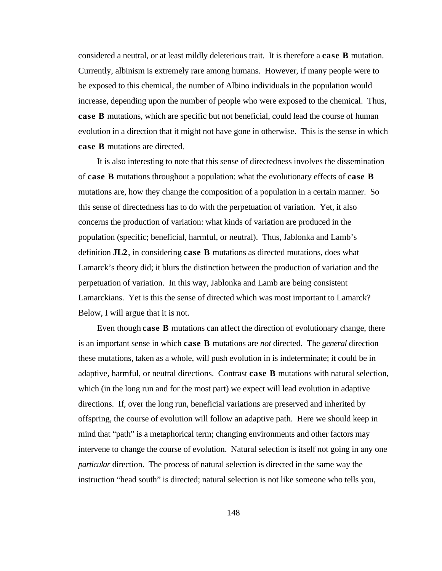considered a neutral, or at least mildly deleterious trait. It is therefore a **case B** mutation. Currently, albinism is extremely rare among humans. However, if many people were to be exposed to this chemical, the number of Albino individuals in the population would increase, depending upon the number of people who were exposed to the chemical. Thus, **case B** mutations, which are specific but not beneficial, could lead the course of human evolution in a direction that it might not have gone in otherwise. This is the sense in which **case B** mutations are directed.

It is also interesting to note that this sense of directedness involves the dissemination of **case B** mutations throughout a population: what the evolutionary effects of **case B** mutations are, how they change the composition of a population in a certain manner. So this sense of directedness has to do with the perpetuation of variation. Yet, it also concerns the production of variation: what kinds of variation are produced in the population (specific; beneficial, harmful, or neutral). Thus, Jablonka and Lamb's definition **JL2**, in considering **case B** mutations as directed mutations, does what Lamarck's theory did; it blurs the distinction between the production of variation and the perpetuation of variation. In this way, Jablonka and Lamb are being consistent Lamarckians. Yet is this the sense of directed which was most important to Lamarck? Below, I will argue that it is not.

Even though **case B** mutations can affect the direction of evolutionary change, there is an important sense in which **case B** mutations are *not* directed. The *general* direction these mutations, taken as a whole, will push evolution in is indeterminate; it could be in adaptive, harmful, or neutral directions. Contrast **case B** mutations with natural selection, which (in the long run and for the most part) we expect will lead evolution in adaptive directions. If, over the long run, beneficial variations are preserved and inherited by offspring, the course of evolution will follow an adaptive path. Here we should keep in mind that "path" is a metaphorical term; changing environments and other factors may intervene to change the course of evolution. Natural selection is itself not going in any one *particular* direction. The process of natural selection is directed in the same way the instruction "head south" is directed; natural selection is not like someone who tells you,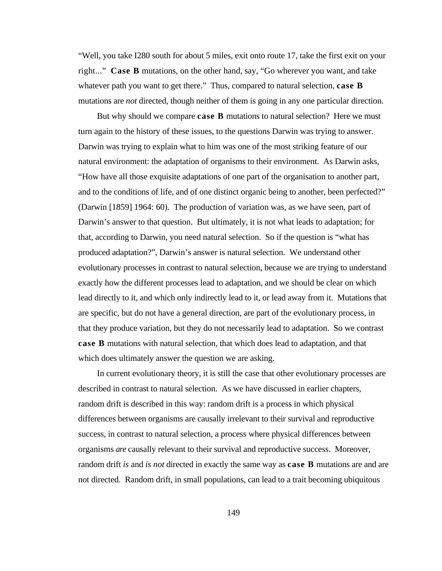"Well, you take I280 south for about 5 miles, exit onto route 17, take the first exit on your right..." **Case B** mutations, on the other hand, say, "Go wherever you want, and take whatever path you want to get there." Thus, compared to natural selection, **case B** mutations are *not* directed, though neither of them is going in any one particular direction.

But why should we compare **case B** mutations to natural selection? Here we must turn again to the history of these issues, to the questions Darwin was trying to answer. Darwin was trying to explain what to him was one of the most striking feature of our natural environment: the adaptation of organisms to their environment. As Darwin asks, "How have all those exquisite adaptations of one part of the organisation to another part, and to the conditions of life, and of one distinct organic being to another, been perfected?" (Darwin [1859] 1964: 60). The production of variation was, as we have seen, part of Darwin's answer to that question. But ultimately, it is not what leads to adaptation; for that, according to Darwin, you need natural selection. So if the question is "what has produced adaptation?", Darwin's answer is natural selection. We understand other evolutionary processes in contrast to natural selection, because we are trying to understand exactly how the different processes lead to adaptation, and we should be clear on which lead directly to it, and which only indirectly lead to it, or lead away from it. Mutations that are specific, but do not have a general direction, are part of the evolutionary process, in that they produce variation, but they do not necessarily lead to adaptation. So we contrast **case B** mutations with natural selection, that which does lead to adaptation, and that which does ultimately answer the question we are asking.

In current evolutionary theory, it is still the case that other evolutionary processes are described in contrast to natural selection. As we have discussed in earlier chapters, random drift is described in this way: random drift is a process in which physical differences between organisms are causally irrelevant to their survival and reproductive success, in contrast to natural selection, a process where physical differences between organisms *are* causally relevant to their survival and reproductive success. Moreover, random drift *is* and *is not* directed in exactly the same way as **case B** mutations are and are not directed. Random drift, in small populations, can lead to a trait becoming ubiquitous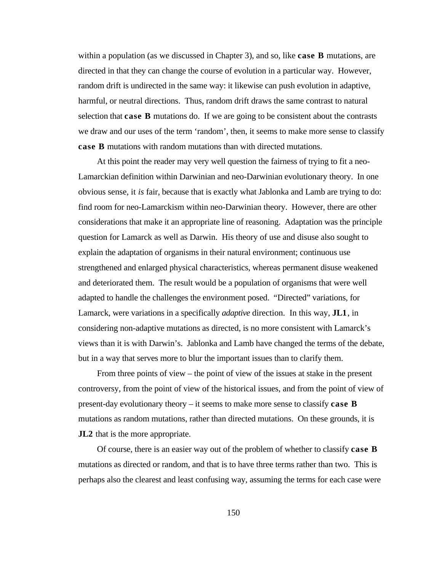within a population (as we discussed in Chapter 3), and so, like **case B** mutations, are directed in that they can change the course of evolution in a particular way. However, random drift is undirected in the same way: it likewise can push evolution in adaptive, harmful, or neutral directions. Thus, random drift draws the same contrast to natural selection that **case B** mutations do. If we are going to be consistent about the contrasts we draw and our uses of the term 'random', then, it seems to make more sense to classify **case B** mutations with random mutations than with directed mutations.

At this point the reader may very well question the fairness of trying to fit a neo-Lamarckian definition within Darwinian and neo-Darwinian evolutionary theory. In one obvious sense, it *is* fair, because that is exactly what Jablonka and Lamb are trying to do: find room for neo-Lamarckism within neo-Darwinian theory. However, there are other considerations that make it an appropriate line of reasoning. Adaptation was the principle question for Lamarck as well as Darwin. His theory of use and disuse also sought to explain the adaptation of organisms in their natural environment; continuous use strengthened and enlarged physical characteristics, whereas permanent disuse weakened and deteriorated them. The result would be a population of organisms that were well adapted to handle the challenges the environment posed. "Directed" variations, for Lamarck, were variations in a specifically *adaptive* direction. In this way, **JL1**, in considering non-adaptive mutations as directed, is no more consistent with Lamarck's views than it is with Darwin's. Jablonka and Lamb have changed the terms of the debate, but in a way that serves more to blur the important issues than to clarify them.

From three points of view – the point of view of the issues at stake in the present controversy, from the point of view of the historical issues, and from the point of view of present-day evolutionary theory – it seems to make more sense to classify **case B** mutations as random mutations, rather than directed mutations. On these grounds, it is **JL2** that is the more appropriate.

Of course, there is an easier way out of the problem of whether to classify **case B** mutations as directed or random, and that is to have three terms rather than two. This is perhaps also the clearest and least confusing way, assuming the terms for each case were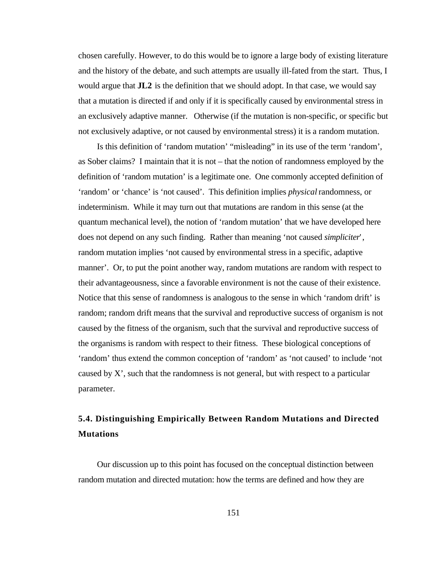chosen carefully. However, to do this would be to ignore a large body of existing literature and the history of the debate, and such attempts are usually ill-fated from the start. Thus, I would argue that **JL2** is the definition that we should adopt. In that case, we would say that a mutation is directed if and only if it is specifically caused by environmental stress in an exclusively adaptive manner. Otherwise (if the mutation is non-specific, or specific but not exclusively adaptive, or not caused by environmental stress) it is a random mutation.

Is this definition of 'random mutation' "misleading" in its use of the term 'random', as Sober claims? I maintain that it is not – that the notion of randomness employed by the definition of 'random mutation' is a legitimate one. One commonly accepted definition of 'random' or 'chance' is 'not caused'. This definition implies *physical* randomness, or indeterminism. While it may turn out that mutations are random in this sense (at the quantum mechanical level), the notion of 'random mutation' that we have developed here does not depend on any such finding. Rather than meaning 'not caused *simpliciter*', random mutation implies 'not caused by environmental stress in a specific, adaptive manner'. Or, to put the point another way, random mutations are random with respect to their advantageousness, since a favorable environment is not the cause of their existence. Notice that this sense of randomness is analogous to the sense in which 'random drift' is random; random drift means that the survival and reproductive success of organism is not caused by the fitness of the organism, such that the survival and reproductive success of the organisms is random with respect to their fitness. These biological conceptions of 'random' thus extend the common conception of 'random' as 'not caused' to include 'not caused by X', such that the randomness is not general, but with respect to a particular parameter.

# **5.4. Distinguishing Empirically Between Random Mutations and Directed Mutations**

Our discussion up to this point has focused on the conceptual distinction between random mutation and directed mutation: how the terms are defined and how they are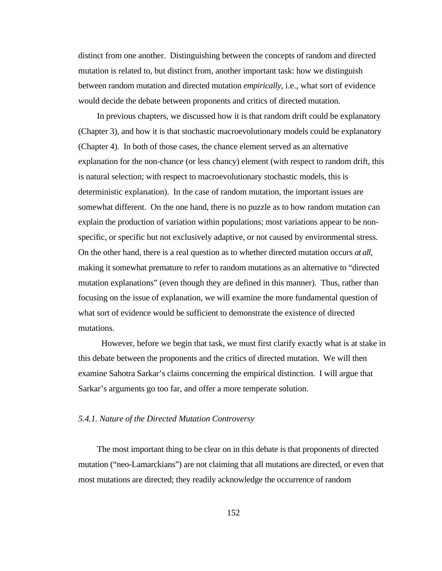distinct from one another. Distinguishing between the concepts of random and directed mutation is related to, but distinct from, another important task: how we distinguish between random mutation and directed mutation *empirically*, i.e., what sort of evidence would decide the debate between proponents and critics of directed mutation.

In previous chapters, we discussed how it is that random drift could be explanatory (Chapter 3), and how it is that stochastic macroevolutionary models could be explanatory (Chapter 4). In both of those cases, the chance element served as an alternative explanation for the non-chance (or less chancy) element (with respect to random drift, this is natural selection; with respect to macroevolutionary stochastic models, this is deterministic explanation). In the case of random mutation, the important issues are somewhat different. On the one hand, there is no puzzle as to how random mutation can explain the production of variation within populations; most variations appear to be nonspecific, or specific but not exclusively adaptive, or not caused by environmental stress. On the other hand, there is a real question as to whether directed mutation occurs *at all*, making it somewhat premature to refer to random mutations as an alternative to "directed mutation explanations" (even though they are defined in this manner). Thus, rather than focusing on the issue of explanation, we will examine the more fundamental question of what sort of evidence would be sufficient to demonstrate the existence of directed mutations.

However, before we begin that task, we must first clarify exactly what is at stake in this debate between the proponents and the critics of directed mutation. We will then examine Sahotra Sarkar's claims concerning the empirical distinction. I will argue that Sarkar's arguments go too far, and offer a more temperate solution.

#### *5.4.1. Nature of the Directed Mutation Controversy*

The most important thing to be clear on in this debate is that proponents of directed mutation ("neo-Lamarckians") are not claiming that all mutations are directed, or even that most mutations are directed; they readily acknowledge the occurrence of random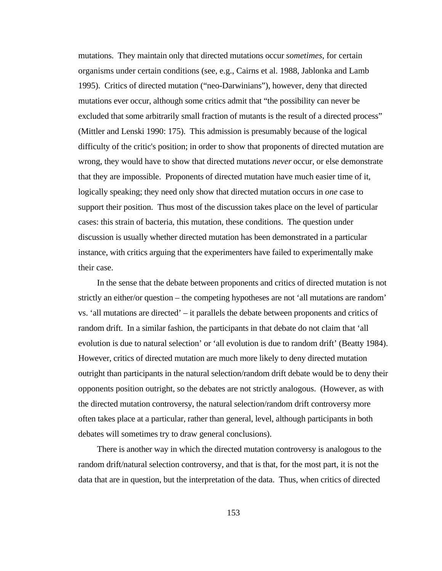mutations. They maintain only that directed mutations occur *sometimes*, for certain organisms under certain conditions (see, e.g., Cairns et al. 1988, Jablonka and Lamb 1995). Critics of directed mutation ("neo-Darwinians"), however, deny that directed mutations ever occur, although some critics admit that "the possibility can never be excluded that some arbitrarily small fraction of mutants is the result of a directed process" (Mittler and Lenski 1990: 175). This admission is presumably because of the logical difficulty of the critic's position; in order to show that proponents of directed mutation are wrong, they would have to show that directed mutations *never* occur, or else demonstrate that they are impossible. Proponents of directed mutation have much easier time of it, logically speaking; they need only show that directed mutation occurs in *one* case to support their position. Thus most of the discussion takes place on the level of particular cases: this strain of bacteria, this mutation, these conditions. The question under discussion is usually whether directed mutation has been demonstrated in a particular instance, with critics arguing that the experimenters have failed to experimentally make their case.

In the sense that the debate between proponents and critics of directed mutation is not strictly an either/or question – the competing hypotheses are not 'all mutations are random' vs. 'all mutations are directed' – it parallels the debate between proponents and critics of random drift. In a similar fashion, the participants in that debate do not claim that 'all evolution is due to natural selection' or 'all evolution is due to random drift' (Beatty 1984). However, critics of directed mutation are much more likely to deny directed mutation outright than participants in the natural selection/random drift debate would be to deny their opponents position outright, so the debates are not strictly analogous. (However, as with the directed mutation controversy, the natural selection/random drift controversy more often takes place at a particular, rather than general, level, although participants in both debates will sometimes try to draw general conclusions).

There is another way in which the directed mutation controversy is analogous to the random drift/natural selection controversy, and that is that, for the most part, it is not the data that are in question, but the interpretation of the data. Thus, when critics of directed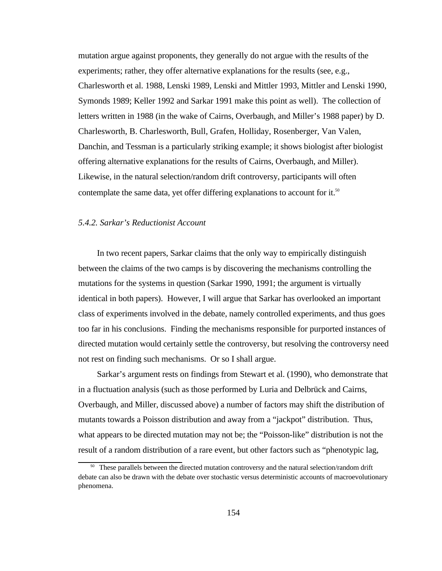mutation argue against proponents, they generally do not argue with the results of the experiments; rather, they offer alternative explanations for the results (see, e.g., Charlesworth et al. 1988, Lenski 1989, Lenski and Mittler 1993, Mittler and Lenski 1990, Symonds 1989; Keller 1992 and Sarkar 1991 make this point as well). The collection of letters written in 1988 (in the wake of Cairns, Overbaugh, and Miller's 1988 paper) by D. Charlesworth, B. Charlesworth, Bull, Grafen, Holliday, Rosenberger, Van Valen, Danchin, and Tessman is a particularly striking example; it shows biologist after biologist offering alternative explanations for the results of Cairns, Overbaugh, and Miller). Likewise, in the natural selection/random drift controversy, participants will often contemplate the same data, yet offer differing explanations to account for it.<sup>50</sup>

#### *5.4.2. Sarkar's Reductionist Account*

In two recent papers, Sarkar claims that the only way to empirically distinguish between the claims of the two camps is by discovering the mechanisms controlling the mutations for the systems in question (Sarkar 1990, 1991; the argument is virtually identical in both papers). However, I will argue that Sarkar has overlooked an important class of experiments involved in the debate, namely controlled experiments, and thus goes too far in his conclusions. Finding the mechanisms responsible for purported instances of directed mutation would certainly settle the controversy, but resolving the controversy need not rest on finding such mechanisms. Or so I shall argue.

Sarkar's argument rests on findings from Stewart et al. (1990), who demonstrate that in a fluctuation analysis (such as those performed by Luria and Delbrück and Cairns, Overbaugh, and Miller, discussed above) a number of factors may shift the distribution of mutants towards a Poisson distribution and away from a "jackpot" distribution. Thus, what appears to be directed mutation may not be; the "Poisson-like" distribution is not the result of a random distribution of a rare event, but other factors such as "phenotypic lag,

<sup>&</sup>lt;sup>50</sup> These parallels between the directed mutation controversy and the natural selection/random drift debate can also be drawn with the debate over stochastic versus deterministic accounts of macroevolutionary phenomena.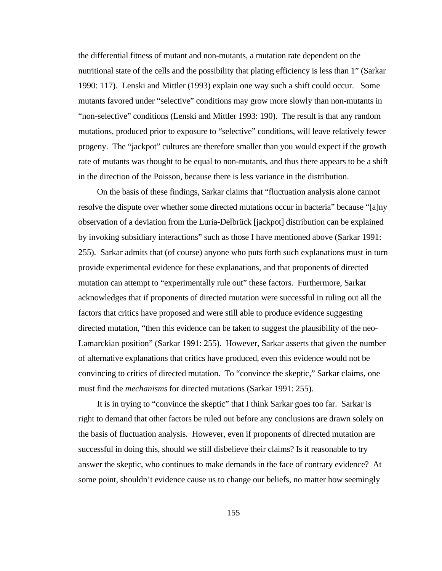the differential fitness of mutant and non-mutants, a mutation rate dependent on the nutritional state of the cells and the possibility that plating efficiency is less than 1" (Sarkar 1990: 117). Lenski and Mittler (1993) explain one way such a shift could occur. Some mutants favored under "selective" conditions may grow more slowly than non-mutants in "non-selective" conditions (Lenski and Mittler 1993: 190). The result is that any random mutations, produced prior to exposure to "selective" conditions, will leave relatively fewer progeny. The "jackpot" cultures are therefore smaller than you would expect if the growth rate of mutants was thought to be equal to non-mutants, and thus there appears to be a shift in the direction of the Poisson, because there is less variance in the distribution.

On the basis of these findings, Sarkar claims that "fluctuation analysis alone cannot resolve the dispute over whether some directed mutations occur in bacteria" because "[a]ny observation of a deviation from the Luria-Delbrück [jackpot] distribution can be explained by invoking subsidiary interactions" such as those I have mentioned above (Sarkar 1991: 255). Sarkar admits that (of course) anyone who puts forth such explanations must in turn provide experimental evidence for these explanations, and that proponents of directed mutation can attempt to "experimentally rule out" these factors. Furthermore, Sarkar acknowledges that if proponents of directed mutation were successful in ruling out all the factors that critics have proposed and were still able to produce evidence suggesting directed mutation, "then this evidence can be taken to suggest the plausibility of the neo-Lamarckian position" (Sarkar 1991: 255). However, Sarkar asserts that given the number of alternative explanations that critics have produced, even this evidence would not be convincing to critics of directed mutation. To "convince the skeptic," Sarkar claims, one must find the *mechanisms* for directed mutations (Sarkar 1991: 255).

It is in trying to "convince the skeptic" that I think Sarkar goes too far. Sarkar is right to demand that other factors be ruled out before any conclusions are drawn solely on the basis of fluctuation analysis. However, even if proponents of directed mutation are successful in doing this, should we still disbelieve their claims? Is it reasonable to try answer the skeptic, who continues to make demands in the face of contrary evidence? At some point, shouldn't evidence cause us to change our beliefs, no matter how seemingly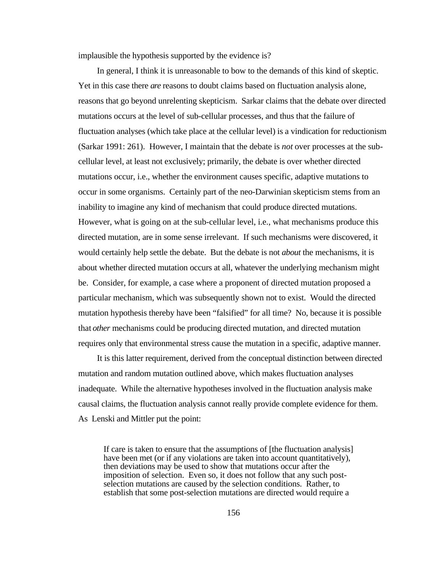implausible the hypothesis supported by the evidence is?

In general, I think it is unreasonable to bow to the demands of this kind of skeptic. Yet in this case there *are* reasons to doubt claims based on fluctuation analysis alone, reasons that go beyond unrelenting skepticism. Sarkar claims that the debate over directed mutations occurs at the level of sub-cellular processes, and thus that the failure of fluctuation analyses (which take place at the cellular level) is a vindication for reductionism (Sarkar 1991: 261). However, I maintain that the debate is *not* over processes at the subcellular level, at least not exclusively; primarily, the debate is over whether directed mutations occur, i.e., whether the environment causes specific, adaptive mutations to occur in some organisms. Certainly part of the neo-Darwinian skepticism stems from an inability to imagine any kind of mechanism that could produce directed mutations. However, what is going on at the sub-cellular level, i.e., what mechanisms produce this directed mutation, are in some sense irrelevant. If such mechanisms were discovered, it would certainly help settle the debate. But the debate is not *about* the mechanisms, it is about whether directed mutation occurs at all, whatever the underlying mechanism might be. Consider, for example, a case where a proponent of directed mutation proposed a particular mechanism, which was subsequently shown not to exist. Would the directed mutation hypothesis thereby have been "falsified" for all time? No, because it is possible that *other* mechanisms could be producing directed mutation, and directed mutation requires only that environmental stress cause the mutation in a specific, adaptive manner.

It is this latter requirement, derived from the conceptual distinction between directed mutation and random mutation outlined above, which makes fluctuation analyses inadequate. While the alternative hypotheses involved in the fluctuation analysis make causal claims, the fluctuation analysis cannot really provide complete evidence for them. As Lenski and Mittler put the point:

If care is taken to ensure that the assumptions of [the fluctuation analysis] have been met (or if any violations are taken into account quantitatively), then deviations may be used to show that mutations occur after the imposition of selection. Even so, it does not follow that any such postselection mutations are caused by the selection conditions. Rather, to establish that some post-selection mutations are directed would require a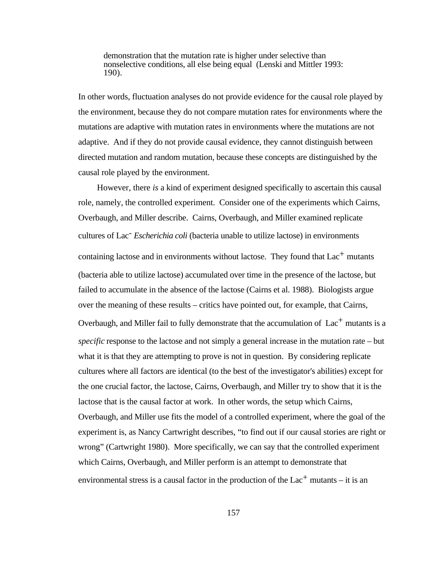demonstration that the mutation rate is higher under selective than nonselective conditions, all else being equal (Lenski and Mittler 1993: 190).

In other words, fluctuation analyses do not provide evidence for the causal role played by the environment, because they do not compare mutation rates for environments where the mutations are adaptive with mutation rates in environments where the mutations are not adaptive. And if they do not provide causal evidence, they cannot distinguish between directed mutation and random mutation, because these concepts are distinguished by the causal role played by the environment.

However, there *is* a kind of experiment designed specifically to ascertain this causal role, namely, the controlled experiment. Consider one of the experiments which Cairns, Overbaugh, and Miller describe. Cairns, Overbaugh, and Miller examined replicate cultures of Lac- *Escherichia coli* (bacteria unable to utilize lactose) in environments containing lactose and in environments without lactose. They found that  $Lac<sup>+</sup>$  mutants (bacteria able to utilize lactose) accumulated over time in the presence of the lactose, but failed to accumulate in the absence of the lactose (Cairns et al. 1988). Biologists argue over the meaning of these results – critics have pointed out, for example, that Cairns, Overbaugh, and Miller fail to fully demonstrate that the accumulation of Lac<sup>+</sup> mutants is a *specific* response to the lactose and not simply a general increase in the mutation rate – but what it is that they are attempting to prove is not in question. By considering replicate cultures where all factors are identical (to the best of the investigator's abilities) except for the one crucial factor, the lactose, Cairns, Overbaugh, and Miller try to show that it is the lactose that is the causal factor at work. In other words, the setup which Cairns, Overbaugh, and Miller use fits the model of a controlled experiment, where the goal of the experiment is, as Nancy Cartwright describes, "to find out if our causal stories are right or wrong" (Cartwright 1980). More specifically, we can say that the controlled experiment which Cairns, Overbaugh, and Miller perform is an attempt to demonstrate that environmental stress is a causal factor in the production of the  $Lac<sup>+</sup>$  mutants – it is an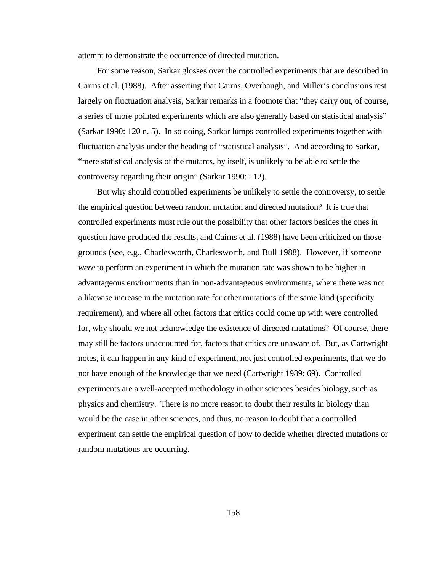attempt to demonstrate the occurrence of directed mutation.

For some reason, Sarkar glosses over the controlled experiments that are described in Cairns et al. (1988). After asserting that Cairns, Overbaugh, and Miller's conclusions rest largely on fluctuation analysis, Sarkar remarks in a footnote that "they carry out, of course, a series of more pointed experiments which are also generally based on statistical analysis" (Sarkar 1990: 120 n. 5). In so doing, Sarkar lumps controlled experiments together with fluctuation analysis under the heading of "statistical analysis". And according to Sarkar, "mere statistical analysis of the mutants, by itself, is unlikely to be able to settle the controversy regarding their origin" (Sarkar 1990: 112).

But why should controlled experiments be unlikely to settle the controversy, to settle the empirical question between random mutation and directed mutation? It is true that controlled experiments must rule out the possibility that other factors besides the ones in question have produced the results, and Cairns et al. (1988) have been criticized on those grounds (see, e.g., Charlesworth, Charlesworth, and Bull 1988). However, if someone *were* to perform an experiment in which the mutation rate was shown to be higher in advantageous environments than in non-advantageous environments, where there was not a likewise increase in the mutation rate for other mutations of the same kind (specificity requirement), and where all other factors that critics could come up with were controlled for, why should we not acknowledge the existence of directed mutations? Of course, there may still be factors unaccounted for, factors that critics are unaware of. But, as Cartwright notes, it can happen in any kind of experiment, not just controlled experiments, that we do not have enough of the knowledge that we need (Cartwright 1989: 69). Controlled experiments are a well-accepted methodology in other sciences besides biology, such as physics and chemistry. There is no more reason to doubt their results in biology than would be the case in other sciences, and thus, no reason to doubt that a controlled experiment can settle the empirical question of how to decide whether directed mutations or random mutations are occurring.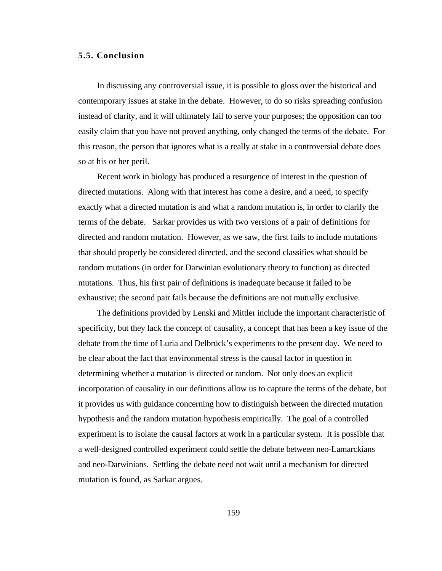### **5.5. Conclusion**

In discussing any controversial issue, it is possible to gloss over the historical and contemporary issues at stake in the debate. However, to do so risks spreading confusion instead of clarity, and it will ultimately fail to serve your purposes; the opposition can too easily claim that you have not proved anything, only changed the terms of the debate. For this reason, the person that ignores what is a really at stake in a controversial debate does so at his or her peril.

Recent work in biology has produced a resurgence of interest in the question of directed mutations. Along with that interest has come a desire, and a need, to specify exactly what a directed mutation is and what a random mutation is, in order to clarify the terms of the debate. Sarkar provides us with two versions of a pair of definitions for directed and random mutation. However, as we saw, the first fails to include mutations that should properly be considered directed, and the second classifies what should be random mutations (in order for Darwinian evolutionary theory to function) as directed mutations. Thus, his first pair of definitions is inadequate because it failed to be exhaustive; the second pair fails because the definitions are not mutually exclusive.

The definitions provided by Lenski and Mittler include the important characteristic of specificity, but they lack the concept of causality, a concept that has been a key issue of the debate from the time of Luria and Delbrück's experiments to the present day. We need to be clear about the fact that environmental stress is the causal factor in question in determining whether a mutation is directed or random. Not only does an explicit incorporation of causality in our definitions allow us to capture the terms of the debate, but it provides us with guidance concerning how to distinguish between the directed mutation hypothesis and the random mutation hypothesis empirically. The goal of a controlled experiment is to isolate the causal factors at work in a particular system. It is possible that a well-designed controlled experiment could settle the debate between neo-Lamarckians and neo-Darwinians. Settling the debate need not wait until a mechanism for directed mutation is found, as Sarkar argues.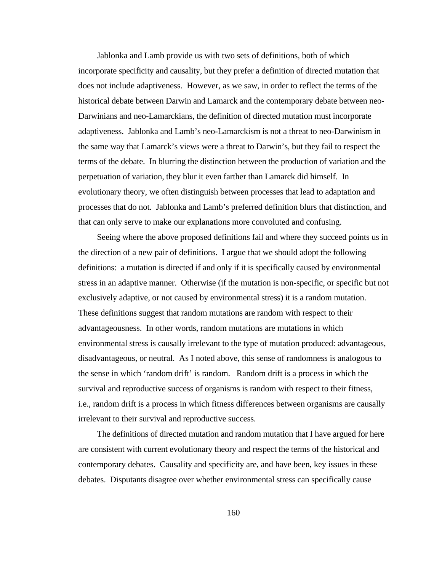Jablonka and Lamb provide us with two sets of definitions, both of which incorporate specificity and causality, but they prefer a definition of directed mutation that does not include adaptiveness. However, as we saw, in order to reflect the terms of the historical debate between Darwin and Lamarck and the contemporary debate between neo-Darwinians and neo-Lamarckians, the definition of directed mutation must incorporate adaptiveness. Jablonka and Lamb's neo-Lamarckism is not a threat to neo-Darwinism in the same way that Lamarck's views were a threat to Darwin's, but they fail to respect the terms of the debate. In blurring the distinction between the production of variation and the perpetuation of variation, they blur it even farther than Lamarck did himself. In evolutionary theory, we often distinguish between processes that lead to adaptation and processes that do not. Jablonka and Lamb's preferred definition blurs that distinction, and that can only serve to make our explanations more convoluted and confusing.

Seeing where the above proposed definitions fail and where they succeed points us in the direction of a new pair of definitions. I argue that we should adopt the following definitions: a mutation is directed if and only if it is specifically caused by environmental stress in an adaptive manner. Otherwise (if the mutation is non-specific, or specific but not exclusively adaptive, or not caused by environmental stress) it is a random mutation. These definitions suggest that random mutations are random with respect to their advantageousness. In other words, random mutations are mutations in which environmental stress is causally irrelevant to the type of mutation produced: advantageous, disadvantageous, or neutral. As I noted above, this sense of randomness is analogous to the sense in which 'random drift' is random. Random drift is a process in which the survival and reproductive success of organisms is random with respect to their fitness, i.e., random drift is a process in which fitness differences between organisms are causally irrelevant to their survival and reproductive success.

The definitions of directed mutation and random mutation that I have argued for here are consistent with current evolutionary theory and respect the terms of the historical and contemporary debates. Causality and specificity are, and have been, key issues in these debates. Disputants disagree over whether environmental stress can specifically cause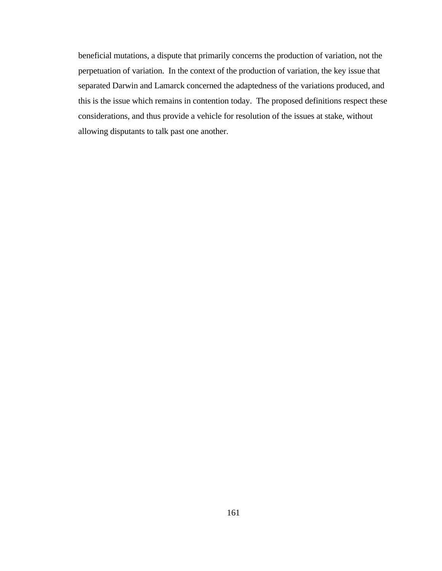beneficial mutations, a dispute that primarily concerns the production of variation, not the perpetuation of variation. In the context of the production of variation, the key issue that separated Darwin and Lamarck concerned the adaptedness of the variations produced, and this is the issue which remains in contention today. The proposed definitions respect these considerations, and thus provide a vehicle for resolution of the issues at stake, without allowing disputants to talk past one another.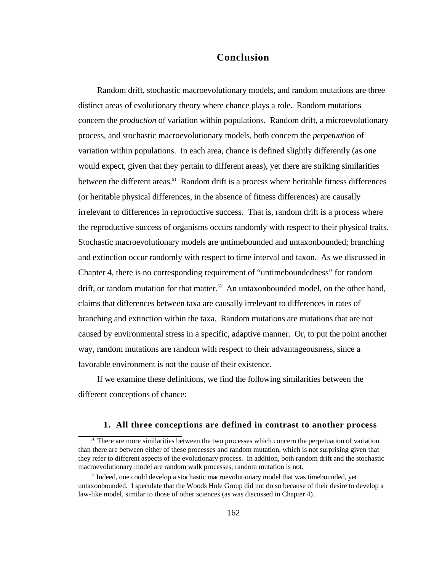## **Conclusion**

Random drift, stochastic macroevolutionary models, and random mutations are three distinct areas of evolutionary theory where chance plays a role. Random mutations concern the *production* of variation within populations. Random drift, a microevolutionary process, and stochastic macroevolutionary models, both concern the *perpetuation* of variation within populations. In each area, chance is defined slightly differently (as one would expect, given that they pertain to different areas), yet there are striking similarities between the different areas.<sup>51</sup> Random drift is a process where heritable fitness differences (or heritable physical differences, in the absence of fitness differences) are causally irrelevant to differences in reproductive success. That is, random drift is a process where the reproductive success of organisms occurs randomly with respect to their physical traits. Stochastic macroevolutionary models are untimebounded and untaxonbounded; branching and extinction occur randomly with respect to time interval and taxon. As we discussed in Chapter 4, there is no corresponding requirement of "untimeboundedness" for random drift, or random mutation for that matter.<sup>52</sup> An untaxonbounded model, on the other hand, claims that differences between taxa are causally irrelevant to differences in rates of branching and extinction within the taxa. Random mutations are mutations that are not caused by environmental stress in a specific, adaptive manner. Or, to put the point another way, random mutations are random with respect to their advantageousness, since a favorable environment is not the cause of their existence.

If we examine these definitions, we find the following similarities between the different conceptions of chance:

#### **1. All three conceptions are defined in contrast to another process**

<sup>&</sup>lt;sup>51</sup> There are more similarities between the two processes which concern the perpetuation of variation than there are between either of these processes and random mutation, which is not surprising given that they refer to different aspects of the evolutionary process. In addition, both random drift and the stochastic macroevolutionary model are random walk processes; random mutation is not.

<sup>&</sup>lt;sup>52</sup> Indeed, one could develop a stochastic macroevolutionary model that was timebounded, yet untaxonbounded. I speculate that the Woods Hole Group did not do so because of their desire to develop a law-like model, similar to those of other sciences (as was discussed in Chapter 4).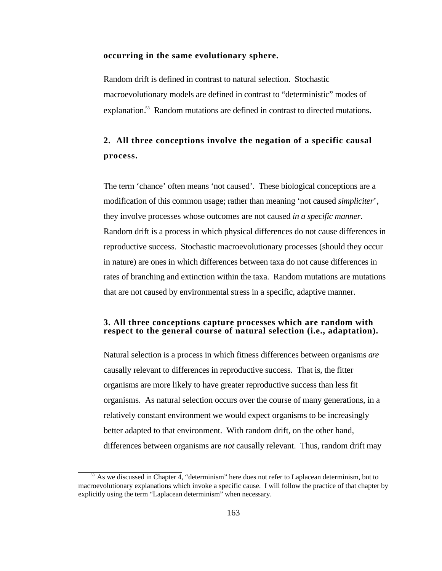#### **occurring in the same evolutionary sphere.**

Random drift is defined in contrast to natural selection. Stochastic macroevolutionary models are defined in contrast to "deterministic" modes of explanation.<sup>53</sup> Random mutations are defined in contrast to directed mutations.

# **2. All three conceptions involve the negation of a specific causal process.**

The term 'chance' often means 'not caused'. These biological conceptions are a modification of this common usage; rather than meaning 'not caused *simpliciter*', they involve processes whose outcomes are not caused *in a specific manner*. Random drift is a process in which physical differences do not cause differences in reproductive success. Stochastic macroevolutionary processes (should they occur in nature) are ones in which differences between taxa do not cause differences in rates of branching and extinction within the taxa. Random mutations are mutations that are not caused by environmental stress in a specific, adaptive manner.

### **3. All three conceptions capture processes which are random with respect to the general course of natural selection (i.e., adaptation).**

Natural selection is a process in which fitness differences between organisms *are* causally relevant to differences in reproductive success. That is, the fitter organisms are more likely to have greater reproductive success than less fit organisms. As natural selection occurs over the course of many generations, in a relatively constant environment we would expect organisms to be increasingly better adapted to that environment. With random drift, on the other hand, differences between organisms are *not* causally relevant. Thus, random drift may

 $53$  As we discussed in Chapter 4, "determinism" here does not refer to Laplacean determinism, but to macroevolutionary explanations which invoke a specific cause. I will follow the practice of that chapter by explicitly using the term "Laplacean determinism" when necessary.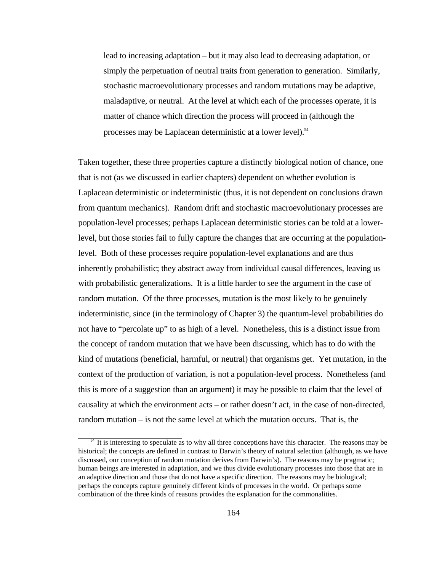lead to increasing adaptation – but it may also lead to decreasing adaptation, or simply the perpetuation of neutral traits from generation to generation. Similarly, stochastic macroevolutionary processes and random mutations may be adaptive, maladaptive, or neutral. At the level at which each of the processes operate, it is matter of chance which direction the process will proceed in (although the processes may be Laplacean deterministic at a lower level).<sup>54</sup>

Taken together, these three properties capture a distinctly biological notion of chance, one that is not (as we discussed in earlier chapters) dependent on whether evolution is Laplacean deterministic or indeterministic (thus, it is not dependent on conclusions drawn from quantum mechanics). Random drift and stochastic macroevolutionary processes are population-level processes; perhaps Laplacean deterministic stories can be told at a lowerlevel, but those stories fail to fully capture the changes that are occurring at the populationlevel. Both of these processes require population-level explanations and are thus inherently probabilistic; they abstract away from individual causal differences, leaving us with probabilistic generalizations. It is a little harder to see the argument in the case of random mutation. Of the three processes, mutation is the most likely to be genuinely indeterministic, since (in the terminology of Chapter 3) the quantum-level probabilities do not have to "percolate up" to as high of a level. Nonetheless, this is a distinct issue from the concept of random mutation that we have been discussing, which has to do with the kind of mutations (beneficial, harmful, or neutral) that organisms get. Yet mutation, in the context of the production of variation, is not a population-level process. Nonetheless (and this is more of a suggestion than an argument) it may be possible to claim that the level of causality at which the environment acts – or rather doesn't act, in the case of non-directed, random mutation – is not the same level at which the mutation occurs. That is, the

<sup>&</sup>lt;sup>54</sup> It is interesting to speculate as to why all three conceptions have this character. The reasons may be historical; the concepts are defined in contrast to Darwin's theory of natural selection (although, as we have discussed, our conception of random mutation derives from Darwin's). The reasons may be pragmatic; human beings are interested in adaptation, and we thus divide evolutionary processes into those that are in an adaptive direction and those that do not have a specific direction. The reasons may be biological; perhaps the concepts capture genuinely different kinds of processes in the world. Or perhaps some combination of the three kinds of reasons provides the explanation for the commonalities.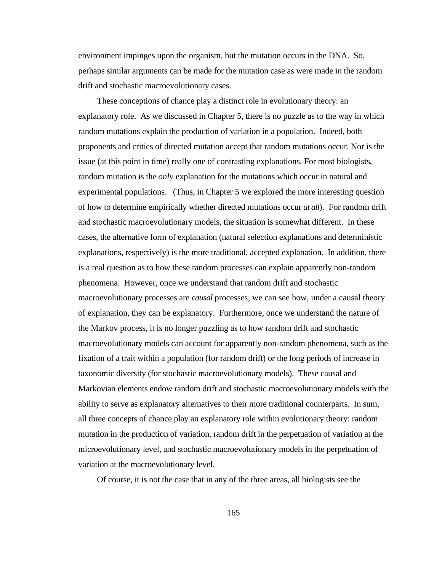environment impinges upon the organism, but the mutation occurs in the DNA. So, perhaps similar arguments can be made for the mutation case as were made in the random drift and stochastic macroevolutionary cases.

These conceptions of chance play a distinct role in evolutionary theory: an explanatory role. As we discussed in Chapter 5, there is no puzzle as to the way in which random mutations explain the production of variation in a population. Indeed, both proponents and critics of directed mutation accept that random mutations occur. Nor is the issue (at this point in time) really one of contrasting explanations. For most biologists, random mutation is the *only* explanation for the mutations which occur in natural and experimental populations. (Thus, in Chapter 5 we explored the more interesting question of how to determine empirically whether directed mutations occur *at all*). For random drift and stochastic macroevolutionary models, the situation is somewhat different. In these cases, the alternative form of explanation (natural selection explanations and deterministic explanations, respectively) is the more traditional, accepted explanation. In addition, there is a real question as to how these random processes can explain apparently non-random phenomena. However, once we understand that random drift and stochastic macroevolutionary processes are *causal* processes, we can see how, under a causal theory of explanation, they can be explanatory. Furthermore, once we understand the nature of the Markov process, it is no longer puzzling as to how random drift and stochastic macroevolutionary models can account for apparently non-random phenomena, such as the fixation of a trait within a population (for random drift) or the long periods of increase in taxonomic diversity (for stochastic macroevolutionary models). These causal and Markovian elements endow random drift and stochastic macroevolutionary models with the ability to serve as explanatory alternatives to their more traditional counterparts. In sum, all three concepts of chance play an explanatory role within evolutionary theory: random mutation in the production of variation, random drift in the perpetuation of variation at the microevolutionary level, and stochastic macroevolutionary models in the perpetuation of variation at the macroevolutionary level.

Of course, it is not the case that in any of the three areas, all biologists see the

165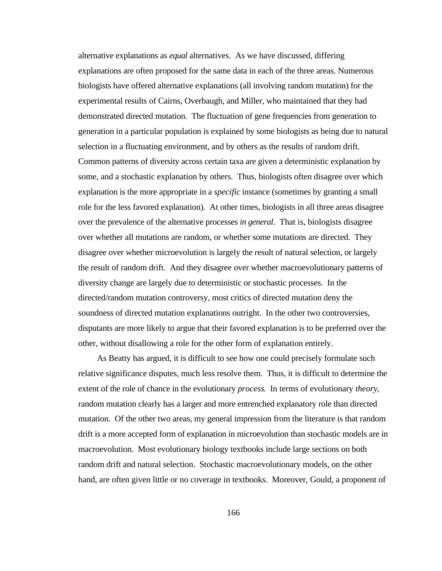alternative explanations as *equal* alternatives. As we have discussed, differing explanations are often proposed for the same data in each of the three areas. Numerous biologists have offered alternative explanations (all involving random mutation) for the experimental results of Cairns, Overbaugh, and Miller, who maintained that they had demonstrated directed mutation. The fluctuation of gene frequencies from generation to generation in a particular population is explained by some biologists as being due to natural selection in a fluctuating environment, and by others as the results of random drift. Common patterns of diversity across certain taxa are given a deterministic explanation by some, and a stochastic explanation by others. Thus, biologists often disagree over which explanation is the more appropriate in a *specific* instance (sometimes by granting a small role for the less favored explanation). At other times, biologists in all three areas disagree over the prevalence of the alternative processes *in general*. That is, biologists disagree over whether all mutations are random, or whether some mutations are directed. They disagree over whether microevolution is largely the result of natural selection, or largely the result of random drift. And they disagree over whether macroevolutionary patterns of diversity change are largely due to deterministic or stochastic processes. In the directed/random mutation controversy, most critics of directed mutation deny the soundness of directed mutation explanations outright. In the other two controversies, disputants are more likely to argue that their favored explanation is to be preferred over the other, without disallowing a role for the other form of explanation entirely.

As Beatty has argued, it is difficult to see how one could precisely formulate such relative significance disputes, much less resolve them. Thus, it is difficult to determine the extent of the role of chance in the evolutionary *process*. In terms of evolutionary *theory*, random mutation clearly has a larger and more entrenched explanatory role than directed mutation. Of the other two areas, my general impression from the literature is that random drift is a more accepted form of explanation in microevolution than stochastic models are in macroevolution. Most evolutionary biology textbooks include large sections on both random drift and natural selection. Stochastic macroevolutionary models, on the other hand, are often given little or no coverage in textbooks. Moreover, Gould, a proponent of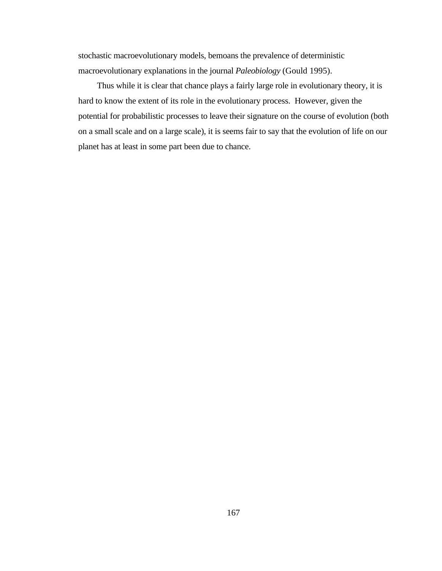stochastic macroevolutionary models, bemoans the prevalence of deterministic macroevolutionary explanations in the journal *Paleobiology* (Gould 1995).

Thus while it is clear that chance plays a fairly large role in evolutionary theory, it is hard to know the extent of its role in the evolutionary process. However, given the potential for probabilistic processes to leave their signature on the course of evolution (both on a small scale and on a large scale), it is seems fair to say that the evolution of life on our planet has at least in some part been due to chance.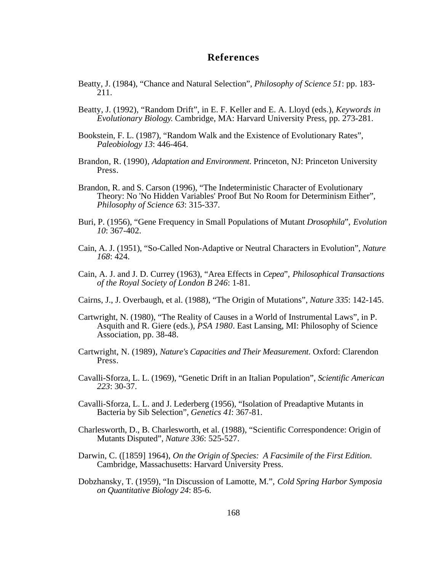## **References**

- Beatty, J. (1984), "Chance and Natural Selection", *Philosophy of Science 51*: pp. 183- 211.
- Beatty, J. (1992), "Random Drift", in E. F. Keller and E. A. Lloyd (eds.), *Keywords in Evolutionary Biology*. Cambridge, MA: Harvard University Press, pp. 273-281.
- Bookstein, F. L. (1987), "Random Walk and the Existence of Evolutionary Rates", *Paleobiology 13*: 446-464.
- Brandon, R. (1990), *Adaptation and Environment*. Princeton, NJ: Princeton University Press.
- Brandon, R. and S. Carson (1996), "The Indeterministic Character of Evolutionary Theory: No 'No Hidden Variables' Proof But No Room for Determinism Either", *Philosophy of Science 63*: 315-337.
- Buri, P. (1956), "Gene Frequency in Small Populations of Mutant *Drosophila*", *Evolution 10*: 367-402.
- Cain, A. J. (1951), "So-Called Non-Adaptive or Neutral Characters in Evolution", *Nature 168*: 424.
- Cain, A. J. and J. D. Currey (1963), "Area Effects in *Cepea*", *Philosophical Transactions of the Royal Society of London B 246*: 1-81.
- Cairns, J., J. Overbaugh, et al. (1988), "The Origin of Mutations", *Nature 335*: 142-145.
- Cartwright, N. (1980), "The Reality of Causes in a World of Instrumental Laws", in P. Asquith and R. Giere (eds.), *PSA 1980*. East Lansing, MI: Philosophy of Science Association, pp. 38-48.
- Cartwright, N. (1989), *Nature's Capacities and Their Measurement*. Oxford: Clarendon Press.
- Cavalli-Sforza, L. L. (1969), "Genetic Drift in an Italian Population", *Scientific American 223*: 30-37.
- Cavalli-Sforza, L. L. and J. Lederberg (1956), "Isolation of Preadaptive Mutants in Bacteria by Sib Selection", *Genetics 41*: 367-81.
- Charlesworth, D., B. Charlesworth, et al. (1988), "Scientific Correspondence: Origin of Mutants Disputed", *Nature 336*: 525-527.
- Darwin, C. ([1859] 1964), *On the Origin of Species: A Facsimile of the First Edition*. Cambridge, Massachusetts: Harvard University Press.
- Dobzhansky, T. (1959), "In Discussion of Lamotte, M.", *Cold Spring Harbor Symposia on Quantitative Biology 24*: 85-6.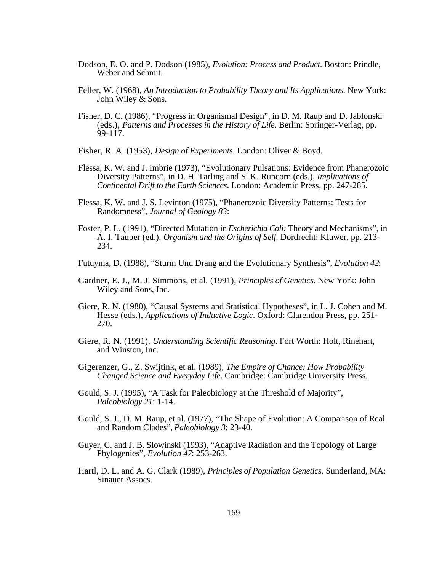- Dodson, E. O. and P. Dodson (1985), *Evolution: Process and Product*. Boston: Prindle, Weber and Schmit.
- Feller, W. (1968), *An Introduction to Probability Theory and Its Applications*. New York: John Wiley & Sons.
- Fisher, D. C. (1986), "Progress in Organismal Design", in D. M. Raup and D. Jablonski (eds.), *Patterns and Processes in the History of Life*. Berlin: Springer-Verlag, pp. 99-117.
- Fisher, R. A. (1953), *Design of Experiments*. London: Oliver & Boyd.
- Flessa, K. W. and J. Imbrie (1973), "Evolutionary Pulsations: Evidence from Phanerozoic Diversity Patterns", in D. H. Tarling and S. K. Runcorn (eds.), *Implications of Continental Drift to the Earth Sciences*. London: Academic Press, pp. 247-285.
- Flessa, K. W. and J. S. Levinton (1975), "Phanerozoic Diversity Patterns: Tests for Randomness", *Journal of Geology 83*:
- Foster, P. L. (1991), "Directed Mutation in *Escherichia Coli:* Theory and Mechanisms", in A. I. Tauber (ed.), *Organism and the Origins of Self*. Dordrecht: Kluwer, pp. 213- 234.
- Futuyma, D. (1988), "Sturm Und Drang and the Evolutionary Synthesis", *Evolution 42*:
- Gardner, E. J., M. J. Simmons, et al. (1991), *Principles of Genetics*. New York: John Wiley and Sons, Inc.
- Giere, R. N. (1980), "Causal Systems and Statistical Hypotheses", in L. J. Cohen and M. Hesse (eds.), *Applications of Inductive Logic*. Oxford: Clarendon Press, pp. 251- 270.
- Giere, R. N. (1991), *Understanding Scientific Reasoning*. Fort Worth: Holt, Rinehart, and Winston, Inc.
- Gigerenzer, G., Z. Swijtink, et al. (1989), *The Empire of Chance: How Probability Changed Science and Everyday Life*. Cambridge: Cambridge University Press.
- Gould, S. J. (1995), "A Task for Paleobiology at the Threshold of Majority", *Paleobiology 21*: 1-14.
- Gould, S. J., D. M. Raup, et al. (1977), "The Shape of Evolution: A Comparison of Real and Random Clades", *Paleobiology 3*: 23-40.
- Guyer, C. and J. B. Slowinski (1993), "Adaptive Radiation and the Topology of Large Phylogenies", *Evolution 47*: 253-263.
- Hartl, D. L. and A. G. Clark (1989), *Principles of Population Genetics*. Sunderland, MA: Sinauer Assocs.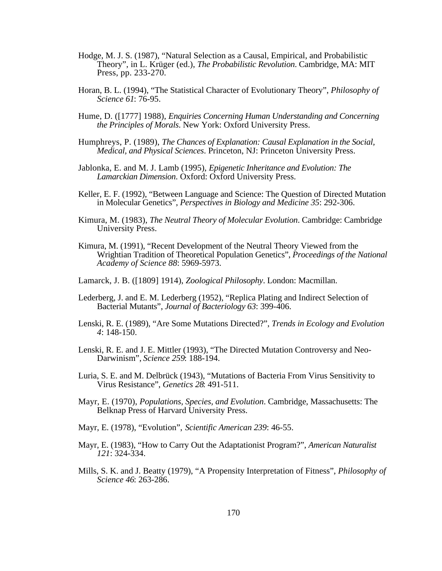- Hodge, M. J. S. (1987), "Natural Selection as a Causal, Empirical, and Probabilistic Theory", in L. Krüger (ed.), *The Probabilistic Revolution*. Cambridge, MA: MIT Press, pp. 233-270.
- Horan, B. L. (1994), "The Statistical Character of Evolutionary Theory", *Philosophy of Science 61*: 76-95.
- Hume, D. ([1777] 1988), *Enquiries Concerning Human Understanding and Concerning the Principles of Morals*. New York: Oxford University Press.
- Humphreys, P. (1989), *The Chances of Explanation: Causal Explanation in the Social, Medical, and Physical Sciences*. Princeton, NJ: Princeton University Press.
- Jablonka, E. and M. J. Lamb (1995), *Epigenetic Inheritance and Evolution: The Lamarckian Dimension*. Oxford: Oxford University Press.
- Keller, E. F. (1992), "Between Language and Science: The Question of Directed Mutation in Molecular Genetics", *Perspectives in Biology and Medicine 35*: 292-306.
- Kimura, M. (1983), *The Neutral Theory of Molecular Evolution*. Cambridge: Cambridge University Press.
- Kimura, M. (1991), "Recent Development of the Neutral Theory Viewed from the Wrightian Tradition of Theoretical Population Genetics", *Proceedings of the National Academy of Science 88*: 5969-5973.
- Lamarck, J. B. ([1809] 1914), *Zoological Philosophy*. London: Macmillan.
- Lederberg, J. and E. M. Lederberg (1952), "Replica Plating and Indirect Selection of Bacterial Mutants", *Journal of Bacteriology 63*: 399-406.
- Lenski, R. E. (1989), "Are Some Mutations Directed?", *Trends in Ecology and Evolution 4*: 148-150.
- Lenski, R. E. and J. E. Mittler (1993), "The Directed Mutation Controversy and Neo-Darwinism", *Science 259*: 188-194.
- Luria, S. E. and M. Delbrück (1943), "Mutations of Bacteria From Virus Sensitivity to Virus Resistance", *Genetics 28*: 491-511.
- Mayr, E. (1970), *Populations, Species, and Evolution*. Cambridge, Massachusetts: The Belknap Press of Harvard University Press.
- Mayr, E. (1978), "Evolution", *Scientific American 239*: 46-55.
- Mayr, E. (1983), "How to Carry Out the Adaptationist Program?", *American Naturalist 121*: 324-334.
- Mills, S. K. and J. Beatty (1979), "A Propensity Interpretation of Fitness", *Philosophy of Science 46*: 263-286.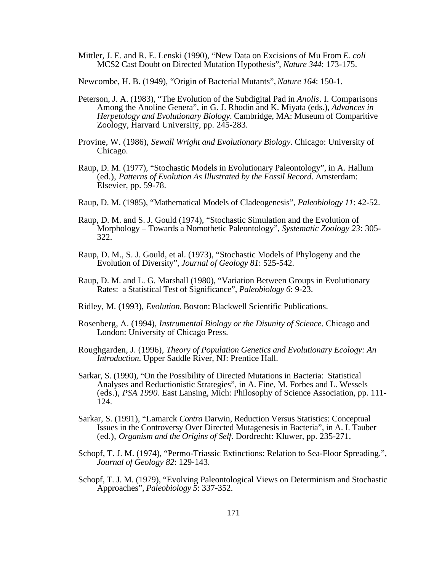Mittler, J. E. and R. E. Lenski (1990), "New Data on Excisions of Mu From *E. coli* MCS2 Cast Doubt on Directed Mutation Hypothesis", *Nature 344*: 173-175.

Newcombe, H. B. (1949), "Origin of Bacterial Mutants", *Nature 164*: 150-1.

- Peterson, J. A. (1983), "The Evolution of the Subdigital Pad in *Anolis*. I. Comparisons Among the Anoline Genera", in G. J. Rhodin and K. Miyata (eds.), *Advances in Herpetology and Evolutionary Biology*. Cambridge, MA: Museum of Comparitive Zoology, Harvard University, pp. 245-283.
- Provine, W. (1986), *Sewall Wright and Evolutionary Biology*. Chicago: University of Chicago.
- Raup, D. M. (1977), "Stochastic Models in Evolutionary Paleontology", in A. Hallum (ed.), *Patterns of Evolution As Illustrated by the Fossil Record*. Amsterdam: Elsevier, pp. 59-78.
- Raup, D. M. (1985), "Mathematical Models of Cladeogenesis", *Paleobiology 11*: 42-52.
- Raup, D. M. and S. J. Gould (1974), "Stochastic Simulation and the Evolution of Morphology – Towards a Nomothetic Paleontology", *Systematic Zoology 23*: 305- 322.
- Raup, D. M., S. J. Gould, et al. (1973), "Stochastic Models of Phylogeny and the Evolution of Diversity", *Journal of Geology 81*: 525-542.
- Raup, D. M. and L. G. Marshall (1980), "Variation Between Groups in Evolutionary Rates: a Statistical Test of Significance", *Paleobiology 6*: 9-23.
- Ridley, M. (1993), *Evolution*. Boston: Blackwell Scientific Publications.
- Rosenberg, A. (1994), *Instrumental Biology or the Disunity of Science*. Chicago and London: University of Chicago Press.
- Roughgarden, J. (1996), *Theory of Population Genetics and Evolutionary Ecology: An Introduction*. Upper Saddle River, NJ: Prentice Hall.
- Sarkar, S. (1990), "On the Possibility of Directed Mutations in Bacteria: Statistical Analyses and Reductionistic Strategies", in A. Fine, M. Forbes and L. Wessels (eds.), *PSA 1990*. East Lansing, Mich: Philosophy of Science Association, pp. 111- 124.
- Sarkar, S. (1991), "Lamarck *Contra* Darwin, Reduction Versus Statistics: Conceptual Issues in the Controversy Over Directed Mutagenesis in Bacteria", in A. I. Tauber (ed.), *Organism and the Origins of Self*. Dordrecht: Kluwer, pp. 235-271.
- Schopf, T. J. M. (1974), "Permo-Triassic Extinctions: Relation to Sea-Floor Spreading.", *Journal of Geology 82*: 129-143.
- Schopf, T. J. M. (1979), "Evolving Paleontological Views on Determinism and Stochastic Approaches", *Paleobiology 5*: 337-352.